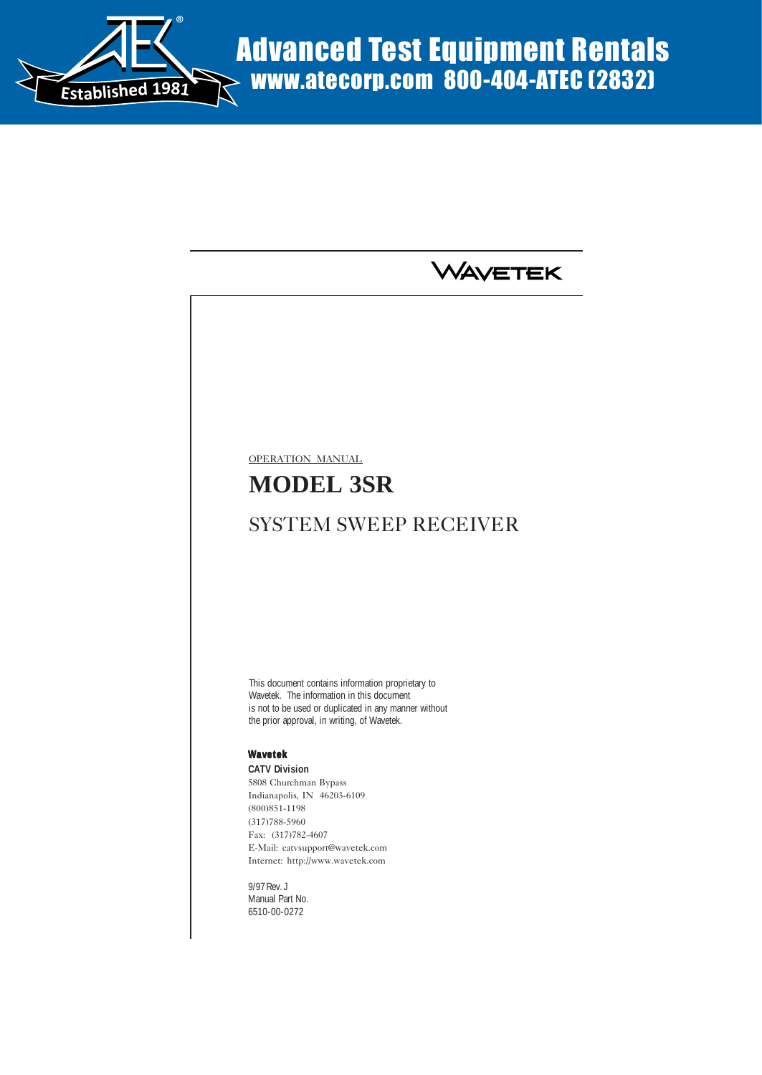

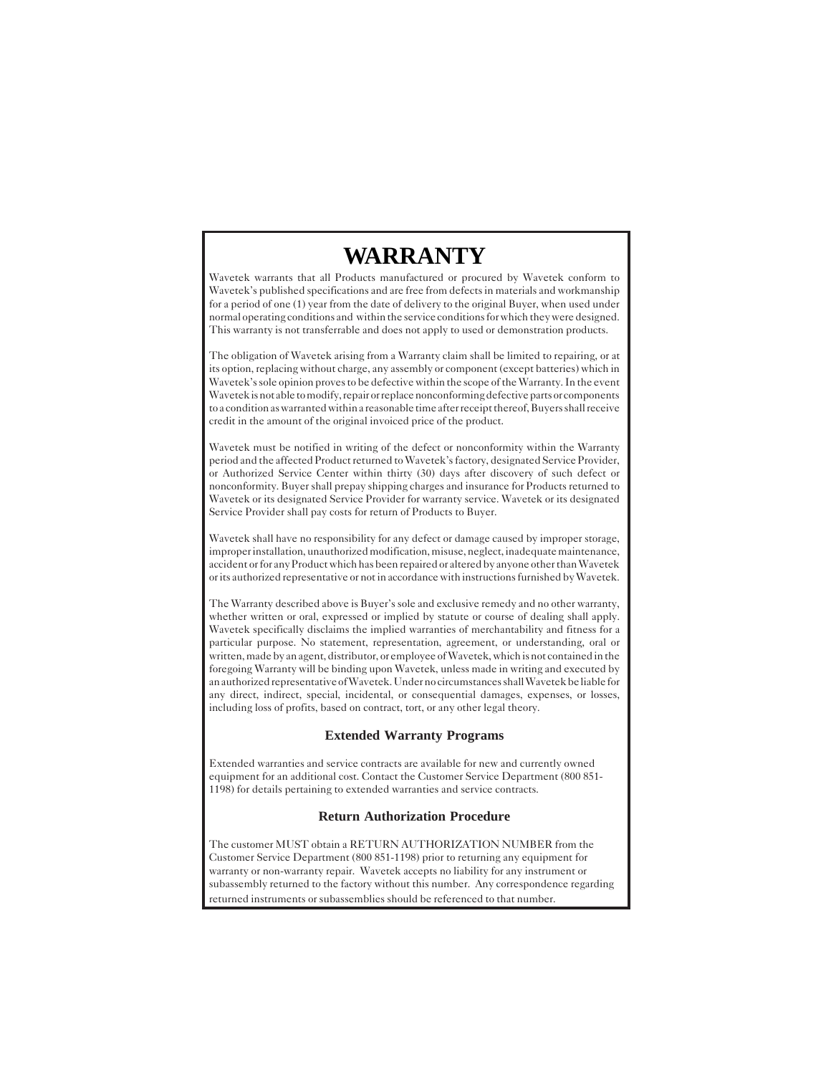## **WARRANTY**

Wavetek warrants that all Products manufactured or procured by Wavetek conform to Wavetek's published specifications and are free from defects in materials and workmanship for a period of one (1) year from the date of delivery to the original Buyer, when used under normal operating conditions and within the service conditions for which they were designed. This warranty is not transferrable and does not apply to used or demonstration products.

The obligation of Wavetek arising from a Warranty claim shall be limited to repairing, or at its option, replacing without charge, any assembly or component (except batteries) which in Wavetek's sole opinion proves to be defective within the scope of the Warranty. In the event Wavetek is not able to modify, repair or replace nonconforming defective parts or components to a condition as warranted within a reasonable time after receipt thereof, Buyers shall receive credit in the amount of the original invoiced price of the product.

Wavetek must be notified in writing of the defect or nonconformity within the Warranty period and the affected Product returned to Wavetek's factory, designated Service Provider, or Authorized Service Center within thirty (30) days after discovery of such defect or nonconformity. Buyer shall prepay shipping charges and insurance for Products returned to Wavetek or its designated Service Provider for warranty service. Wavetek or its designated Service Provider shall pay costs for return of Products to Buyer.

Wavetek shall have no responsibility for any defect or damage caused by improper storage, improper installation, unauthorized modification, misuse, neglect, inadequate maintenance, accident or for any Product which has been repaired or altered by anyone other than Wavetek or its authorized representative or not in accordance with instructions furnished by Wavetek.

The Warranty described above is Buyer's sole and exclusive remedy and no other warranty, whether written or oral, expressed or implied by statute or course of dealing shall apply. Wavetek specifically disclaims the implied warranties of merchantability and fitness for a particular purpose. No statement, representation, agreement, or understanding, oral or written, made by an agent, distributor, or employee of Wavetek, which is not contained in the foregoing Warranty will be binding upon Wavetek, unless made in writing and executed by an authorized representative of Wavetek. Under no circumstances shall Wavetek be liable for any direct, indirect, special, incidental, or consequential damages, expenses, or losses, including loss of profits, based on contract, tort, or any other legal theory.

#### **Extended Warranty Programs**

Extended warranties and service contracts are available for new and currently owned equipment for an additional cost. Contact the Customer Service Department (800 851- 1198) for details pertaining to extended warranties and service contracts.

#### **Return Authorization Procedure**

The customer MUST obtain a RETURN AUTHORIZATION NUMBER from the Customer Service Department (800 851-1198) prior to returning any equipment for warranty or non-warranty repair. Wavetek accepts no liability for any instrument or subassembly returned to the factory without this number. Any correspondence regarding returned instruments or subassemblies should be referenced to that number.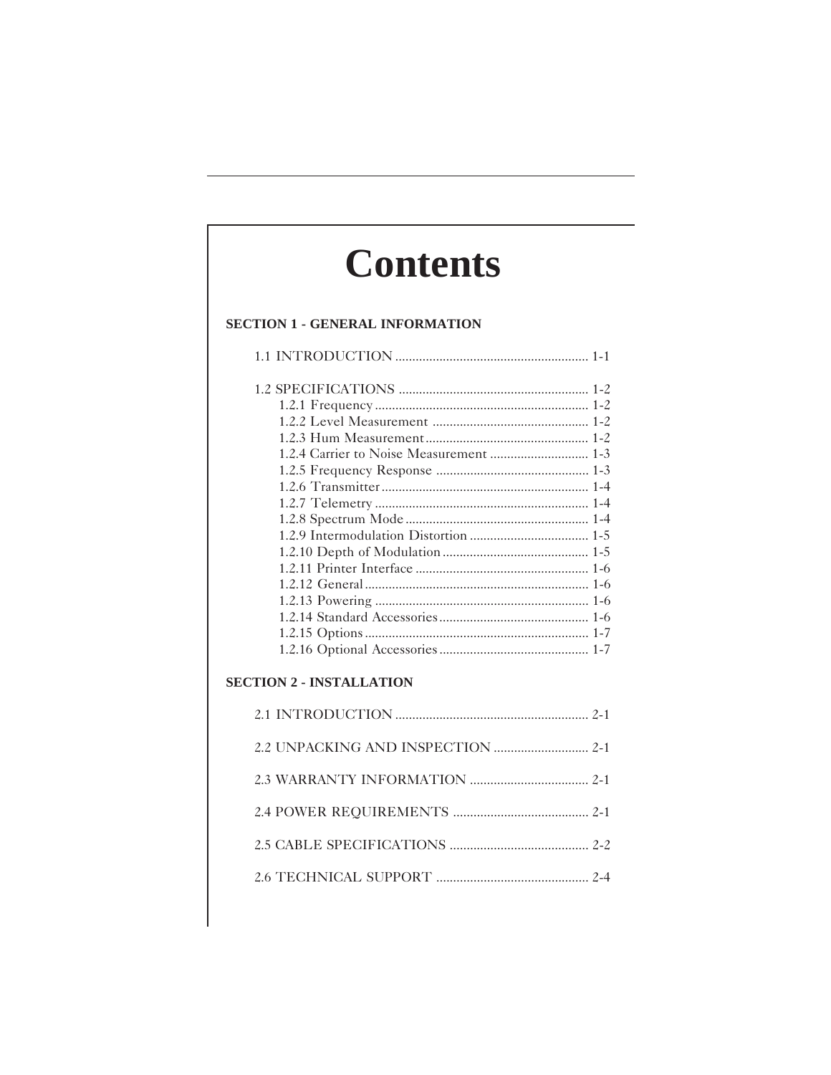# **Contents**

|  |  |  | <b>SECTION 1 - GENERAL INFORMATION</b> |
|--|--|--|----------------------------------------|
|--|--|--|----------------------------------------|

| 1.2.4 Carrier to Noise Measurement  1-3 |
|-----------------------------------------|
|                                         |
|                                         |
|                                         |
|                                         |
|                                         |
|                                         |
|                                         |
|                                         |
|                                         |
|                                         |
|                                         |
|                                         |

### **SECTION 2 - INSTALLATION**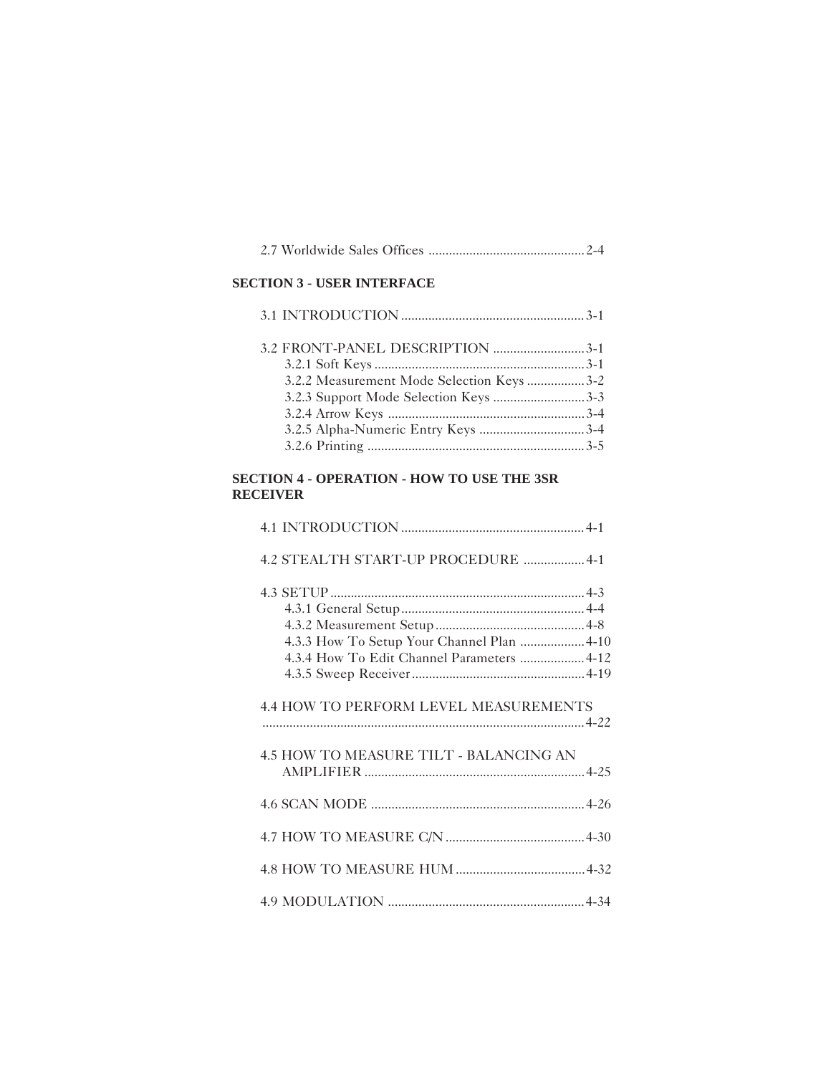|--|--|--|--|

### **SECTION 3 - USER INTERFACE**

| 3.2 FRONT-PANEL DESCRIPTION 3-1           |  |
|-------------------------------------------|--|
|                                           |  |
| 3.2.2 Measurement Mode Selection Keys 3-2 |  |
|                                           |  |
|                                           |  |
|                                           |  |
|                                           |  |
|                                           |  |

### **SECTION 4 - OPERATION - HOW TO USE THE 3SR RECEIVER**

| 4.2 STEALTH START-UP PROCEDURE  4-1                                                      |  |
|------------------------------------------------------------------------------------------|--|
| 4.3.3 How To Setup Your Channel Plan  4-10<br>4.3.4 How To Edit Channel Parameters  4-12 |  |
| 4.4 HOW TO PERFORM LEVEL MEASUREMENTS                                                    |  |
| 4.5 HOW TO MEASURE TILT - BALANCING AN                                                   |  |
|                                                                                          |  |
|                                                                                          |  |
|                                                                                          |  |
|                                                                                          |  |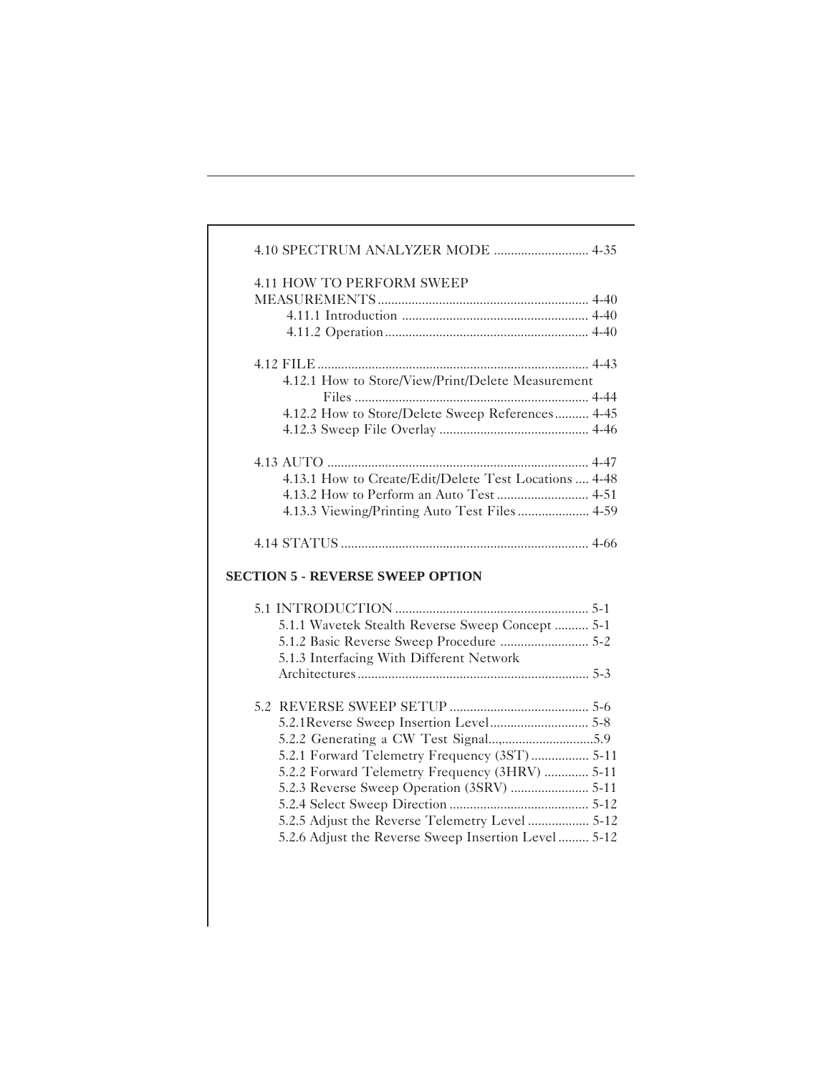| 4.10 SPECTRUM ANALYZER MODE  4-35                                                                      |
|--------------------------------------------------------------------------------------------------------|
| <b>4.11 HOW TO PERFORM SWEEP</b>                                                                       |
| 4.12.1 How to Store/View/Print/Delete Measurement<br>4.12.2 How to Store/Delete Sweep References 4-45  |
| 4.13.1 How to Create/Edit/Delete Test Locations  4-48<br>4.13.3 Viewing/Printing Auto Test Files  4-59 |
|                                                                                                        |
| <b>SECTION 5 - REVERSE SWEEP OPTION</b>                                                                |
|                                                                                                        |
| 5.1.1 Wavetek Stealth Reverse Sweep Concept  5-1<br>5.1.3 Interfacing With Different Network           |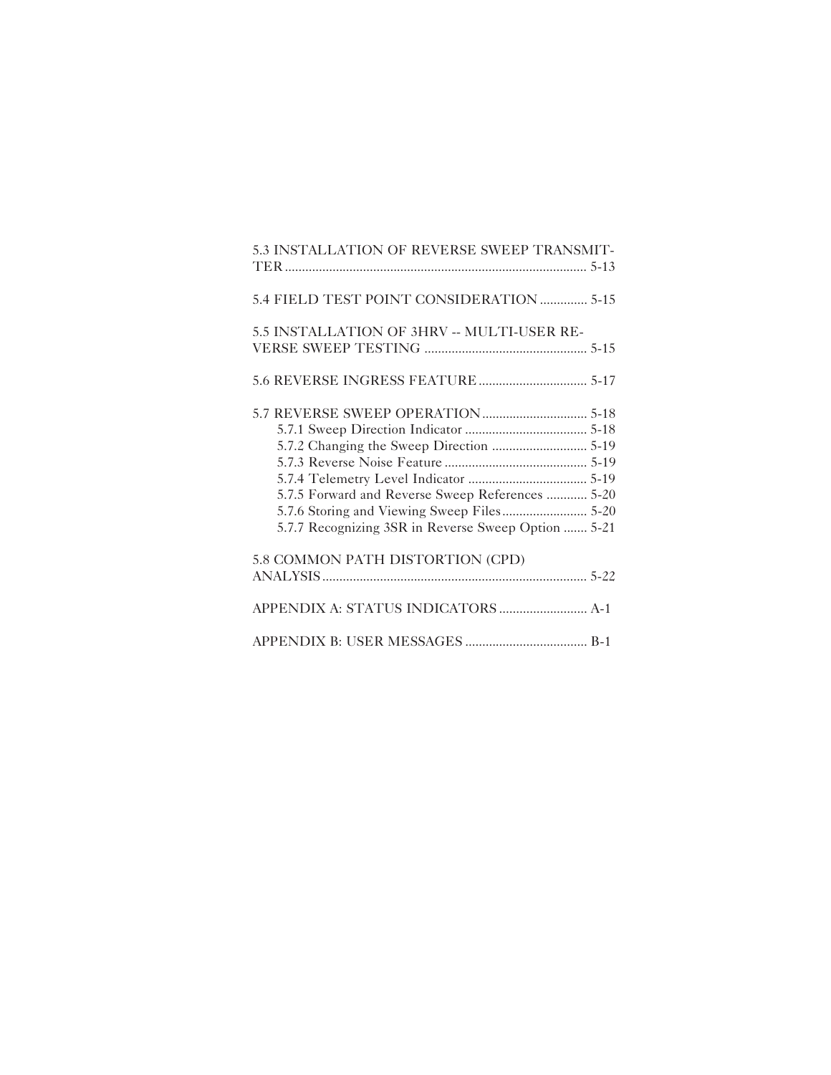| 5.3 INSTALLATION OF REVERSE SWEEP TRANSMIT-                                                             |
|---------------------------------------------------------------------------------------------------------|
| 5.4 FIELD TEST POINT CONSIDERATION  5-15                                                                |
| 5.5 INSTALLATION OF 3HRV -- MULTI-USER RE-                                                              |
|                                                                                                         |
| 5.7.5 Forward and Reverse Sweep References  5-20<br>5.7.7 Recognizing 3SR in Reverse Sweep Option  5-21 |
| 5.8 COMMON PATH DISTORTION (CPD)                                                                        |
|                                                                                                         |
|                                                                                                         |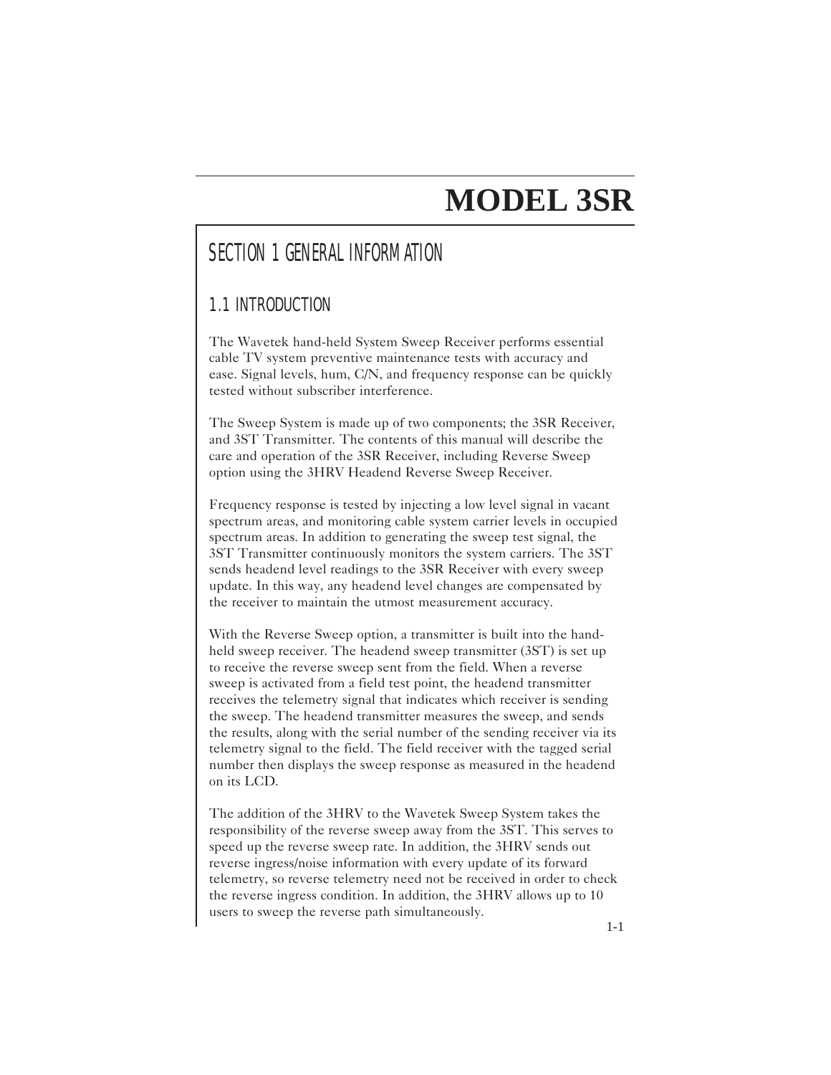# **MODEL 3SR**

## SECTION 1 GENERAL INFORMATION

### 1.1 INTRODUCTION

The Wavetek hand-held System Sweep Receiver performs essential cable TV system preventive maintenance tests with accuracy and ease. Signal levels, hum, C/N, and frequency response can be quickly tested without subscriber interference.

The Sweep System is made up of two components; the 3SR Receiver, and 3ST Transmitter. The contents of this manual will describe the care and operation of the 3SR Receiver, including Reverse Sweep option using the 3HRV Headend Reverse Sweep Receiver.

Frequency response is tested by injecting a low level signal in vacant spectrum areas, and monitoring cable system carrier levels in occupied spectrum areas. In addition to generating the sweep test signal, the 3ST Transmitter continuously monitors the system carriers. The 3ST sends headend level readings to the 3SR Receiver with every sweep update. In this way, any headend level changes are compensated by the receiver to maintain the utmost measurement accuracy.

With the Reverse Sweep option, a transmitter is built into the handheld sweep receiver. The headend sweep transmitter (3ST) is set up to receive the reverse sweep sent from the field. When a reverse sweep is activated from a field test point, the headend transmitter receives the telemetry signal that indicates which receiver is sending the sweep. The headend transmitter measures the sweep, and sends the results, along with the serial number of the sending receiver via its telemetry signal to the field. The field receiver with the tagged serial number then displays the sweep response as measured in the headend on its LCD.

The addition of the 3HRV to the Wavetek Sweep System takes the responsibility of the reverse sweep away from the 3ST. This serves to speed up the reverse sweep rate. In addition, the 3HRV sends out reverse ingress/noise information with every update of its forward telemetry, so reverse telemetry need not be received in order to check the reverse ingress condition. In addition, the 3HRV allows up to 10 users to sweep the reverse path simultaneously.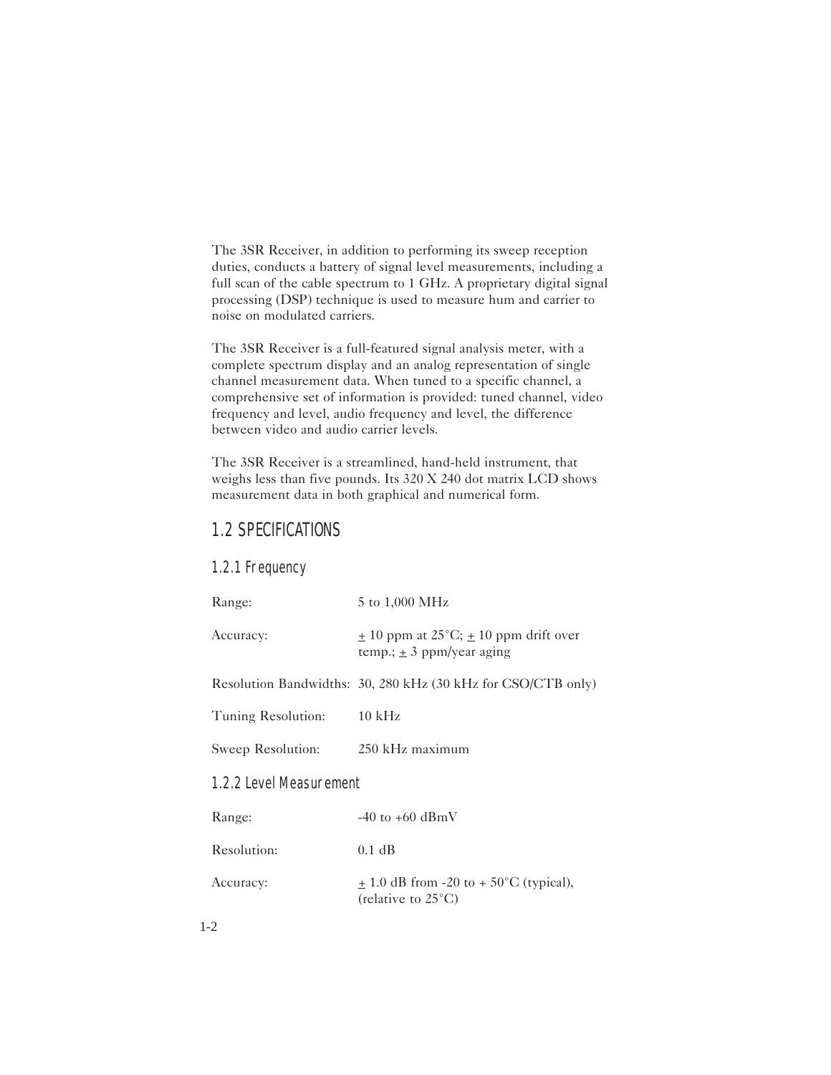The 3SR Receiver, in addition to performing its sweep reception duties, conducts a battery of signal level measurements, including a full scan of the cable spectrum to 1 GHz. A proprietary digital signal processing (DSP) technique is used to measure hum and carrier to noise on modulated carriers.

The 3SR Receiver is a full-featured signal analysis meter, with a complete spectrum display and an analog representation of single channel measurement data. When tuned to a specific channel, a comprehensive set of information is provided: tuned channel, video frequency and level, audio frequency and level, the difference between video and audio carrier levels.

The 3SR Receiver is a streamlined, hand-held instrument, that weighs less than five pounds. Its 320 X 240 dot matrix LCD shows measurement data in both graphical and numerical form.

### 1.2 SPECIFICATIONS

### 1.2.1 Frequency

| Range:                         | 5 to 1,000 MHz                                                                 |  |
|--------------------------------|--------------------------------------------------------------------------------|--|
| Accuracy:                      | $\pm$ 10 ppm at 25°C; $\pm$ 10 ppm drift over<br>temp.; $\pm$ 3 ppm/year aging |  |
|                                | Resolution Bandwidths: 30, 280 kHz (30 kHz for CSO/CTB only)                   |  |
| Tuning Resolution:             | $10 \text{ kHz}$                                                               |  |
| Sweep Resolution:              | 250 kHz maximum                                                                |  |
| <b>1.2.2 Level Measurement</b> |                                                                                |  |

| Range:      | $-40$ to $+60$ dBmV                                                              |
|-------------|----------------------------------------------------------------------------------|
| Resolution: | $0.1$ dB                                                                         |
| Accuracy:   | $+1.0$ dB from -20 to $+50^{\circ}$ C (typical),<br>(relative to $25^{\circ}$ C) |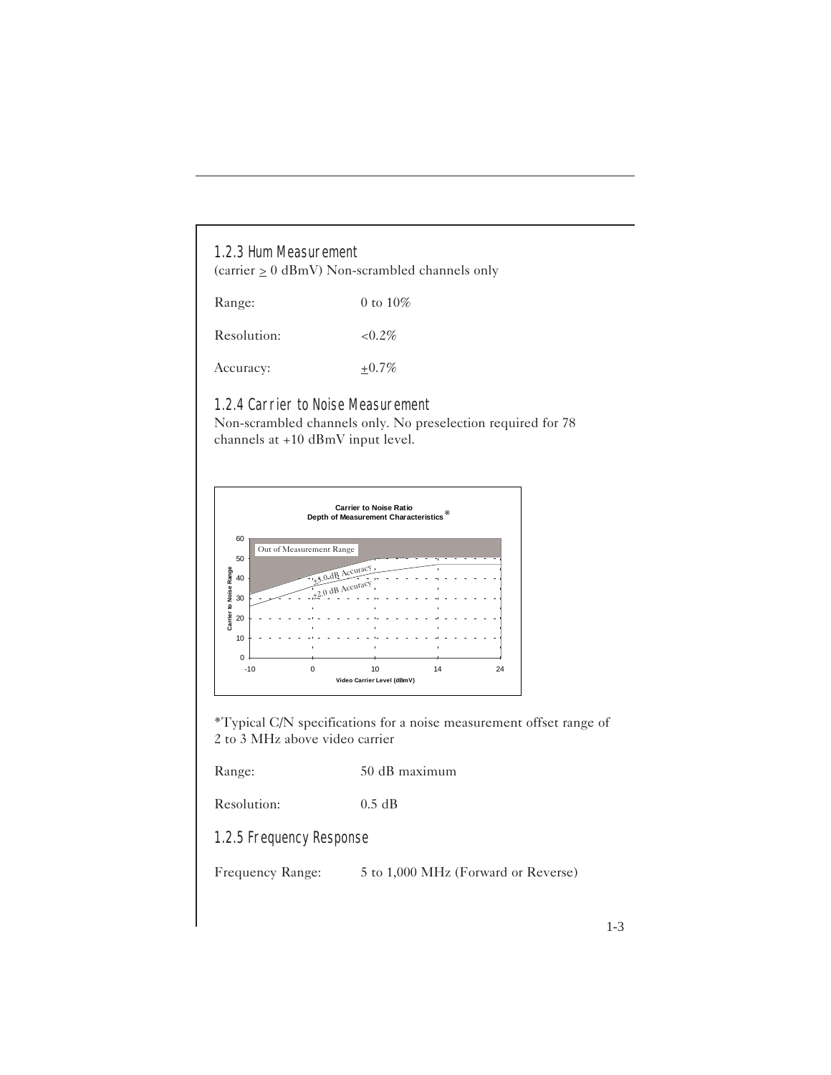### 1.2.3 Hum Measurement

(carrier  $\geq 0$  dBmV) Non-scrambled channels only

| Range:      | 0 to $10\%$ |
|-------------|-------------|
| Resolution: | $<0.2\%$    |
| Accuracy:   | $+0.7\%$    |

### 1.2.4 Carrier to Noise Measurement

Non-scrambled channels only. No preselection required for 78 channels at +10 dBmV input level.



\*Typical C/N specifications for a noise measurement offset range of 2 to 3 MHz above video carrier

Range: 50 dB maximum

Resolution: 0.5 dB

### 1.2.5 Frequency Response

Frequency Range: 5 to 1,000 MHz (Forward or Reverse)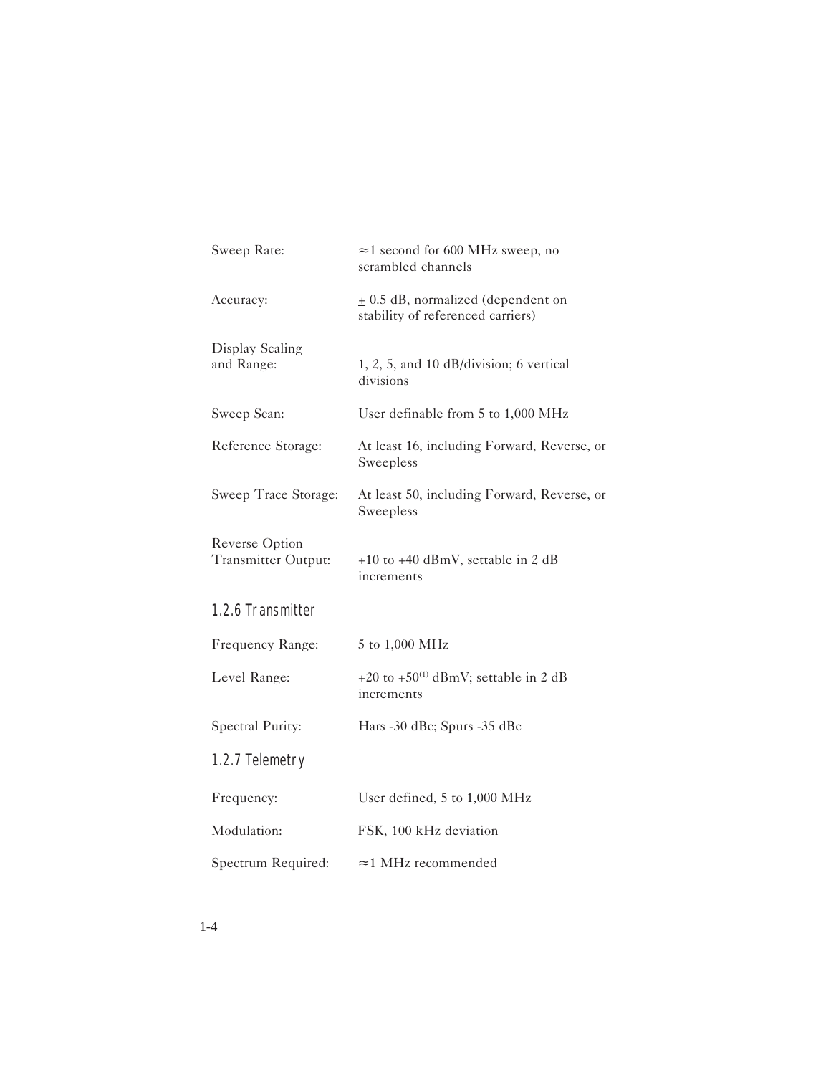| Sweep Rate:                           | $\approx$ 1 second for 600 MHz sweep, no<br>scrambled channels              |
|---------------------------------------|-----------------------------------------------------------------------------|
| Accuracy:                             | $\pm$ 0.5 dB, normalized (dependent on<br>stability of referenced carriers) |
| Display Scaling<br>and Range:         | 1, 2, 5, and 10 dB/division; 6 vertical<br>divisions                        |
| Sweep Scan:                           | User definable from 5 to 1,000 MHz                                          |
| Reference Storage:                    | At least 16, including Forward, Reverse, or<br>Sweepless                    |
| Sweep Trace Storage:                  | At least 50, including Forward, Reverse, or<br>Sweepless                    |
| Reverse Option<br>Transmitter Output: | +10 to +40 dBmV, settable in 2 dB<br>increments                             |
| 1.2.6 Transmitter                     |                                                                             |
| Frequency Range:                      | 5 to 1,000 MHz                                                              |
| Level Range:                          | +20 to +50 <sup>(1)</sup> dBmV; settable in 2 dB<br>increments              |
| <b>Spectral Purity:</b>               | Hars -30 dBc; Spurs -35 dBc                                                 |
| 1.2.7 Telemetry                       |                                                                             |
| Frequency:                            | User defined, 5 to 1,000 MHz                                                |
| Modulation:                           | FSK, 100 kHz deviation                                                      |
| Spectrum Required:                    | $\approx$ 1 MHz recommended                                                 |
|                                       |                                                                             |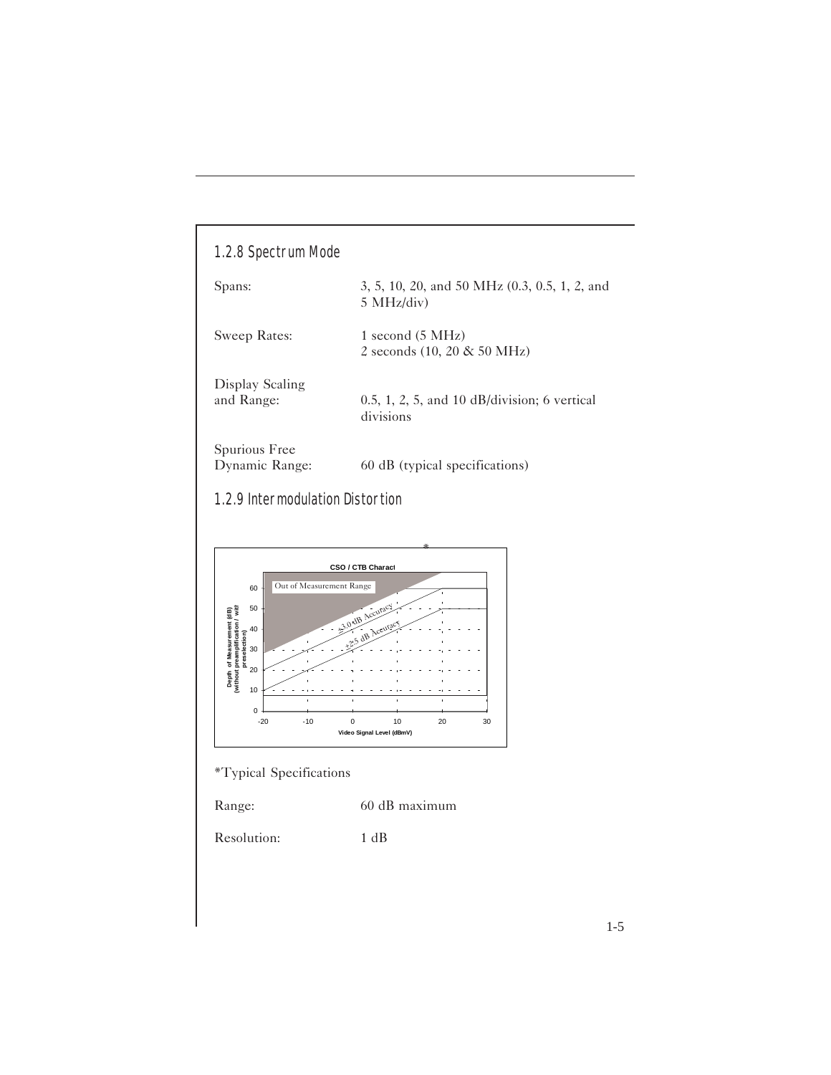# 1.2.8 Spectrum Mode

| Spans:                          | 3, 5, 10, 20, and 50 MHz (0.3, 0.5, 1, 2, and<br>$5$ MHz/div) |
|---------------------------------|---------------------------------------------------------------|
| Sweep Rates:                    | 1 second $(5 MHz)$<br>2 seconds $(10, 20 \& 50 \text{ MHz})$  |
| Display Scaling<br>and Range:   | $0.5, 1, 2, 5,$ and 10 dB/division; 6 vertical<br>divisions   |
| Spurious Free<br>Dynamic Range: | 60 dB (typical specifications)                                |

### 1.2.9 Intermodulation Distortion



### \*Typical Specifications

| Range: | 60 dB maximum |
|--------|---------------|
|        |               |

Resolution: 1 dB

1-5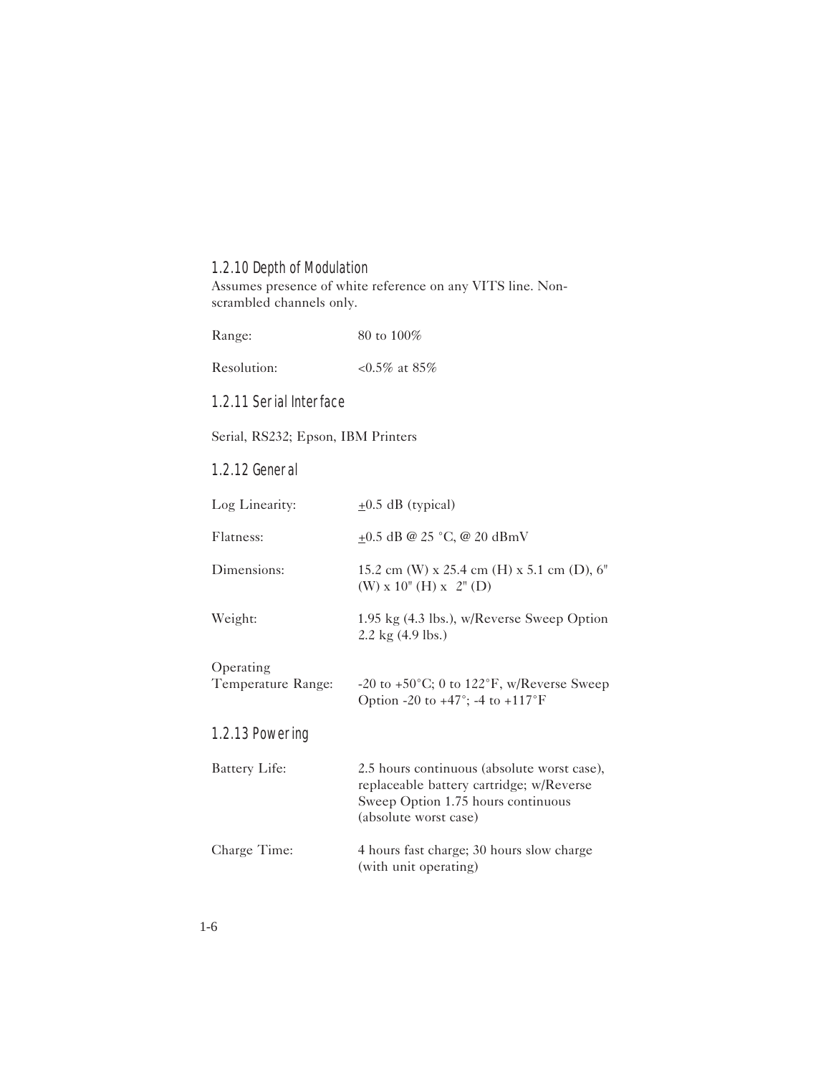### 1.2.10 Depth of Modulation

Assumes presence of white reference on any VITS line. Nonscrambled channels only.

| Range: | 80 to $100\%$ |
|--------|---------------|
|        |               |

Resolution: <0.5% at 85%

### 1.2.11 Serial Interface

Serial, RS232; Epson, IBM Printers

### 1.2.12 General

| Log Linearity:                  | $\pm 0.5$ dB (typical)                                                                                                                                 |
|---------------------------------|--------------------------------------------------------------------------------------------------------------------------------------------------------|
| Flatness:                       | $\pm 0.5$ dB @ 25 °C, @ 20 dBmV                                                                                                                        |
| Dimensions:                     | 15.2 cm (W) x 25.4 cm (H) x 5.1 cm (D), $6"$<br>$(W)$ x 10" (H) x 2" (D)                                                                               |
| Weight:                         | 1.95 kg (4.3 lbs.), w/Reverse Sweep Option<br>2.2 kg $(4.9 \text{ lbs.})$                                                                              |
| Operating<br>Temperature Range: | $-20$ to $+50^{\circ}$ C; 0 to 122°F, w/Reverse Sweep<br>Option -20 to +47°; -4 to +117°F                                                              |
| 1.2.13 Powering                 |                                                                                                                                                        |
| <b>Battery Life:</b>            | 2.5 hours continuous (absolute worst case),<br>replaceable battery cartridge; w/Reverse<br>Sweep Option 1.75 hours continuous<br>(absolute worst case) |
| Charge Time:                    | 4 hours fast charge; 30 hours slow charge<br>(with unit operating)                                                                                     |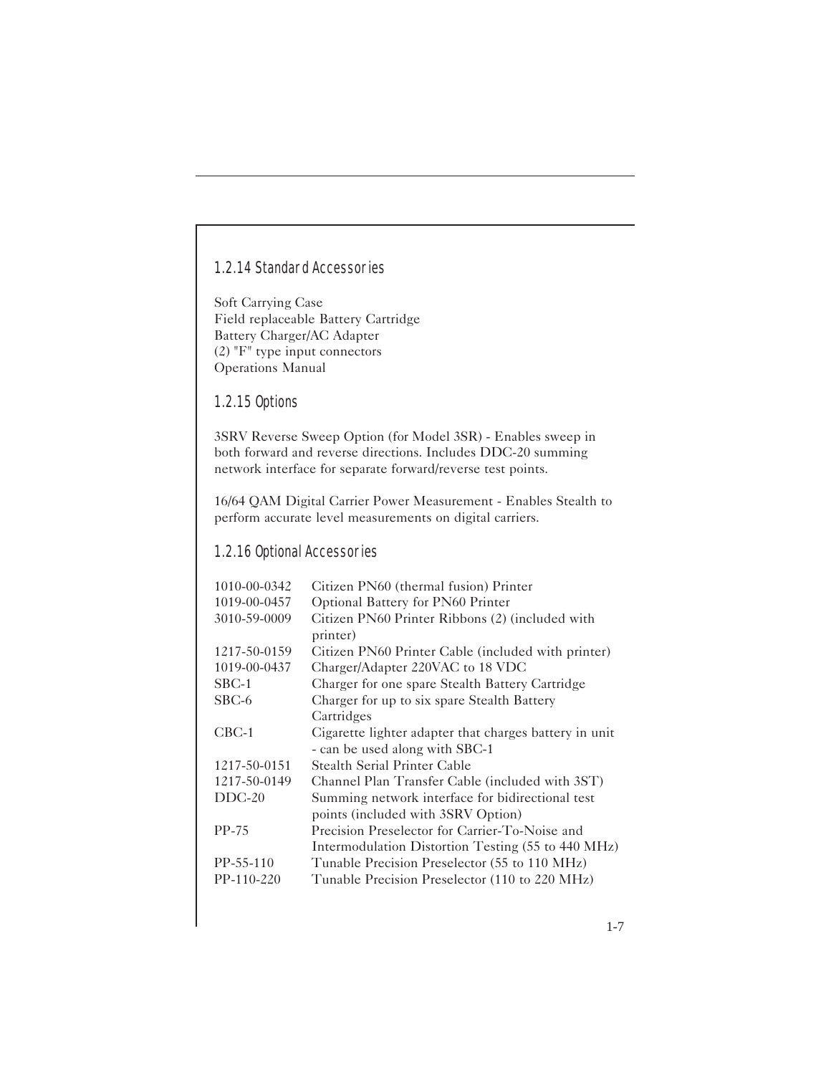### 1.2.14 Standard Accessories

Soft Carrying Case Field replaceable Battery Cartridge Battery Charger/AC Adapter (2) "F" type input connectors Operations Manual

### 1.2.15 Options

3SRV Reverse Sweep Option (for Model 3SR) - Enables sweep in both forward and reverse directions. Includes DDC-20 summing network interface for separate forward/reverse test points.

16/64 QAM Digital Carrier Power Measurement - Enables Stealth to perform accurate level measurements on digital carriers.

### 1.2.16 Optional Accessories

| 1010-00-0342 | Citizen PN60 (thermal fusion) Printer                  |
|--------------|--------------------------------------------------------|
| 1019-00-0457 | Optional Battery for PN60 Printer                      |
| 3010-59-0009 | Citizen PN60 Printer Ribbons (2) (included with        |
|              | printer)                                               |
| 1217-50-0159 | Citizen PN60 Printer Cable (included with printer)     |
| 1019-00-0437 | Charger/Adapter 220VAC to 18 VDC                       |
| $SBC-1$      | Charger for one spare Stealth Battery Cartridge        |
| $SBC-6$      | Charger for up to six spare Stealth Battery            |
|              | Cartridges                                             |
| $CBC-1$      | Cigarette lighter adapter that charges battery in unit |
|              | - can be used along with SBC-1                         |
| 1217-50-0151 | Stealth Serial Printer Cable                           |
| 1217-50-0149 | Channel Plan Transfer Cable (included with 3ST)        |
| $DDC-20$     | Summing network interface for bidirectional test       |
|              | points (included with 3SRV Option)                     |
| <b>PP-75</b> | Precision Preselector for Carrier-To-Noise and         |
|              | Intermodulation Distortion Testing (55 to 440 MHz)     |
| $PP-55-110$  | Tunable Precision Preselector (55 to 110 MHz)          |
| PP-110-220   | Tunable Precision Preselector (110 to 220 MHz)         |
|              |                                                        |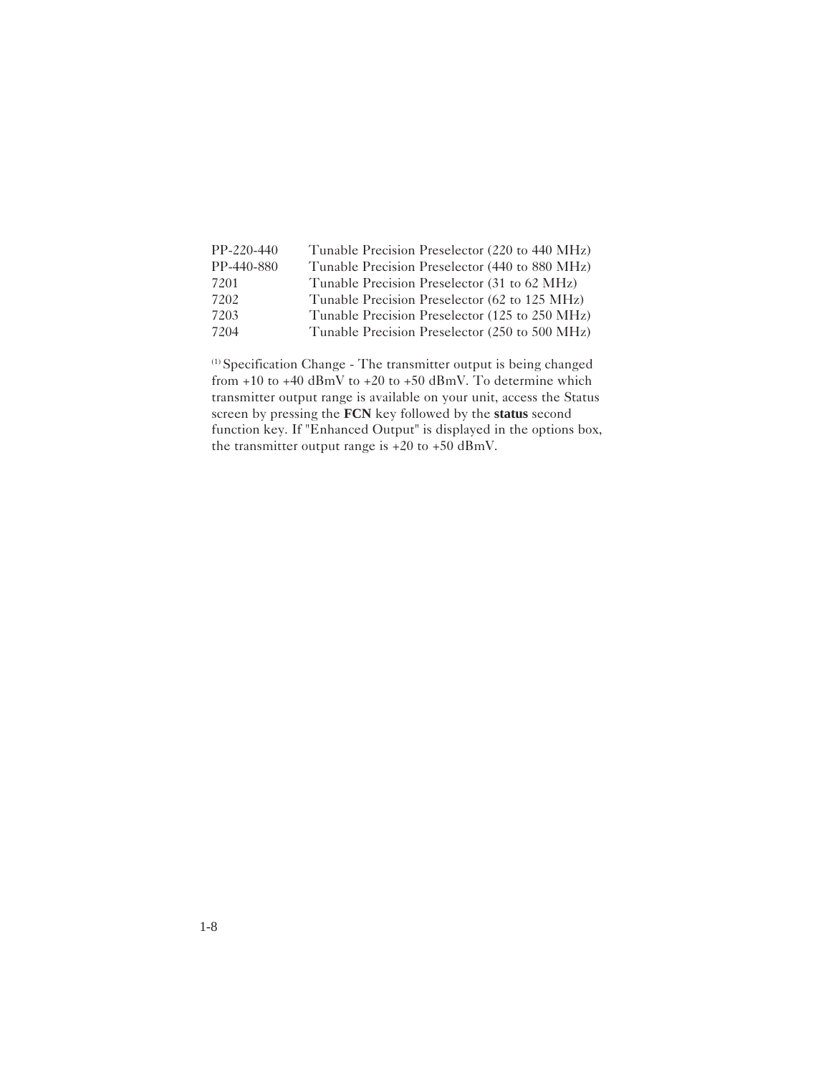| PP-220-440 | Tunable Precision Preselector (220 to 440 MHz) |
|------------|------------------------------------------------|
| PP-440-880 | Tunable Precision Preselector (440 to 880 MHz) |
| 7201       | Tunable Precision Preselector (31 to 62 MHz)   |
| 7202       | Tunable Precision Preselector (62 to 125 MHz)  |
| 7203       | Tunable Precision Preselector (125 to 250 MHz) |
| 7204       | Tunable Precision Preselector (250 to 500 MHz) |
|            |                                                |

(1) Specification Change - The transmitter output is being changed from +10 to +40 dBmV to +20 to +50 dBmV. To determine which transmitter output range is available on your unit, access the Status screen by pressing the **FCN** key followed by the **status** second function key. If "Enhanced Output" is displayed in the options box, the transmitter output range is +20 to +50 dBmV.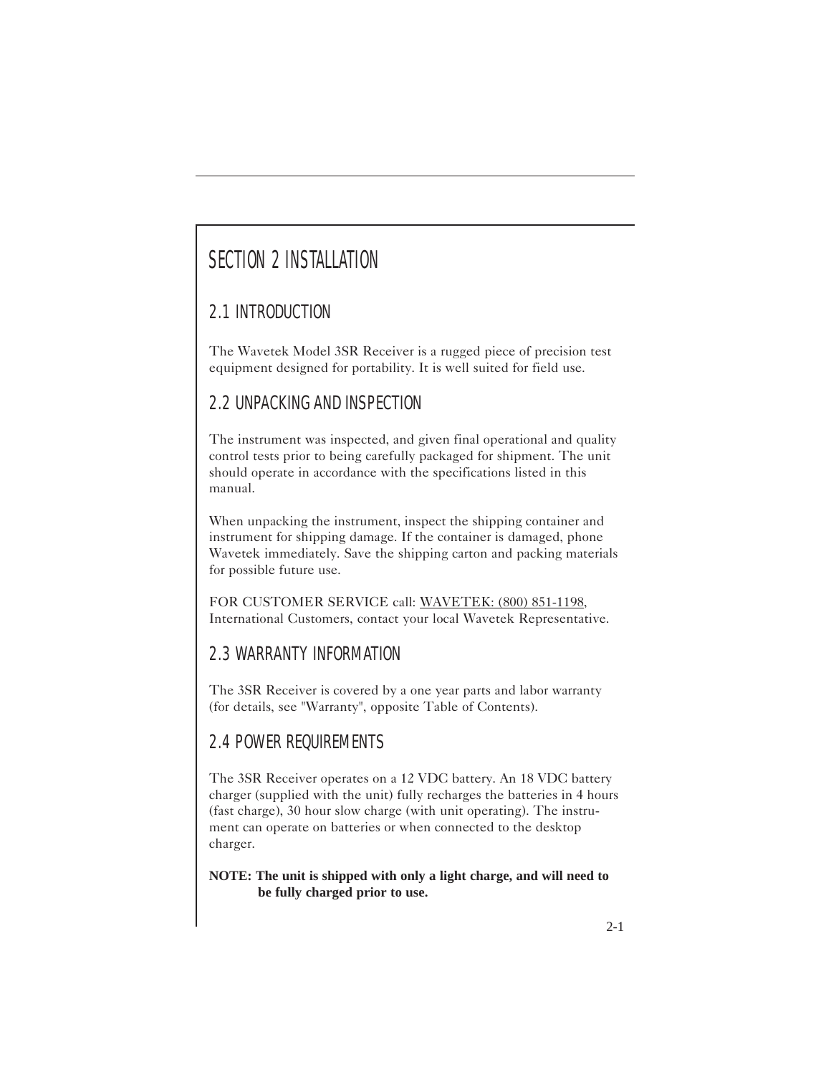# SECTION 2 INSTALLATION

### 2.1 INTRODUCTION

The Wavetek Model 3SR Receiver is a rugged piece of precision test equipment designed for portability. It is well suited for field use.

### 2.2 UNPACKING AND INSPECTION

The instrument was inspected, and given final operational and quality control tests prior to being carefully packaged for shipment. The unit should operate in accordance with the specifications listed in this manual.

When unpacking the instrument, inspect the shipping container and instrument for shipping damage. If the container is damaged, phone Wavetek immediately. Save the shipping carton and packing materials for possible future use.

FOR CUSTOMER SERVICE call: WAVETEK: (800) 851-1198, International Customers, contact your local Wavetek Representative.

### 2.3 WARRANTY INFORMATION

The 3SR Receiver is covered by a one year parts and labor warranty (for details, see "Warranty", opposite Table of Contents).

### 2.4 POWER REQUIREMENTS

The 3SR Receiver operates on a 12 VDC battery. An 18 VDC battery charger (supplied with the unit) fully recharges the batteries in 4 hours (fast charge), 30 hour slow charge (with unit operating). The instrument can operate on batteries or when connected to the desktop charger.

**NOTE: The unit is shipped with only a light charge, and will need to be fully charged prior to use.**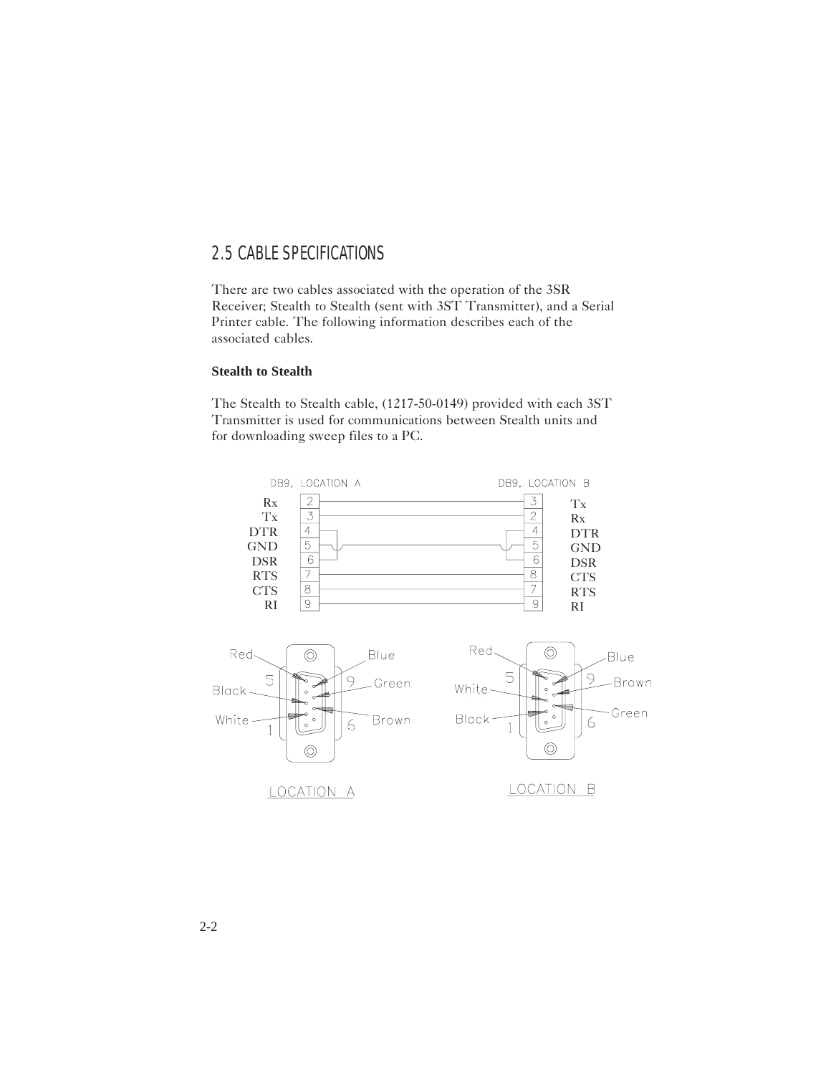### 2.5 CABLE SPECIFICATIONS

There are two cables associated with the operation of the 3SR Receiver; Stealth to Stealth (sent with 3ST Transmitter), and a Serial Printer cable. The following information describes each of the associated cables.

### **Stealth to Stealth**

The Stealth to Stealth cable, (1217-50-0149) provided with each 3ST Transmitter is used for communications between Stealth units and for downloading sweep files to a PC.

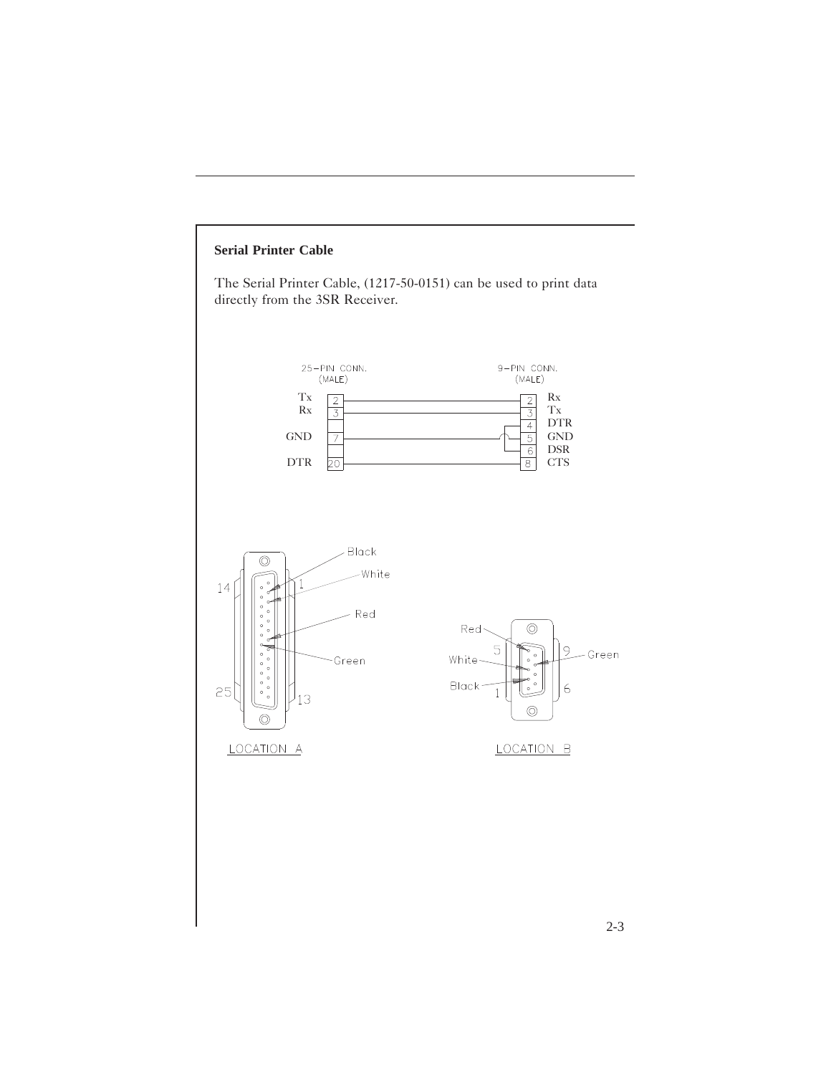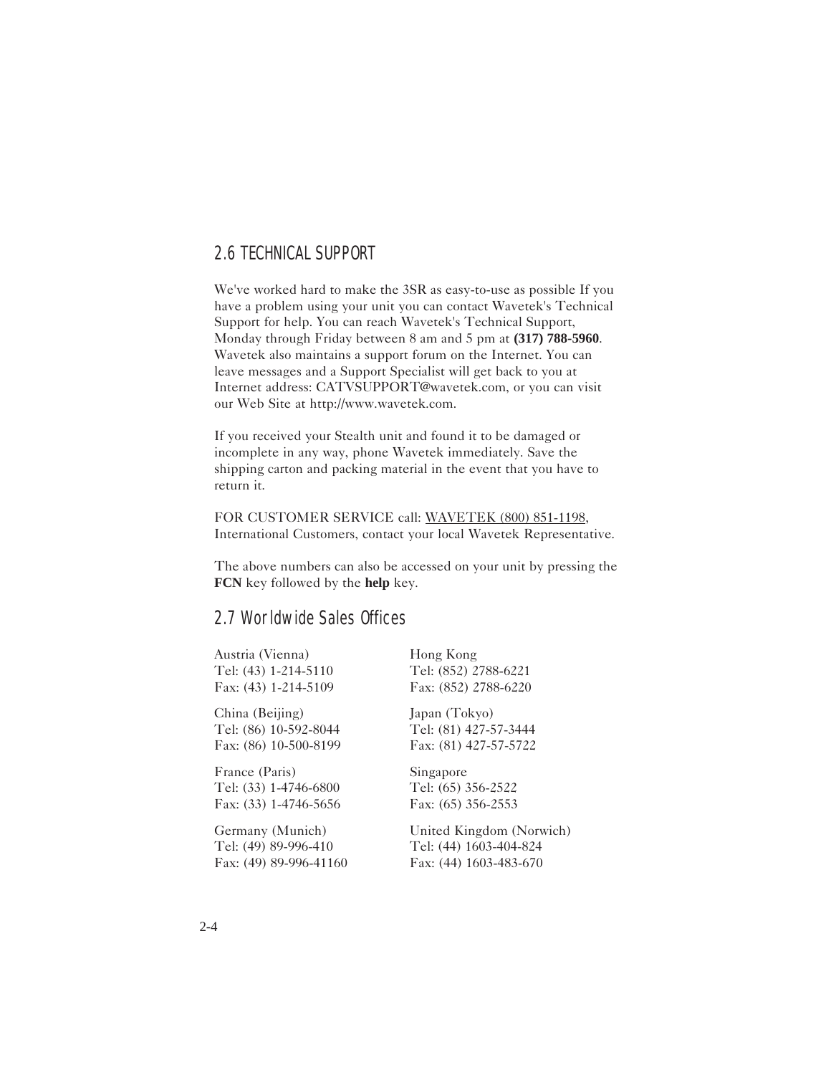### 2.6 TECHNICAL SUPPORT

We've worked hard to make the 3SR as easy-to-use as possible If you have a problem using your unit you can contact Wavetek's Technical Support for help. You can reach Wavetek's Technical Support, Monday through Friday between 8 am and 5 pm at **(317) 788-5960**. Wavetek also maintains a support forum on the Internet. You can leave messages and a Support Specialist will get back to you at Internet address: CATVSUPPORT@wavetek.com, or you can visit our Web Site at http://www.wavetek.com.

If you received your Stealth unit and found it to be damaged or incomplete in any way, phone Wavetek immediately. Save the shipping carton and packing material in the event that you have to return it.

FOR CUSTOMER SERVICE call: WAVETEK (800) 851-1198, International Customers, contact your local Wavetek Representative.

The above numbers can also be accessed on your unit by pressing the **FCN** key followed by the **help** key.

### 2.7 Worldwide Sales Offices

| Austria (Vienna)<br>Tel: (43) 1-214-5110<br>Fax: (43) 1-214-5109 | Hong Kong<br>Tel: (852) 2788-6221<br>Fax: (852) 2788-6220 |
|------------------------------------------------------------------|-----------------------------------------------------------|
| China (Beijing)                                                  | Japan (Tokyo)                                             |
| Tel: (86) 10-592-8044                                            | Tel: (81) 427-57-3444                                     |
| Fax: (86) 10-500-8199                                            | Fax: (81) 427-57-5722                                     |
| France (Paris)                                                   | Singapore                                                 |
| Tel: (33) 1-4746-6800                                            | Tel: (65) 356-2522                                        |
| Fax: (33) 1-4746-5656                                            | Fax: (65) 356-2553                                        |
| Germany (Munich)                                                 | United Kingdom (Norwich)                                  |
| Tel: (49) 89-996-410                                             | Tel: (44) 1603-404-824                                    |
| Fax: (49) 89-996-41160                                           | Fax: (44) 1603-483-670                                    |
|                                                                  |                                                           |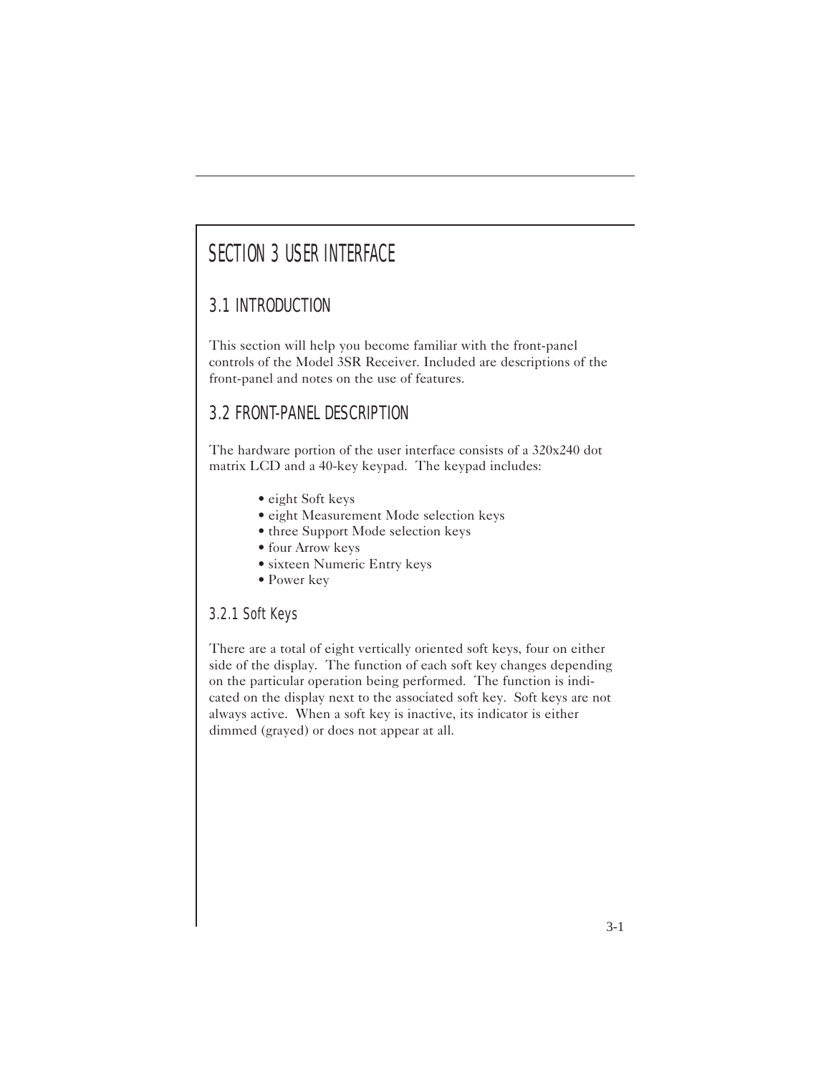# SECTION 3 USER INTERFACE

### 3.1 INTRODUCTION

This section will help you become familiar with the front-panel controls of the Model 3SR Receiver. Included are descriptions of the front-panel and notes on the use of features.

### 3.2 FRONT-PANEL DESCRIPTION

The hardware portion of the user interface consists of a 320x240 dot matrix LCD and a 40-key keypad. The keypad includes:

- eight Soft keys
- eight Measurement Mode selection keys
- three Support Mode selection keys
- four Arrow keys
- sixteen Numeric Entry keys
- Power key

### 3.2.1 Soft Keys

There are a total of eight vertically oriented soft keys, four on either side of the display. The function of each soft key changes depending on the particular operation being performed. The function is indicated on the display next to the associated soft key. Soft keys are not always active. When a soft key is inactive, its indicator is either dimmed (grayed) or does not appear at all.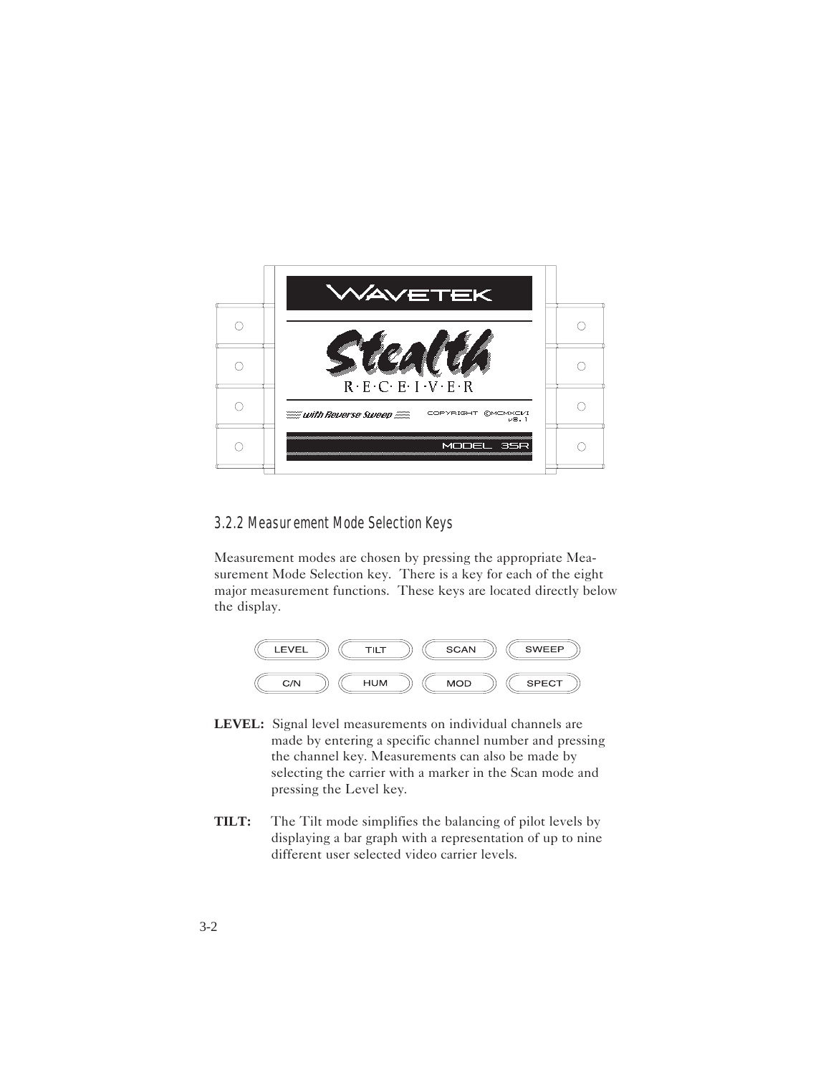

### 3.2.2 Measurement Mode Selection Keys

Measurement modes are chosen by pressing the appropriate Measurement Mode Selection key. There is a key for each of the eight major measurement functions. These keys are located directly below the display.



- **LEVEL:** Signal level measurements on individual channels are made by entering a specific channel number and pressing the channel key. Measurements can also be made by selecting the carrier with a marker in the Scan mode and pressing the Level key.
- **TILT:** The Tilt mode simplifies the balancing of pilot levels by displaying a bar graph with a representation of up to nine different user selected video carrier levels.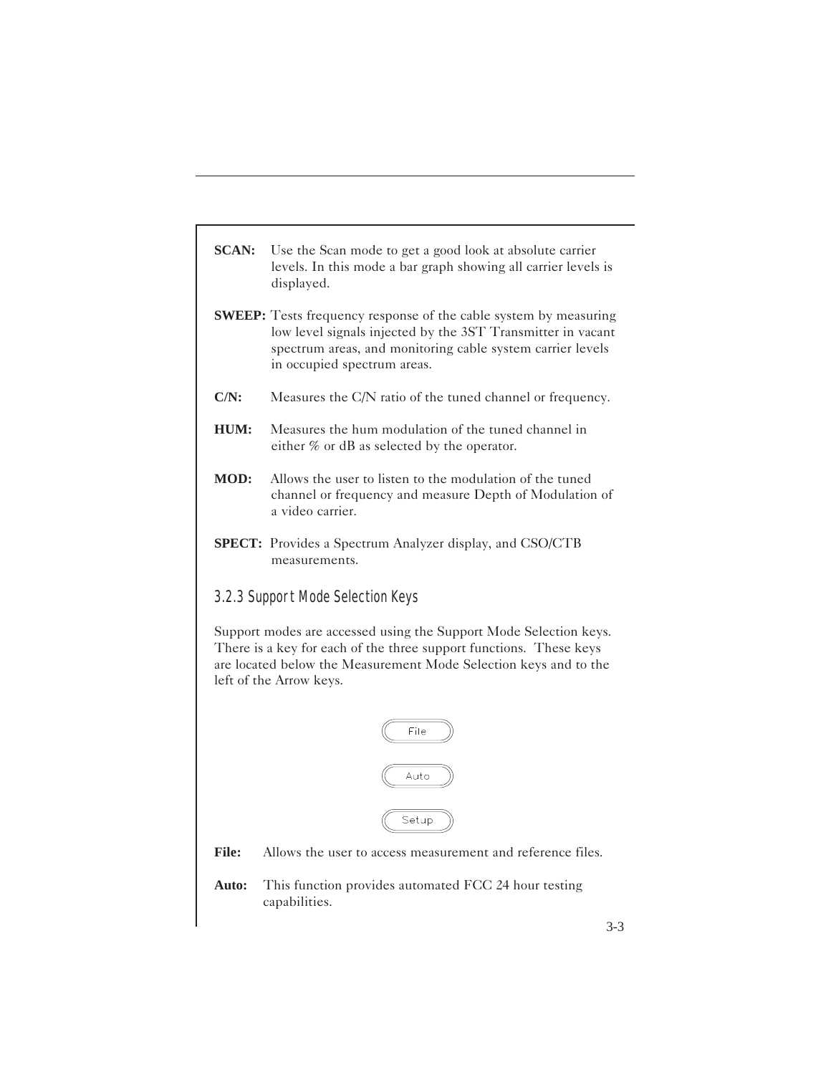| <b>SCAN:</b> Use the Scan mode to get a good look at absolute carrier |
|-----------------------------------------------------------------------|
| levels. In this mode a bar graph showing all carrier levels is        |
| displayed.                                                            |

- **SWEEP:** Tests frequency response of the cable system by measuring low level signals injected by the 3ST Transmitter in vacant spectrum areas, and monitoring cable system carrier levels in occupied spectrum areas.
- **C/N:** Measures the C/N ratio of the tuned channel or frequency.
- **HUM:** Measures the hum modulation of the tuned channel in either % or dB as selected by the operator.
- **MOD:** Allows the user to listen to the modulation of the tuned channel or frequency and measure Depth of Modulation of a video carrier.
- **SPECT:** Provides a Spectrum Analyzer display, and CSO/CTB measurements.

### 3.2.3 Support Mode Selection Keys

Support modes are accessed using the Support Mode Selection keys. There is a key for each of the three support functions. These keys are located below the Measurement Mode Selection keys and to the left of the Arrow keys.



File: Allows the user to access measurement and reference files.

**Auto:** This function provides automated FCC 24 hour testing capabilities.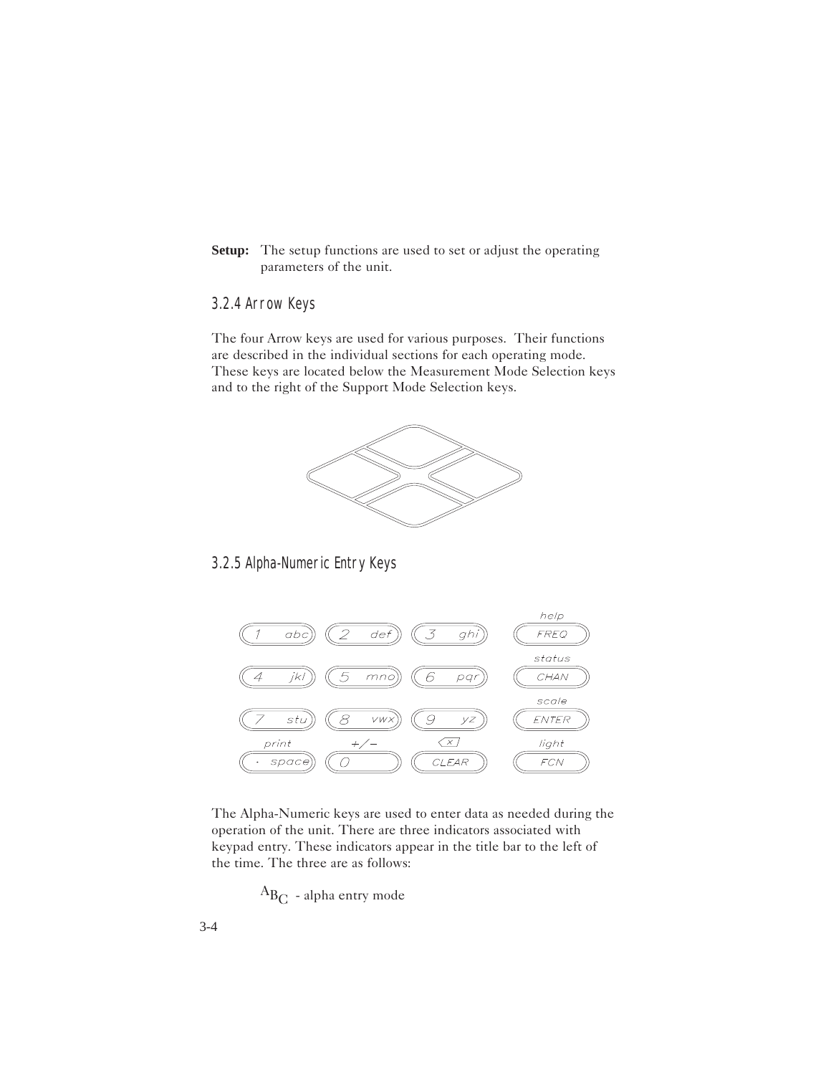**Setup:** The setup functions are used to set or adjust the operating parameters of the unit.

### 3.2.4 Arrow Keys

The four Arrow keys are used for various purposes. Their functions are described in the individual sections for each operating mode. These keys are located below the Measurement Mode Selection keys and to the right of the Support Mode Selection keys.



3.2.5 Alpha-Numeric Entry Keys



The Alpha-Numeric keys are used to enter data as needed during the operation of the unit. There are three indicators associated with keypad entry. These indicators appear in the title bar to the left of the time. The three are as follows:

 $A_{B_{C}}$  - alpha entry mode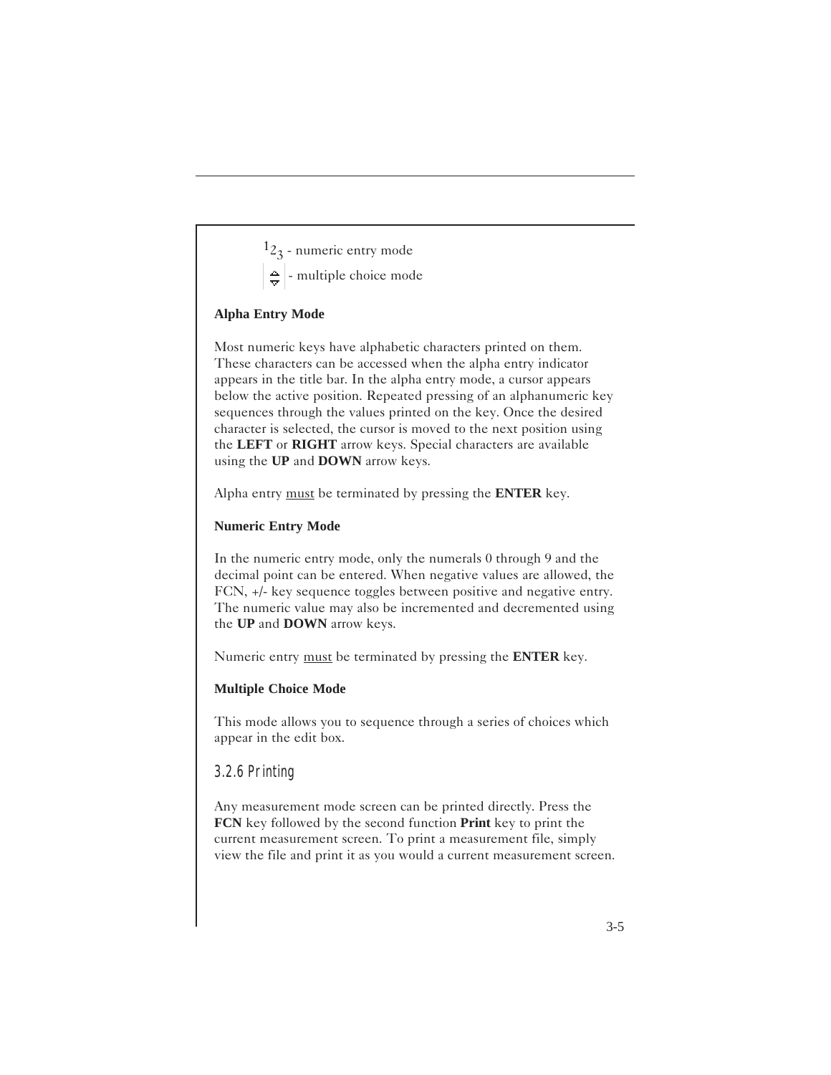$1_{2_3}$  - numeric entry mode

 $\triangleq$  - multiple choice mode

#### **Alpha Entry Mode**

Most numeric keys have alphabetic characters printed on them. These characters can be accessed when the alpha entry indicator appears in the title bar. In the alpha entry mode, a cursor appears below the active position. Repeated pressing of an alphanumeric key sequences through the values printed on the key. Once the desired character is selected, the cursor is moved to the next position using the **LEFT** or **RIGHT** arrow keys. Special characters are available using the **UP** and **DOWN** arrow keys.

Alpha entry must be terminated by pressing the **ENTER** key.

#### **Numeric Entry Mode**

In the numeric entry mode, only the numerals 0 through 9 and the decimal point can be entered. When negative values are allowed, the FCN, +/- key sequence toggles between positive and negative entry. The numeric value may also be incremented and decremented using the **UP** and **DOWN** arrow keys.

Numeric entry must be terminated by pressing the **ENTER** key.

#### **Multiple Choice Mode**

This mode allows you to sequence through a series of choices which appear in the edit box.

### 3.2.6 Printing

Any measurement mode screen can be printed directly. Press the **FCN** key followed by the second function **Print** key to print the current measurement screen. To print a measurement file, simply view the file and print it as you would a current measurement screen.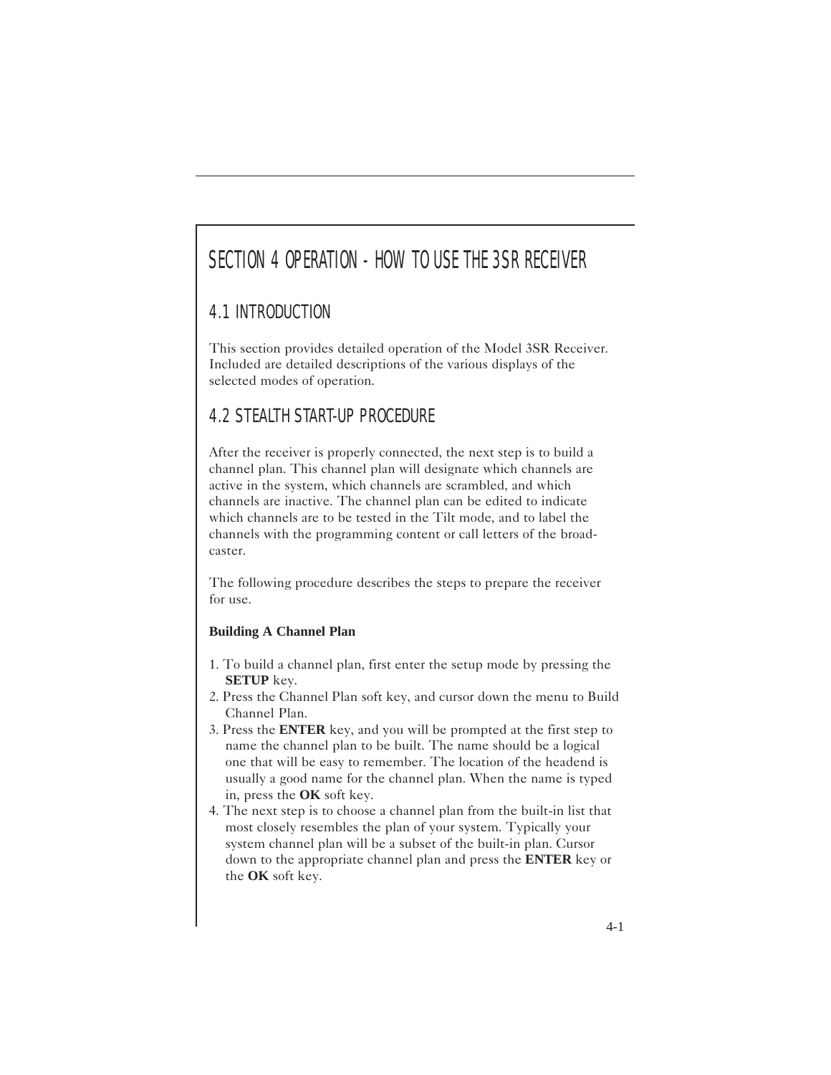# SECTION 4 OPERATION - HOW TO USE THE 3SR RECEIVER

### 4.1 INTRODUCTION

This section provides detailed operation of the Model 3SR Receiver. Included are detailed descriptions of the various displays of the selected modes of operation.

### 4.2 STEALTH START-UP PROCEDURE

After the receiver is properly connected, the next step is to build a channel plan. This channel plan will designate which channels are active in the system, which channels are scrambled, and which channels are inactive. The channel plan can be edited to indicate which channels are to be tested in the Tilt mode, and to label the channels with the programming content or call letters of the broadcaster.

The following procedure describes the steps to prepare the receiver for use.

### **Building A Channel Plan**

- 1. To build a channel plan, first enter the setup mode by pressing the **SETUP** key.
- 2. Press the Channel Plan soft key, and cursor down the menu to Build Channel Plan.
- 3. Press the **ENTER** key, and you will be prompted at the first step to name the channel plan to be built. The name should be a logical one that will be easy to remember. The location of the headend is usually a good name for the channel plan. When the name is typed in, press the **OK** soft key.
- 4. The next step is to choose a channel plan from the built-in list that most closely resembles the plan of your system. Typically your system channel plan will be a subset of the built-in plan. Cursor down to the appropriate channel plan and press the **ENTER** key or the **OK** soft key.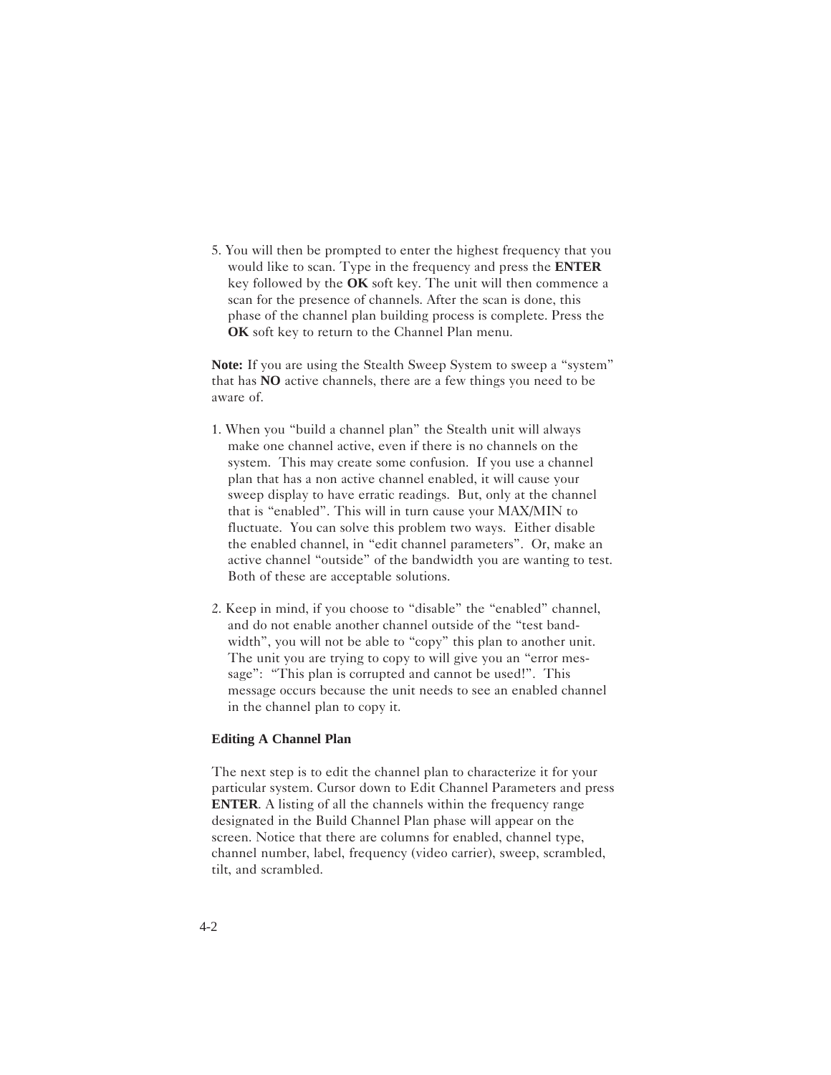5. You will then be prompted to enter the highest frequency that you would like to scan. Type in the frequency and press the **ENTER** key followed by the **OK** soft key. The unit will then commence a scan for the presence of channels. After the scan is done, this phase of the channel plan building process is complete. Press the **OK** soft key to return to the Channel Plan menu.

**Note:** If you are using the Stealth Sweep System to sweep a "system" that has **NO** active channels, there are a few things you need to be aware of.

- 1. When you "build a channel plan" the Stealth unit will always make one channel active, even if there is no channels on the system. This may create some confusion. If you use a channel plan that has a non active channel enabled, it will cause your sweep display to have erratic readings. But, only at the channel that is "enabled". This will in turn cause your MAX/MIN to fluctuate. You can solve this problem two ways. Either disable the enabled channel, in "edit channel parameters". Or, make an active channel "outside" of the bandwidth you are wanting to test. Both of these are acceptable solutions.
- 2. Keep in mind, if you choose to "disable" the "enabled" channel, and do not enable another channel outside of the "test bandwidth", you will not be able to "copy" this plan to another unit. The unit you are trying to copy to will give you an "error message": "This plan is corrupted and cannot be used!". This message occurs because the unit needs to see an enabled channel in the channel plan to copy it.

#### **Editing A Channel Plan**

The next step is to edit the channel plan to characterize it for your particular system. Cursor down to Edit Channel Parameters and press **ENTER**. A listing of all the channels within the frequency range designated in the Build Channel Plan phase will appear on the screen. Notice that there are columns for enabled, channel type, channel number, label, frequency (video carrier), sweep, scrambled, tilt, and scrambled.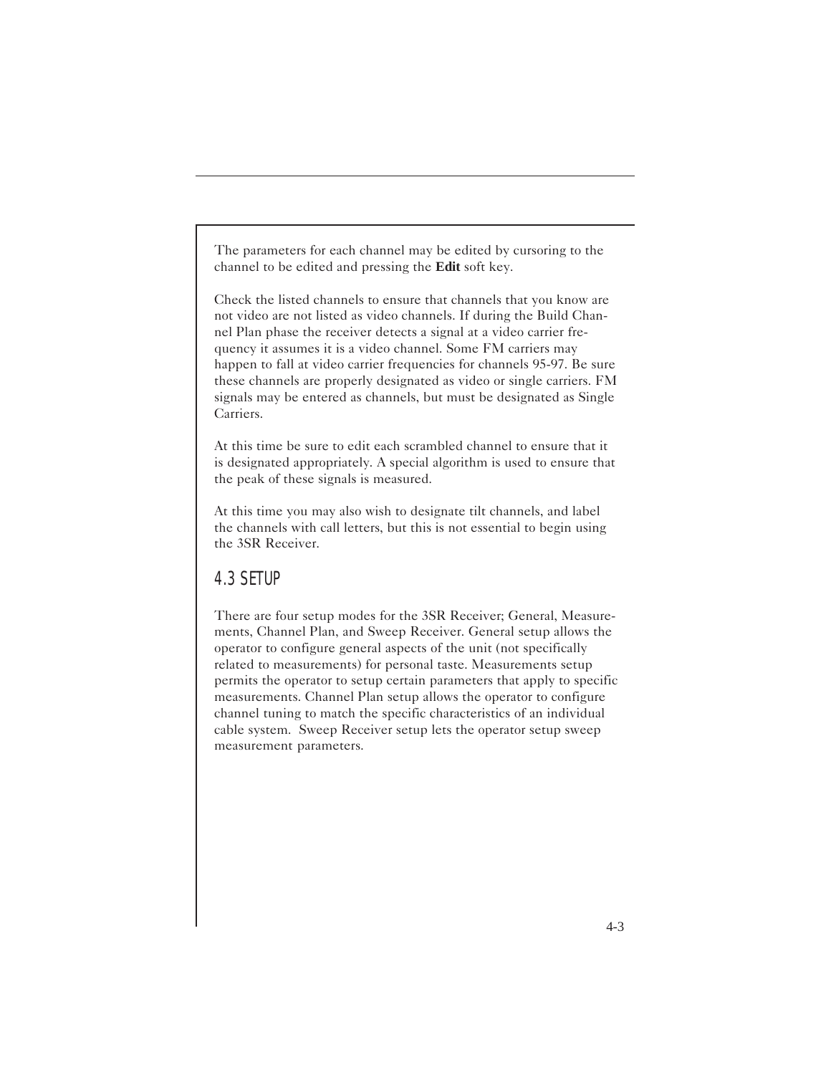The parameters for each channel may be edited by cursoring to the channel to be edited and pressing the **Edit** soft key.

Check the listed channels to ensure that channels that you know are not video are not listed as video channels. If during the Build Channel Plan phase the receiver detects a signal at a video carrier frequency it assumes it is a video channel. Some FM carriers may happen to fall at video carrier frequencies for channels 95-97. Be sure these channels are properly designated as video or single carriers. FM signals may be entered as channels, but must be designated as Single Carriers.

At this time be sure to edit each scrambled channel to ensure that it is designated appropriately. A special algorithm is used to ensure that the peak of these signals is measured.

At this time you may also wish to designate tilt channels, and label the channels with call letters, but this is not essential to begin using the 3SR Receiver.

### 4.3 SETUP

There are four setup modes for the 3SR Receiver; General, Measurements, Channel Plan, and Sweep Receiver. General setup allows the operator to configure general aspects of the unit (not specifically related to measurements) for personal taste. Measurements setup permits the operator to setup certain parameters that apply to specific measurements. Channel Plan setup allows the operator to configure channel tuning to match the specific characteristics of an individual cable system. Sweep Receiver setup lets the operator setup sweep measurement parameters.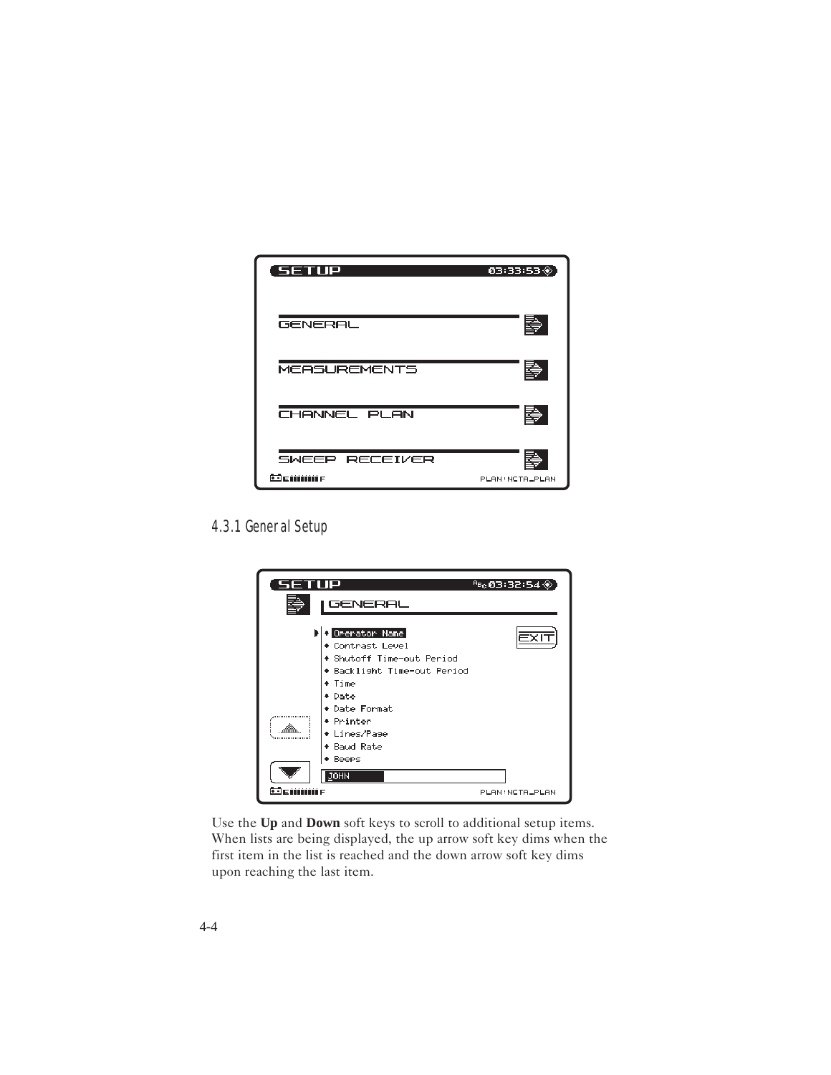| (SETUP                       | 03:33:53 $\circledast$ |
|------------------------------|------------------------|
| GENERAL                      |                        |
| <b>MEASUREMENTS</b>          |                        |
| CHANNEL PLAN                 |                        |
| SWEEP RECEIVER<br>Fileminine | PLAN: NCTA_PLAN        |

4.3.1 General Setup



Use the **Up** and **Down** soft keys to scroll to additional setup items. When lists are being displayed, the up arrow soft key dims when the first item in the list is reached and the down arrow soft key dims upon reaching the last item.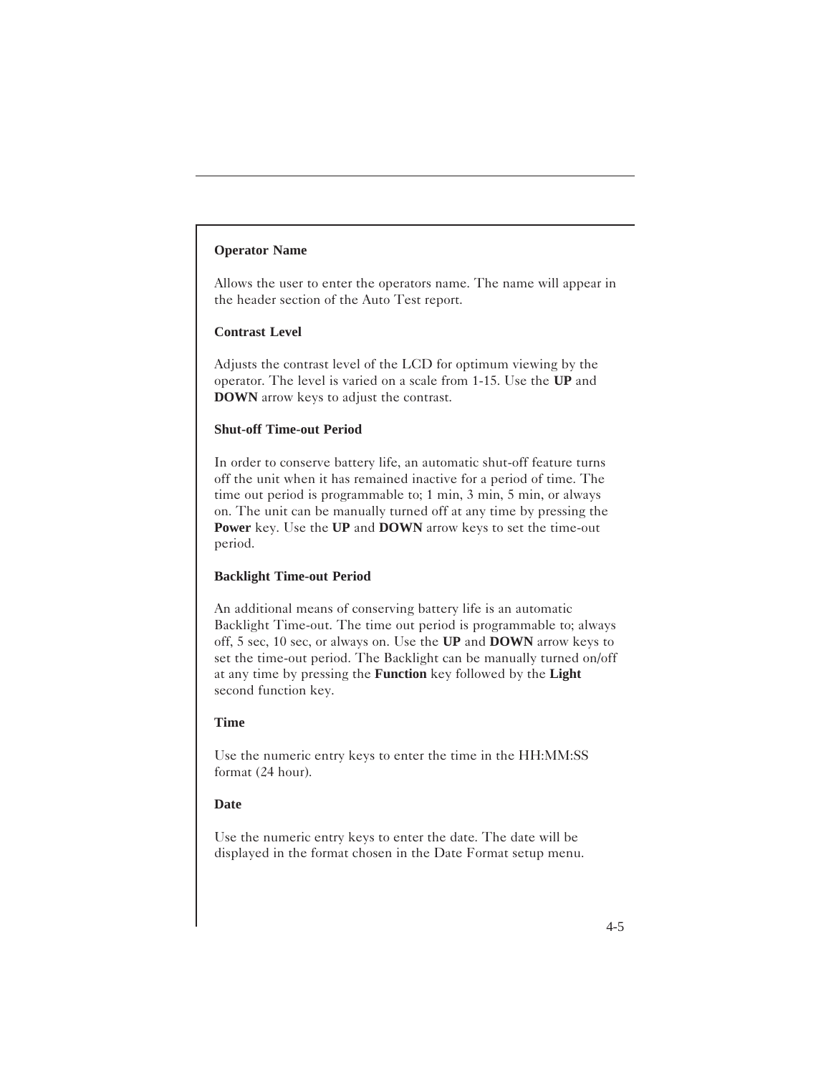#### **Operator Name**

Allows the user to enter the operators name. The name will appear in the header section of the Auto Test report.

#### **Contrast Level**

Adjusts the contrast level of the LCD for optimum viewing by the operator. The level is varied on a scale from 1-15. Use the **UP** and **DOWN** arrow keys to adjust the contrast.

#### **Shut-off Time-out Period**

In order to conserve battery life, an automatic shut-off feature turns off the unit when it has remained inactive for a period of time. The time out period is programmable to; 1 min, 3 min, 5 min, or always on. The unit can be manually turned off at any time by pressing the **Power** key. Use the **UP** and **DOWN** arrow keys to set the time-out period.

#### **Backlight Time-out Period**

An additional means of conserving battery life is an automatic Backlight Time-out. The time out period is programmable to; always off, 5 sec, 10 sec, or always on. Use the **UP** and **DOWN** arrow keys to set the time-out period. The Backlight can be manually turned on/off at any time by pressing the **Function** key followed by the **Light** second function key.

#### **Time**

Use the numeric entry keys to enter the time in the HH:MM:SS format (24 hour).

### **Date**

Use the numeric entry keys to enter the date. The date will be displayed in the format chosen in the Date Format setup menu.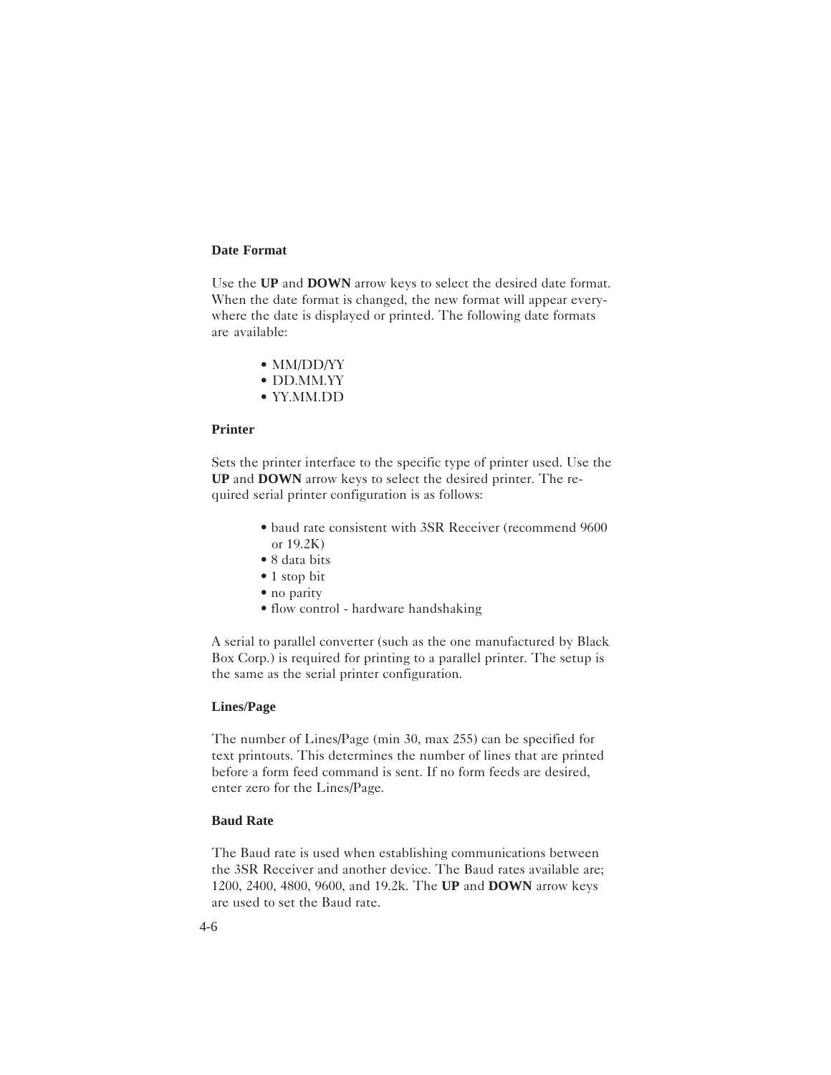#### **Date Format**

Use the **UP** and **DOWN** arrow keys to select the desired date format. When the date format is changed, the new format will appear everywhere the date is displayed or printed. The following date formats are available:

- MM/DD/YY
- DD.MM.YY
- YY.MM.DD

#### **Printer**

Sets the printer interface to the specific type of printer used. Use the **UP** and **DOWN** arrow keys to select the desired printer. The required serial printer configuration is as follows:

- baud rate consistent with 3SR Receiver (recommend 9600 or 19.2K)
- 8 data bits
- 1 stop bit
- no parity
- flow control hardware handshaking

A serial to parallel converter (such as the one manufactured by Black Box Corp.) is required for printing to a parallel printer. The setup is the same as the serial printer configuration.

#### **Lines/Page**

The number of Lines/Page (min 30, max 255) can be specified for text printouts. This determines the number of lines that are printed before a form feed command is sent. If no form feeds are desired, enter zero for the Lines/Page.

#### **Baud Rate**

The Baud rate is used when establishing communications between the 3SR Receiver and another device. The Baud rates available are; 1200, 2400, 4800, 9600, and 19.2k. The **UP** and **DOWN** arrow keys are used to set the Baud rate.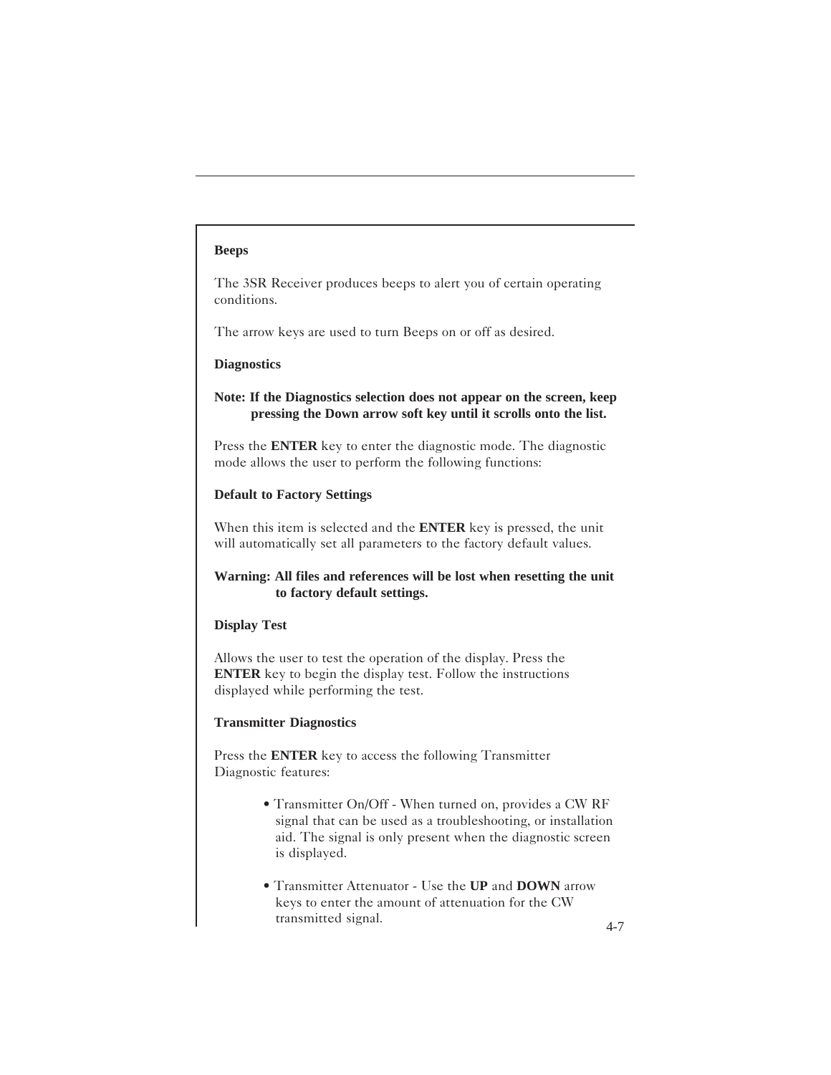#### **Beeps**

The 3SR Receiver produces beeps to alert you of certain operating conditions.

The arrow keys are used to turn Beeps on or off as desired.

#### **Diagnostics**

### **Note: If the Diagnostics selection does not appear on the screen, keep pressing the Down arrow soft key until it scrolls onto the list.**

Press the **ENTER** key to enter the diagnostic mode. The diagnostic mode allows the user to perform the following functions:

### **Default to Factory Settings**

When this item is selected and the **ENTER** key is pressed, the unit will automatically set all parameters to the factory default values.

### **Warning: All files and references will be lost when resetting the unit to factory default settings.**

#### **Display Test**

Allows the user to test the operation of the display. Press the **ENTER** key to begin the display test. Follow the instructions displayed while performing the test.

### **Transmitter Diagnostics**

Press the **ENTER** key to access the following Transmitter Diagnostic features:

- Transmitter On/Off When turned on, provides a CW RF signal that can be used as a troubleshooting, or installation aid. The signal is only present when the diagnostic screen is displayed.
- Transmitter Attenuator Use the **UP** and **DOWN** arrow keys to enter the amount of attenuation for the CW transmitted signal.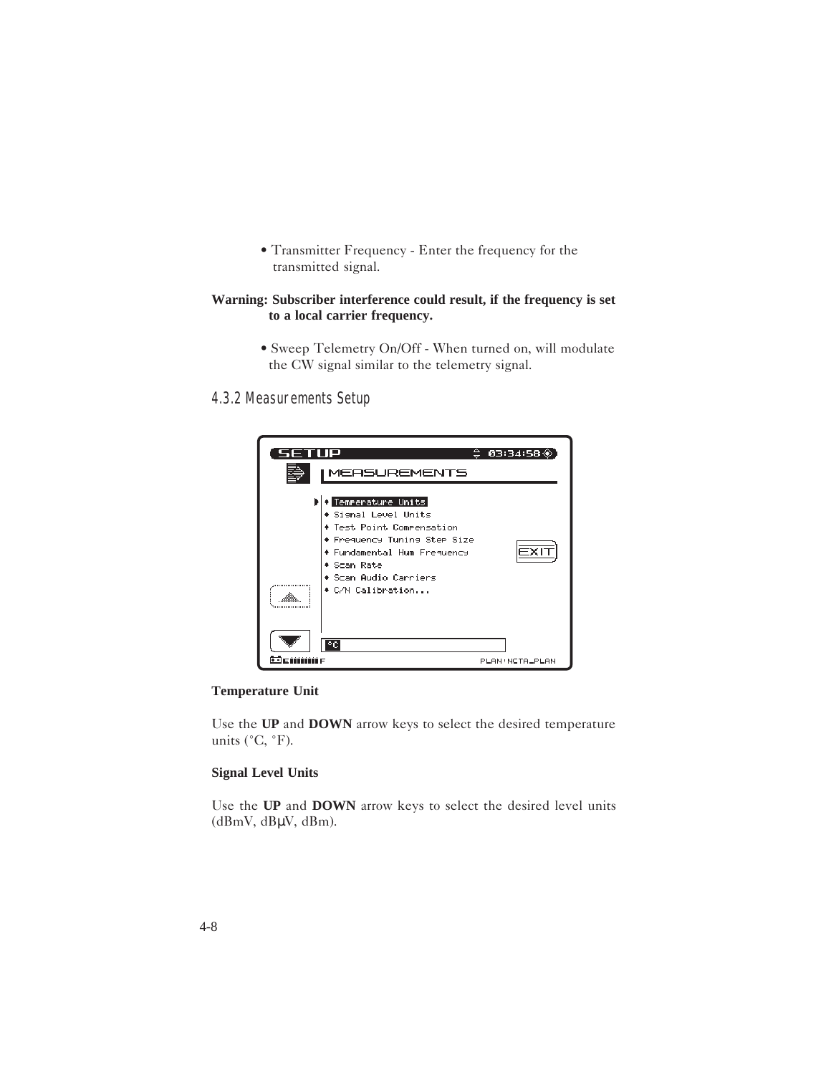• Transmitter Frequency - Enter the frequency for the transmitted signal.

### **Warning: Subscriber interference could result, if the frequency is set to a local carrier frequency.**

• Sweep Telemetry On/Off - When turned on, will modulate the CW signal similar to the telemetry signal.

### 4.3.2 Measurements Setup



#### **Temperature Unit**

Use the **UP** and **DOWN** arrow keys to select the desired temperature units (°C, °F).

### **Signal Level Units**

Use the **UP** and **DOWN** arrow keys to select the desired level units (dBmV, dBµV, dBm).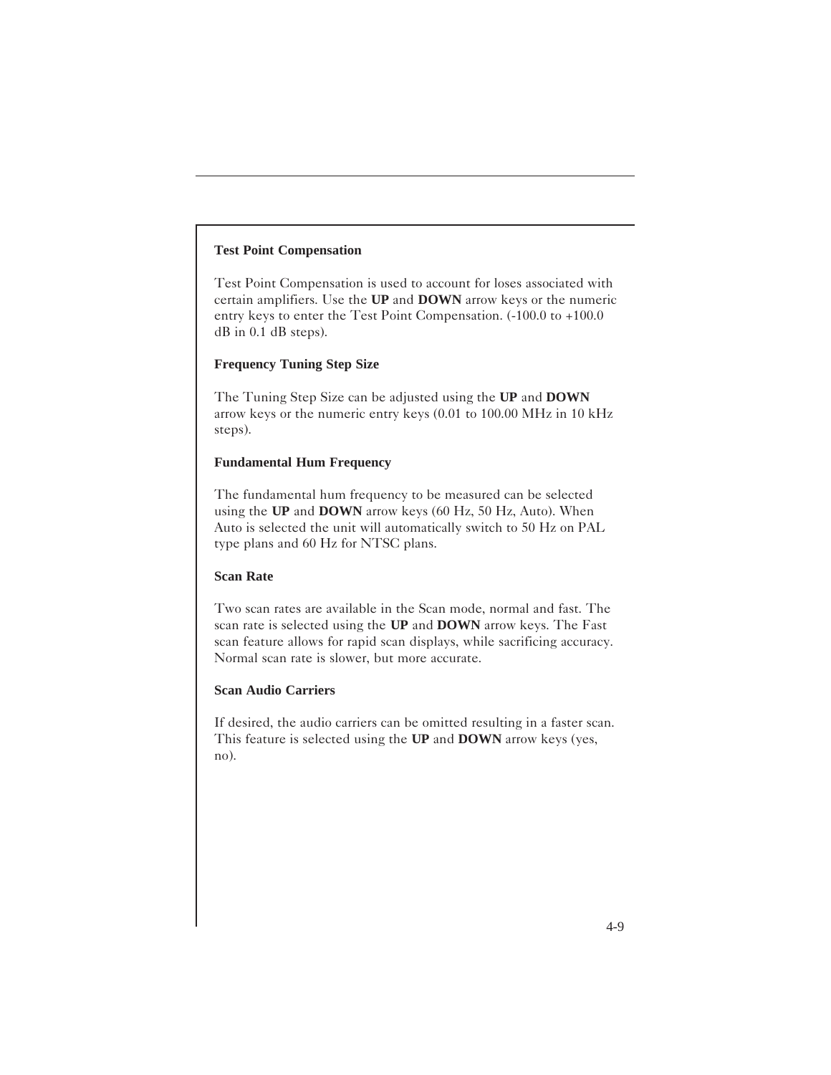#### **Test Point Compensation**

Test Point Compensation is used to account for loses associated with certain amplifiers. Use the **UP** and **DOWN** arrow keys or the numeric entry keys to enter the Test Point Compensation. (-100.0 to +100.0 dB in 0.1 dB steps).

### **Frequency Tuning Step Size**

The Tuning Step Size can be adjusted using the **UP** and **DOWN** arrow keys or the numeric entry keys (0.01 to 100.00 MHz in 10 kHz steps).

### **Fundamental Hum Frequency**

The fundamental hum frequency to be measured can be selected using the **UP** and **DOWN** arrow keys (60 Hz, 50 Hz, Auto). When Auto is selected the unit will automatically switch to 50 Hz on PAL type plans and 60 Hz for NTSC plans.

### **Scan Rate**

Two scan rates are available in the Scan mode, normal and fast. The scan rate is selected using the **UP** and **DOWN** arrow keys. The Fast scan feature allows for rapid scan displays, while sacrificing accuracy. Normal scan rate is slower, but more accurate.

### **Scan Audio Carriers**

If desired, the audio carriers can be omitted resulting in a faster scan. This feature is selected using the **UP** and **DOWN** arrow keys (yes, no).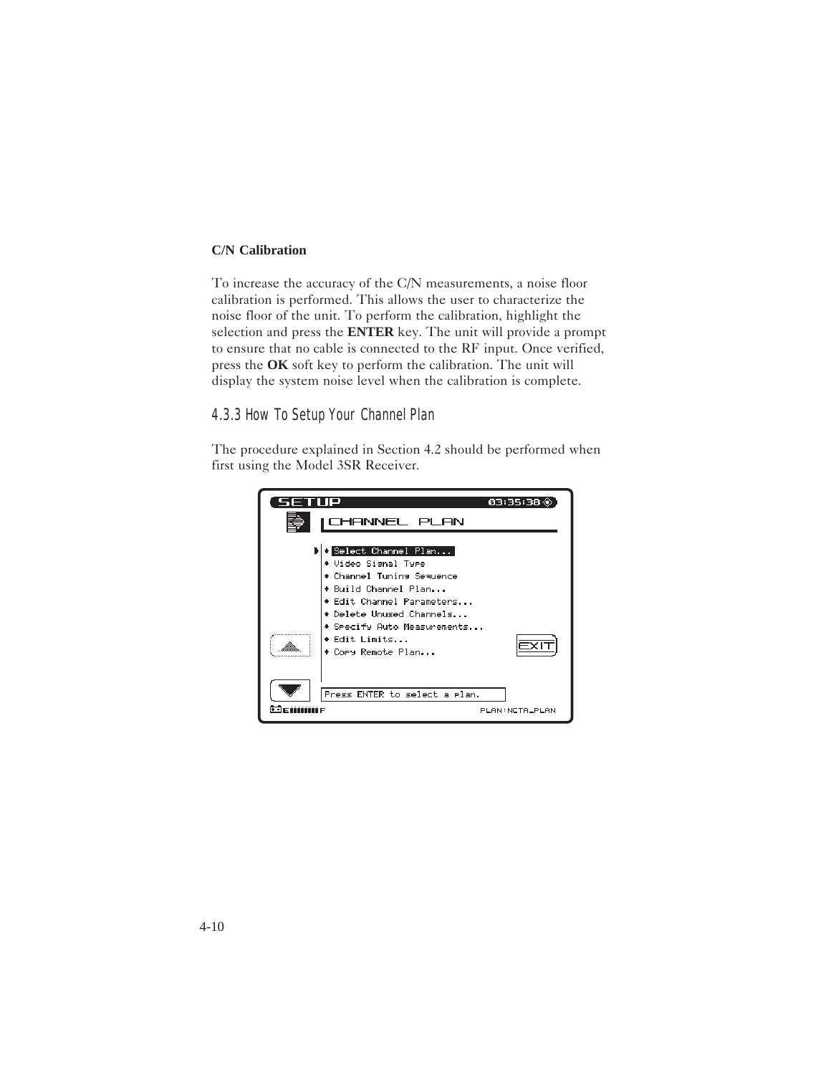#### **C/N Calibration**

To increase the accuracy of the C/N measurements, a noise floor calibration is performed. This allows the user to characterize the noise floor of the unit. To perform the calibration, highlight the selection and press the **ENTER** key. The unit will provide a prompt to ensure that no cable is connected to the RF input. Once verified, press the **OK** soft key to perform the calibration. The unit will display the system noise level when the calibration is complete.

### 4.3.3 How To Setup Your Channel Plan

The procedure explained in Section 4.2 should be performed when first using the Model 3SR Receiver.

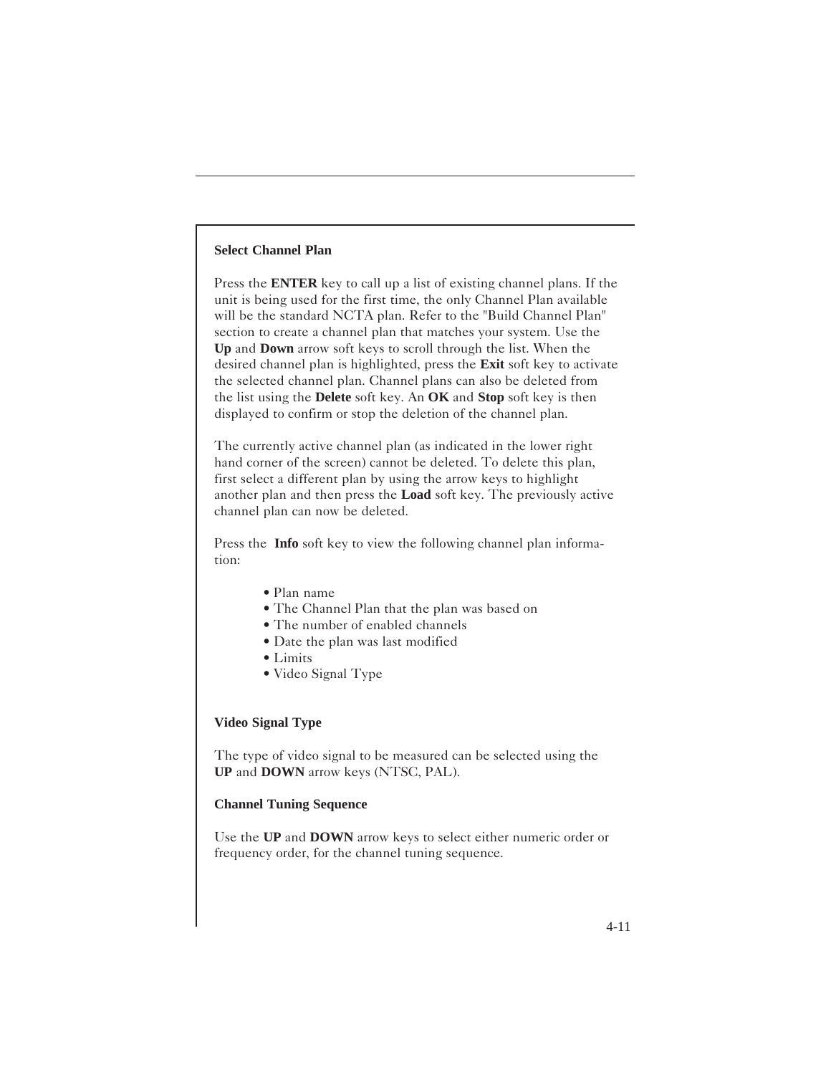#### **Select Channel Plan**

Press the **ENTER** key to call up a list of existing channel plans. If the unit is being used for the first time, the only Channel Plan available will be the standard NCTA plan. Refer to the "Build Channel Plan" section to create a channel plan that matches your system. Use the **Up** and **Down** arrow soft keys to scroll through the list. When the desired channel plan is highlighted, press the **Exit** soft key to activate the selected channel plan. Channel plans can also be deleted from the list using the **Delete** soft key. An **OK** and **Stop** soft key is then displayed to confirm or stop the deletion of the channel plan.

The currently active channel plan (as indicated in the lower right hand corner of the screen) cannot be deleted. To delete this plan, first select a different plan by using the arrow keys to highlight another plan and then press the **Load** soft key. The previously active channel plan can now be deleted.

Press the **Info** soft key to view the following channel plan information:

- Plan name
- The Channel Plan that the plan was based on
- The number of enabled channels
- Date the plan was last modified
- Limits
- Video Signal Type

### **Video Signal Type**

The type of video signal to be measured can be selected using the **UP** and **DOWN** arrow keys (NTSC, PAL).

### **Channel Tuning Sequence**

Use the **UP** and **DOWN** arrow keys to select either numeric order or frequency order, for the channel tuning sequence.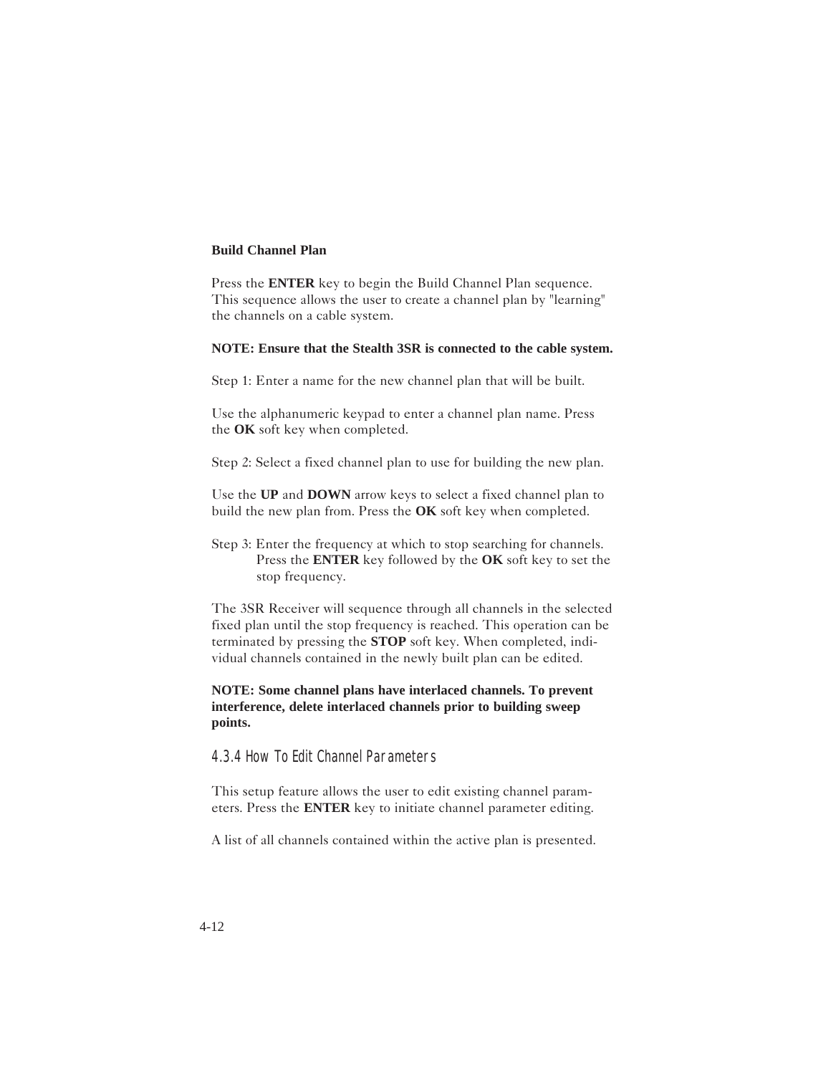#### **Build Channel Plan**

Press the **ENTER** key to begin the Build Channel Plan sequence. This sequence allows the user to create a channel plan by "learning" the channels on a cable system.

#### **NOTE: Ensure that the Stealth 3SR is connected to the cable system.**

Step 1: Enter a name for the new channel plan that will be built.

Use the alphanumeric keypad to enter a channel plan name. Press the **OK** soft key when completed.

Step 2: Select a fixed channel plan to use for building the new plan.

Use the **UP** and **DOWN** arrow keys to select a fixed channel plan to build the new plan from. Press the **OK** soft key when completed.

Step 3: Enter the frequency at which to stop searching for channels. Press the **ENTER** key followed by the **OK** soft key to set the stop frequency.

The 3SR Receiver will sequence through all channels in the selected fixed plan until the stop frequency is reached. This operation can be terminated by pressing the **STOP** soft key. When completed, individual channels contained in the newly built plan can be edited.

**NOTE: Some channel plans have interlaced channels. To prevent interference, delete interlaced channels prior to building sweep points.**

### 4.3.4 How To Edit Channel Parameters

This setup feature allows the user to edit existing channel parameters. Press the **ENTER** key to initiate channel parameter editing.

A list of all channels contained within the active plan is presented.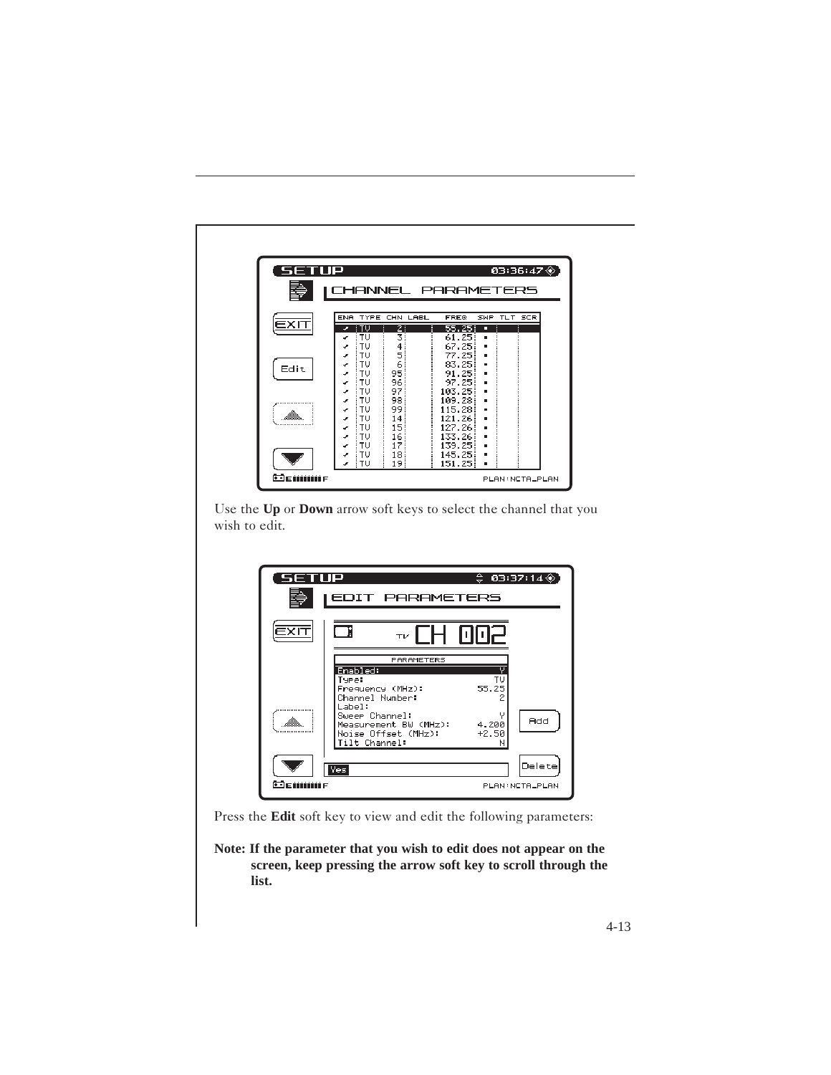

Use the **Up** or **Down** arrow soft keys to select the channel that you wish to edit.

| <b>SETUP</b> | <b>EDIT PARAMETERS</b>                                                                                                                                              | ≙.<br>03:37:14 $\diamondsuit$          |
|--------------|---------------------------------------------------------------------------------------------------------------------------------------------------------------------|----------------------------------------|
|              | $\tau$                                                                                                                                                              |                                        |
|              | PARAMETERS<br>Enabled:<br>Type:<br>Frequency (MHz):<br>Channel Number:<br>Label:<br>Sweep Channel:<br>Measurement BW (MHz):<br>Noise Offset (MHz):<br>Tilt Channel: | ΤU<br>55.25<br>Add<br>4,200<br>$+2.50$ |
| Ficininie    | Yes.                                                                                                                                                                | Delete<br>PLAN: NCTA_PLAN              |

Press the **Edit** soft key to view and edit the following parameters:

**Note: If the parameter that you wish to edit does not appear on the screen, keep pressing the arrow soft key to scroll through the list.**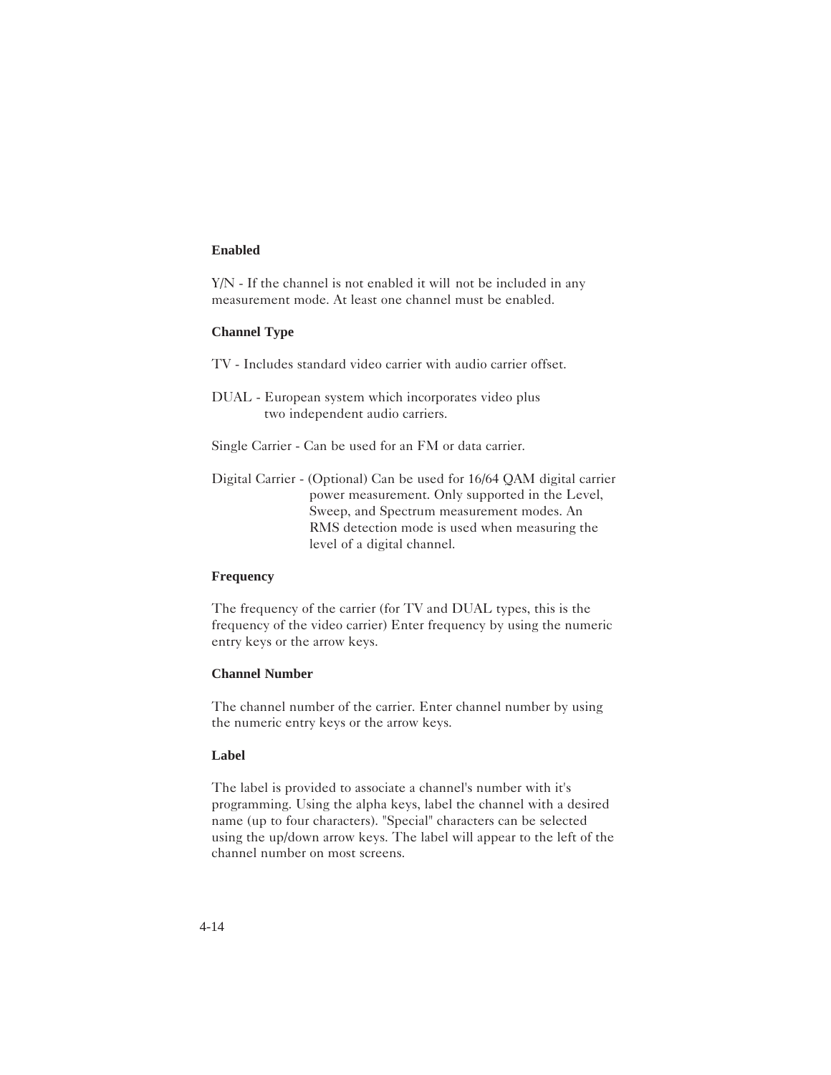#### **Enabled**

Y/N - If the channel is not enabled it will not be included in any measurement mode. At least one channel must be enabled.

#### **Channel Type**

TV - Includes standard video carrier with audio carrier offset.

DUAL - European system which incorporates video plus two independent audio carriers.

Single Carrier - Can be used for an FM or data carrier.

Digital Carrier - (Optional) Can be used for 16/64 QAM digital carrier power measurement. Only supported in the Level, Sweep, and Spectrum measurement modes. An RMS detection mode is used when measuring the level of a digital channel.

#### **Frequency**

The frequency of the carrier (for TV and DUAL types, this is the frequency of the video carrier) Enter frequency by using the numeric entry keys or the arrow keys.

#### **Channel Number**

The channel number of the carrier. Enter channel number by using the numeric entry keys or the arrow keys.

#### **Label**

The label is provided to associate a channel's number with it's programming. Using the alpha keys, label the channel with a desired name (up to four characters). "Special" characters can be selected using the up/down arrow keys. The label will appear to the left of the channel number on most screens.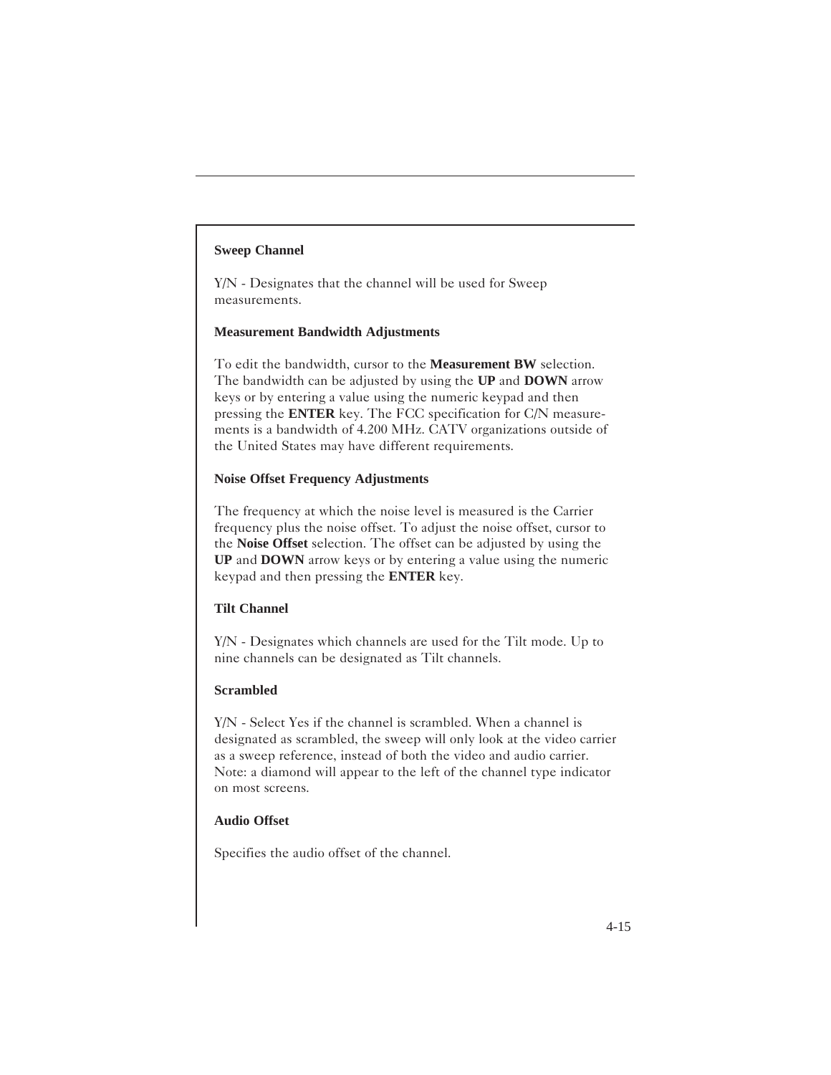#### **Sweep Channel**

Y/N - Designates that the channel will be used for Sweep measurements.

#### **Measurement Bandwidth Adjustments**

To edit the bandwidth, cursor to the **Measurement BW** selection. The bandwidth can be adjusted by using the **UP** and **DOWN** arrow keys or by entering a value using the numeric keypad and then pressing the **ENTER** key. The FCC specification for C/N measurements is a bandwidth of 4.200 MHz. CATV organizations outside of the United States may have different requirements.

#### **Noise Offset Frequency Adjustments**

The frequency at which the noise level is measured is the Carrier frequency plus the noise offset. To adjust the noise offset, cursor to the **Noise Offset** selection. The offset can be adjusted by using the **UP** and **DOWN** arrow keys or by entering a value using the numeric keypad and then pressing the **ENTER** key.

#### **Tilt Channel**

Y/N - Designates which channels are used for the Tilt mode. Up to nine channels can be designated as Tilt channels.

### **Scrambled**

Y/N - Select Yes if the channel is scrambled. When a channel is designated as scrambled, the sweep will only look at the video carrier as a sweep reference, instead of both the video and audio carrier. Note: a diamond will appear to the left of the channel type indicator on most screens.

### **Audio Offset**

Specifies the audio offset of the channel.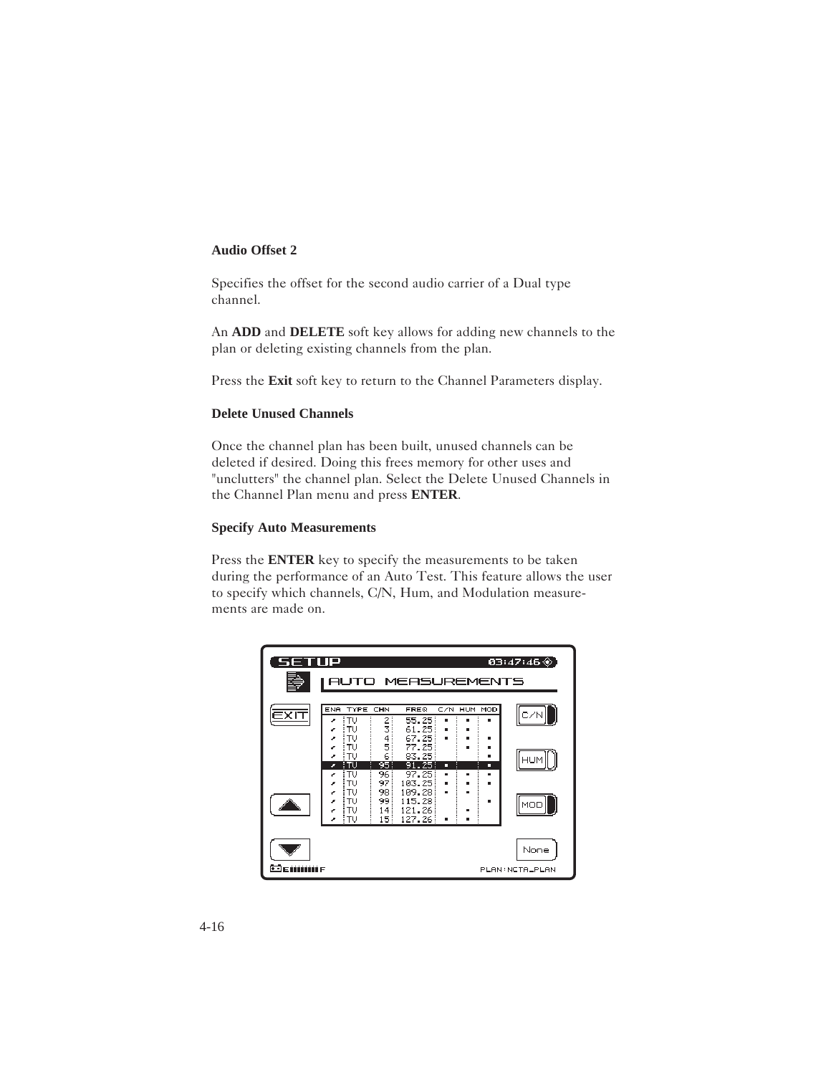#### **Audio Offset 2**

Specifies the offset for the second audio carrier of a Dual type channel.

An **ADD** and **DELETE** soft key allows for adding new channels to the plan or deleting existing channels from the plan.

Press the **Exit** soft key to return to the Channel Parameters display.

#### **Delete Unused Channels**

Once the channel plan has been built, unused channels can be deleted if desired. Doing this frees memory for other uses and "unclutters" the channel plan. Select the Delete Unused Channels in the Channel Plan menu and press **ENTER**.

#### **Specify Auto Measurements**

Press the **ENTER** key to specify the measurements to be taken during the performance of an Auto Test. This feature allows the user to specify which channels, C/N, Hum, and Modulation measurements are made on.

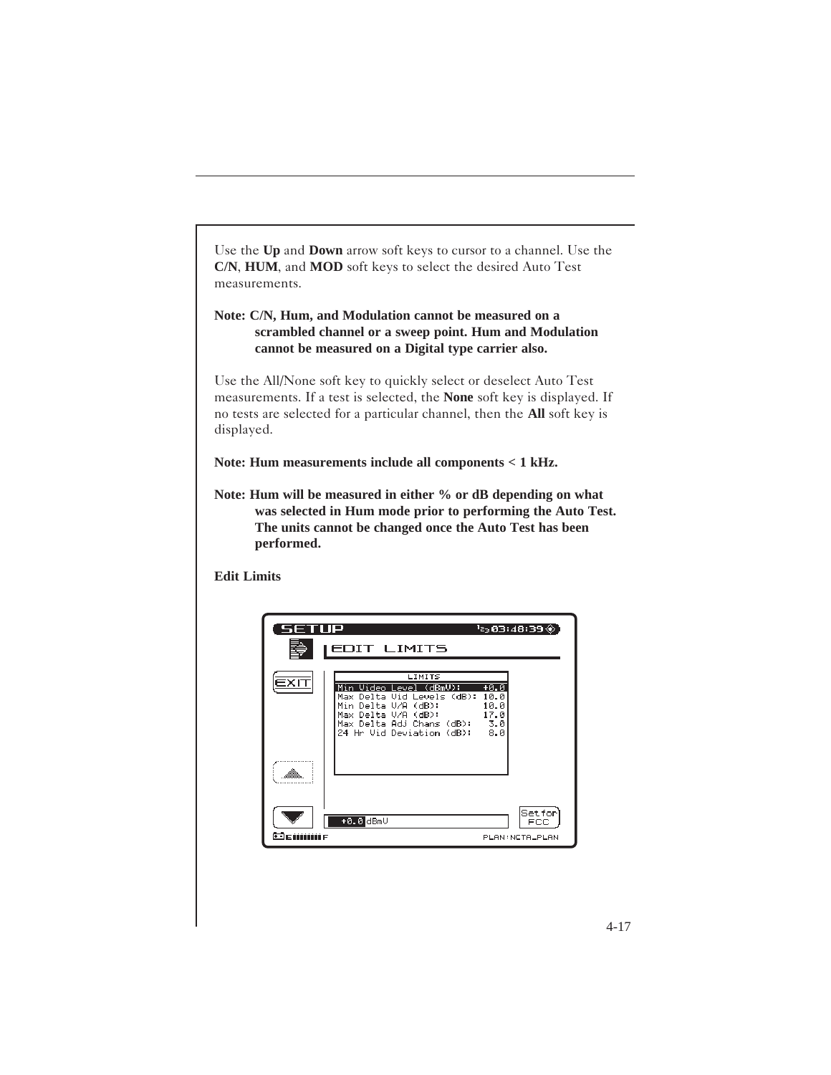Use the **Up** and **Down** arrow soft keys to cursor to a channel. Use the **C/N**, **HUM**, and **MOD** soft keys to select the desired Auto Test measurements.

**Note: C/N, Hum, and Modulation cannot be measured on a scrambled channel or a sweep point. Hum and Modulation cannot be measured on a Digital type carrier also.**

Use the All/None soft key to quickly select or deselect Auto Test measurements. If a test is selected, the **None** soft key is displayed. If no tests are selected for a particular channel, then the **All** soft key is displayed.

**Note: Hum measurements include all components < 1 kHz.**

**Note: Hum will be measured in either % or dB depending on what was selected in Hum mode prior to performing the Auto Test. The units cannot be changed once the Auto Test has been performed.**

**Edit Limits**

| 1               | $12,93:48:39$ $\diamondsuit$<br>IP<br>EDIT LIMITS                                                                                  |
|-----------------|------------------------------------------------------------------------------------------------------------------------------------|
|                 | LIMITS<br>Uideo Level (dBmU):<br>+0.0<br>Min<br>Uid Levels (dB):<br>10.0<br>Max Delta                                              |
|                 | 10.0<br>Min Delta V/A (dB):<br>17.0<br>Max Delta V/A (dB):<br>3.0<br>Max Delta Adj Chans (dB):<br>24 Hr Vid Deviation (dB):<br>8.0 |
|                 |                                                                                                                                    |
| <b>Elemmine</b> | Set for<br>+0.0 dBmV<br>FCC<br>PLAN: NCTA_PLAN                                                                                     |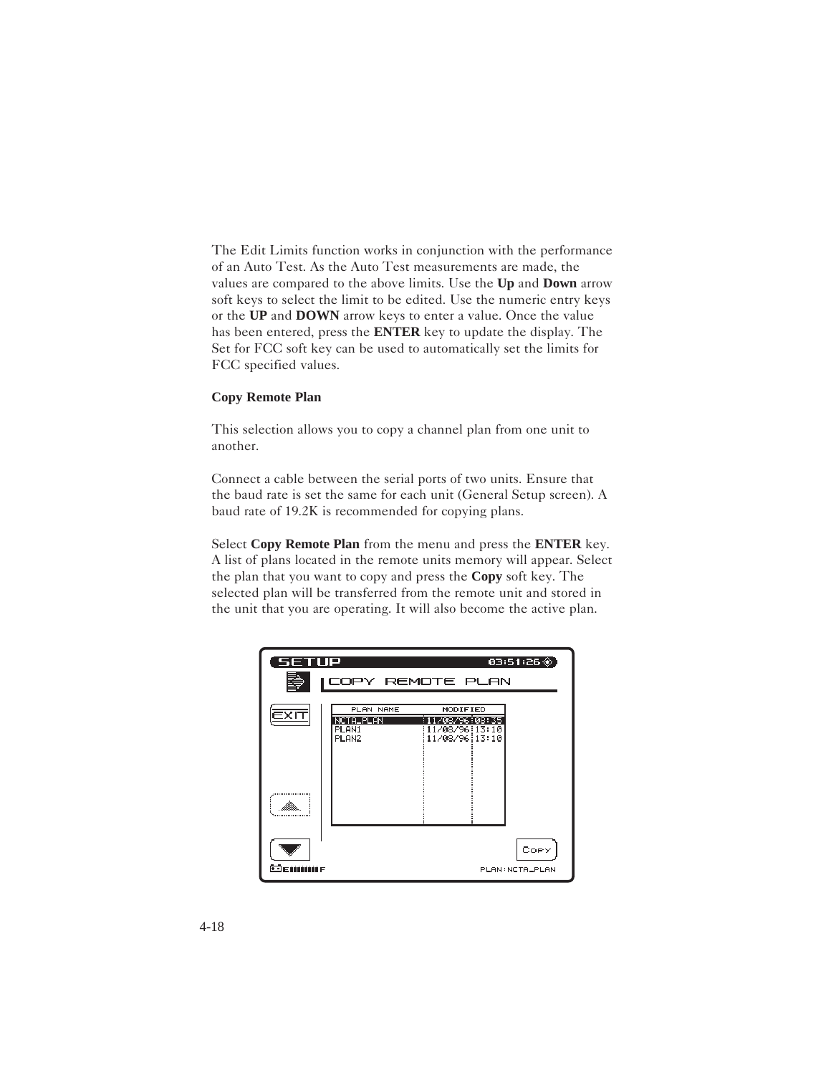The Edit Limits function works in conjunction with the performance of an Auto Test. As the Auto Test measurements are made, the values are compared to the above limits. Use the **Up** and **Down** arrow soft keys to select the limit to be edited. Use the numeric entry keys or the **UP** and **DOWN** arrow keys to enter a value. Once the value has been entered, press the **ENTER** key to update the display. The Set for FCC soft key can be used to automatically set the limits for FCC specified values.

#### **Copy Remote Plan**

This selection allows you to copy a channel plan from one unit to another.

Connect a cable between the serial ports of two units. Ensure that the baud rate is set the same for each unit (General Setup screen). A baud rate of 19.2K is recommended for copying plans.

Select **Copy Remote Plan** from the menu and press the **ENTER** key. A list of plans located in the remote units memory will appear. Select the plan that you want to copy and press the **Copy** soft key. The selected plan will be transferred from the remote unit and stored in the unit that you are operating. It will also become the active plan.

| SETUP      |                                                     | COPY REMOTE PLAN                                                  | 03:51:26                |
|------------|-----------------------------------------------------|-------------------------------------------------------------------|-------------------------|
|            | <b>PLAN NAME</b><br><b>A_PLAN</b><br>PLAN1<br>PLAN2 | MODIFIED<br>708796108:35<br>1<br>11/08/96 13:10<br>11/08/96 13:10 |                         |
| Fileminine |                                                     |                                                                   | Cory<br>PLAN: NCTA_PLAN |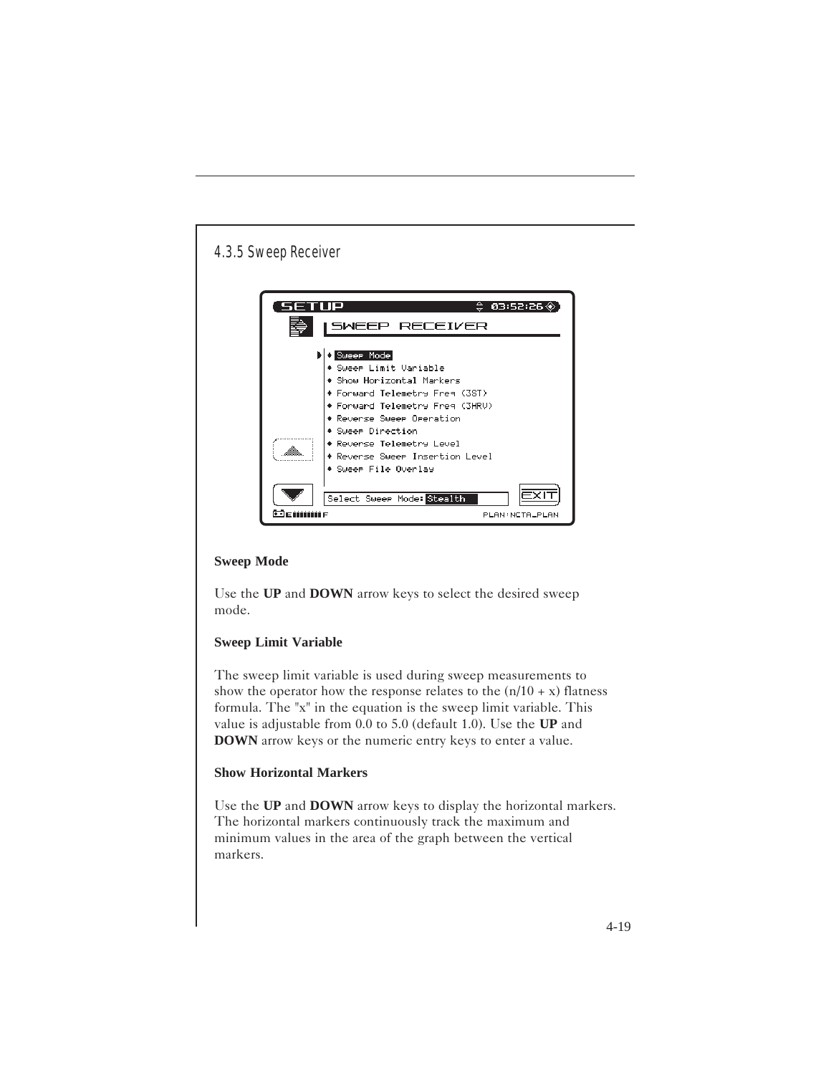

#### **Sweep Mode**

Use the **UP** and **DOWN** arrow keys to select the desired sweep mode.

#### **Sweep Limit Variable**

The sweep limit variable is used during sweep measurements to show the operator how the response relates to the  $(n/10 + x)$  flatness formula. The "x" in the equation is the sweep limit variable. This value is adjustable from 0.0 to 5.0 (default 1.0). Use the **UP** and **DOWN** arrow keys or the numeric entry keys to enter a value.

#### **Show Horizontal Markers**

Use the **UP** and **DOWN** arrow keys to display the horizontal markers. The horizontal markers continuously track the maximum and minimum values in the area of the graph between the vertical markers.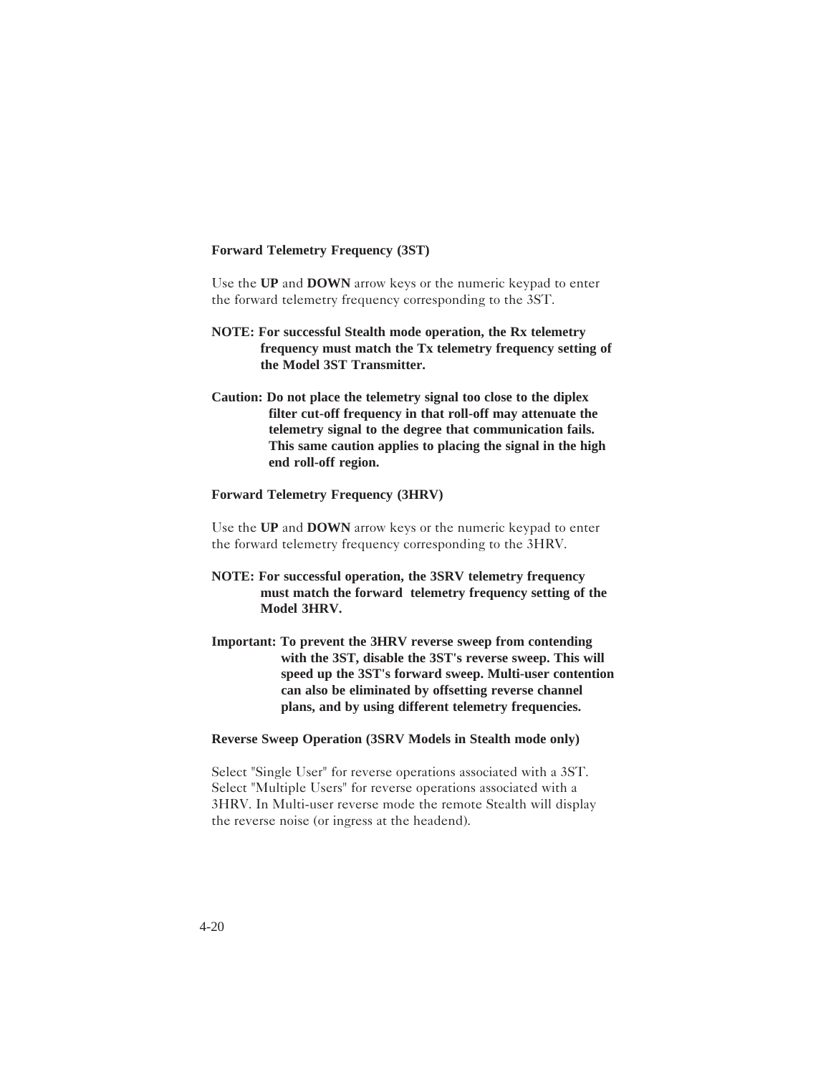#### **Forward Telemetry Frequency (3ST)**

Use the **UP** and **DOWN** arrow keys or the numeric keypad to enter the forward telemetry frequency corresponding to the 3ST.

- **NOTE: For successful Stealth mode operation, the Rx telemetry frequency must match the Tx telemetry frequency setting of the Model 3ST Transmitter.**
- **Caution: Do not place the telemetry signal too close to the diplex filter cut-off frequency in that roll-off may attenuate the telemetry signal to the degree that communication fails. This same caution applies to placing the signal in the high end roll-off region.**

#### **Forward Telemetry Frequency (3HRV)**

Use the **UP** and **DOWN** arrow keys or the numeric keypad to enter the forward telemetry frequency corresponding to the 3HRV.

- **NOTE: For successful operation, the 3SRV telemetry frequency must match the forward telemetry frequency setting of the Model 3HRV.**
- **Important: To prevent the 3HRV reverse sweep from contending with the 3ST, disable the 3ST's reverse sweep. This will speed up the 3ST's forward sweep. Multi-user contention can also be eliminated by offsetting reverse channel plans, and by using different telemetry frequencies.**

#### **Reverse Sweep Operation (3SRV Models in Stealth mode only)**

Select "Single User" for reverse operations associated with a 3ST. Select "Multiple Users" for reverse operations associated with a 3HRV. In Multi-user reverse mode the remote Stealth will display the reverse noise (or ingress at the headend).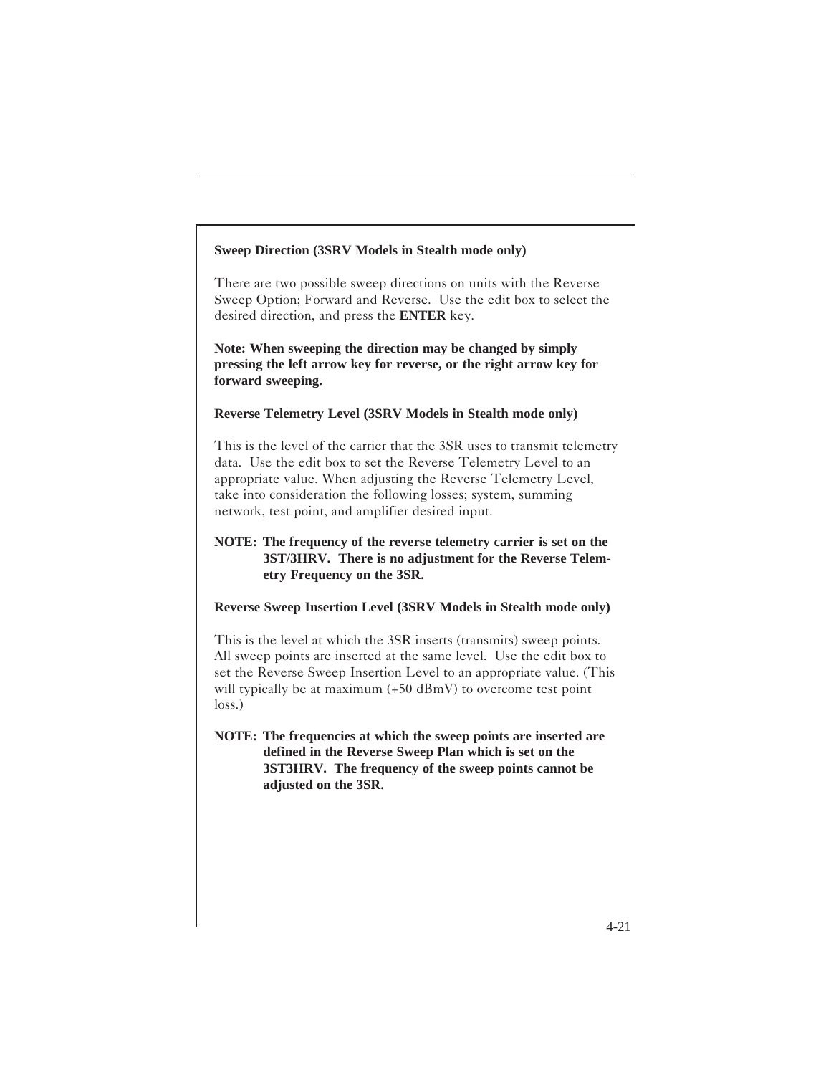#### **Sweep Direction (3SRV Models in Stealth mode only)**

There are two possible sweep directions on units with the Reverse Sweep Option; Forward and Reverse. Use the edit box to select the desired direction, and press the **ENTER** key.

**Note: When sweeping the direction may be changed by simply pressing the left arrow key for reverse, or the right arrow key for forward sweeping.**

#### **Reverse Telemetry Level (3SRV Models in Stealth mode only)**

This is the level of the carrier that the 3SR uses to transmit telemetry data. Use the edit box to set the Reverse Telemetry Level to an appropriate value. When adjusting the Reverse Telemetry Level, take into consideration the following losses; system, summing network, test point, and amplifier desired input.

### **NOTE: The frequency of the reverse telemetry carrier is set on the 3ST/3HRV. There is no adjustment for the Reverse Telemetry Frequency on the 3SR.**

### **Reverse Sweep Insertion Level (3SRV Models in Stealth mode only)**

This is the level at which the 3SR inserts (transmits) sweep points. All sweep points are inserted at the same level. Use the edit box to set the Reverse Sweep Insertion Level to an appropriate value. (This will typically be at maximum (+50 dBmV) to overcome test point loss.)

### **NOTE: The frequencies at which the sweep points are inserted are defined in the Reverse Sweep Plan which is set on the 3ST3HRV. The frequency of the sweep points cannot be adjusted on the 3SR.**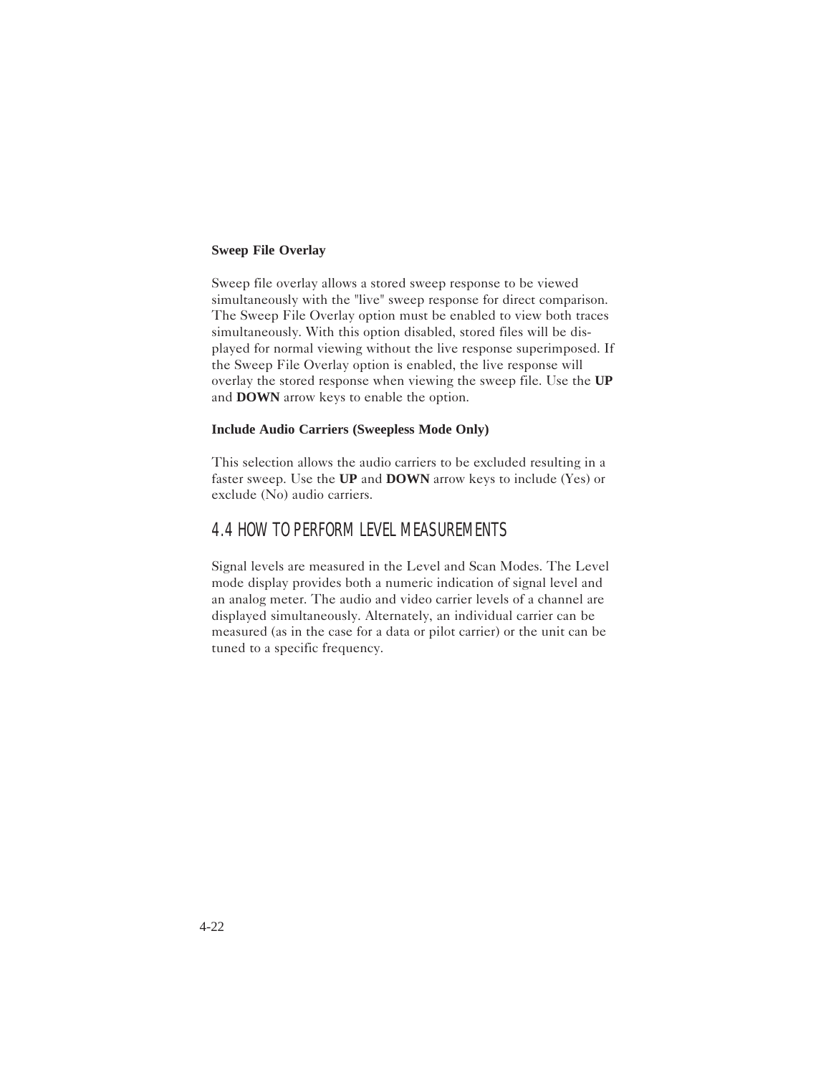#### **Sweep File Overlay**

Sweep file overlay allows a stored sweep response to be viewed simultaneously with the "live" sweep response for direct comparison. The Sweep File Overlay option must be enabled to view both traces simultaneously. With this option disabled, stored files will be displayed for normal viewing without the live response superimposed. If the Sweep File Overlay option is enabled, the live response will overlay the stored response when viewing the sweep file. Use the **UP** and **DOWN** arrow keys to enable the option.

#### **Include Audio Carriers (Sweepless Mode Only)**

This selection allows the audio carriers to be excluded resulting in a faster sweep. Use the **UP** and **DOWN** arrow keys to include (Yes) or exclude (No) audio carriers.

# 4.4 HOW TO PERFORM LEVEL MEASUREMENTS

Signal levels are measured in the Level and Scan Modes. The Level mode display provides both a numeric indication of signal level and an analog meter. The audio and video carrier levels of a channel are displayed simultaneously. Alternately, an individual carrier can be measured (as in the case for a data or pilot carrier) or the unit can be tuned to a specific frequency.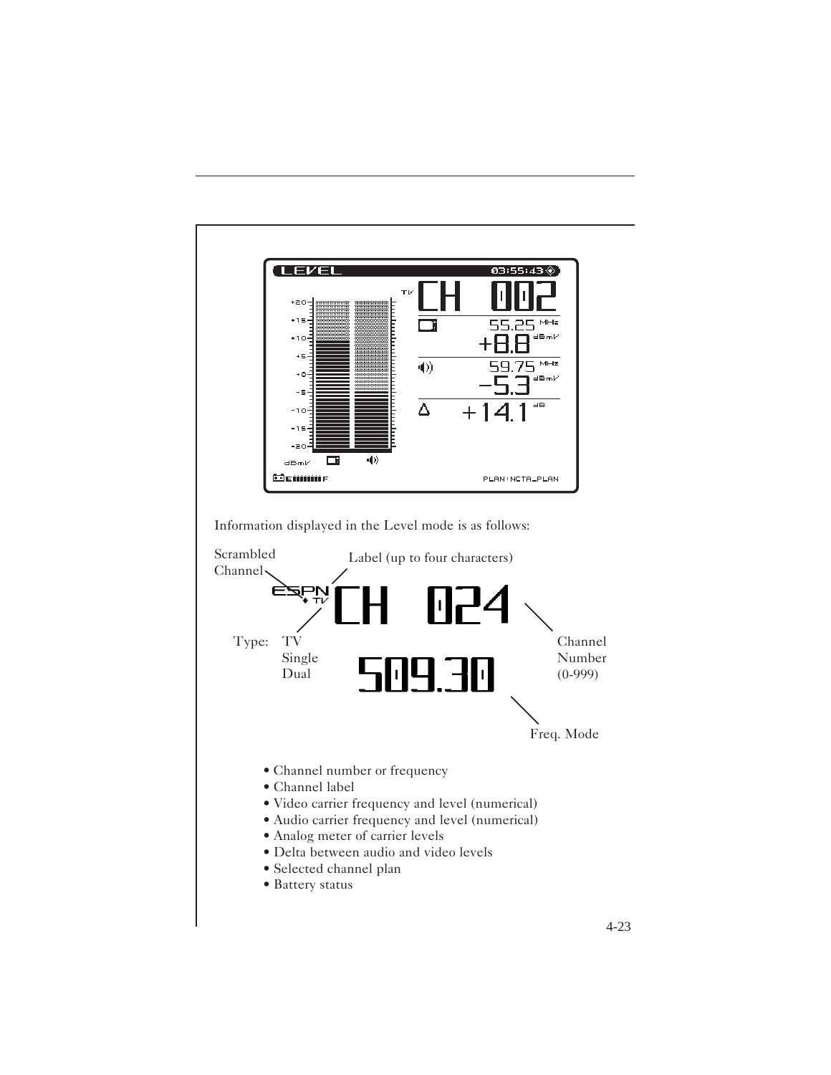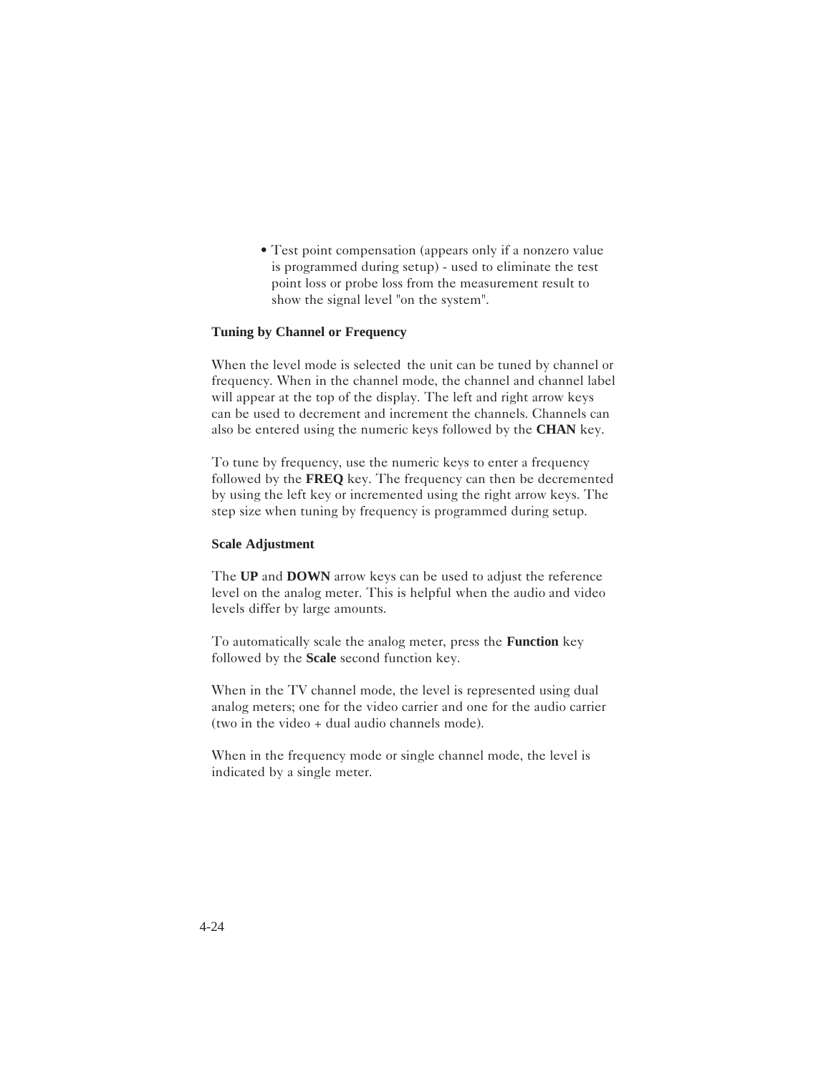• Test point compensation (appears only if a nonzero value is programmed during setup) - used to eliminate the test point loss or probe loss from the measurement result to show the signal level "on the system".

#### **Tuning by Channel or Frequency**

When the level mode is selected the unit can be tuned by channel or frequency. When in the channel mode, the channel and channel label will appear at the top of the display. The left and right arrow keys can be used to decrement and increment the channels. Channels can also be entered using the numeric keys followed by the **CHAN** key.

To tune by frequency, use the numeric keys to enter a frequency followed by the **FREQ** key. The frequency can then be decremented by using the left key or incremented using the right arrow keys. The step size when tuning by frequency is programmed during setup.

#### **Scale Adjustment**

The **UP** and **DOWN** arrow keys can be used to adjust the reference level on the analog meter. This is helpful when the audio and video levels differ by large amounts.

To automatically scale the analog meter, press the **Function** key followed by the **Scale** second function key.

When in the TV channel mode, the level is represented using dual analog meters; one for the video carrier and one for the audio carrier (two in the video + dual audio channels mode).

When in the frequency mode or single channel mode, the level is indicated by a single meter.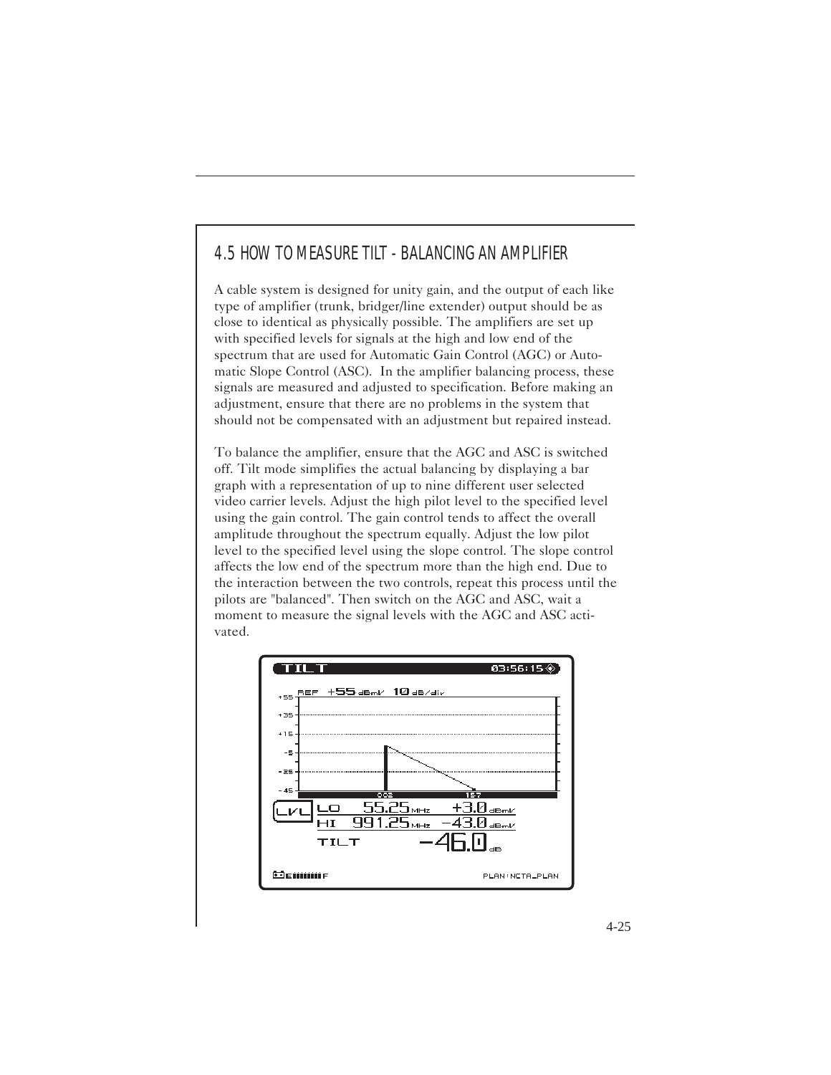# 4.5 HOW TO MEASURE TILT - BALANCING AN AMPLIFIER

A cable system is designed for unity gain, and the output of each like type of amplifier (trunk, bridger/line extender) output should be as close to identical as physically possible. The amplifiers are set up with specified levels for signals at the high and low end of the spectrum that are used for Automatic Gain Control (AGC) or Automatic Slope Control (ASC). In the amplifier balancing process, these signals are measured and adjusted to specification. Before making an adjustment, ensure that there are no problems in the system that should not be compensated with an adjustment but repaired instead.

To balance the amplifier, ensure that the AGC and ASC is switched off. Tilt mode simplifies the actual balancing by displaying a bar graph with a representation of up to nine different user selected video carrier levels. Adjust the high pilot level to the specified level using the gain control. The gain control tends to affect the overall amplitude throughout the spectrum equally. Adjust the low pilot level to the specified level using the slope control. The slope control affects the low end of the spectrum more than the high end. Due to the interaction between the two controls, repeat this process until the pilots are "balanced". Then switch on the AGC and ASC, wait a moment to measure the signal levels with the AGC and ASC activated.

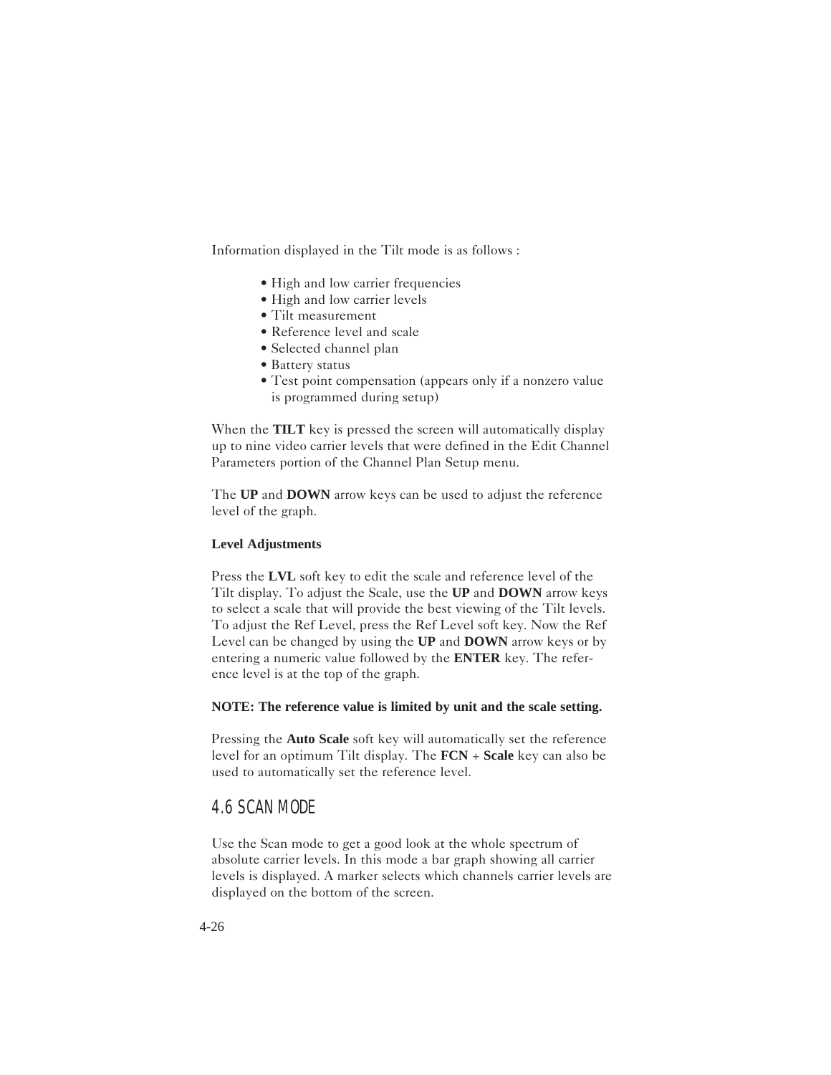Information displayed in the Tilt mode is as follows :

- High and low carrier frequencies
- High and low carrier levels
- Tilt measurement
- Reference level and scale
- Selected channel plan
- Battery status
- Test point compensation (appears only if a nonzero value is programmed during setup)

When the **TILT** key is pressed the screen will automatically display up to nine video carrier levels that were defined in the Edit Channel Parameters portion of the Channel Plan Setup menu.

The **UP** and **DOWN** arrow keys can be used to adjust the reference level of the graph.

### **Level Adjustments**

Press the **LVL** soft key to edit the scale and reference level of the Tilt display. To adjust the Scale, use the **UP** and **DOWN** arrow keys to select a scale that will provide the best viewing of the Tilt levels. To adjust the Ref Level, press the Ref Level soft key. Now the Ref Level can be changed by using the **UP** and **DOWN** arrow keys or by entering a numeric value followed by the **ENTER** key. The reference level is at the top of the graph.

#### **NOTE: The reference value is limited by unit and the scale setting.**

Pressing the **Auto Scale** soft key will automatically set the reference level for an optimum Tilt display. The **FCN** + **Scale** key can also be used to automatically set the reference level.

# 4.6 SCAN MODE

Use the Scan mode to get a good look at the whole spectrum of absolute carrier levels. In this mode a bar graph showing all carrier levels is displayed. A marker selects which channels carrier levels are displayed on the bottom of the screen.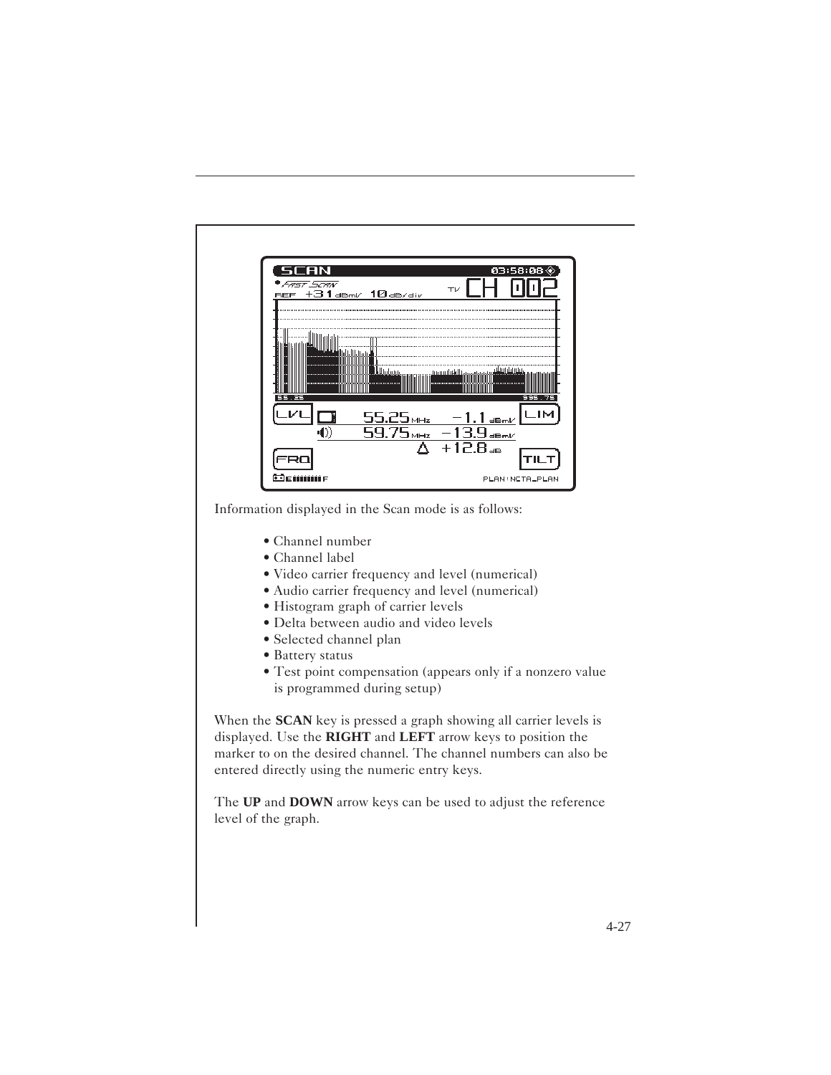| FAST SCAN<br><b>REF</b> | 03:58:08<br>$+31$ dBmV $-10$ dB/div        |
|-------------------------|--------------------------------------------|
|                         |                                            |
| <br>. 25<br>e           | <u>ىسىلىلىسى.</u><br>بيسلسلاليا            |
|                         | 55.25 <sub>MHz</sub><br>dBπ<br>MHz<br>dBmV |
| ਸ਼ਾਸ                    | $+12.8$<br>PLAN: NCTA_PLAN                 |

Information displayed in the Scan mode is as follows:

- Channel number
- Channel label
- Video carrier frequency and level (numerical)
- Audio carrier frequency and level (numerical)
- Histogram graph of carrier levels
- Delta between audio and video levels
- Selected channel plan
- Battery status
- Test point compensation (appears only if a nonzero value is programmed during setup)

When the **SCAN** key is pressed a graph showing all carrier levels is displayed. Use the **RIGHT** and **LEFT** arrow keys to position the marker to on the desired channel. The channel numbers can also be entered directly using the numeric entry keys.

The **UP** and **DOWN** arrow keys can be used to adjust the reference level of the graph.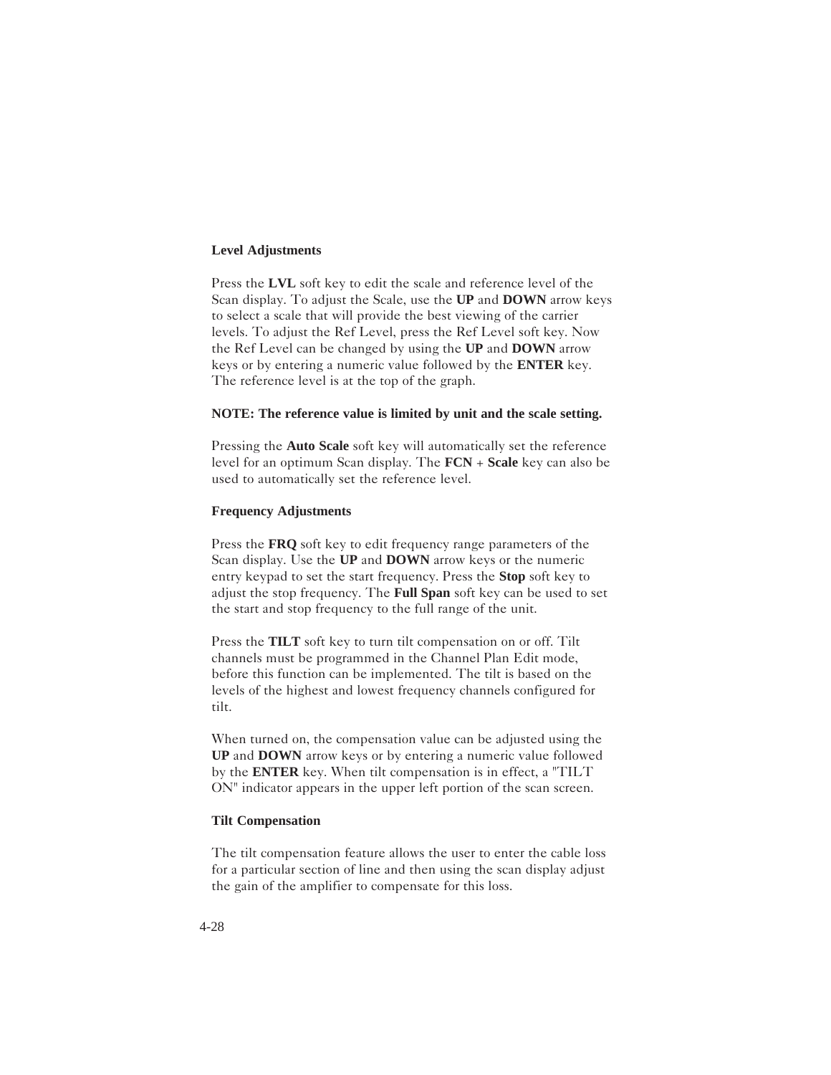#### **Level Adjustments**

Press the **LVL** soft key to edit the scale and reference level of the Scan display. To adjust the Scale, use the **UP** and **DOWN** arrow keys to select a scale that will provide the best viewing of the carrier levels. To adjust the Ref Level, press the Ref Level soft key. Now the Ref Level can be changed by using the **UP** and **DOWN** arrow keys or by entering a numeric value followed by the **ENTER** key. The reference level is at the top of the graph.

#### **NOTE: The reference value is limited by unit and the scale setting.**

Pressing the **Auto Scale** soft key will automatically set the reference level for an optimum Scan display. The **FCN** + **Scale** key can also be used to automatically set the reference level.

#### **Frequency Adjustments**

Press the **FRQ** soft key to edit frequency range parameters of the Scan display. Use the **UP** and **DOWN** arrow keys or the numeric entry keypad to set the start frequency. Press the **Stop** soft key to adjust the stop frequency. The **Full Span** soft key can be used to set the start and stop frequency to the full range of the unit.

Press the **TILT** soft key to turn tilt compensation on or off. Tilt channels must be programmed in the Channel Plan Edit mode, before this function can be implemented. The tilt is based on the levels of the highest and lowest frequency channels configured for tilt.

When turned on, the compensation value can be adjusted using the **UP** and **DOWN** arrow keys or by entering a numeric value followed by the **ENTER** key. When tilt compensation is in effect, a "TILT ON" indicator appears in the upper left portion of the scan screen.

#### **Tilt Compensation**

The tilt compensation feature allows the user to enter the cable loss for a particular section of line and then using the scan display adjust the gain of the amplifier to compensate for this loss.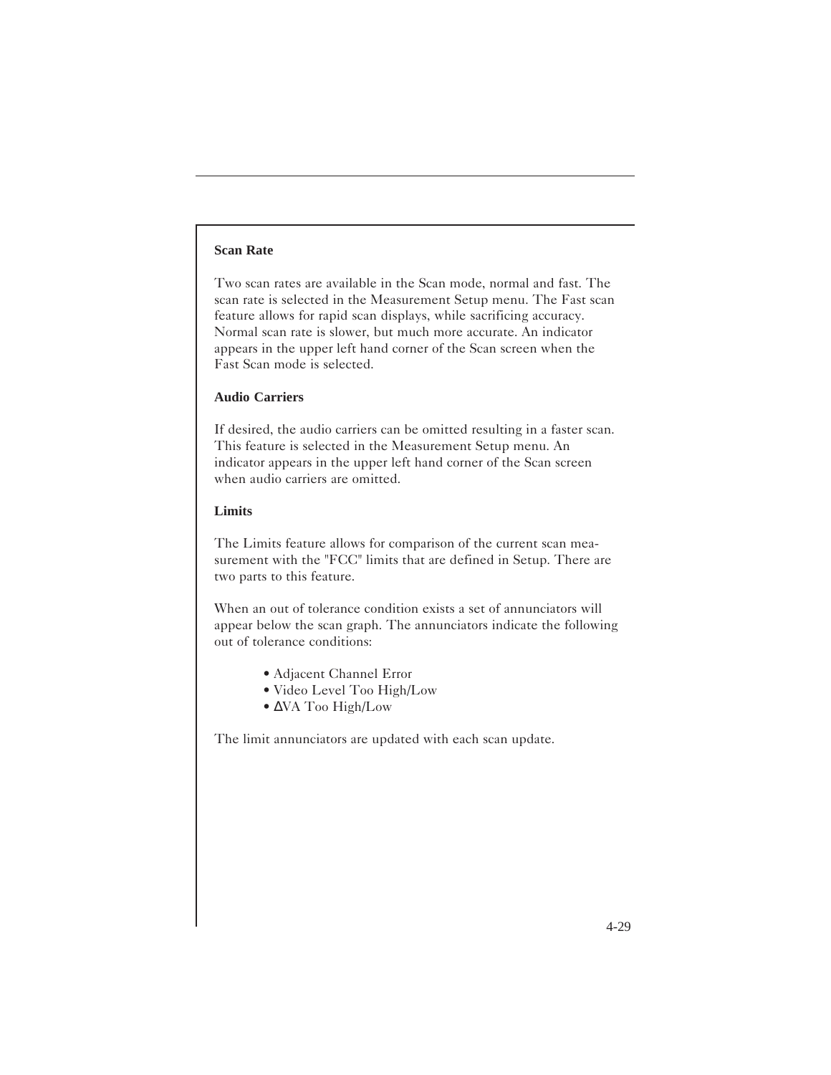#### **Scan Rate**

Two scan rates are available in the Scan mode, normal and fast. The scan rate is selected in the Measurement Setup menu. The Fast scan feature allows for rapid scan displays, while sacrificing accuracy. Normal scan rate is slower, but much more accurate. An indicator appears in the upper left hand corner of the Scan screen when the Fast Scan mode is selected.

#### **Audio Carriers**

If desired, the audio carriers can be omitted resulting in a faster scan. This feature is selected in the Measurement Setup menu. An indicator appears in the upper left hand corner of the Scan screen when audio carriers are omitted.

#### **Limits**

The Limits feature allows for comparison of the current scan measurement with the "FCC" limits that are defined in Setup. There are two parts to this feature.

When an out of tolerance condition exists a set of annunciators will appear below the scan graph. The annunciators indicate the following out of tolerance conditions:

- Adjacent Channel Error
- Video Level Too High/Low
- ∆VA Too High/Low

The limit annunciators are updated with each scan update.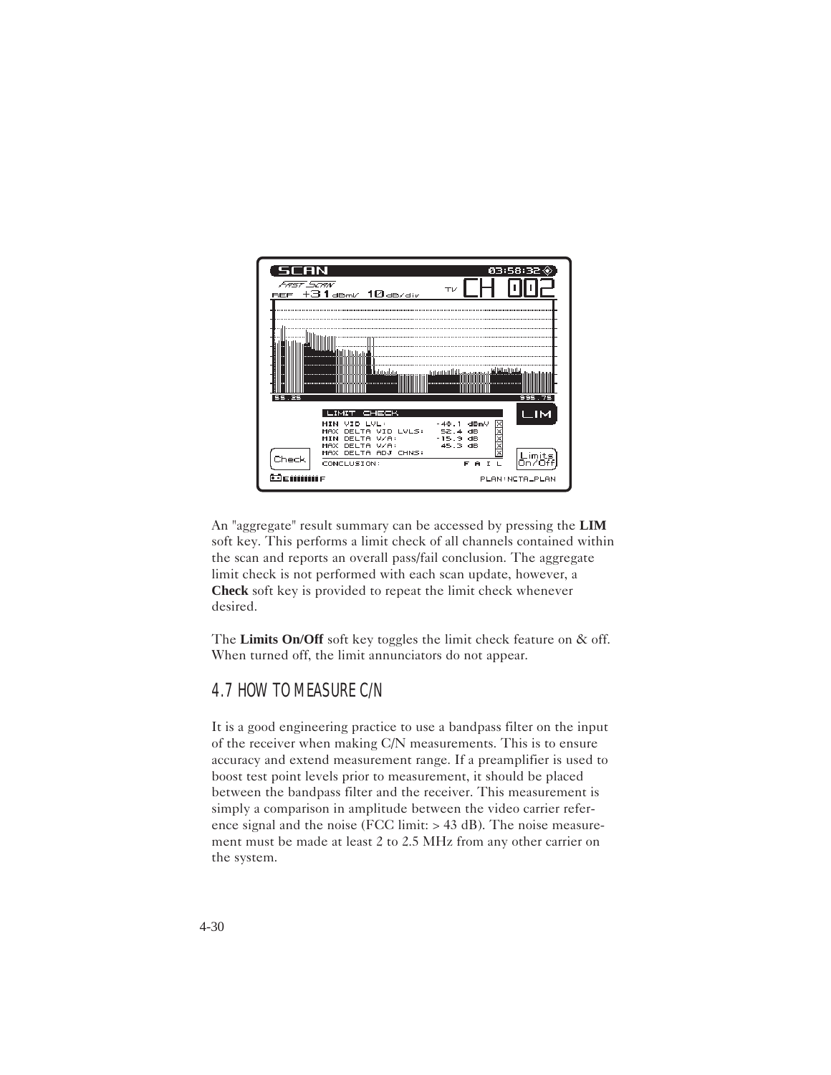| FAST SCAN | REF +31 JBmV 10 JB/div                                                                                                        | ⊤ν                                                                | 03:58:32        |
|-----------|-------------------------------------------------------------------------------------------------------------------------------|-------------------------------------------------------------------|-----------------|
| 55.25     | باباستانانا                                                                                                                   | .Jalaallallilik                                                   | 995.75          |
|           | IMI<br>CHECK                                                                                                                  |                                                                   | ∟ıм             |
| Check     | MIN VID LUL:<br>DELTA VID LVLS:<br>MAX<br>MIN<br>DELTA V/A:<br>DELTA V/A:<br><b>MAX</b><br>MAX DELTA ADJ CHNS:<br>CONCLUSION: | -48.1 dBmV<br>Ι×<br>52.4 dB<br>$-15.9$ dB<br>45.3 dB<br>F A<br>T. |                 |
|           |                                                                                                                               |                                                                   | PLAN: NCTA_PLAN |

An "aggregate" result summary can be accessed by pressing the **LIM** soft key. This performs a limit check of all channels contained within the scan and reports an overall pass/fail conclusion. The aggregate limit check is not performed with each scan update, however, a **Check** soft key is provided to repeat the limit check whenever desired.

The **Limits On/Off** soft key toggles the limit check feature on & off. When turned off, the limit annunciators do not appear.

# 4.7 HOW TO MEASURE C/N

It is a good engineering practice to use a bandpass filter on the input of the receiver when making C/N measurements. This is to ensure accuracy and extend measurement range. If a preamplifier is used to boost test point levels prior to measurement, it should be placed between the bandpass filter and the receiver. This measurement is simply a comparison in amplitude between the video carrier reference signal and the noise (FCC limit: > 43 dB). The noise measurement must be made at least 2 to 2.5 MHz from any other carrier on the system.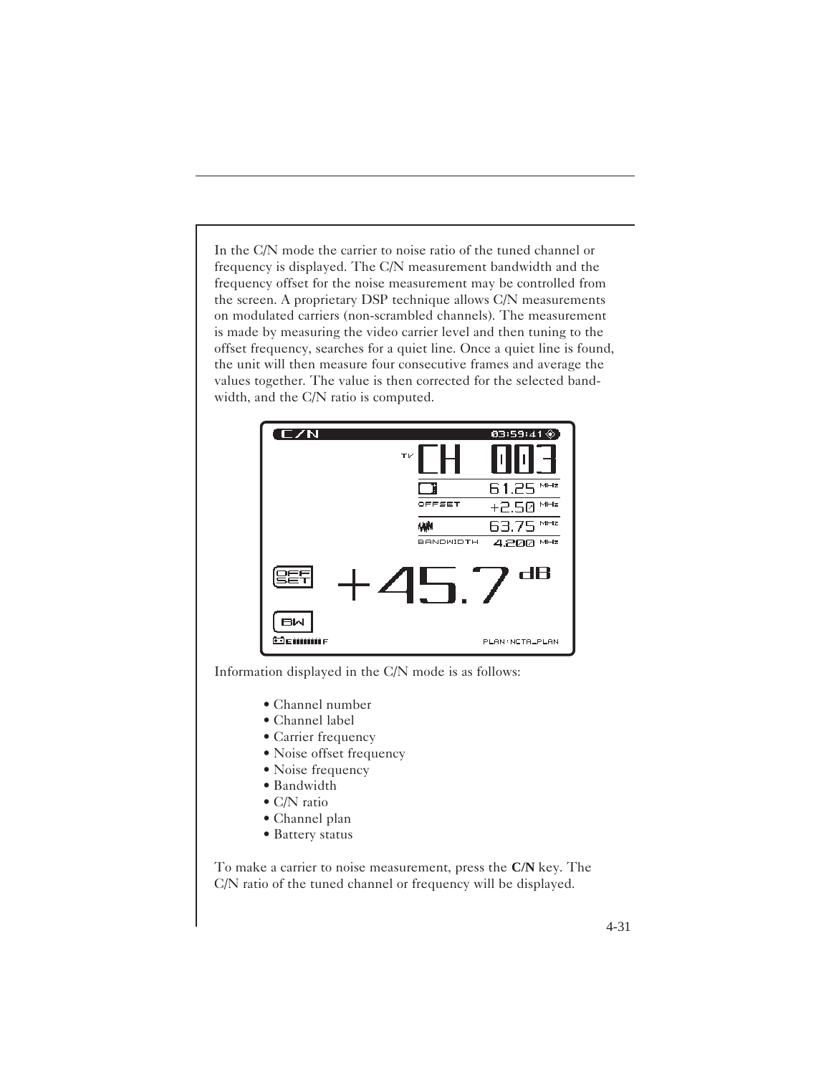In the C/N mode the carrier to noise ratio of the tuned channel or frequency is displayed. The C/N measurement bandwidth and the frequency offset for the noise measurement may be controlled from the screen. A proprietary DSP technique allows C/N measurements on modulated carriers (non-scrambled channels). The measurement is made by measuring the video carrier level and then tuning to the offset frequency, searches for a quiet line. Once a quiet line is found, the unit will then measure four consecutive frames and average the values together. The value is then corrected for the selected bandwidth, and the C/N ratio is computed.



Information displayed in the C/N mode is as follows:

- Channel number
- Channel label
- Carrier frequency
- Noise offset frequency
- Noise frequency
- Bandwidth
- C/N ratio
- Channel plan
- Battery status

To make a carrier to noise measurement, press the **C/N** key. The C/N ratio of the tuned channel or frequency will be displayed.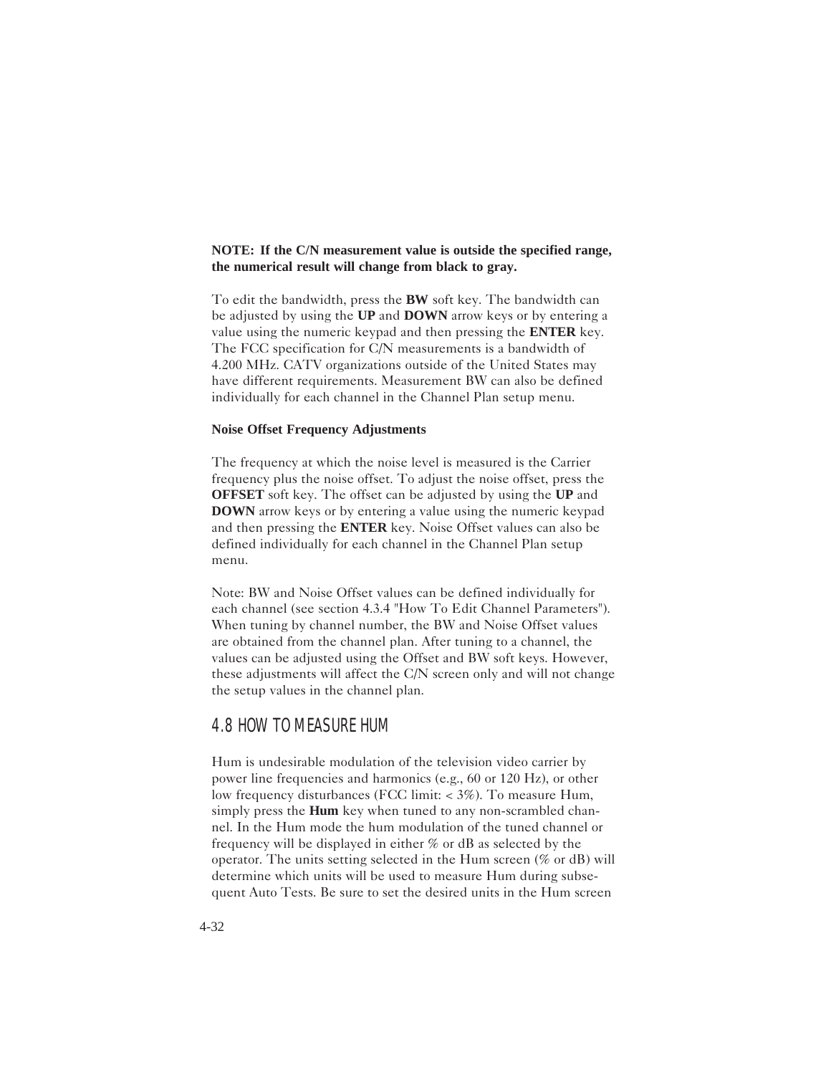#### **NOTE: If the C/N measurement value is outside the specified range, the numerical result will change from black to gray.**

To edit the bandwidth, press the **BW** soft key. The bandwidth can be adjusted by using the **UP** and **DOWN** arrow keys or by entering a value using the numeric keypad and then pressing the **ENTER** key. The FCC specification for C/N measurements is a bandwidth of 4.200 MHz. CATV organizations outside of the United States may have different requirements. Measurement BW can also be defined individually for each channel in the Channel Plan setup menu.

#### **Noise Offset Frequency Adjustments**

The frequency at which the noise level is measured is the Carrier frequency plus the noise offset. To adjust the noise offset, press the **OFFSET** soft key. The offset can be adjusted by using the **UP** and **DOWN** arrow keys or by entering a value using the numeric keypad and then pressing the **ENTER** key. Noise Offset values can also be defined individually for each channel in the Channel Plan setup menu.

Note: BW and Noise Offset values can be defined individually for each channel (see section 4.3.4 "How To Edit Channel Parameters"). When tuning by channel number, the BW and Noise Offset values are obtained from the channel plan. After tuning to a channel, the values can be adjusted using the Offset and BW soft keys. However, these adjustments will affect the C/N screen only and will not change the setup values in the channel plan.

# 4.8 HOW TO MEASURE HUM

Hum is undesirable modulation of the television video carrier by power line frequencies and harmonics (e.g., 60 or 120 Hz), or other low frequency disturbances (FCC limit: < 3%). To measure Hum, simply press the **Hum** key when tuned to any non-scrambled channel. In the Hum mode the hum modulation of the tuned channel or frequency will be displayed in either % or dB as selected by the operator. The units setting selected in the Hum screen (% or dB) will determine which units will be used to measure Hum during subsequent Auto Tests. Be sure to set the desired units in the Hum screen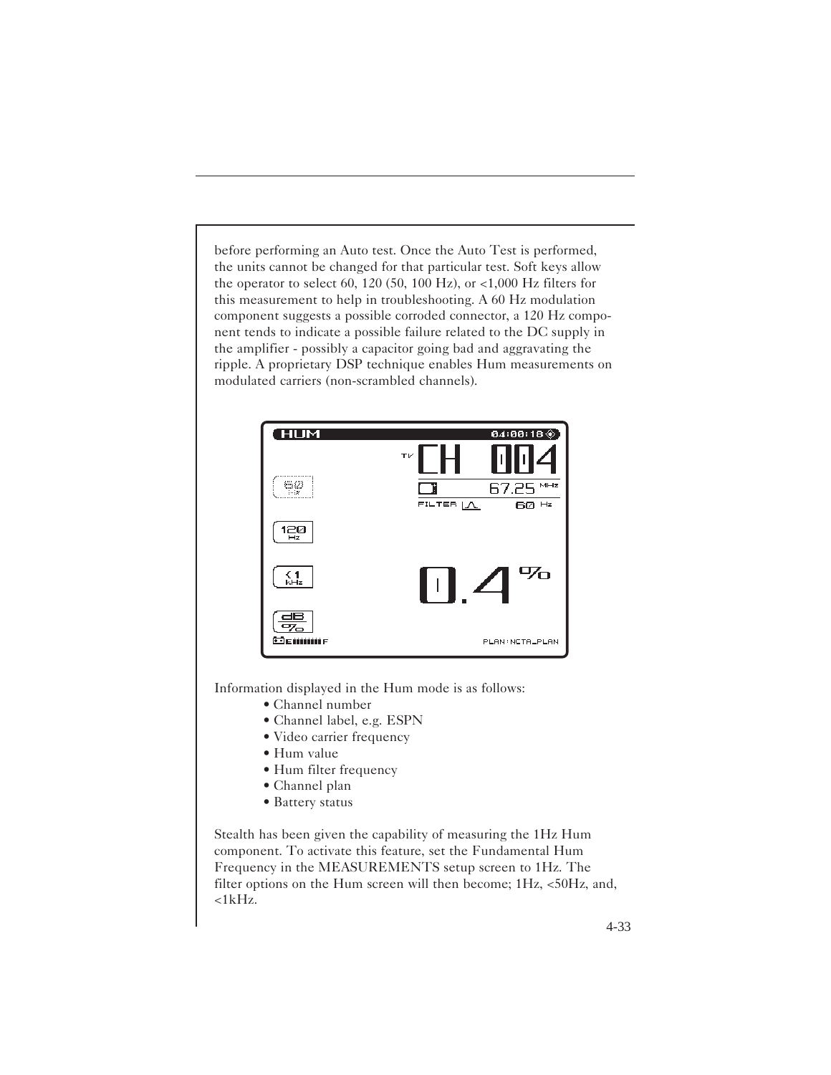before performing an Auto test. Once the Auto Test is performed, the units cannot be changed for that particular test. Soft keys allow the operator to select 60, 120 (50, 100 Hz), or <1,000 Hz filters for this measurement to help in troubleshooting. A 60 Hz modulation component suggests a possible corroded connector, a 120 Hz component tends to indicate a possible failure related to the DC supply in the amplifier - possibly a capacitor going bad and aggravating the ripple. A proprietary DSP technique enables Hum measurements on modulated carriers (non-scrambled channels).



Information displayed in the Hum mode is as follows:

- Channel number
- Channel label, e.g. ESPN
- Video carrier frequency
- Hum value
- Hum filter frequency
- Channel plan
- Battery status

Stealth has been given the capability of measuring the 1Hz Hum component. To activate this feature, set the Fundamental Hum Frequency in the MEASUREMENTS setup screen to 1Hz. The filter options on the Hum screen will then become; 1Hz, <50Hz, and,  $<$ 1 $kHz$ .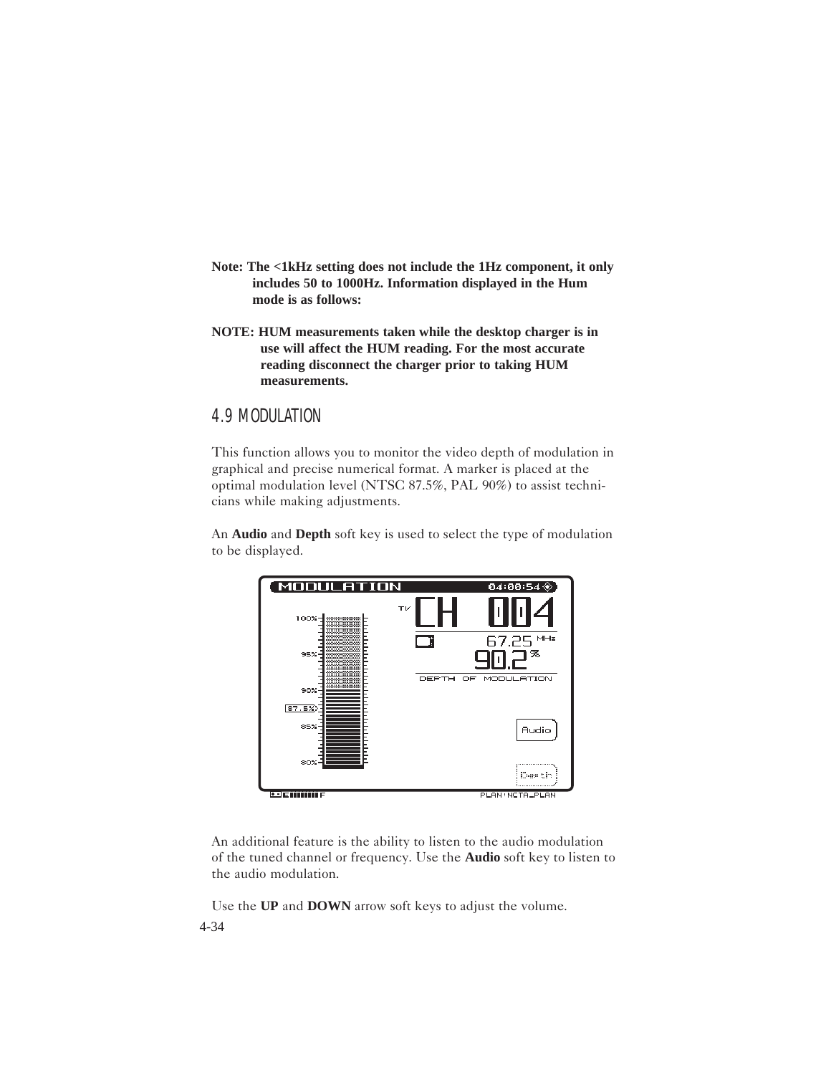- **Note: The <1kHz setting does not include the 1Hz component, it only includes 50 to 1000Hz. Information displayed in the Hum mode is as follows:**
- **NOTE: HUM measurements taken while the desktop charger is in use will affect the HUM reading. For the most accurate reading disconnect the charger prior to taking HUM measurements.**

# 4.9 MODULATION

This function allows you to monitor the video depth of modulation in graphical and precise numerical format. A marker is placed at the optimal modulation level (NTSC 87.5%, PAL 90%) to assist technicians while making adjustments.

An **Audio** and **Depth** soft key is used to select the type of modulation to be displayed.



An additional feature is the ability to listen to the audio modulation of the tuned channel or frequency. Use the **Audio** soft key to listen to the audio modulation.

4-34 Use the **UP** and **DOWN** arrow soft keys to adjust the volume.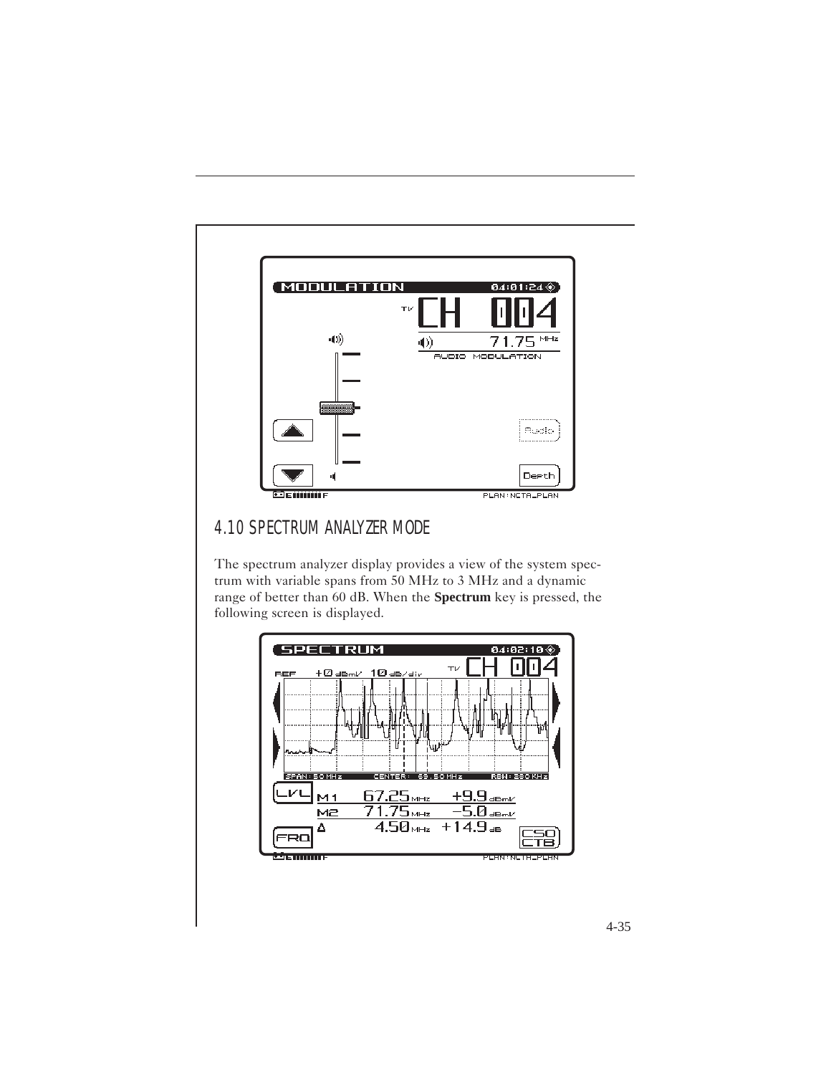

# 4.10 SPECTRUM ANALYZER MODE

The spectrum analyzer display provides a view of the system spectrum with variable spans from 50 MHz to 3 MHz and a dynamic range of better than 60 dB. When the **Spectrum** key is pressed, the following screen is displayed.

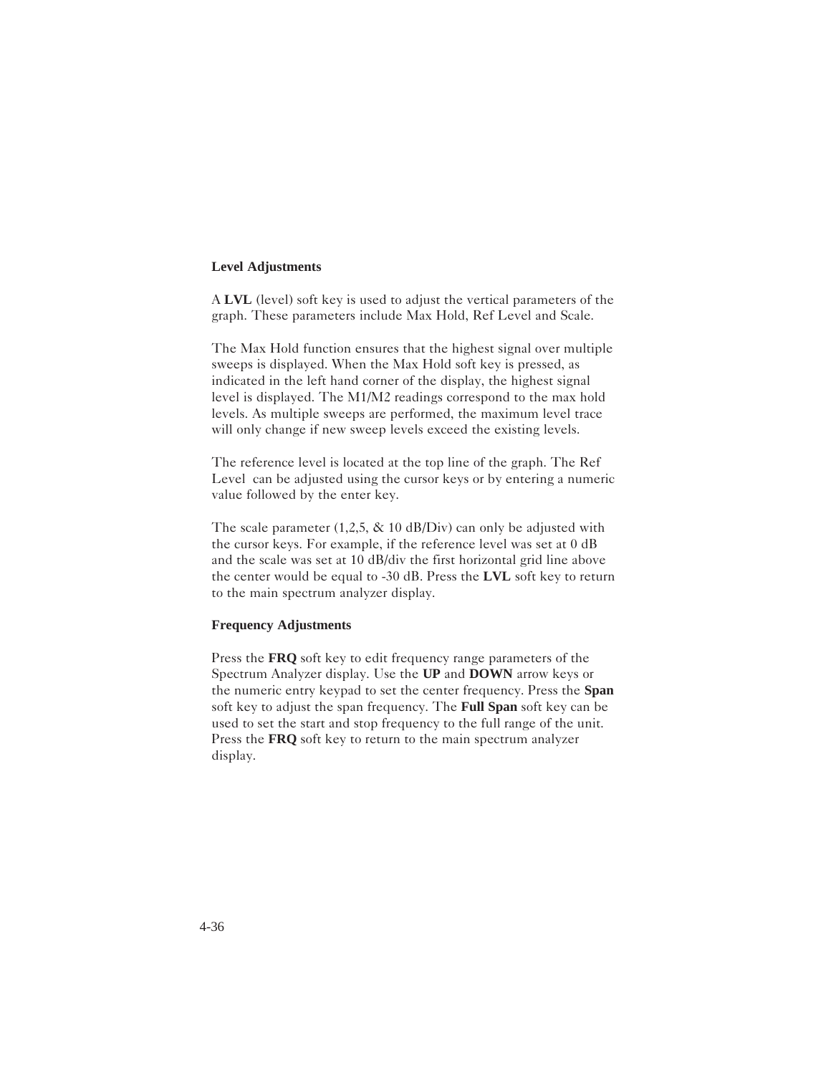#### **Level Adjustments**

A **LVL** (level) soft key is used to adjust the vertical parameters of the graph. These parameters include Max Hold, Ref Level and Scale.

The Max Hold function ensures that the highest signal over multiple sweeps is displayed. When the Max Hold soft key is pressed, as indicated in the left hand corner of the display, the highest signal level is displayed. The M1/M2 readings correspond to the max hold levels. As multiple sweeps are performed, the maximum level trace will only change if new sweep levels exceed the existing levels.

The reference level is located at the top line of the graph. The Ref Level can be adjusted using the cursor keys or by entering a numeric value followed by the enter key.

The scale parameter  $(1,2,5, \& 10 \text{ dB/Div})$  can only be adjusted with the cursor keys. For example, if the reference level was set at 0 dB and the scale was set at 10 dB/div the first horizontal grid line above the center would be equal to -30 dB. Press the **LVL** soft key to return to the main spectrum analyzer display.

#### **Frequency Adjustments**

Press the **FRQ** soft key to edit frequency range parameters of the Spectrum Analyzer display. Use the **UP** and **DOWN** arrow keys or the numeric entry keypad to set the center frequency. Press the **Span** soft key to adjust the span frequency. The **Full Span** soft key can be used to set the start and stop frequency to the full range of the unit. Press the **FRQ** soft key to return to the main spectrum analyzer display.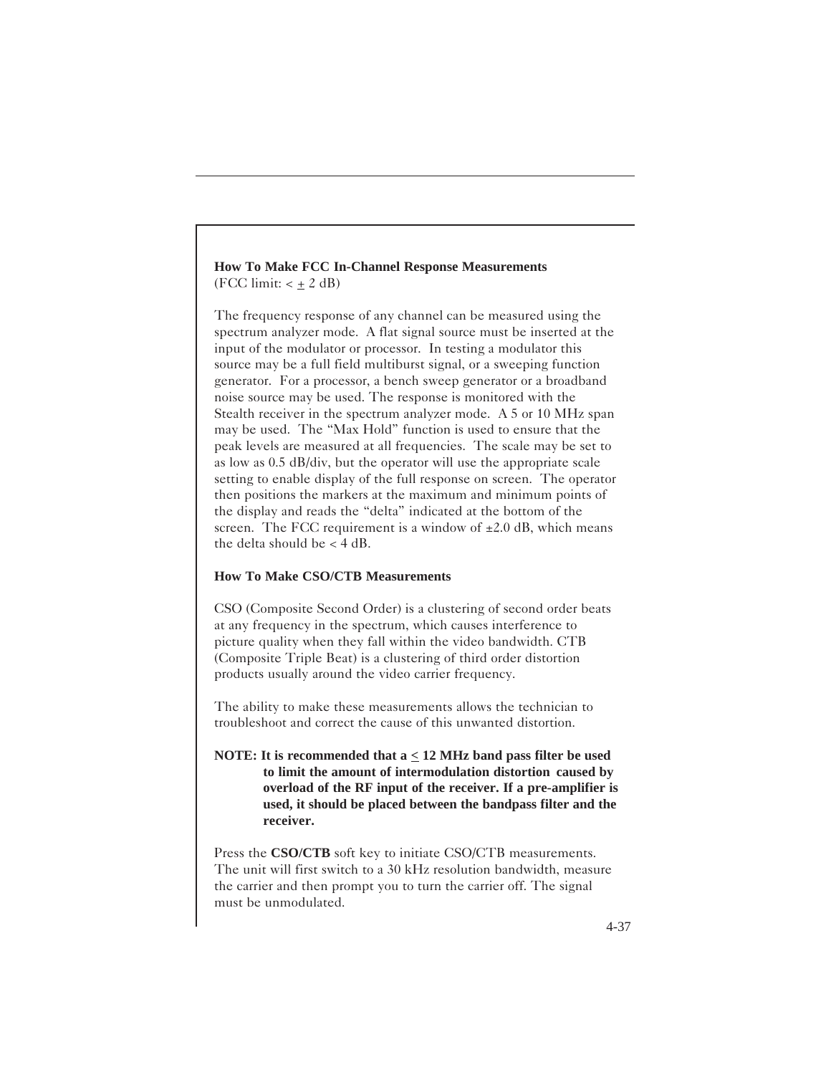#### **How To Make FCC In-Channel Response Measurements** (FCC limit:  $< \pm 2$  dB)

The frequency response of any channel can be measured using the spectrum analyzer mode. A flat signal source must be inserted at the input of the modulator or processor. In testing a modulator this source may be a full field multiburst signal, or a sweeping function generator. For a processor, a bench sweep generator or a broadband noise source may be used. The response is monitored with the Stealth receiver in the spectrum analyzer mode. A 5 or 10 MHz span may be used. The "Max Hold" function is used to ensure that the peak levels are measured at all frequencies. The scale may be set to as low as 0.5 dB/div, but the operator will use the appropriate scale setting to enable display of the full response on screen. The operator then positions the markers at the maximum and minimum points of the display and reads the "delta" indicated at the bottom of the screen. The FCC requirement is a window of  $\pm 2.0$  dB, which means the delta should be < 4 dB.

#### **How To Make CSO/CTB Measurements**

CSO (Composite Second Order) is a clustering of second order beats at any frequency in the spectrum, which causes interference to picture quality when they fall within the video bandwidth. CTB (Composite Triple Beat) is a clustering of third order distortion products usually around the video carrier frequency.

The ability to make these measurements allows the technician to troubleshoot and correct the cause of this unwanted distortion.

**NOTE:** It is recommended that  $a \le 12$  MHz band pass filter be used **to limit the amount of intermodulation distortion caused by overload of the RF input of the receiver. If a pre-amplifier is used, it should be placed between the bandpass filter and the receiver.**

Press the **CSO/CTB** soft key to initiate CSO/CTB measurements. The unit will first switch to a 30 kHz resolution bandwidth, measure the carrier and then prompt you to turn the carrier off. The signal must be unmodulated.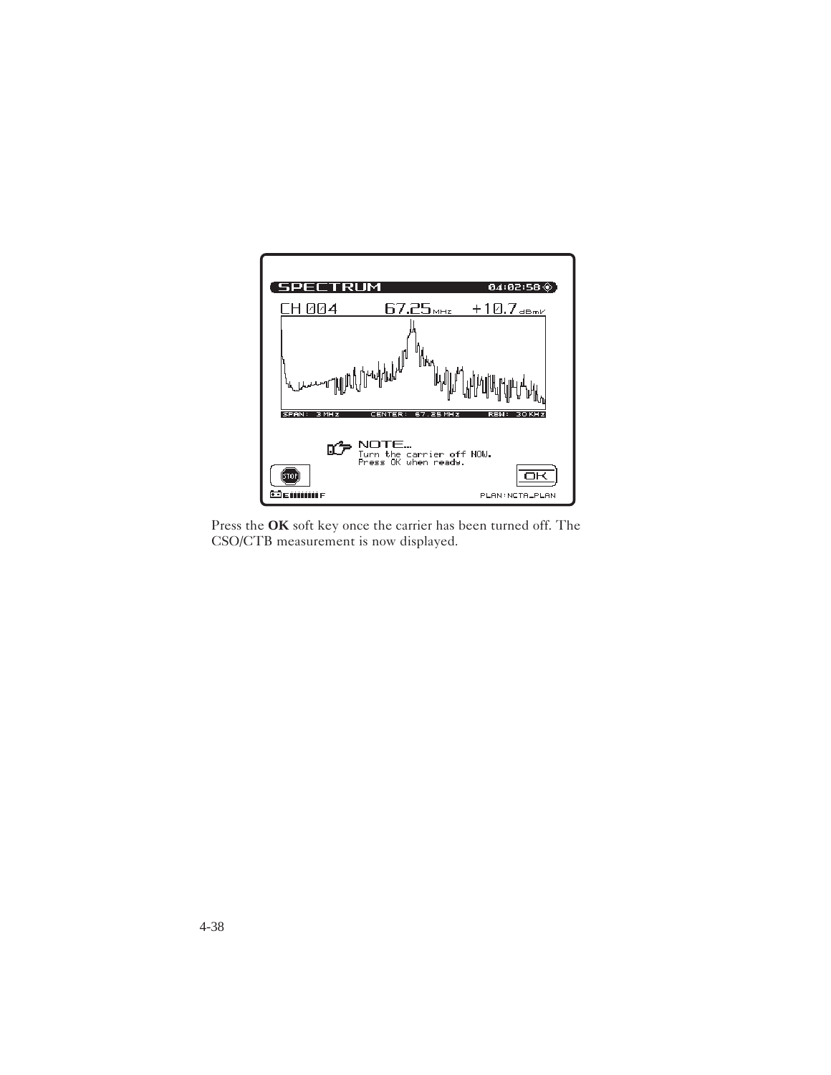

Press the **OK** soft key once the carrier has been turned off. The CSO/CTB measurement is now displayed.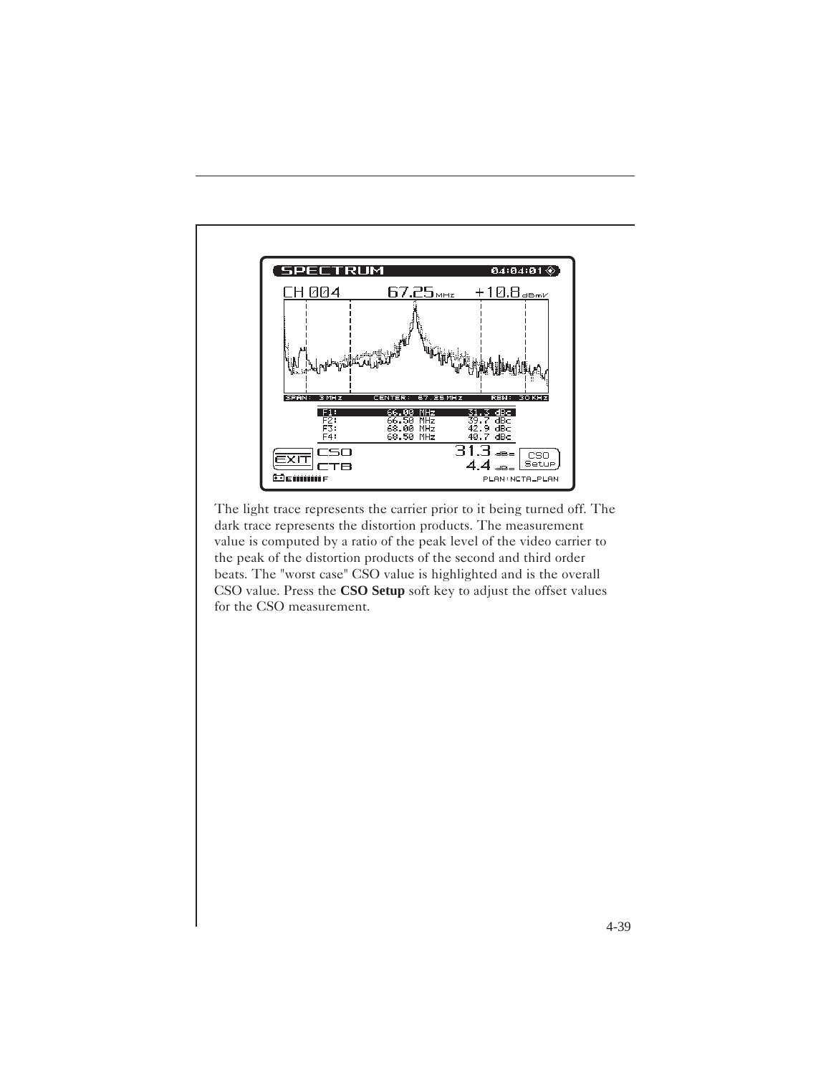

The light trace represents the carrier prior to it being turned off. The dark trace represents the distortion products. The measurement value is computed by a ratio of the peak level of the video carrier to the peak of the distortion products of the second and third order beats. The "worst case" CSO value is highlighted and is the overall CSO value. Press the **CSO Setup** soft key to adjust the offset values for the CSO measurement.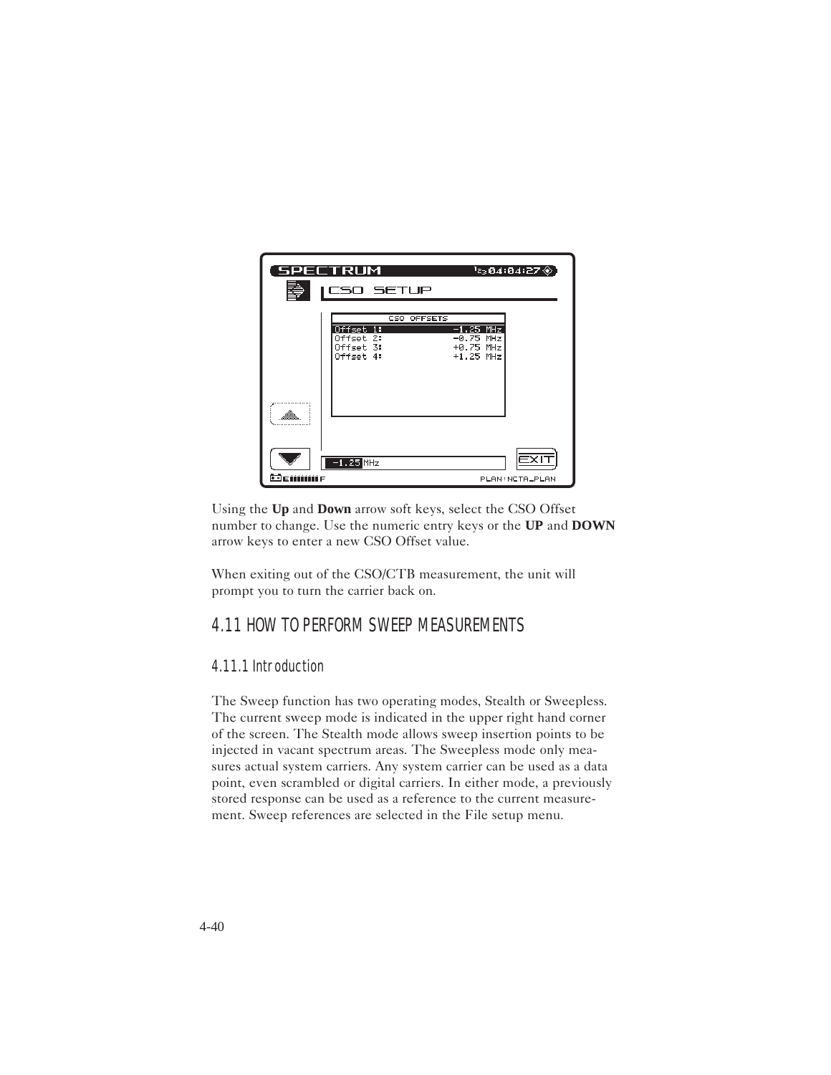|         | <b>SPECTRUM</b><br><b>ICSO SETUP</b>                               | $1_{23}$ 04:04:27 $\circledast$                    |
|---------|--------------------------------------------------------------------|----------------------------------------------------|
| <br>    | CSO OFFSETS<br>1.<br>Affset<br>Offset 2:<br>Offset 3:<br>Offset 4: | -1.25 MHz<br>-0.75 MHz<br>+0.75 MHz<br>$+1.25$ MHz |
| ⊡emmine | $-1.25$ MHz                                                        | PLAN: NCTA_PLAN                                    |

Using the **Up** and **Down** arrow soft keys, select the CSO Offset number to change. Use the numeric entry keys or the **UP** and **DOWN** arrow keys to enter a new CSO Offset value.

When exiting out of the CSO/CTB measurement, the unit will prompt you to turn the carrier back on.

# 4.11 HOW TO PERFORM SWEEP MEASUREMENTS

### 4.11.1 Introduction

The Sweep function has two operating modes, Stealth or Sweepless. The current sweep mode is indicated in the upper right hand corner of the screen. The Stealth mode allows sweep insertion points to be injected in vacant spectrum areas. The Sweepless mode only measures actual system carriers. Any system carrier can be used as a data point, even scrambled or digital carriers. In either mode, a previously stored response can be used as a reference to the current measurement. Sweep references are selected in the File setup menu.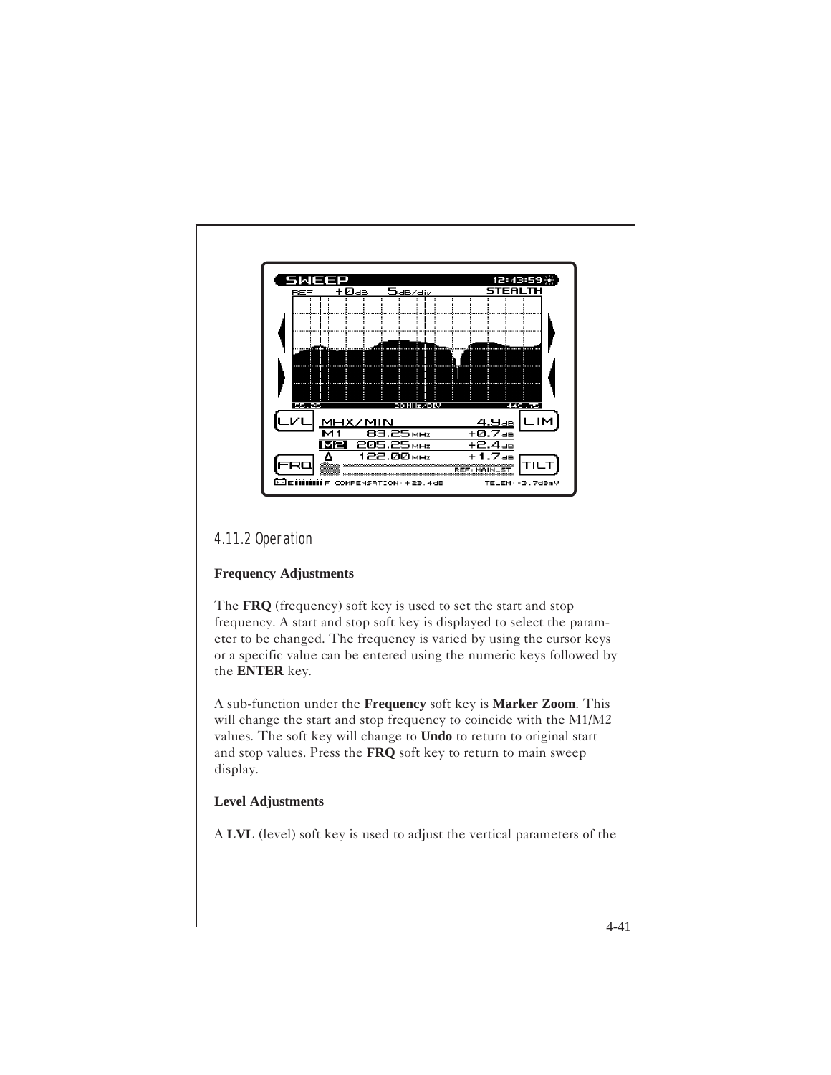

### 4.11.2 Operation

### **Frequency Adjustments**

The **FRQ** (frequency) soft key is used to set the start and stop frequency. A start and stop soft key is displayed to select the parameter to be changed. The frequency is varied by using the cursor keys or a specific value can be entered using the numeric keys followed by the **ENTER** key.

A sub-function under the **Frequency** soft key is **Marker Zoom**. This will change the start and stop frequency to coincide with the M1/M2 values. The soft key will change to **Undo** to return to original start and stop values. Press the **FRQ** soft key to return to main sweep display.

### **Level Adjustments**

A **LVL** (level) soft key is used to adjust the vertical parameters of the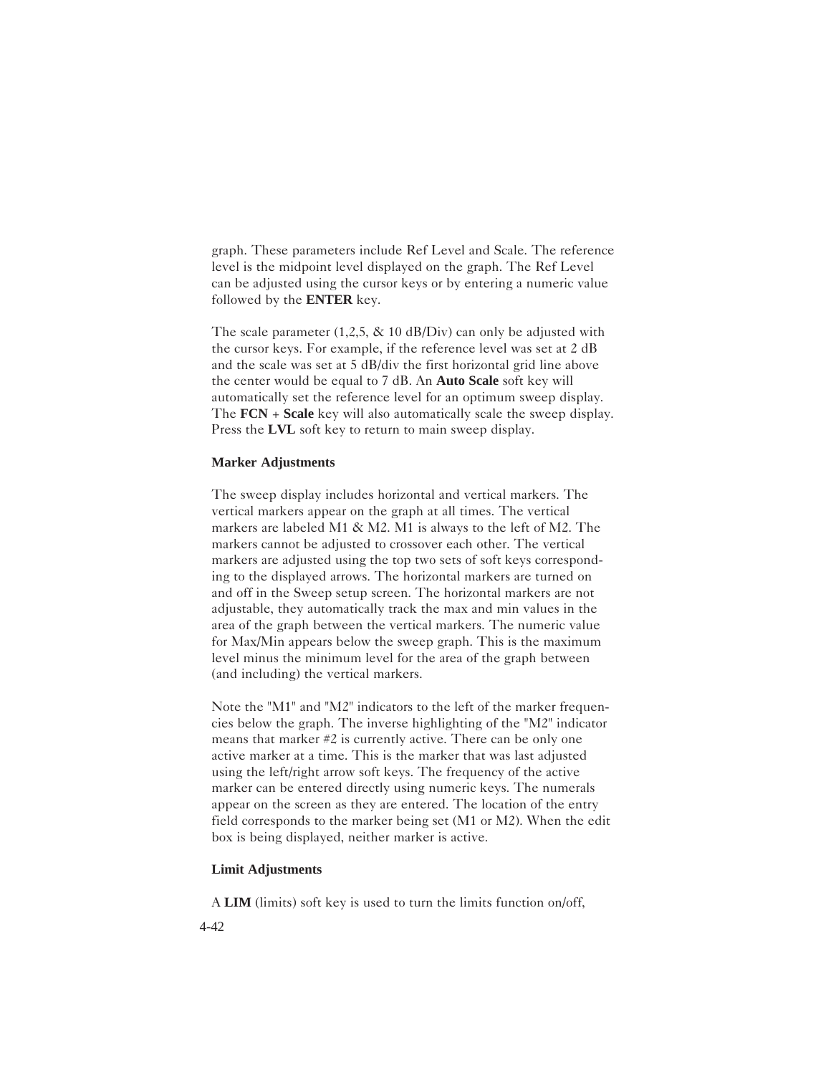graph. These parameters include Ref Level and Scale. The reference level is the midpoint level displayed on the graph. The Ref Level can be adjusted using the cursor keys or by entering a numeric value followed by the **ENTER** key.

The scale parameter  $(1,2,5, \& 10 \text{ dB/Div})$  can only be adjusted with the cursor keys. For example, if the reference level was set at 2 dB and the scale was set at 5 dB/div the first horizontal grid line above the center would be equal to 7 dB. An **Auto Scale** soft key will automatically set the reference level for an optimum sweep display. The **FCN** + **Scale** key will also automatically scale the sweep display. Press the **LVL** soft key to return to main sweep display.

#### **Marker Adjustments**

The sweep display includes horizontal and vertical markers. The vertical markers appear on the graph at all times. The vertical markers are labeled M1 & M2. M1 is always to the left of M2. The markers cannot be adjusted to crossover each other. The vertical markers are adjusted using the top two sets of soft keys corresponding to the displayed arrows. The horizontal markers are turned on and off in the Sweep setup screen. The horizontal markers are not adjustable, they automatically track the max and min values in the area of the graph between the vertical markers. The numeric value for Max/Min appears below the sweep graph. This is the maximum level minus the minimum level for the area of the graph between (and including) the vertical markers.

Note the "M1" and "M2" indicators to the left of the marker frequencies below the graph. The inverse highlighting of the "M2" indicator means that marker #2 is currently active. There can be only one active marker at a time. This is the marker that was last adjusted using the left/right arrow soft keys. The frequency of the active marker can be entered directly using numeric keys. The numerals appear on the screen as they are entered. The location of the entry field corresponds to the marker being set (M1 or M2). When the edit box is being displayed, neither marker is active.

#### **Limit Adjustments**

A **LIM** (limits) soft key is used to turn the limits function on/off,

4-42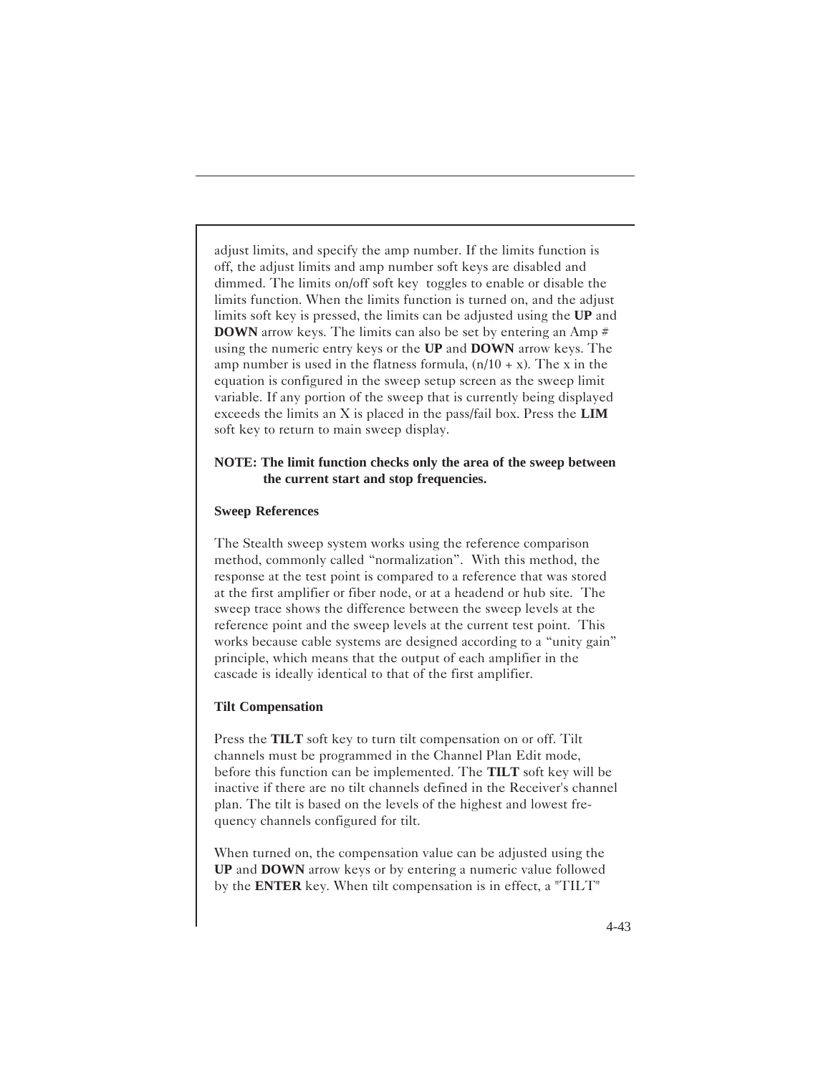adjust limits, and specify the amp number. If the limits function is off, the adjust limits and amp number soft keys are disabled and dimmed. The limits on/off soft key toggles to enable or disable the limits function. When the limits function is turned on, and the adjust limits soft key is pressed, the limits can be adjusted using the **UP** and **DOWN** arrow keys. The limits can also be set by entering an Amp # using the numeric entry keys or the **UP** and **DOWN** arrow keys. The amp number is used in the flatness formula,  $(n/10 + x)$ . The x in the equation is configured in the sweep setup screen as the sweep limit variable. If any portion of the sweep that is currently being displayed exceeds the limits an X is placed in the pass/fail box. Press the **LIM** soft key to return to main sweep display.

### **NOTE: The limit function checks only the area of the sweep between the current start and stop frequencies.**

#### **Sweep References**

The Stealth sweep system works using the reference comparison method, commonly called "normalization". With this method, the response at the test point is compared to a reference that was stored at the first amplifier or fiber node, or at a headend or hub site. The sweep trace shows the difference between the sweep levels at the reference point and the sweep levels at the current test point. This works because cable systems are designed according to a "unity gain" principle, which means that the output of each amplifier in the cascade is ideally identical to that of the first amplifier.

#### **Tilt Compensation**

Press the **TILT** soft key to turn tilt compensation on or off. Tilt channels must be programmed in the Channel Plan Edit mode, before this function can be implemented. The **TILT** soft key will be inactive if there are no tilt channels defined in the Receiver's channel plan. The tilt is based on the levels of the highest and lowest frequency channels configured for tilt.

When turned on, the compensation value can be adjusted using the **UP** and **DOWN** arrow keys or by entering a numeric value followed by the **ENTER** key. When tilt compensation is in effect, a "TILT"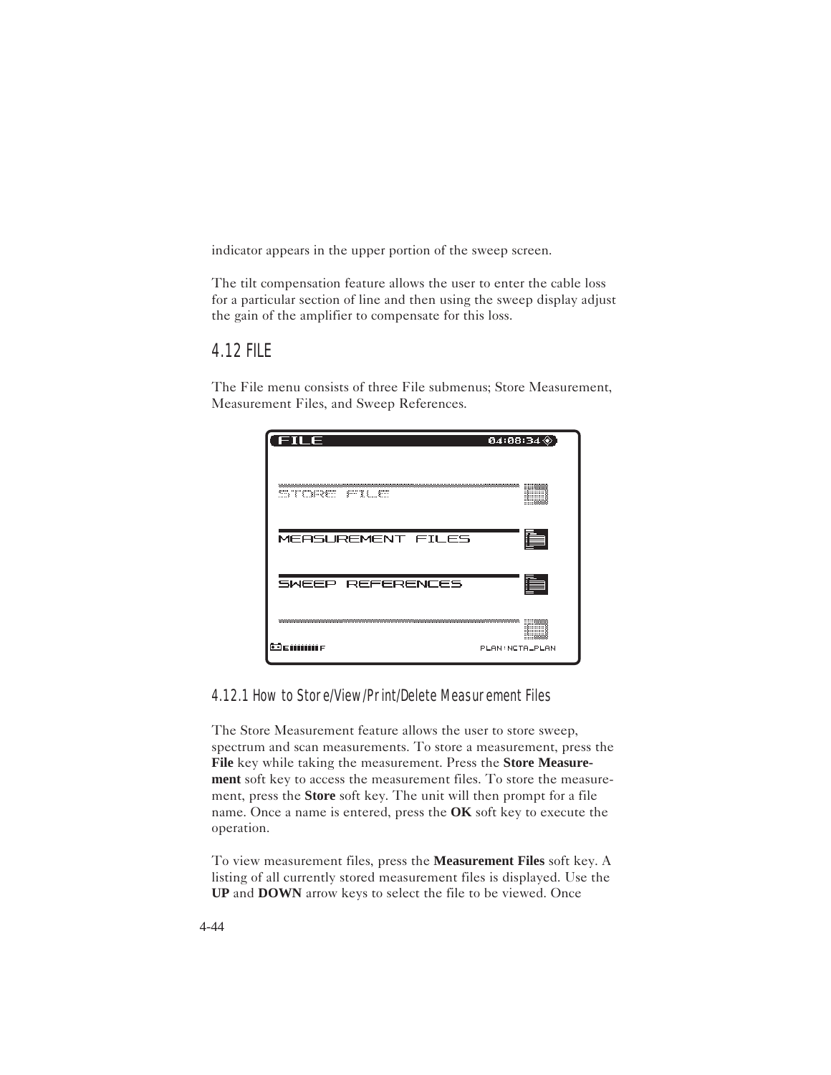indicator appears in the upper portion of the sweep screen.

The tilt compensation feature allows the user to enter the cable loss for a particular section of line and then using the sweep display adjust the gain of the amplifier to compensate for this loss.

# 4.12 FILE

The File menu consists of three File submenus; Store Measurement, Measurement Files, and Sweep References.

| FILE                                                 | <b>04:08:34 <math>\diamondsuit</math></b> |
|------------------------------------------------------|-------------------------------------------|
| ,,,,,,,,,,,,,,,,,,,,,,,,,,,,,,,,,,,<br>STORE<br>PILE |                                           |
| <b>MEASUREMENT FILES</b>                             |                                           |
| SWEEP REFERENCES                                     |                                           |
| <b>Eleminie</b><br>PLAN: NCTA_PLAN                   |                                           |

### 4.12.1 How to Store/View/Print/Delete Measurement Files

The Store Measurement feature allows the user to store sweep, spectrum and scan measurements. To store a measurement, press the **File** key while taking the measurement. Press the **Store Measurement** soft key to access the measurement files. To store the measurement, press the **Store** soft key. The unit will then prompt for a file name. Once a name is entered, press the **OK** soft key to execute the operation.

To view measurement files, press the **Measurement Files** soft key. A listing of all currently stored measurement files is displayed. Use the **UP** and **DOWN** arrow keys to select the file to be viewed. Once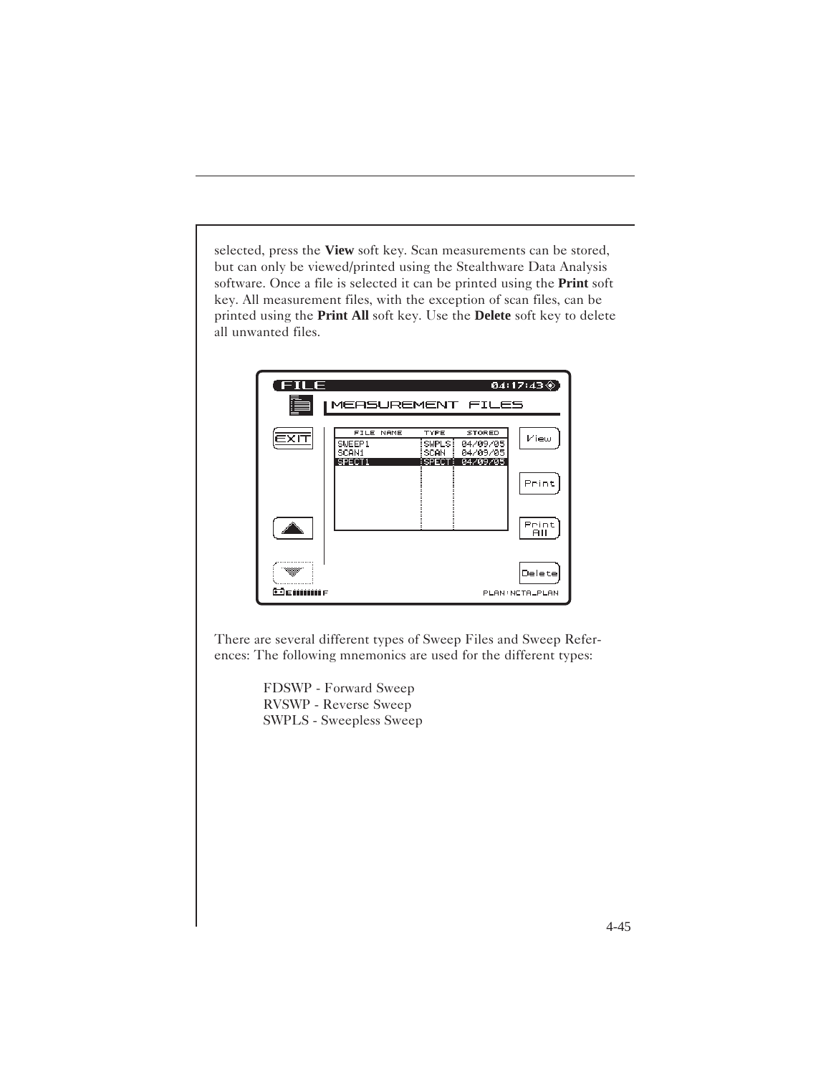selected, press the **View** soft key. Scan measurements can be stored, but can only be viewed/printed using the Stealthware Data Analysis software. Once a file is selected it can be printed using the **Print** soft key. All measurement files, with the exception of scan files, can be printed using the **Print All** soft key. Use the **Delete** soft key to delete all unwanted files.



There are several different types of Sweep Files and Sweep References: The following mnemonics are used for the different types:

> FDSWP - Forward Sweep RVSWP - Reverse Sweep SWPLS - Sweepless Sweep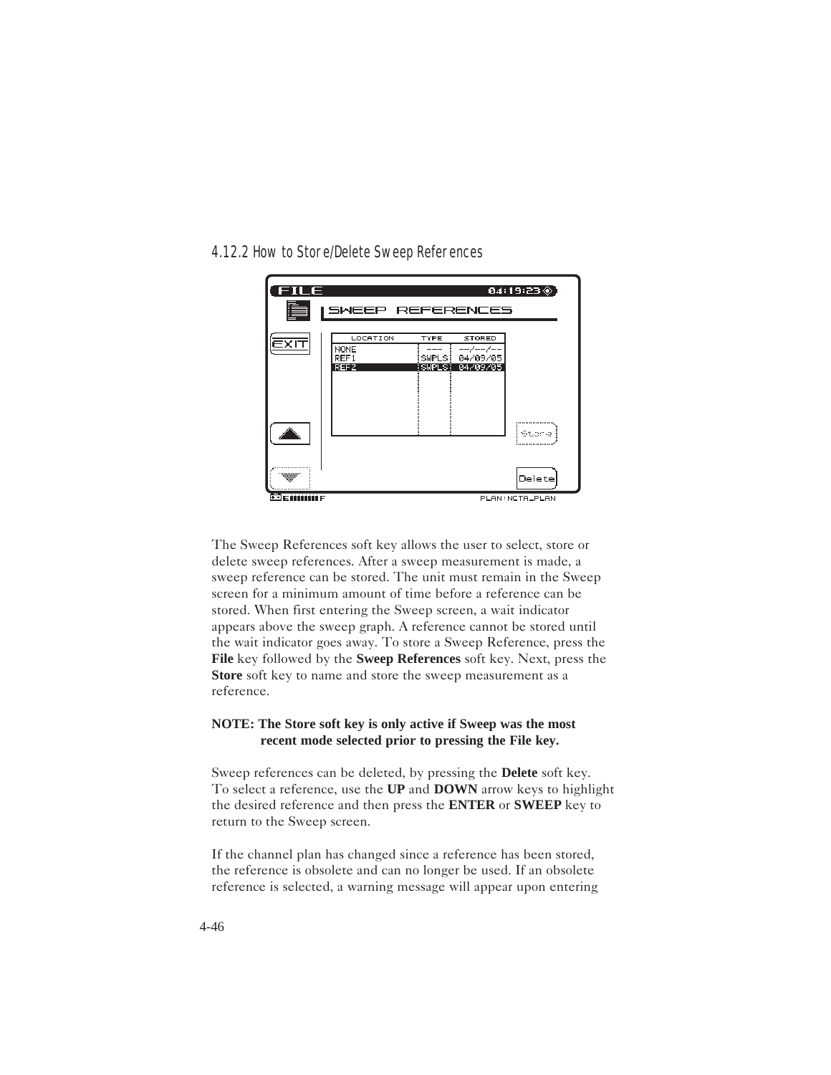| FILE<br>è              | 04:19:23 $\diamondledast$<br><b>SWEEP REFERENCES</b>                                                                                     |
|------------------------|------------------------------------------------------------------------------------------------------------------------------------------|
|                        | LOCATION<br>TYPE<br><b>STORED</b><br>NONE<br>ーーノーーノーー<br>REF1<br>SWPLS!<br>04/09/05<br>REF <sub>2</sub><br>04/09/05<br><b>SWPLS!</b><br> |
| <br><b>Edenministr</b> | Storle<br>:<br>Delete                                                                                                                    |

### 4.12.2 How to Store/Delete Sweep References

The Sweep References soft key allows the user to select, store or delete sweep references. After a sweep measurement is made, a sweep reference can be stored. The unit must remain in the Sweep screen for a minimum amount of time before a reference can be stored. When first entering the Sweep screen, a wait indicator appears above the sweep graph. A reference cannot be stored until the wait indicator goes away. To store a Sweep Reference, press the **File** key followed by the **Sweep References** soft key. Next, press the **Store** soft key to name and store the sweep measurement as a reference.

### **NOTE: The Store soft key is only active if Sweep was the most recent mode selected prior to pressing the File key.**

Sweep references can be deleted, by pressing the **Delete** soft key. To select a reference, use the **UP** and **DOWN** arrow keys to highlight the desired reference and then press the **ENTER** or **SWEEP** key to return to the Sweep screen.

If the channel plan has changed since a reference has been stored, the reference is obsolete and can no longer be used. If an obsolete reference is selected, a warning message will appear upon entering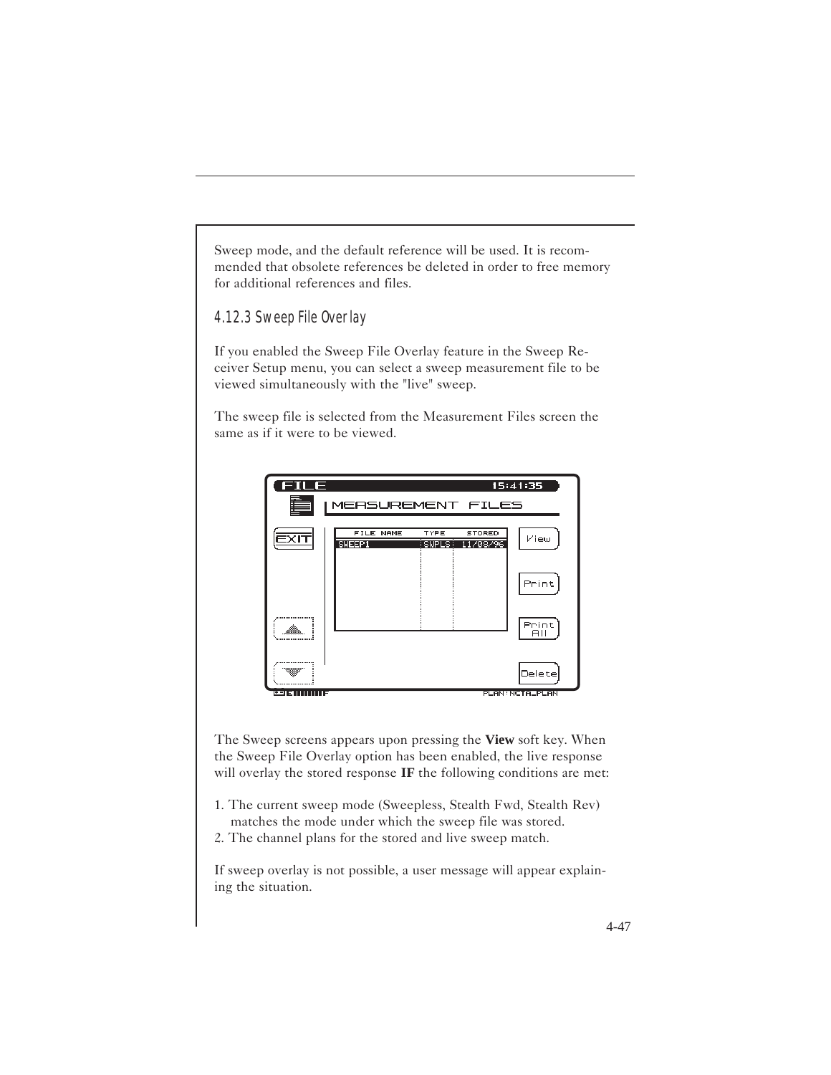Sweep mode, and the default reference will be used. It is recommended that obsolete references be deleted in order to free memory for additional references and files.

### 4.12.3 Sweep File Overlay

If you enabled the Sweep File Overlay feature in the Sweep Receiver Setup menu, you can select a sweep measurement file to be viewed simultaneously with the "live" sweep.

The sweep file is selected from the Measurement Files screen the same as if it were to be viewed.

| FILE             | 15:41:35                                                                |
|------------------|-------------------------------------------------------------------------|
| f                | <b>IMEASUREMENT FILES</b>                                               |
|                  | <b>STORED</b><br>FILE NAME<br>TYPE<br>View<br>SWPLS: 11/08/96<br>SWEEP1 |
|                  | Print                                                                   |
| <br>             | Print<br>AII                                                            |
|                  | Delete                                                                  |
| <u>+-</u> EMMINF | PLAN: NCTA_PLAN                                                         |

The Sweep screens appears upon pressing the **View** soft key. When the Sweep File Overlay option has been enabled, the live response will overlay the stored response **IF** the following conditions are met:

- 1. The current sweep mode (Sweepless, Stealth Fwd, Stealth Rev)
- matches the mode under which the sweep file was stored. 2. The channel plans for the stored and live sweep match.

If sweep overlay is not possible, a user message will appear explaining the situation.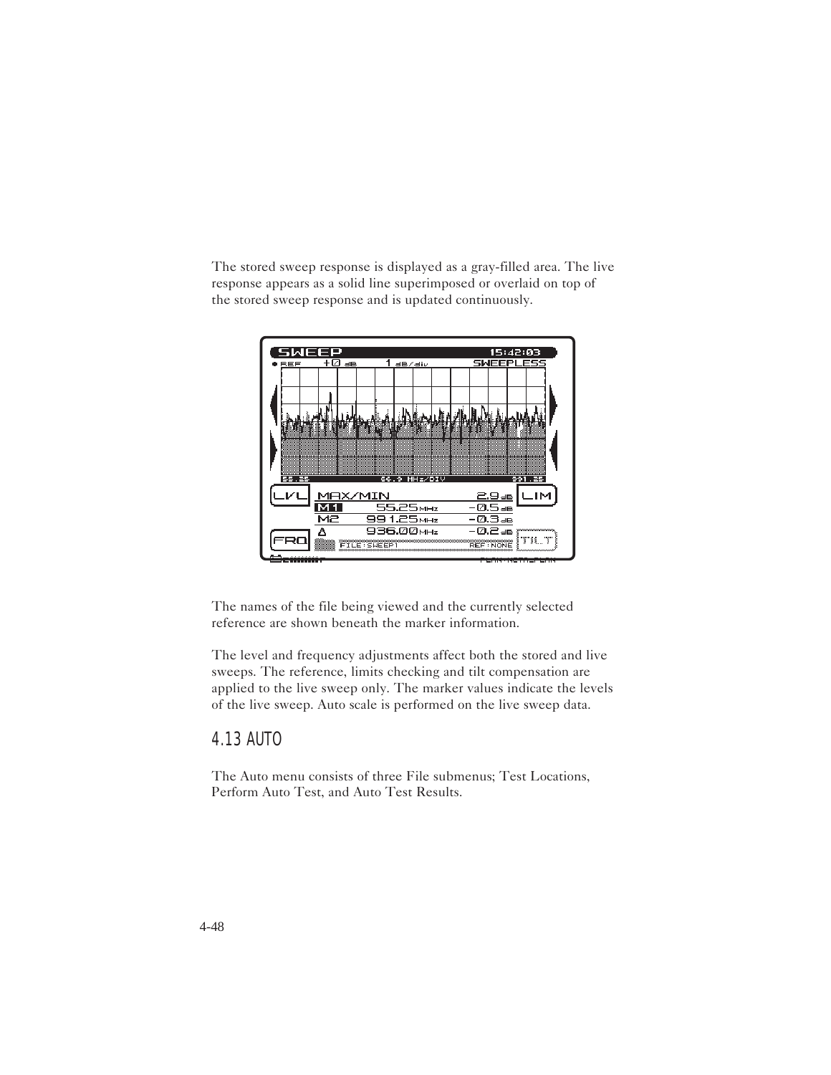The stored sweep response is displayed as a gray-filled area. The live response appears as a solid line superimposed or overlaid on top of the stored sweep response and is updated continuously.



The names of the file being viewed and the currently selected reference are shown beneath the marker information.

The level and frequency adjustments affect both the stored and live sweeps. The reference, limits checking and tilt compensation are applied to the live sweep only. The marker values indicate the levels of the live sweep. Auto scale is performed on the live sweep data.

# 4.13 AUTO

The Auto menu consists of three File submenus; Test Locations, Perform Auto Test, and Auto Test Results.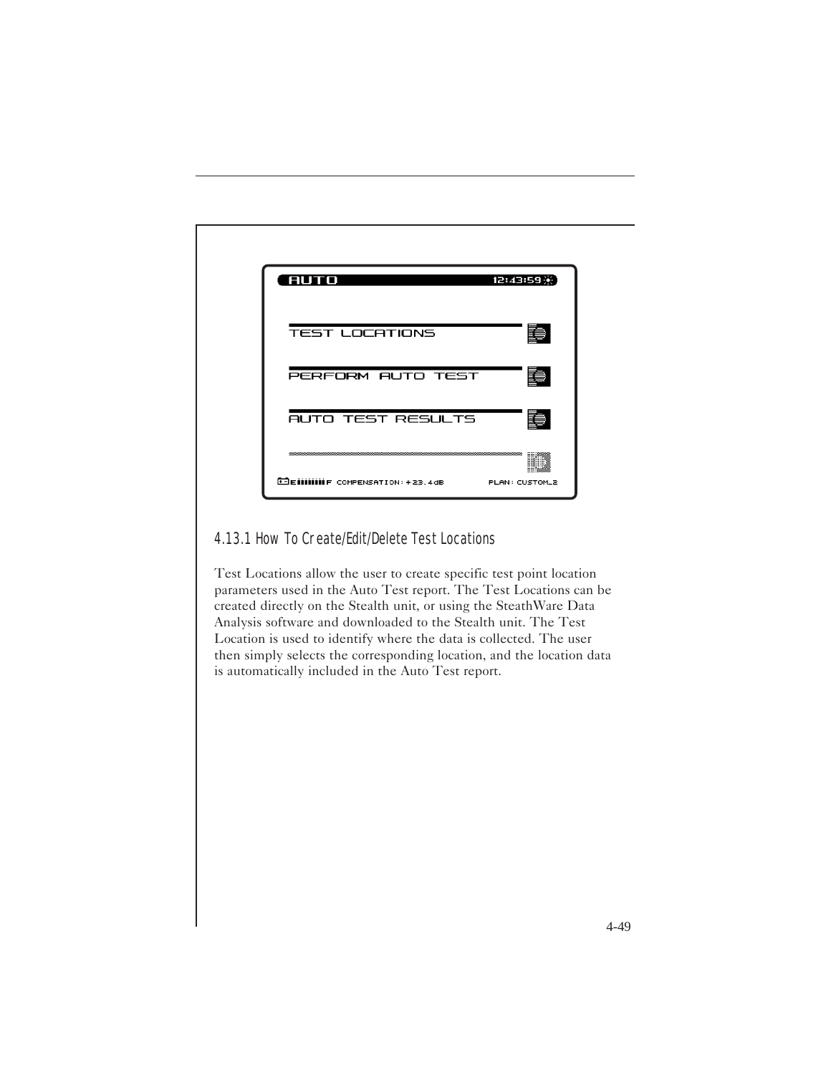

# 4.13.1 How To Create/Edit/Delete Test Locations

Test Locations allow the user to create specific test point location parameters used in the Auto Test report. The Test Locations can be created directly on the Stealth unit, or using the SteathWare Data Analysis software and downloaded to the Stealth unit. The Test Location is used to identify where the data is collected. The user then simply selects the corresponding location, and the location data is automatically included in the Auto Test report.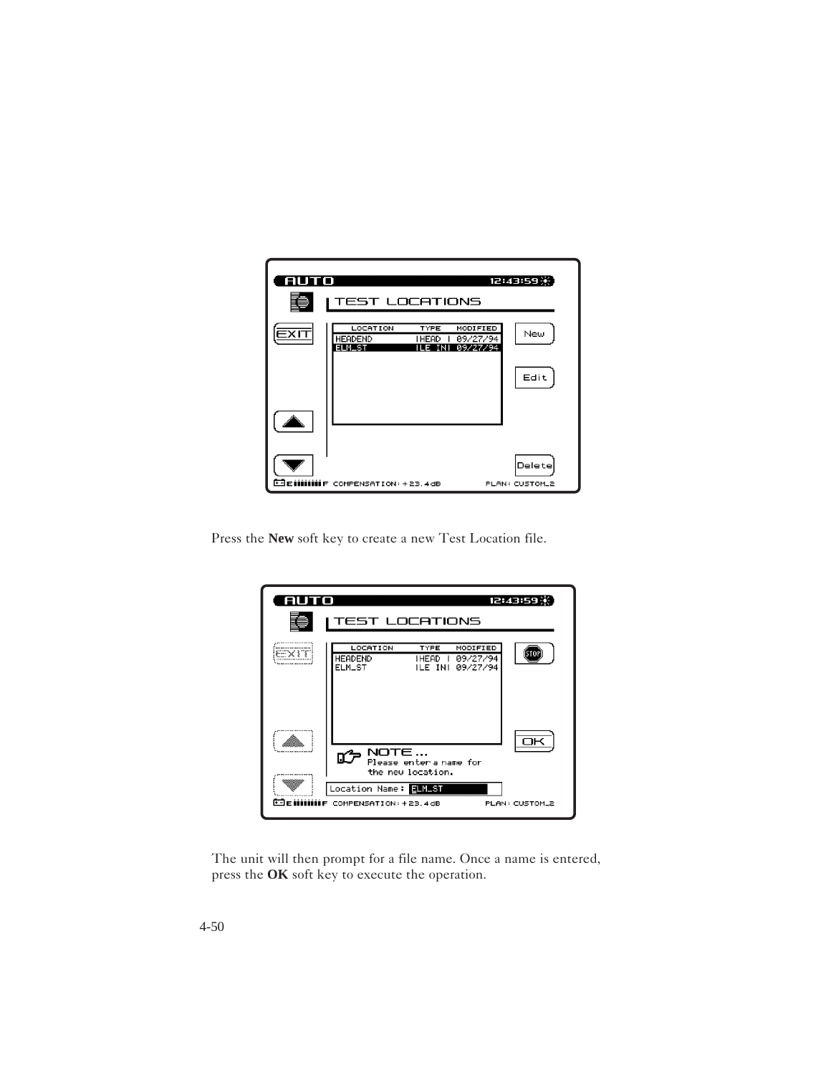| en  | TEST LOCATIONS                                                                                       | 12:43:59 米)              |
|-----|------------------------------------------------------------------------------------------------------|--------------------------|
| ΞХΠ | LOCATION<br>MODIFIED<br>TYPE<br><b>HEADEND</b><br>09/27/94<br><b>I HEAD</b><br>MLST<br>09/27/94<br>Ξ | New                      |
|     |                                                                                                      | Edit                     |
|     |                                                                                                      |                          |
|     | <b>Edicilialistic COMPENSATION: +23.4dB</b>                                                          | Delete<br>PLAN: CUSTOM_2 |

Press the **New** soft key to create a new Test Location file.

|      | TEST LOCATIONS                                                                  | 12:43:59 米                       |
|------|---------------------------------------------------------------------------------|----------------------------------|
| €∷×ਾ | LOCATION<br><b>TYPE</b><br><b>HEADEND</b><br><b>I HEAD</b><br>ELM_ST<br>ILE INI | MODIFIED<br>09/27/94<br>09/27/94 |
|      | NOTE<br>Please enter a name for<br>the new location.                            |                                  |
| 医同时  | Location Name: <b>ELMLST</b><br><b>ININIE COMPENSATION:+23.4dB</b>              | PLAN: CUSTOM_2                   |

The unit will then prompt for a file name. Once a name is entered, press the **OK** soft key to execute the operation.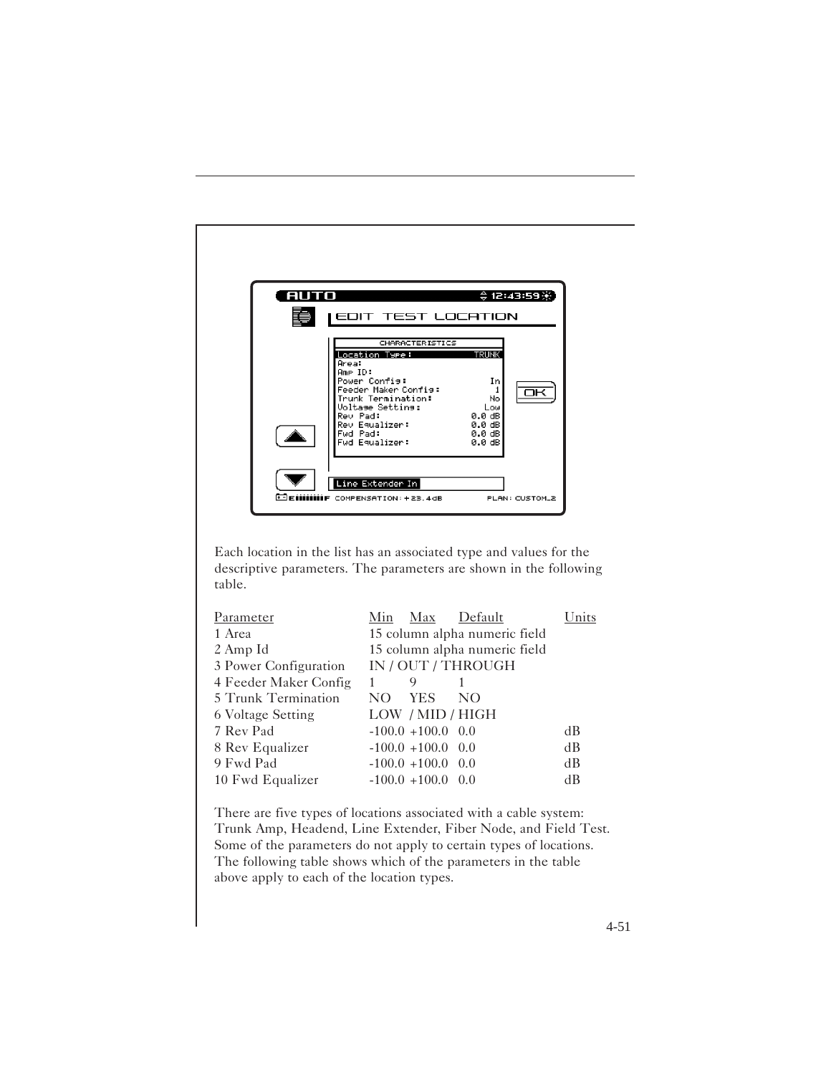

Each location in the list has an associated type and values for the descriptive parameters. The parameters are shown in the following table.

| Parameter             | Min |                      | Max Default                   | Jnits |
|-----------------------|-----|----------------------|-------------------------------|-------|
| 1 Area                |     |                      | 15 column alpha numeric field |       |
| 2 Amp Id              |     |                      | 15 column alpha numeric field |       |
| 3 Power Configuration |     |                      | IN / OUT / THROUGH            |       |
| 4 Feeder Maker Config |     | 9                    |                               |       |
| 5 Trunk Termination   | NO. | <b>YES</b>           | NO.                           |       |
| 6 Voltage Setting     |     | LOW / MID / HIGH     |                               |       |
| 7 Rev Pad             |     | $-100.0 + 100.0$ 0.0 |                               | dВ    |
| 8 Rev Equalizer       |     | $-100.0 + 100.0$ 0.0 |                               | dB    |
| 9 Fwd Pad             |     | $-100.0 + 100.0$ 0.0 |                               | dB    |
| 10 Fwd Equalizer      |     | $-100.0 + 100.0$ 0.0 |                               | dB    |

There are five types of locations associated with a cable system: Trunk Amp, Headend, Line Extender, Fiber Node, and Field Test. Some of the parameters do not apply to certain types of locations. The following table shows which of the parameters in the table above apply to each of the location types.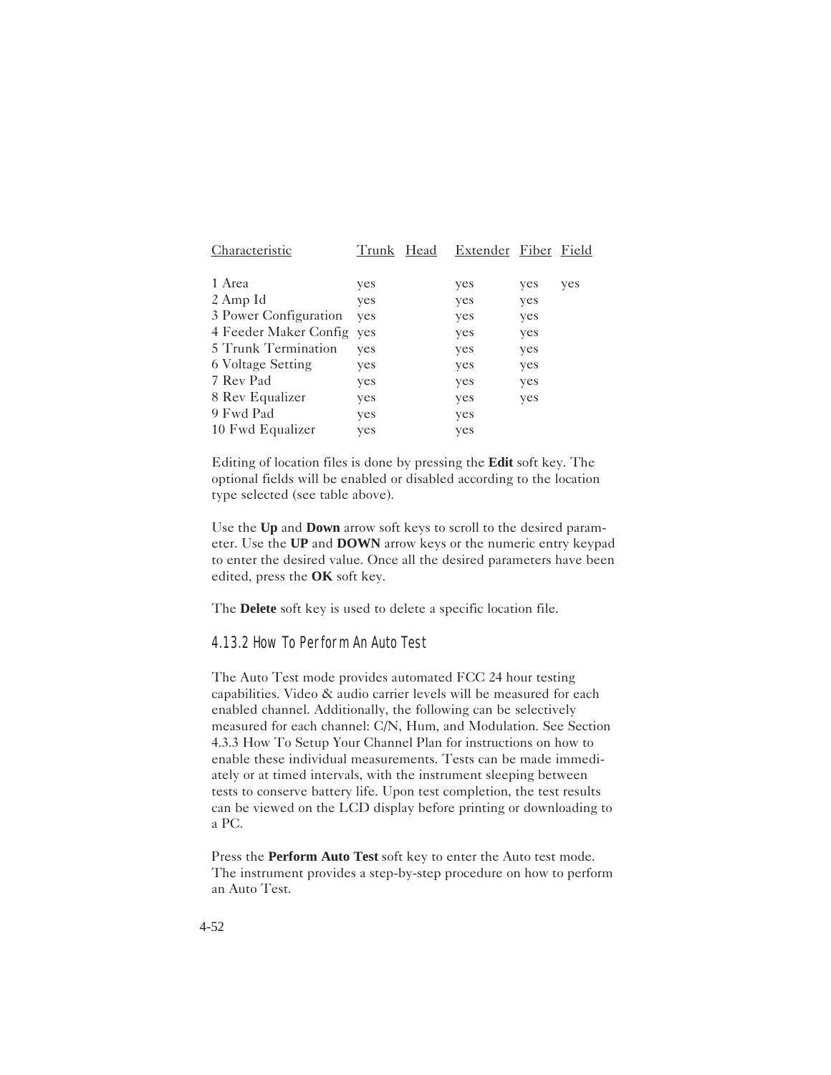| Characteristic        | Trunk | Head | Extender Fiber |     | Field |
|-----------------------|-------|------|----------------|-----|-------|
|                       |       |      |                |     |       |
| 1 Area                | yes   |      | yes            | yes | yes   |
| 2 Amp Id              | yes   |      | yes            | yes |       |
| 3 Power Configuration | ves   |      | yes            | yes |       |
| 4 Feeder Maker Config | yes   |      | yes            | yes |       |
| 5 Trunk Termination   | yes   |      | yes            | yes |       |
| 6 Voltage Setting     | yes   |      | yes            | yes |       |
| 7 Rev Pad             | yes   |      | yes            | yes |       |
| 8 Rev Equalizer       | yes   |      | yes            | yes |       |
| 9 Fwd Pad             | yes   |      | yes            |     |       |
| 10 Fwd Equalizer      | yes   |      | yes            |     |       |
|                       |       |      |                |     |       |

Editing of location files is done by pressing the **Edit** soft key. The optional fields will be enabled or disabled according to the location type selected (see table above).

Use the **Up** and **Down** arrow soft keys to scroll to the desired parameter. Use the **UP** and **DOWN** arrow keys or the numeric entry keypad to enter the desired value. Once all the desired parameters have been edited, press the **OK** soft key.

The **Delete** soft key is used to delete a specific location file.

# 4.13.2 How To Perform An Auto Test

The Auto Test mode provides automated FCC 24 hour testing capabilities. Video & audio carrier levels will be measured for each enabled channel. Additionally, the following can be selectively measured for each channel: C/N, Hum, and Modulation. See Section 4.3.3 How To Setup Your Channel Plan for instructions on how to enable these individual measurements. Tests can be made immediately or at timed intervals, with the instrument sleeping between tests to conserve battery life. Upon test completion, the test results can be viewed on the LCD display before printing or downloading to a PC.

Press the **Perform Auto Test** soft key to enter the Auto test mode. The instrument provides a step-by-step procedure on how to perform an Auto Test.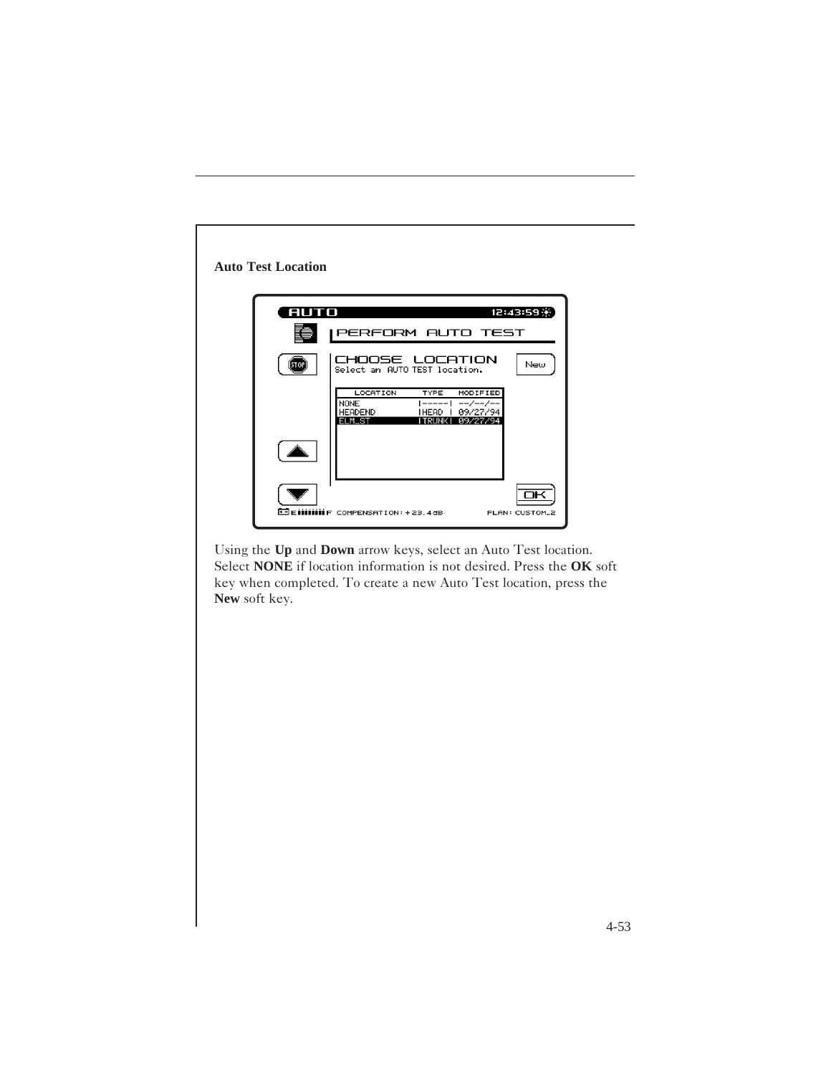| PERFORM AUTO TEST<br>CHOOSE LOCATION<br>New<br>810<br>Select an AUTO TEST location.<br><b>LOCATION</b><br><b>TYPE</b><br><b>NODIFIED</b><br><b>NONE</b><br>$- -$ /--/--<br>$--- - - 1$<br><b>HEADEND</b><br>09/27/94<br>HEAD<br>ELM_ST<br>89/27/94<br>TRUNK I | н | 12:43:59 |
|---------------------------------------------------------------------------------------------------------------------------------------------------------------------------------------------------------------------------------------------------------------|---|----------|
|                                                                                                                                                                                                                                                               |   |          |
|                                                                                                                                                                                                                                                               |   |          |
|                                                                                                                                                                                                                                                               |   |          |
|                                                                                                                                                                                                                                                               |   |          |

Using the **Up** and **Down** arrow keys, select an Auto Test location. Select **NONE** if location information is not desired. Press the **OK** soft key when completed. To create a new Auto Test location, press the **New** soft key.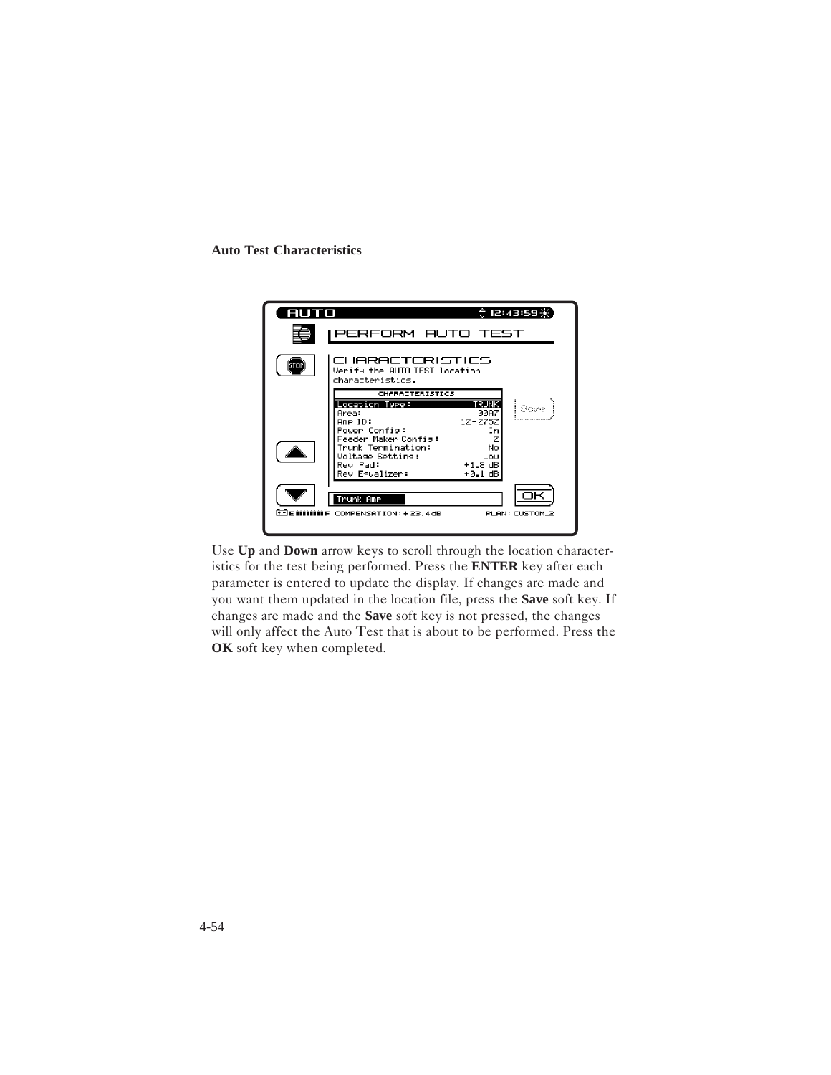#### **Auto Test Characteristics**



Use **Up** and **Down** arrow keys to scroll through the location characteristics for the test being performed. Press the **ENTER** key after each parameter is entered to update the display. If changes are made and you want them updated in the location file, press the **Save** soft key. If changes are made and the **Save** soft key is not pressed, the changes will only affect the Auto Test that is about to be performed. Press the **OK** soft key when completed.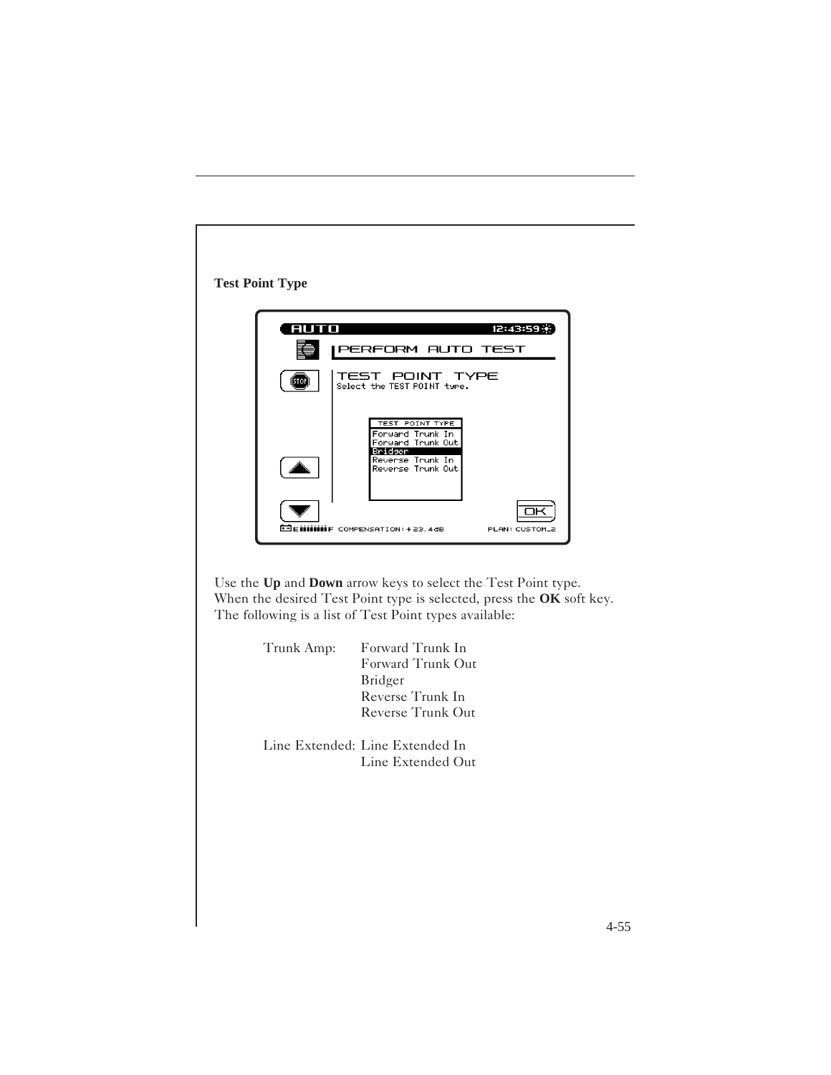

Use the **Up** and **Down** arrow keys to select the Test Point type. When the desired Test Point type is selected, press the **OK** soft key. The following is a list of Test Point types available:

| Forward Trunk In                |
|---------------------------------|
| Forward Trunk Out               |
| Bridger                         |
| Reverse Trunk In                |
| Reverse Trunk Out               |
| Line Extended: Line Extended In |
| Line Extended Out               |
|                                 |
|                                 |
|                                 |
|                                 |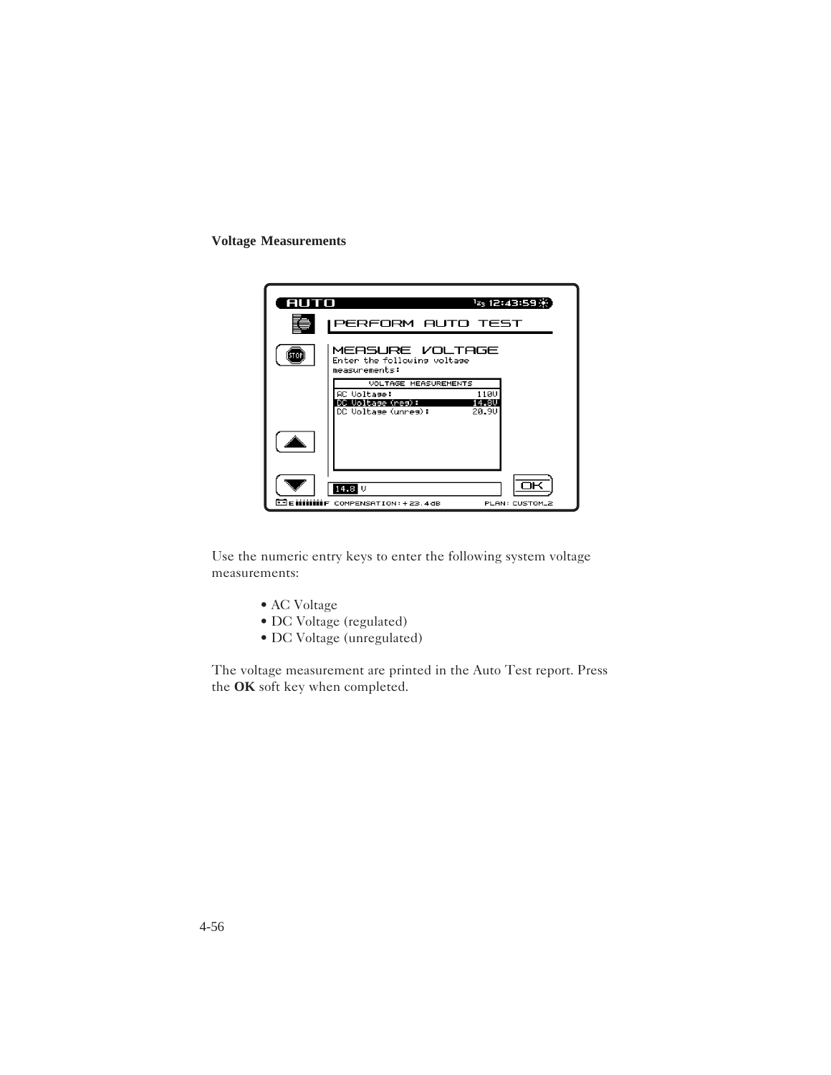#### **Voltage Measurements**



Use the numeric entry keys to enter the following system voltage measurements:

- AC Voltage
- DC Voltage (regulated)
- DC Voltage (unregulated)

The voltage measurement are printed in the Auto Test report. Press the **OK** soft key when completed.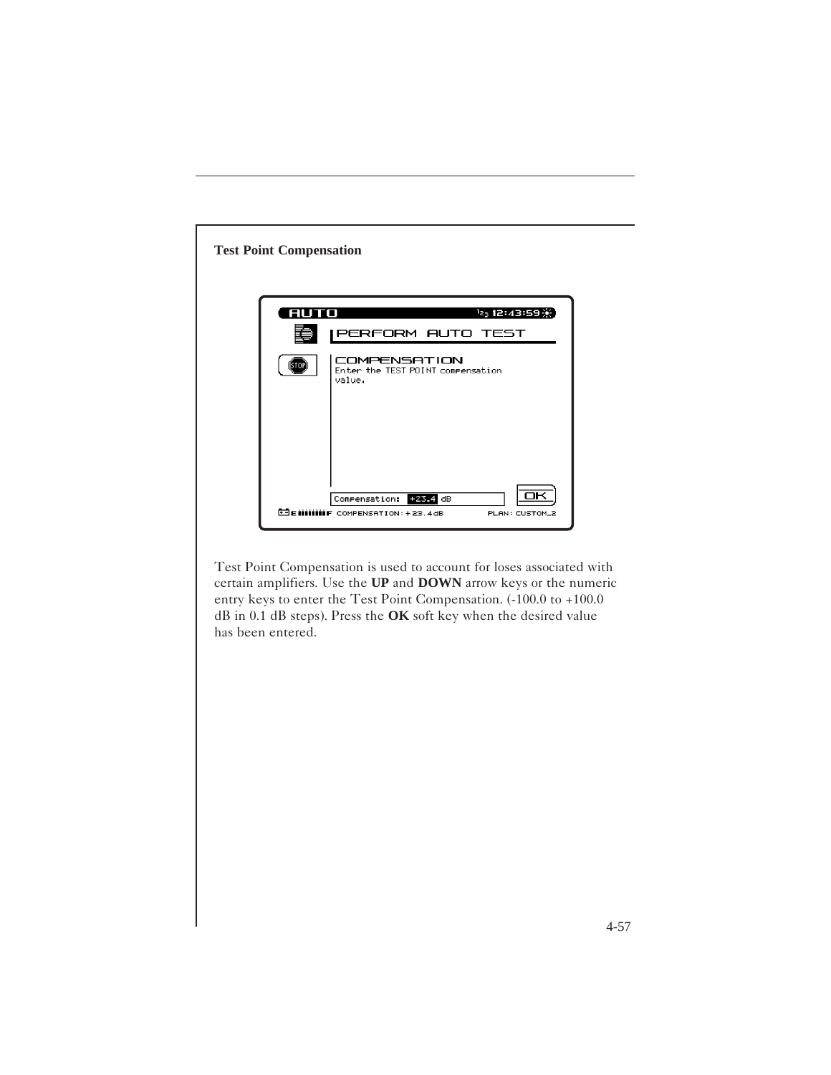

Test Point Compensation is used to account for loses associated with certain amplifiers. Use the **UP** and **DOWN** arrow keys or the numeric entry keys to enter the Test Point Compensation. (-100.0 to +100.0 dB in 0.1 dB steps). Press the **OK** soft key when the desired value has been entered.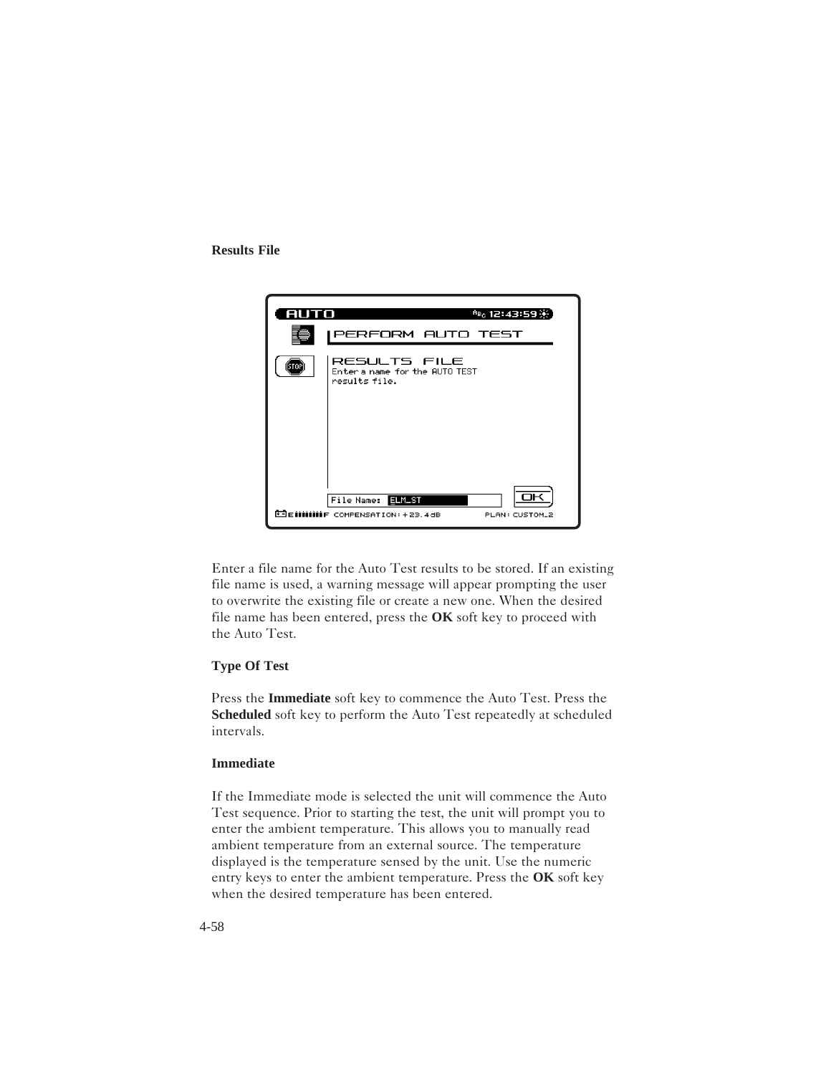**Results File**



Enter a file name for the Auto Test results to be stored. If an existing file name is used, a warning message will appear prompting the user to overwrite the existing file or create a new one. When the desired file name has been entered, press the **OK** soft key to proceed with the Auto Test.

#### **Type Of Test**

Press the **Immediate** soft key to commence the Auto Test. Press the **Scheduled** soft key to perform the Auto Test repeatedly at scheduled intervals.

#### **Immediate**

If the Immediate mode is selected the unit will commence the Auto Test sequence. Prior to starting the test, the unit will prompt you to enter the ambient temperature. This allows you to manually read ambient temperature from an external source. The temperature displayed is the temperature sensed by the unit. Use the numeric entry keys to enter the ambient temperature. Press the **OK** soft key when the desired temperature has been entered.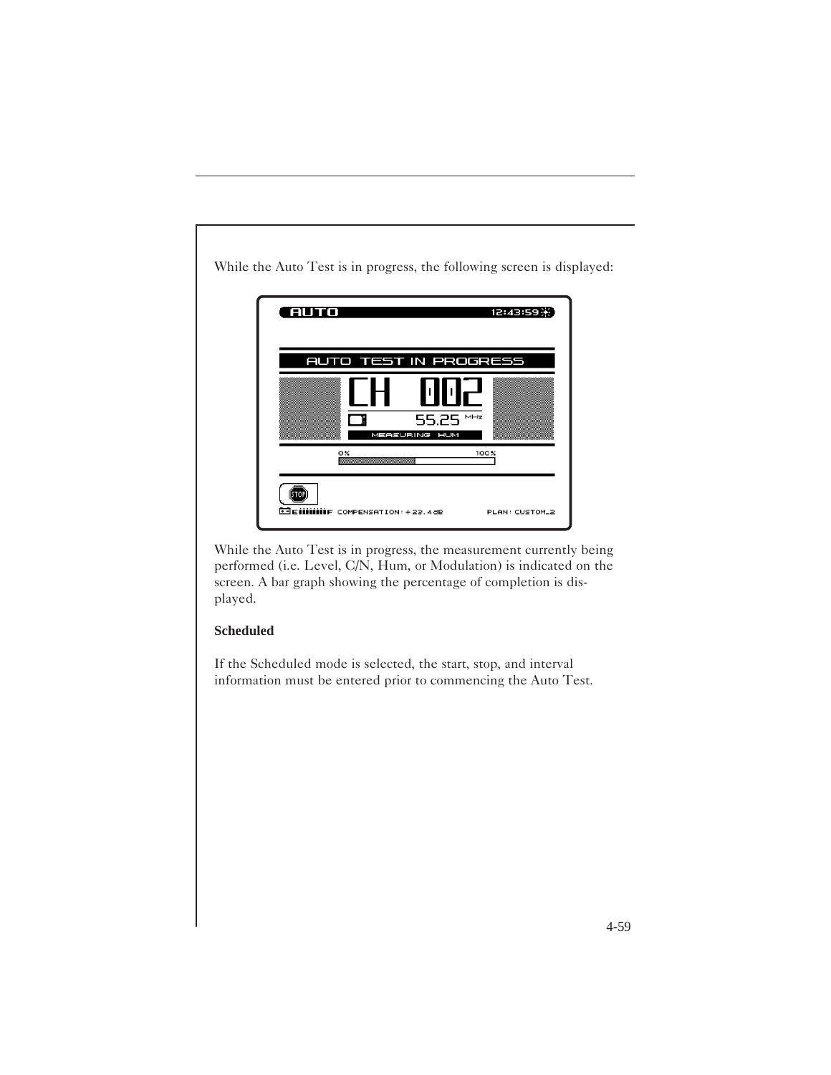| AUTO TEST IN PROGRESS      |  |
|----------------------------|--|
| 55.25 MHz<br>MEASURING HUM |  |

While the Auto Test is in progress, the following screen is displayed:

While the Auto Test is in progress, the measurement currently being performed (i.e. Level, C/N, Hum, or Modulation) is indicated on the screen. A bar graph showing the percentage of completion is displayed.

### **Scheduled**

If the Scheduled mode is selected, the start, stop, and interval information must be entered prior to commencing the Auto Test.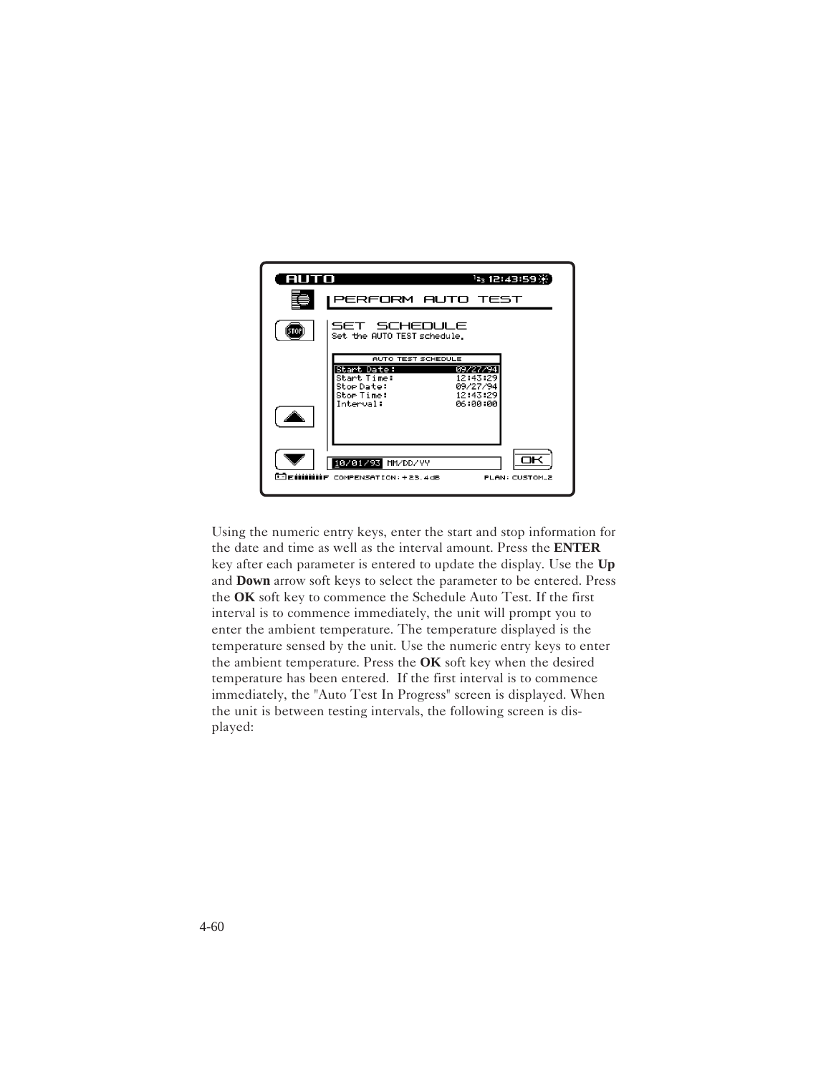

Using the numeric entry keys, enter the start and stop information for the date and time as well as the interval amount. Press the **ENTER** key after each parameter is entered to update the display. Use the **Up** and **Down** arrow soft keys to select the parameter to be entered. Press the **OK** soft key to commence the Schedule Auto Test. If the first interval is to commence immediately, the unit will prompt you to enter the ambient temperature. The temperature displayed is the temperature sensed by the unit. Use the numeric entry keys to enter the ambient temperature. Press the **OK** soft key when the desired temperature has been entered. If the first interval is to commence immediately, the "Auto Test In Progress" screen is displayed. When the unit is between testing intervals, the following screen is displayed: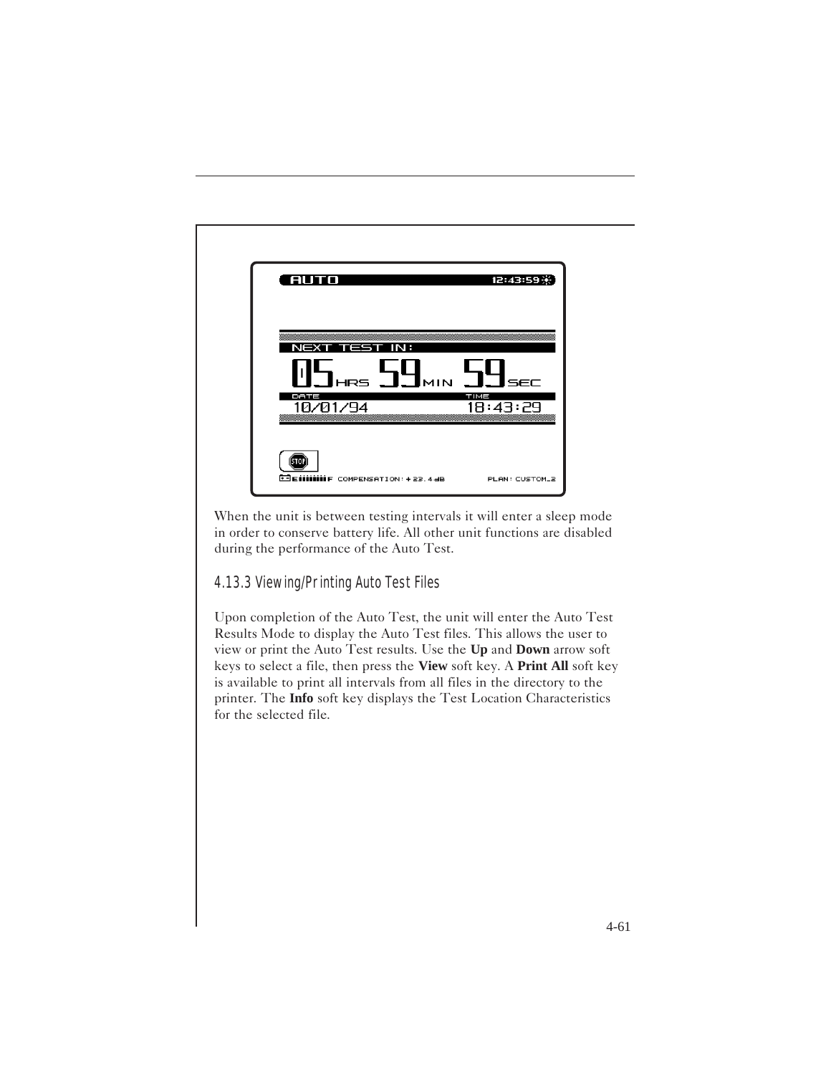

When the unit is between testing intervals it will enter a sleep mode in order to conserve battery life. All other unit functions are disabled during the performance of the Auto Test.

# 4.13.3 Viewing/Printing Auto Test Files

Upon completion of the Auto Test, the unit will enter the Auto Test Results Mode to display the Auto Test files. This allows the user to view or print the Auto Test results. Use the **Up** and **Down** arrow soft keys to select a file, then press the **View** soft key. A **Print All** soft key is available to print all intervals from all files in the directory to the printer. The **Info** soft key displays the Test Location Characteristics for the selected file.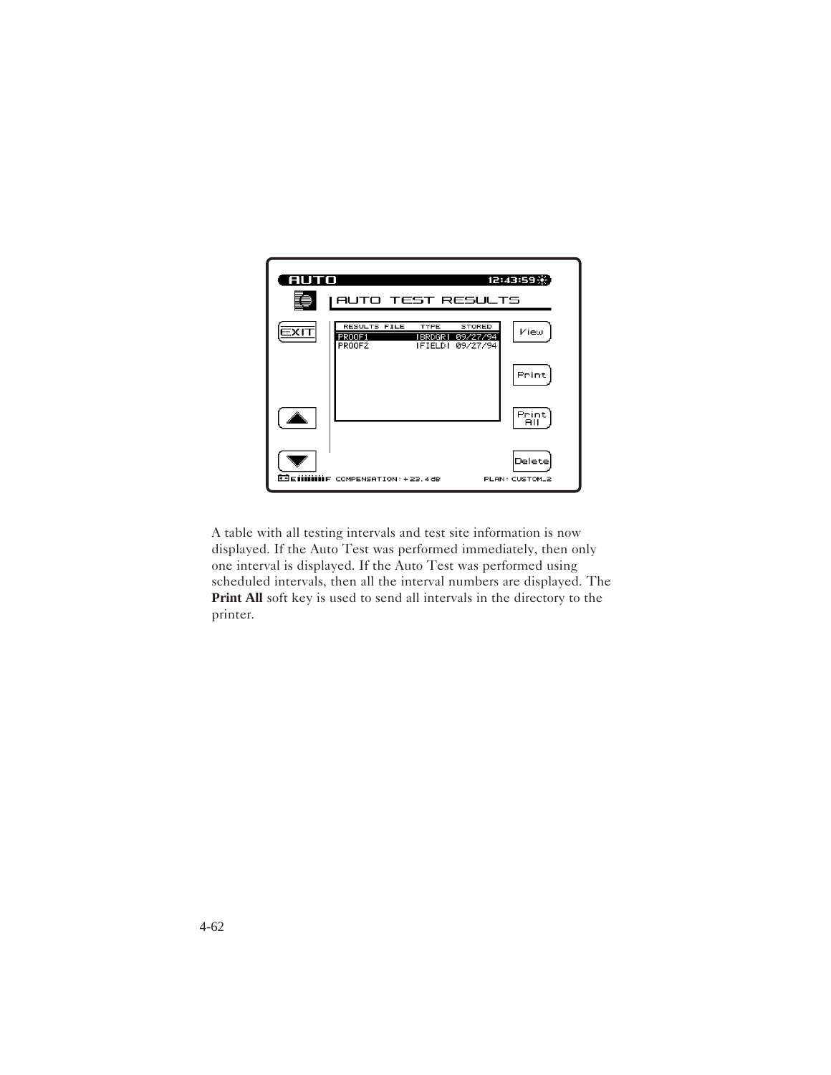| euro | AUTO TEST RESULTS                         |                                                                              | 12:43:59 米门                     |
|------|-------------------------------------------|------------------------------------------------------------------------------|---------------------------------|
| xіт  | RESULTS FILE<br>PROOF1<br>PROOF2          | STORED<br><b>TYPE</b><br>09/27/94<br>I BRDGR I<br>09/27/94<br><b>IFIELDI</b> | View                            |
|      |                                           |                                                                              | Print                           |
|      |                                           |                                                                              | Print<br>AII                    |
|      | <b>C</b> eililiilii compensation: +23.4dB |                                                                              | Delete<br><b>PLAN: CUSTOM_2</b> |

A table with all testing intervals and test site information is now displayed. If the Auto Test was performed immediately, then only one interval is displayed. If the Auto Test was performed using scheduled intervals, then all the interval numbers are displayed. The **Print All** soft key is used to send all intervals in the directory to the printer.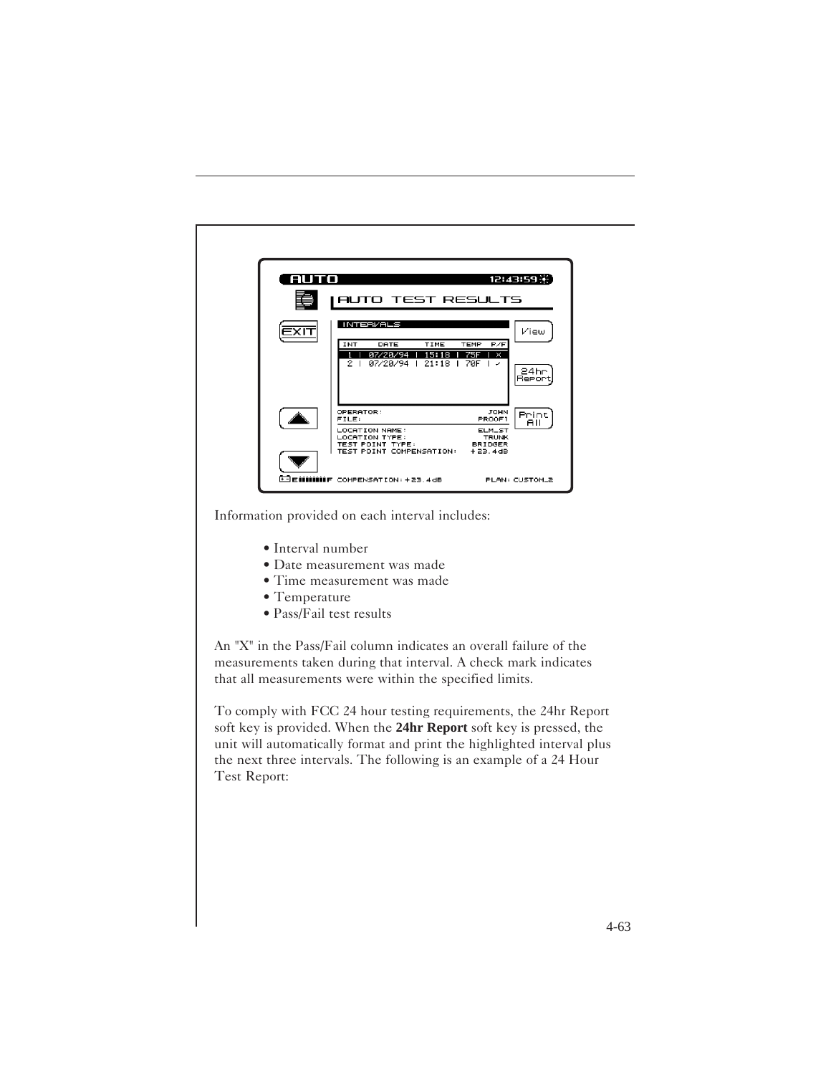

Information provided on each interval includes:

- Interval number
- Date measurement was made
- Time measurement was made
- Temperature
- Pass/Fail test results

An "X" in the Pass/Fail column indicates an overall failure of the measurements taken during that interval. A check mark indicates that all measurements were within the specified limits.

To comply with FCC 24 hour testing requirements, the 24hr Report soft key is provided. When the **24hr Report** soft key is pressed, the unit will automatically format and print the highlighted interval plus the next three intervals. The following is an example of a 24 Hour Test Report: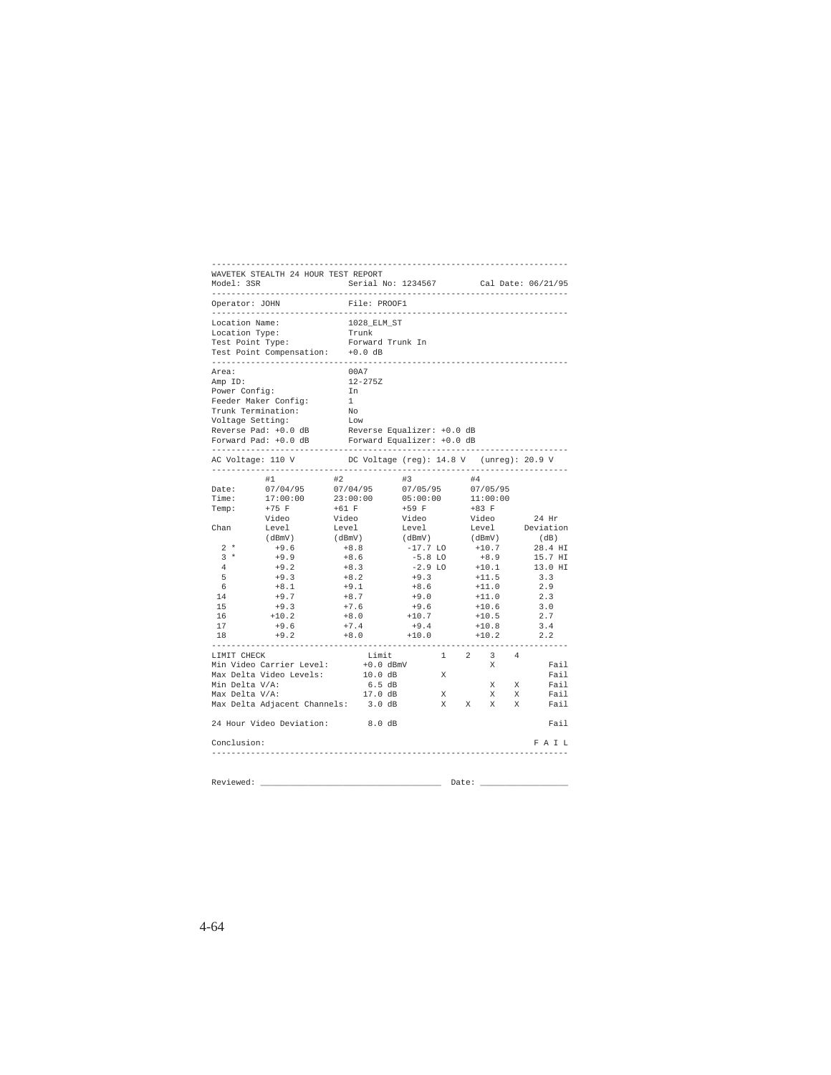| WAVETEK STEALTH 24 HOUR TEST REPORT<br>Model: 3SR                                                                                                                                                                                                                        |                                                                                                                                                                                     |                                                                                                                                                                      | Serial No: 1234567 Cal Date: 06/21/95                                                                                                                                                     |                                                      |                                                                                                              |
|--------------------------------------------------------------------------------------------------------------------------------------------------------------------------------------------------------------------------------------------------------------------------|-------------------------------------------------------------------------------------------------------------------------------------------------------------------------------------|----------------------------------------------------------------------------------------------------------------------------------------------------------------------|-------------------------------------------------------------------------------------------------------------------------------------------------------------------------------------------|------------------------------------------------------|--------------------------------------------------------------------------------------------------------------|
| Operator: JOHN                                                                                                                                                                                                                                                           | File: PROOF1                                                                                                                                                                        |                                                                                                                                                                      |                                                                                                                                                                                           |                                                      |                                                                                                              |
| Location Name:<br>Location Type:<br>Test Point Type:<br>Test Point Compensation: +0.0 dB<br>--------------------------------------                                                                                                                                       | 1028 ELM ST<br>Trunk<br>Forward Trunk In                                                                                                                                            |                                                                                                                                                                      |                                                                                                                                                                                           |                                                      |                                                                                                              |
| Area:<br>Amp ID:<br>Power Config:<br>Feeder Maker Config:<br>Trunk Termination:<br>Voltage Setting:<br>Reverse Pad: +0.0 dB<br>Forward Pad: +0.0 dB<br>AC Voltage: 110 V                                                                                                 | 00A7<br>$12 - 275Z$<br>In<br><sup>1</sup><br>No<br>Low<br>DC Voltage (reg): 14.8 V (unreg): 20.9 V                                                                                  | Reverse Equalizer: +0.0 dB<br>Forward Equalizer: +0.0 dB                                                                                                             |                                                                                                                                                                                           |                                                      |                                                                                                              |
|                                                                                                                                                                                                                                                                          |                                                                                                                                                                                     |                                                                                                                                                                      |                                                                                                                                                                                           |                                                      |                                                                                                              |
| #1<br>07/04/95<br>Date:<br>Time:<br>17:00:00<br>Temp:<br>$+75$ F<br>Video<br>Chan<br>Level<br>(dBmV)<br>$2 *$<br>$+9.6$<br>$3 *$<br>$+9.9$<br>4<br>$+9.2$<br>5<br>$+9.3$<br>6<br>$+8.1$<br>14<br>$+9.7$<br>$+9.3$<br>15<br>16<br>$+10.2$<br>17<br>$+9.6$<br>18<br>$+9.2$ | #2<br>07/04/95<br>23:00:00<br>+61 F<br>Video<br>Level<br>(dBmV)<br>$+8.8$<br>$+8.6$<br>$+8.3$<br>$+8.2$<br>$+9.1$<br>$+8.7$<br>$+7.6$<br>$+8.0$<br>$+7.4$<br>$+8.0$<br>. <u>.</u> . | #3<br>07/05/95<br>05:00:00<br>+59 F<br>Video<br>Level<br>(dBmV)<br>$-17.7$ LO<br>$-5.8$ LO<br>$-2.9$ LO<br>$+9.3$<br>$+8.6$<br>$+9.0$<br>$+9.6$<br>$+10.7$<br>$+9.4$ | #4<br>07/05/95<br>11:00:00<br>$+83$ F<br>Video<br>Level<br>(dBmV)<br>$+10.7$<br>$+8.9$<br>$+10.1$<br>$+11.5$<br>$+11.0$<br>$+11.0$<br>$+10.6$<br>$+10.5$<br>$+10.8$<br>$+10.0 +10.2$<br>. |                                                      | 24 Hr<br>Deviation<br>(dB)<br>28.4 HI<br>15.7 HI<br>13.0 HI<br>3.3<br>2.9<br>2.3<br>3.0<br>2.7<br>3.4<br>2.2 |
| LIMIT CHECK<br>Min Video Carrier Level: +0.0 dBmV<br>Max Delta Video Levels:<br>Min Delta V/A:<br>Max Delta V/A:<br>Max Delta Adjacent Channels: 3.0 dB                                                                                                                  | Limit<br>10.0 dB<br>6.5 dB<br>17.0 dB                                                                                                                                               |                                                                                                                                                                      | $1 \quad 2 \quad 3$<br>$X -$<br>X<br>X<br>X<br>$X$ $X$ $X$                                                                                                                                | $\overline{4}$<br>$\mathbf{X}=-\mathbf{X}$<br>X<br>X | Fail<br>Fail<br>Fail<br>Fail<br>Fail                                                                         |
| 24 Hour Video Deviation: 8.0 dB                                                                                                                                                                                                                                          |                                                                                                                                                                                     |                                                                                                                                                                      |                                                                                                                                                                                           |                                                      | Fail                                                                                                         |
| Conclusion:                                                                                                                                                                                                                                                              |                                                                                                                                                                                     |                                                                                                                                                                      |                                                                                                                                                                                           |                                                      | FAIL                                                                                                         |

Reviewed: \_\_\_\_\_\_\_\_\_\_\_\_\_\_\_\_\_\_\_\_\_\_\_\_\_\_\_\_\_\_\_\_\_\_\_\_\_ Date: \_\_\_\_\_\_\_\_\_\_\_\_\_\_\_\_\_\_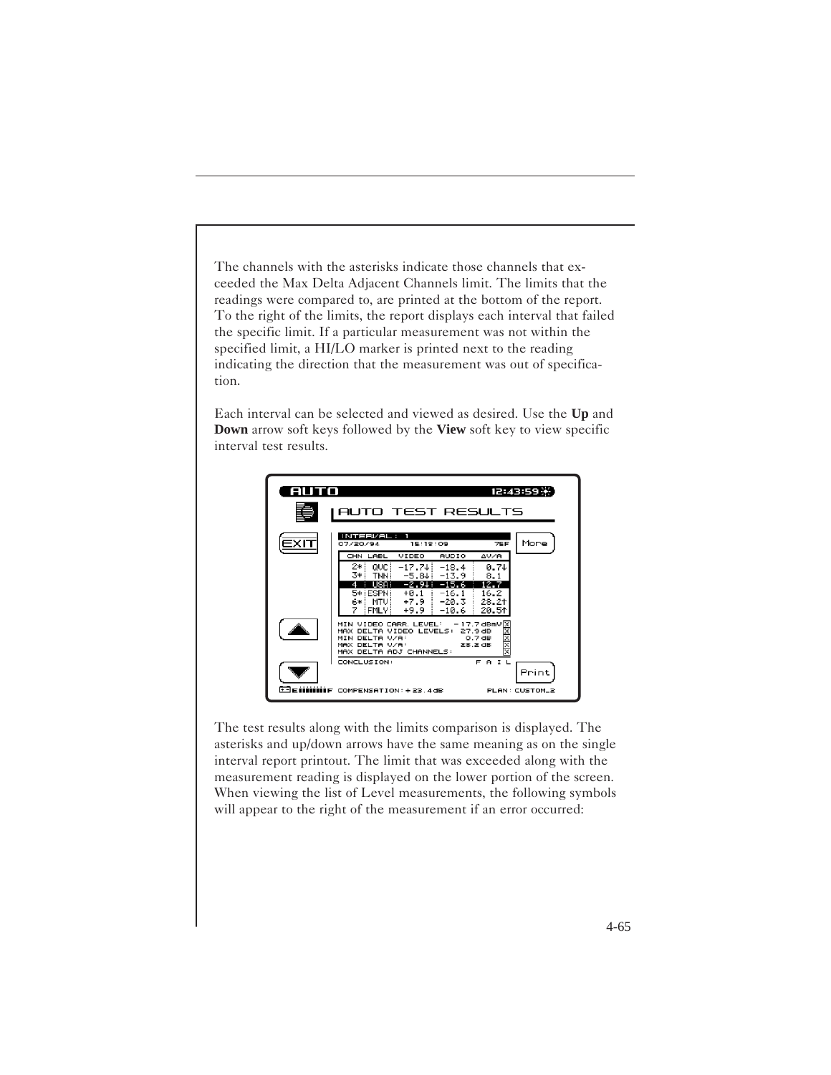The channels with the asterisks indicate those channels that exceeded the Max Delta Adjacent Channels limit. The limits that the readings were compared to, are printed at the bottom of the report. To the right of the limits, the report displays each interval that failed the specific limit. If a particular measurement was not within the specified limit, a HI/LO marker is printed next to the reading indicating the direction that the measurement was out of specification.

Each interval can be selected and viewed as desired. Use the **Up** and **Down** arrow soft keys followed by the **View** soft key to view specific interval test results.



The test results along with the limits comparison is displayed. The asterisks and up/down arrows have the same meaning as on the single interval report printout. The limit that was exceeded along with the measurement reading is displayed on the lower portion of the screen. When viewing the list of Level measurements, the following symbols will appear to the right of the measurement if an error occurred: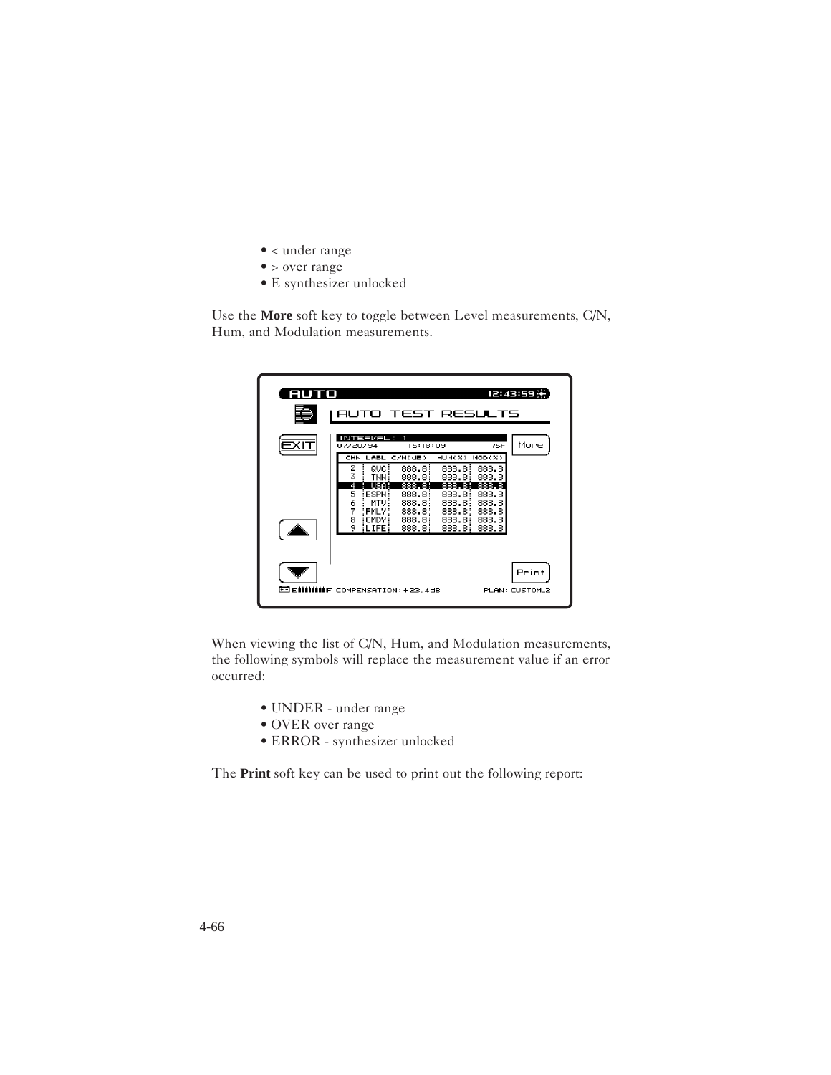- < under range
- > over range
- E synthesizer unlocked

Use the **More** soft key to toggle between Level measurements, C/N, Hum, and Modulation measurements.

|      | 12:43:59 米<br>m<br>AUTO TEST RESULTS                                                                                                                                                                                                                                                                                                                                                                                                                        |
|------|-------------------------------------------------------------------------------------------------------------------------------------------------------------------------------------------------------------------------------------------------------------------------------------------------------------------------------------------------------------------------------------------------------------------------------------------------------------|
|      | INTERVAL :<br>п<br>Mone<br>07/20/94<br><b>75F</b><br>15:18:09<br>CHN LABL<br>C/N(dB)<br>MOD(X)<br>HUM (X)<br>2<br>QUC<br>888.8<br>888.8!<br>888.8<br>3<br>888.8<br>888.8<br>888.8<br>TNN<br>4<br>UST I<br>888.8<br>888.8.<br>888.8<br>5<br>888.8<br><b>ESPN</b><br>888.8<br>888.8<br>$\frac{6}{7}$<br>MTV<br>888.8<br>888.8<br>888.8<br>888.8.<br>838.8<br>858.8<br>∶FMLV<br>8<br>CMDV<br>888.8<br>888.8<br>838.8<br>9<br>:LIFE<br>888.8<br>888.8<br>888.81 |
| ÜÜF. | Print<br>COMPENSATION: +23.4dB<br>PLAN: CUSTOM_2                                                                                                                                                                                                                                                                                                                                                                                                            |

When viewing the list of C/N, Hum, and Modulation measurements, the following symbols will replace the measurement value if an error occurred:

- UNDER under range
- OVER over range
- ERROR synthesizer unlocked

The **Print** soft key can be used to print out the following report: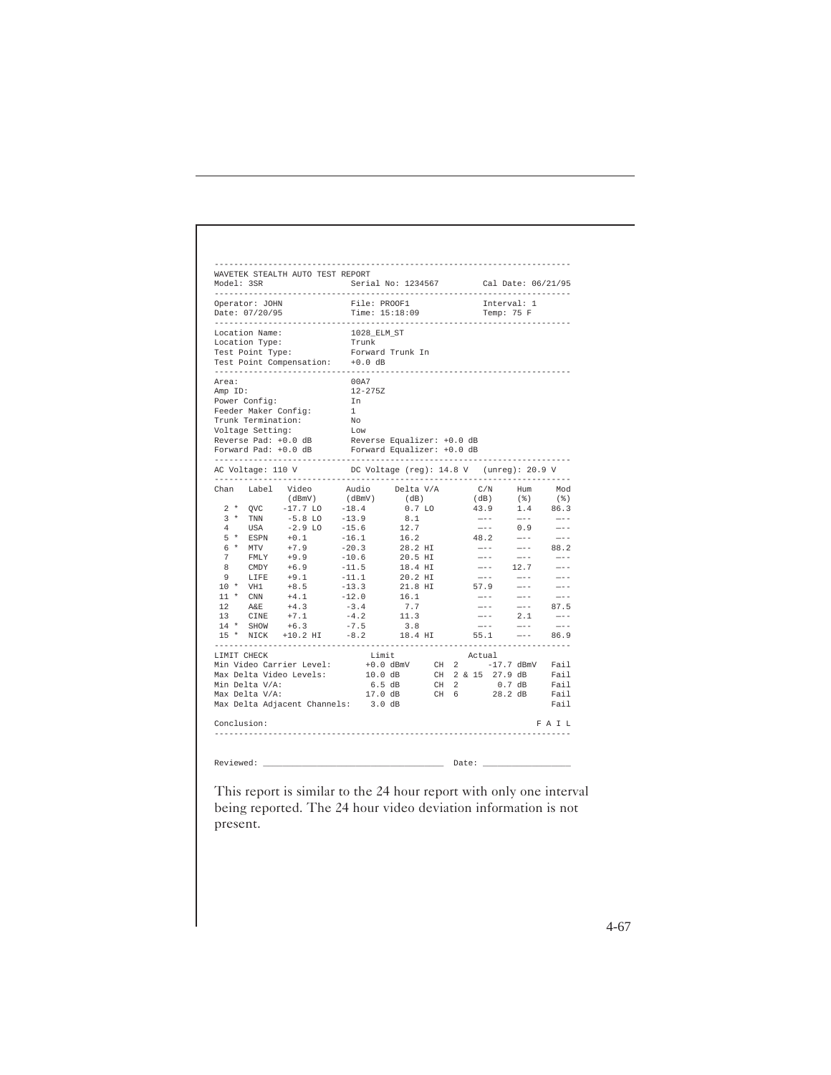| WAVETEK STEALTH AUTO TEST REPORT<br>Model: 3SR             | Serial No: 1234567 Cal Date: 06/21/95    |                                         |                 |                   |                                                                                                                                                                                                                                                                                                                                                                                                                                                                                      |                                                                                                                                                                                                                                                                                                                                                                                              |                       |
|------------------------------------------------------------|------------------------------------------|-----------------------------------------|-----------------|-------------------|--------------------------------------------------------------------------------------------------------------------------------------------------------------------------------------------------------------------------------------------------------------------------------------------------------------------------------------------------------------------------------------------------------------------------------------------------------------------------------------|----------------------------------------------------------------------------------------------------------------------------------------------------------------------------------------------------------------------------------------------------------------------------------------------------------------------------------------------------------------------------------------------|-----------------------|
| ----------------------<br>Operator: JOHN<br>Date: 07/20/95 | File: PROOF1<br>Time: 15:18:09           |                                         |                 |                   |                                                                                                                                                                                                                                                                                                                                                                                                                                                                                      | Interval: 1<br>Temp: 75 F                                                                                                                                                                                                                                                                                                                                                                    |                       |
| Location Name:                                             | 1028_ELM_ST                              |                                         |                 |                   |                                                                                                                                                                                                                                                                                                                                                                                                                                                                                      |                                                                                                                                                                                                                                                                                                                                                                                              |                       |
| Location Type:                                             | Trunk                                    |                                         |                 |                   |                                                                                                                                                                                                                                                                                                                                                                                                                                                                                      |                                                                                                                                                                                                                                                                                                                                                                                              |                       |
| Test Point Type:                                           | Forward Trunk In                         |                                         |                 |                   |                                                                                                                                                                                                                                                                                                                                                                                                                                                                                      |                                                                                                                                                                                                                                                                                                                                                                                              |                       |
| Test Point Compensation: +0.0 dB                           |                                          |                                         |                 |                   |                                                                                                                                                                                                                                                                                                                                                                                                                                                                                      |                                                                                                                                                                                                                                                                                                                                                                                              |                       |
| Area:                                                      | 00A7                                     |                                         |                 |                   |                                                                                                                                                                                                                                                                                                                                                                                                                                                                                      |                                                                                                                                                                                                                                                                                                                                                                                              |                       |
| Amp ID:                                                    | $12 - 275Z$                              |                                         |                 |                   |                                                                                                                                                                                                                                                                                                                                                                                                                                                                                      |                                                                                                                                                                                                                                                                                                                                                                                              |                       |
| Power Config:                                              | In                                       |                                         |                 |                   |                                                                                                                                                                                                                                                                                                                                                                                                                                                                                      |                                                                                                                                                                                                                                                                                                                                                                                              |                       |
| Feeder Maker Config:                                       | $\mathbf{1}$                             |                                         |                 |                   |                                                                                                                                                                                                                                                                                                                                                                                                                                                                                      |                                                                                                                                                                                                                                                                                                                                                                                              |                       |
| Trunk Termination:                                         | No                                       |                                         |                 |                   |                                                                                                                                                                                                                                                                                                                                                                                                                                                                                      |                                                                                                                                                                                                                                                                                                                                                                                              |                       |
| Voltage Setting:                                           | Low                                      |                                         |                 |                   |                                                                                                                                                                                                                                                                                                                                                                                                                                                                                      |                                                                                                                                                                                                                                                                                                                                                                                              |                       |
| Reverse Pad: +0.0 dB<br>Forward Pad: +0.0 dB               | Reverse Equalizer: +0.0 dB               |                                         |                 |                   |                                                                                                                                                                                                                                                                                                                                                                                                                                                                                      |                                                                                                                                                                                                                                                                                                                                                                                              |                       |
|                                                            |                                          | Forward Equalizer: +0.0 dB              |                 |                   |                                                                                                                                                                                                                                                                                                                                                                                                                                                                                      |                                                                                                                                                                                                                                                                                                                                                                                              |                       |
| AC Voltage: 110 V                                          | DC Voltage (reg): 14.8 V (unreg): 20.9 V |                                         |                 |                   |                                                                                                                                                                                                                                                                                                                                                                                                                                                                                      |                                                                                                                                                                                                                                                                                                                                                                                              |                       |
| Chan Label<br>Video                                        | Audio                                    | Delta V/A                               |                 |                   | C/N                                                                                                                                                                                                                                                                                                                                                                                                                                                                                  | Hum                                                                                                                                                                                                                                                                                                                                                                                          | Mod                   |
| (dBmV)                                                     | (dBmV)                                   | (dB)                                    |                 |                   | (dB)                                                                                                                                                                                                                                                                                                                                                                                                                                                                                 | (%)                                                                                                                                                                                                                                                                                                                                                                                          | (%)                   |
| $2 * QVC$<br>$-17.7$ LO                                    | $-18.4$                                  |                                         | $0.7$ LO        |                   | 43.9                                                                                                                                                                                                                                                                                                                                                                                                                                                                                 | 1.4                                                                                                                                                                                                                                                                                                                                                                                          | 86.3                  |
| $3 * TNN$<br>$-5.8$ LO                                     | $-13.9$                                  | 8.1                                     |                 |                   | $\qquad \qquad - - -$                                                                                                                                                                                                                                                                                                                                                                                                                                                                | $---$                                                                                                                                                                                                                                                                                                                                                                                        | $---$                 |
| 4<br>$-2.9$ LO<br>USA                                      | $-15.6$                                  | 12.7                                    |                 |                   | $\frac{1}{2} \left( \frac{1}{2} \right) \left( \frac{1}{2} \right) \left( \frac{1}{2} \right) \left( \frac{1}{2} \right) \left( \frac{1}{2} \right) \left( \frac{1}{2} \right) \left( \frac{1}{2} \right) \left( \frac{1}{2} \right) \left( \frac{1}{2} \right) \left( \frac{1}{2} \right) \left( \frac{1}{2} \right) \left( \frac{1}{2} \right) \left( \frac{1}{2} \right) \left( \frac{1}{2} \right) \left( \frac{1}{2} \right) \left( \frac{1}{2} \right) \left( \frac$           | 0.9                                                                                                                                                                                                                                                                                                                                                                                          | $\frac{1}{2}$         |
| $5 * ESPN$<br>$+0.1$                                       | $-16.1$                                  | 16.2                                    |                 |                   | 48.2                                                                                                                                                                                                                                                                                                                                                                                                                                                                                 | $---$                                                                                                                                                                                                                                                                                                                                                                                        | $---$                 |
| 6 * MTV<br>$+7.9$<br>7                                     | $-20.3$                                  | 28.2 HI                                 |                 |                   | $\frac{1}{2} \left( \frac{1}{2} \right) \left( \frac{1}{2} \right) \left( \frac{1}{2} \right) \left( \frac{1}{2} \right) \left( \frac{1}{2} \right) \left( \frac{1}{2} \right) \left( \frac{1}{2} \right) \left( \frac{1}{2} \right) \left( \frac{1}{2} \right) \left( \frac{1}{2} \right) \left( \frac{1}{2} \right) \left( \frac{1}{2} \right) \left( \frac{1}{2} \right) \left( \frac{1}{2} \right) \left( \frac{1}{2} \right) \left( \frac{1}{2} \right) \left( \frac$<br>$-- -$ | $---$<br>$\qquad \qquad - - -$                                                                                                                                                                                                                                                                                                                                                               | 88.2<br>$---$         |
| FMLY<br>$+9.9$<br>$+6.9$<br>8<br>CMDY                      | $-10.6$<br>$-11.5$                       | 20.5 HI<br>18.4 HI                      |                 |                   | $---$                                                                                                                                                                                                                                                                                                                                                                                                                                                                                | 12.7                                                                                                                                                                                                                                                                                                                                                                                         | $---$                 |
| 9<br>$+9.1$<br>LIFE                                        | $-11.1$                                  | 20.2 HI                                 |                 |                   | $\cdots$                                                                                                                                                                                                                                                                                                                                                                                                                                                                             | $---$                                                                                                                                                                                                                                                                                                                                                                                        | $---$                 |
| 10 * VH1<br>$+8.5$                                         | $-13.3$                                  | 21.8 HI                                 |                 |                   | 57.9                                                                                                                                                                                                                                                                                                                                                                                                                                                                                 | $--- -$                                                                                                                                                                                                                                                                                                                                                                                      | $\qquad \qquad - - -$ |
| $11 * CNN$<br>$+4.1$                                       | $-12.0$                                  | 16.1                                    |                 |                   | $\frac{1}{2} \left( \frac{1}{2} \right) \left( \frac{1}{2} \right) \left( \frac{1}{2} \right) \left( \frac{1}{2} \right)$                                                                                                                                                                                                                                                                                                                                                            | $---$                                                                                                                                                                                                                                                                                                                                                                                        | $\frac{1}{2}$         |
| $12 \,$<br>$+4.3$<br>A&E                                   | $-3.4$                                   | 7.7                                     |                 |                   | $---$                                                                                                                                                                                                                                                                                                                                                                                                                                                                                | $\frac{1}{2} \frac{1}{2} \frac{1}{2} \frac{1}{2} \frac{1}{2} \frac{1}{2} \frac{1}{2} \frac{1}{2} \frac{1}{2} \frac{1}{2} \frac{1}{2} \frac{1}{2} \frac{1}{2} \frac{1}{2} \frac{1}{2} \frac{1}{2} \frac{1}{2} \frac{1}{2} \frac{1}{2} \frac{1}{2} \frac{1}{2} \frac{1}{2} \frac{1}{2} \frac{1}{2} \frac{1}{2} \frac{1}{2} \frac{1}{2} \frac{1}{2} \frac{1}{2} \frac{1}{2} \frac{1}{2} \frac{$ | 87.5                  |
| 13<br>$+7.1$<br>CINE                                       | $-4.2$                                   | 11.3                                    |                 |                   | $\frac{1}{2} \left( \frac{1}{2} \right) \left( \frac{1}{2} \right) \left( \frac{1}{2} \right) \left( \frac{1}{2} \right) \left( \frac{1}{2} \right) \left( \frac{1}{2} \right) \left( \frac{1}{2} \right) \left( \frac{1}{2} \right) \left( \frac{1}{2} \right) \left( \frac{1}{2} \right) \left( \frac{1}{2} \right) \left( \frac{1}{2} \right) \left( \frac{1}{2} \right) \left( \frac{1}{2} \right) \left( \frac{1}{2} \right) \left( \frac{1}{2} \right) \left( \frac$           | 2.1                                                                                                                                                                                                                                                                                                                                                                                          | $---$                 |
| 14 * SHOW<br>$+6.3$                                        | $-7.5$                                   | 3.8                                     |                 |                   | $---$                                                                                                                                                                                                                                                                                                                                                                                                                                                                                | $---$                                                                                                                                                                                                                                                                                                                                                                                        | $\qquad \qquad - -$   |
| 15 * NICK +10.2 HI                                         | $-8.2$                                   | 18.4 HI                                 |                 |                   | 55.1                                                                                                                                                                                                                                                                                                                                                                                                                                                                                 | $---$                                                                                                                                                                                                                                                                                                                                                                                        | 86.9                  |
|                                                            |                                          |                                         |                 |                   |                                                                                                                                                                                                                                                                                                                                                                                                                                                                                      |                                                                                                                                                                                                                                                                                                                                                                                              |                       |
| LIMIT CHECK<br>Min Video Carrier Level:                    |                                          | Limit<br>+0.0 dBmV CH 2 -17.7 dBmV Fail |                 |                   | Actual                                                                                                                                                                                                                                                                                                                                                                                                                                                                               |                                                                                                                                                                                                                                                                                                                                                                                              |                       |
| Max Delta Video Levels:                                    |                                          | $10.0$ dB                               |                 | CH 2 & 15 27.9 dB |                                                                                                                                                                                                                                                                                                                                                                                                                                                                                      |                                                                                                                                                                                                                                                                                                                                                                                              | Fail                  |
| Min Delta V/A:                                             |                                          | 6.5 dB                                  | CH <sub>2</sub> |                   |                                                                                                                                                                                                                                                                                                                                                                                                                                                                                      | 0.7 dB                                                                                                                                                                                                                                                                                                                                                                                       | Fail                  |
| Max Delta V/A:                                             | 17.0 dB                                  |                                         | CH 6            |                   |                                                                                                                                                                                                                                                                                                                                                                                                                                                                                      | 28.2 dB                                                                                                                                                                                                                                                                                                                                                                                      | Fail                  |
| Max Delta Adjacent Channels: 3.0 dB                        |                                          |                                         |                 |                   |                                                                                                                                                                                                                                                                                                                                                                                                                                                                                      |                                                                                                                                                                                                                                                                                                                                                                                              | Fail                  |
| Conclusion:                                                |                                          |                                         |                 |                   |                                                                                                                                                                                                                                                                                                                                                                                                                                                                                      |                                                                                                                                                                                                                                                                                                                                                                                              | FAIL                  |

This report is similar to the 24 hour report with only one interval being reported. The 24 hour video deviation information is not present.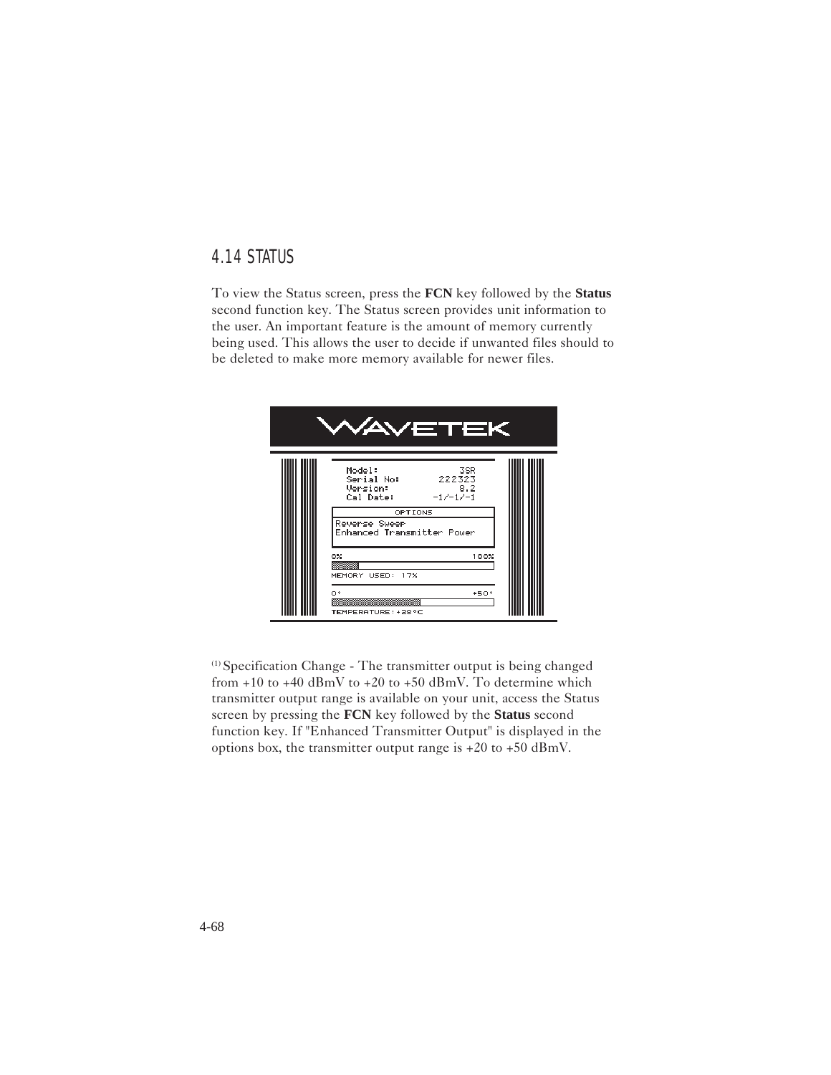# 4.14 STATUS

To view the Status screen, press the **FCN** key followed by the **Status** second function key. The Status screen provides unit information to the user. An important feature is the amount of memory currently being used. This allows the user to decide if unwanted files should to be deleted to make more memory available for newer files.

| <b>WAVETEK</b>                                                                                                                                |  |
|-----------------------------------------------------------------------------------------------------------------------------------------------|--|
| Model:<br>3SR<br>222323<br>Serial No:<br>Version:<br>8.2<br>$-1/-1/-1$<br>Cal Date:<br>OPTIONS<br>Reverse Sweep<br>Enhanced Transmitter Power |  |
| O%<br>100%<br>MEMORY USED: 17%<br>o٠<br>$+50*$<br>TEMPERATURE: +28°C                                                                          |  |

(1) Specification Change - The transmitter output is being changed from +10 to +40 dBmV to +20 to +50 dBmV. To determine which transmitter output range is available on your unit, access the Status screen by pressing the **FCN** key followed by the **Status** second function key. If "Enhanced Transmitter Output" is displayed in the options box, the transmitter output range is +20 to +50 dBmV.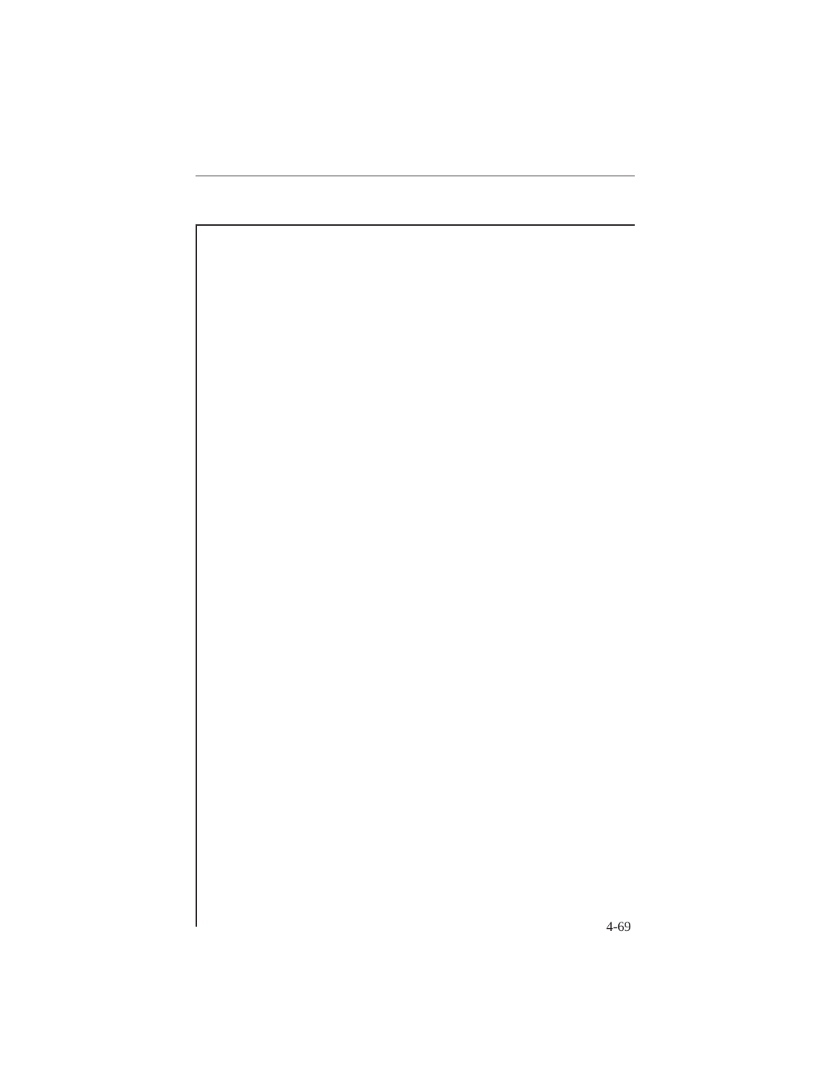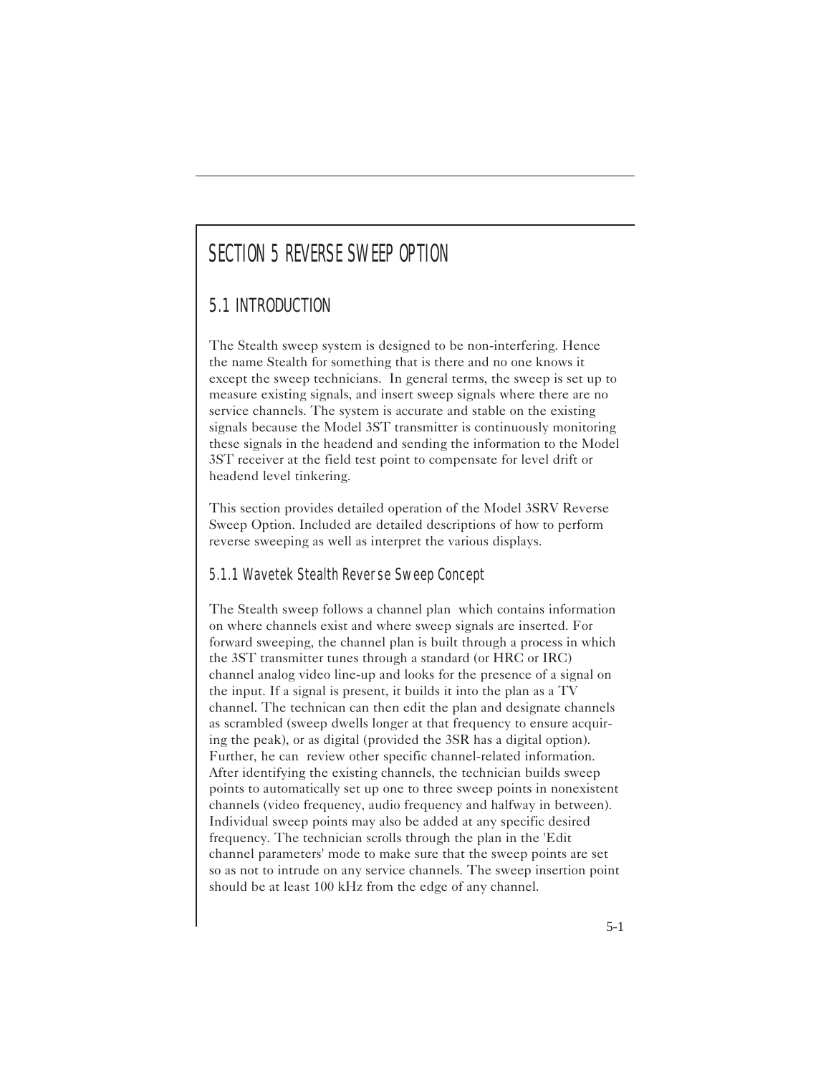# SECTION 5 REVERSE SWEEP OPTION

# 5.1 INTRODUCTION

The Stealth sweep system is designed to be non-interfering. Hence the name Stealth for something that is there and no one knows it except the sweep technicians. In general terms, the sweep is set up to measure existing signals, and insert sweep signals where there are no service channels. The system is accurate and stable on the existing signals because the Model 3ST transmitter is continuously monitoring these signals in the headend and sending the information to the Model 3ST receiver at the field test point to compensate for level drift or headend level tinkering.

This section provides detailed operation of the Model 3SRV Reverse Sweep Option. Included are detailed descriptions of how to perform reverse sweeping as well as interpret the various displays.

# 5.1.1 Wavetek Stealth Reverse Sweep Concept

The Stealth sweep follows a channel plan which contains information on where channels exist and where sweep signals are inserted. For forward sweeping, the channel plan is built through a process in which the 3ST transmitter tunes through a standard (or HRC or IRC) channel analog video line-up and looks for the presence of a signal on the input. If a signal is present, it builds it into the plan as a TV channel. The technican can then edit the plan and designate channels as scrambled (sweep dwells longer at that frequency to ensure acquiring the peak), or as digital (provided the 3SR has a digital option). Further, he can review other specific channel-related information. After identifying the existing channels, the technician builds sweep points to automatically set up one to three sweep points in nonexistent channels (video frequency, audio frequency and halfway in between). Individual sweep points may also be added at any specific desired frequency. The technician scrolls through the plan in the 'Edit channel parameters' mode to make sure that the sweep points are set so as not to intrude on any service channels. The sweep insertion point should be at least 100 kHz from the edge of any channel.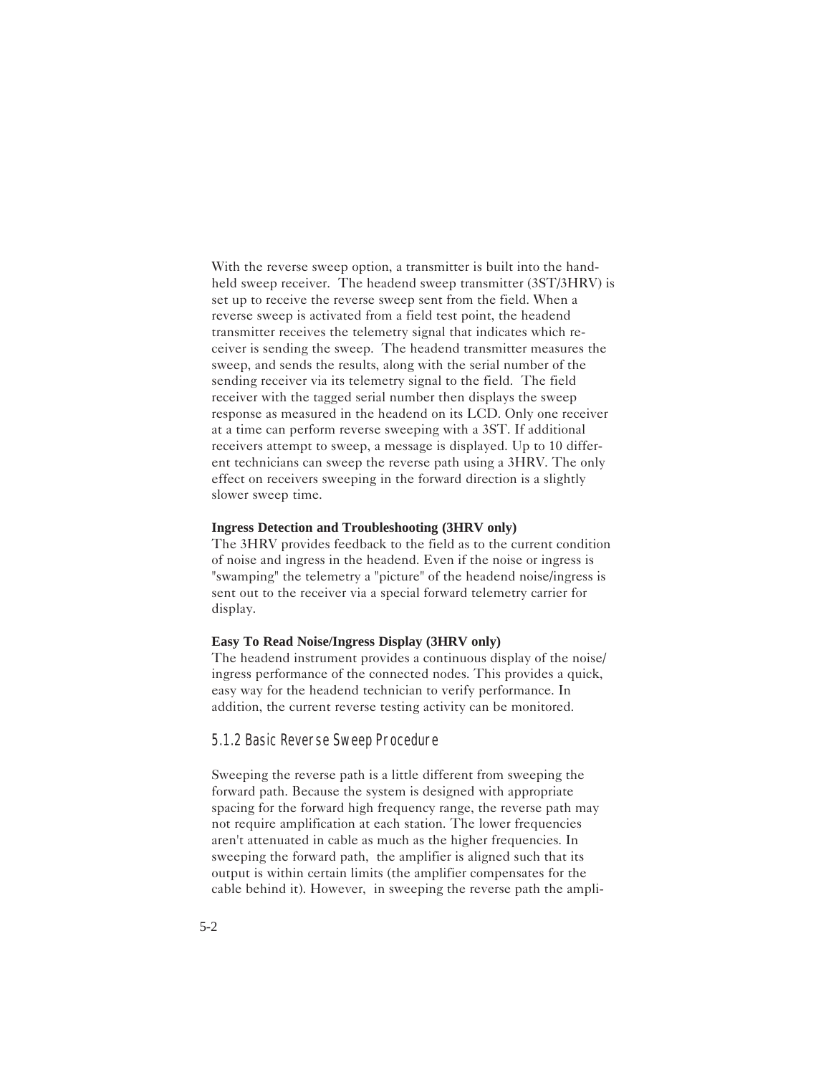With the reverse sweep option, a transmitter is built into the handheld sweep receiver. The headend sweep transmitter (3ST/3HRV) is set up to receive the reverse sweep sent from the field. When a reverse sweep is activated from a field test point, the headend transmitter receives the telemetry signal that indicates which receiver is sending the sweep. The headend transmitter measures the sweep, and sends the results, along with the serial number of the sending receiver via its telemetry signal to the field. The field receiver with the tagged serial number then displays the sweep response as measured in the headend on its LCD. Only one receiver at a time can perform reverse sweeping with a 3ST. If additional receivers attempt to sweep, a message is displayed. Up to 10 different technicians can sweep the reverse path using a 3HRV. The only effect on receivers sweeping in the forward direction is a slightly slower sweep time.

#### **Ingress Detection and Troubleshooting (3HRV only)**

The 3HRV provides feedback to the field as to the current condition of noise and ingress in the headend. Even if the noise or ingress is "swamping" the telemetry a "picture" of the headend noise/ingress is sent out to the receiver via a special forward telemetry carrier for display.

#### **Easy To Read Noise/Ingress Display (3HRV only)**

The headend instrument provides a continuous display of the noise/ ingress performance of the connected nodes. This provides a quick, easy way for the headend technician to verify performance. In addition, the current reverse testing activity can be monitored.

### 5.1.2 Basic Reverse Sweep Procedure

Sweeping the reverse path is a little different from sweeping the forward path. Because the system is designed with appropriate spacing for the forward high frequency range, the reverse path may not require amplification at each station. The lower frequencies aren't attenuated in cable as much as the higher frequencies. In sweeping the forward path, the amplifier is aligned such that its output is within certain limits (the amplifier compensates for the cable behind it). However, in sweeping the reverse path the ampli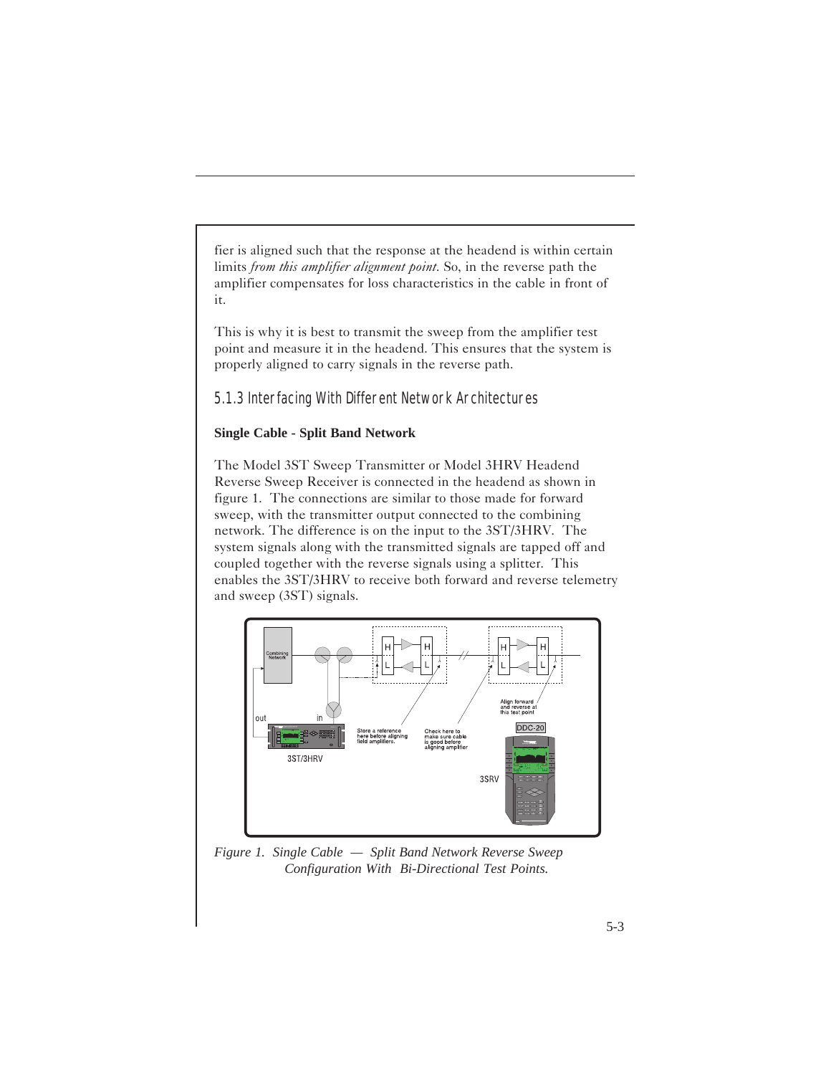fier is aligned such that the response at the headend is within certain limits *from this amplifier alignment point*. So, in the reverse path the amplifier compensates for loss characteristics in the cable in front of it.

This is why it is best to transmit the sweep from the amplifier test point and measure it in the headend. This ensures that the system is properly aligned to carry signals in the reverse path.

# 5.1.3 Interfacing With Different Network Architectures

### **Single Cable - Split Band Network**

The Model 3ST Sweep Transmitter or Model 3HRV Headend Reverse Sweep Receiver is connected in the headend as shown in figure 1. The connections are similar to those made for forward sweep, with the transmitter output connected to the combining network. The difference is on the input to the 3ST/3HRV. The system signals along with the transmitted signals are tapped off and coupled together with the reverse signals using a splitter. This enables the 3ST/3HRV to receive both forward and reverse telemetry and sweep (3ST) signals.



*Figure 1. Single Cable — Split Band Network Reverse Sweep Configuration With Bi-Directional Test Points.*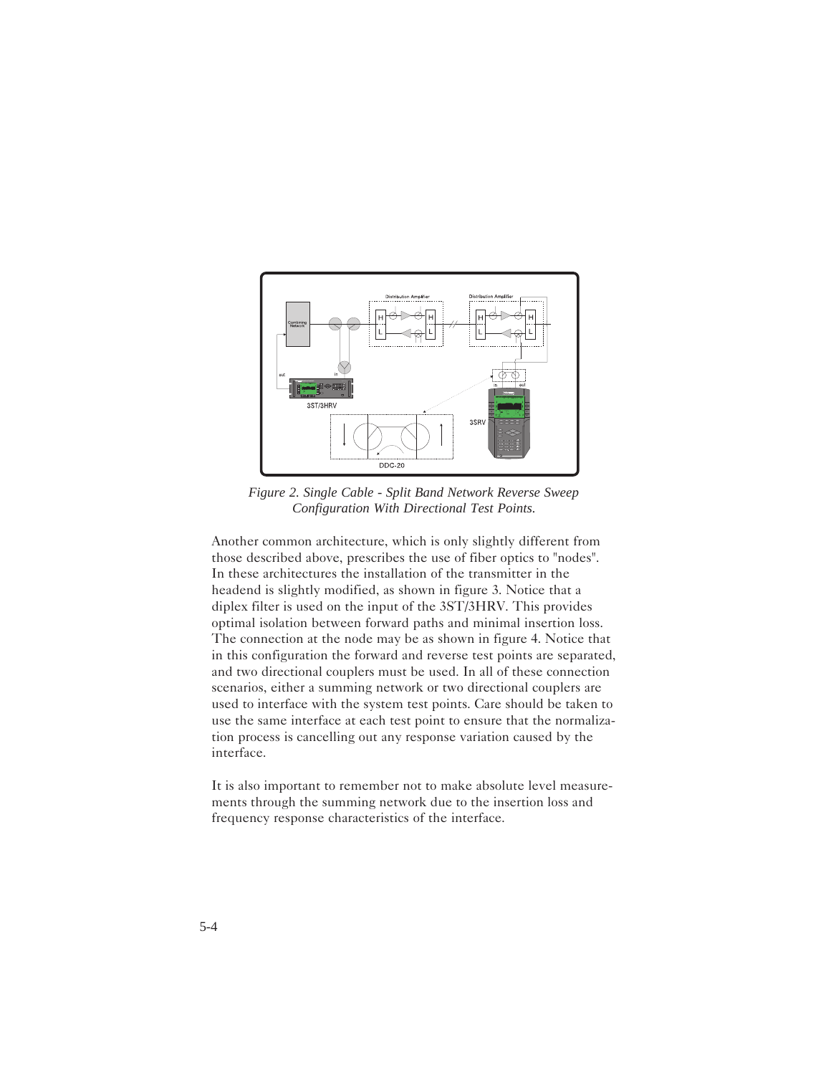

*Figure 2. Single Cable - Split Band Network Reverse Sweep Configuration With Directional Test Points.*

Another common architecture, which is only slightly different from those described above, prescribes the use of fiber optics to "nodes". In these architectures the installation of the transmitter in the headend is slightly modified, as shown in figure 3. Notice that a diplex filter is used on the input of the 3ST/3HRV. This provides optimal isolation between forward paths and minimal insertion loss. The connection at the node may be as shown in figure 4. Notice that in this configuration the forward and reverse test points are separated, and two directional couplers must be used. In all of these connection scenarios, either a summing network or two directional couplers are used to interface with the system test points. Care should be taken to use the same interface at each test point to ensure that the normalization process is cancelling out any response variation caused by the interface.

It is also important to remember not to make absolute level measurements through the summing network due to the insertion loss and frequency response characteristics of the interface.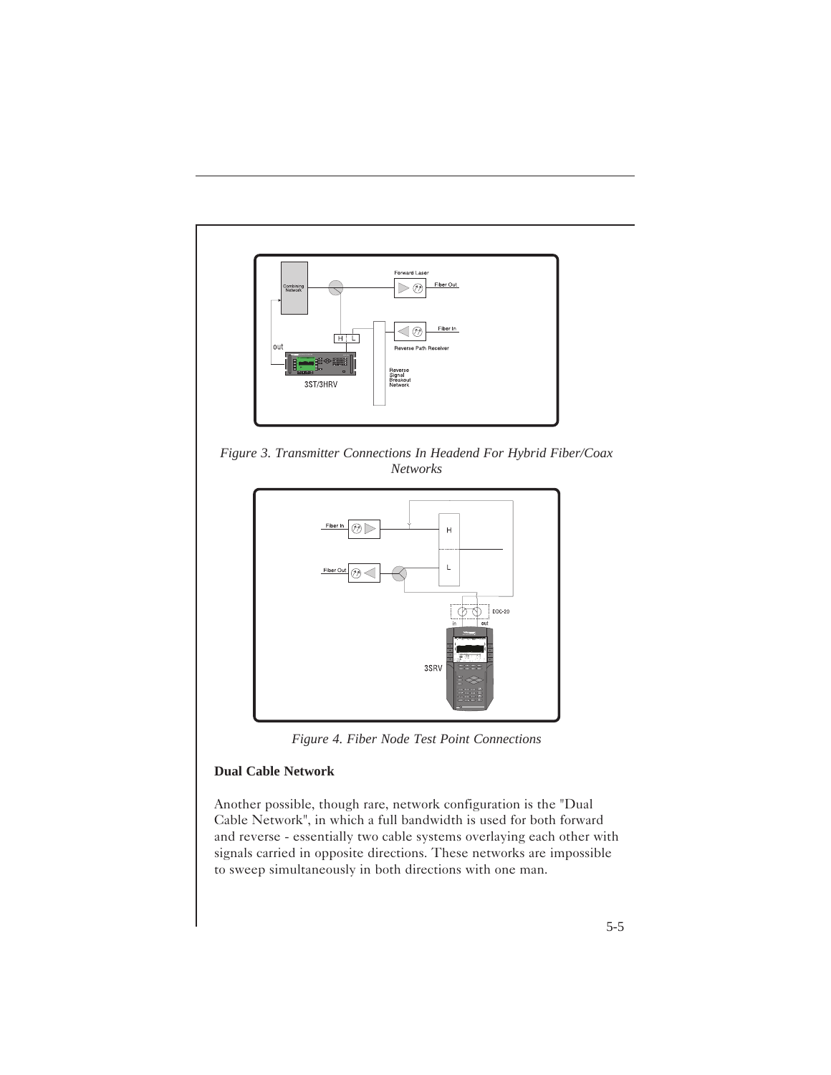

*Figure 3. Transmitter Connections In Headend For Hybrid Fiber/Coax Networks*



*Figure 4. Fiber Node Test Point Connections*

## **Dual Cable Network**

Another possible, though rare, network configuration is the "Dual Cable Network", in which a full bandwidth is used for both forward and reverse - essentially two cable systems overlaying each other with signals carried in opposite directions. These networks are impossible to sweep simultaneously in both directions with one man.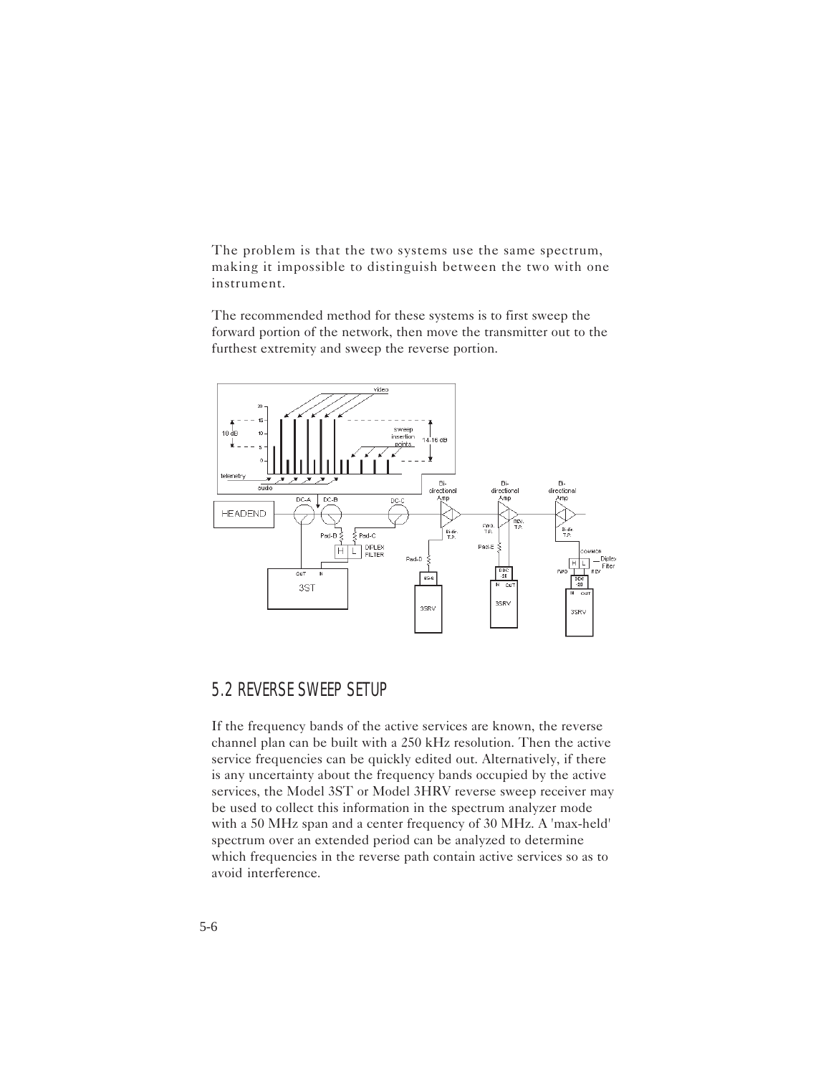The problem is that the two systems use the same spectrum, making it impossible to distinguish between the two with one instrument.

The recommended method for these systems is to first sweep the forward portion of the network, then move the transmitter out to the furthest extremity and sweep the reverse portion.



# 5.2 REVERSE SWEEP SETUP

If the frequency bands of the active services are known, the reverse channel plan can be built with a 250 kHz resolution. Then the active service frequencies can be quickly edited out. Alternatively, if there is any uncertainty about the frequency bands occupied by the active services, the Model 3ST or Model 3HRV reverse sweep receiver may be used to collect this information in the spectrum analyzer mode with a 50 MHz span and a center frequency of 30 MHz. A 'max-held' spectrum over an extended period can be analyzed to determine which frequencies in the reverse path contain active services so as to avoid interference.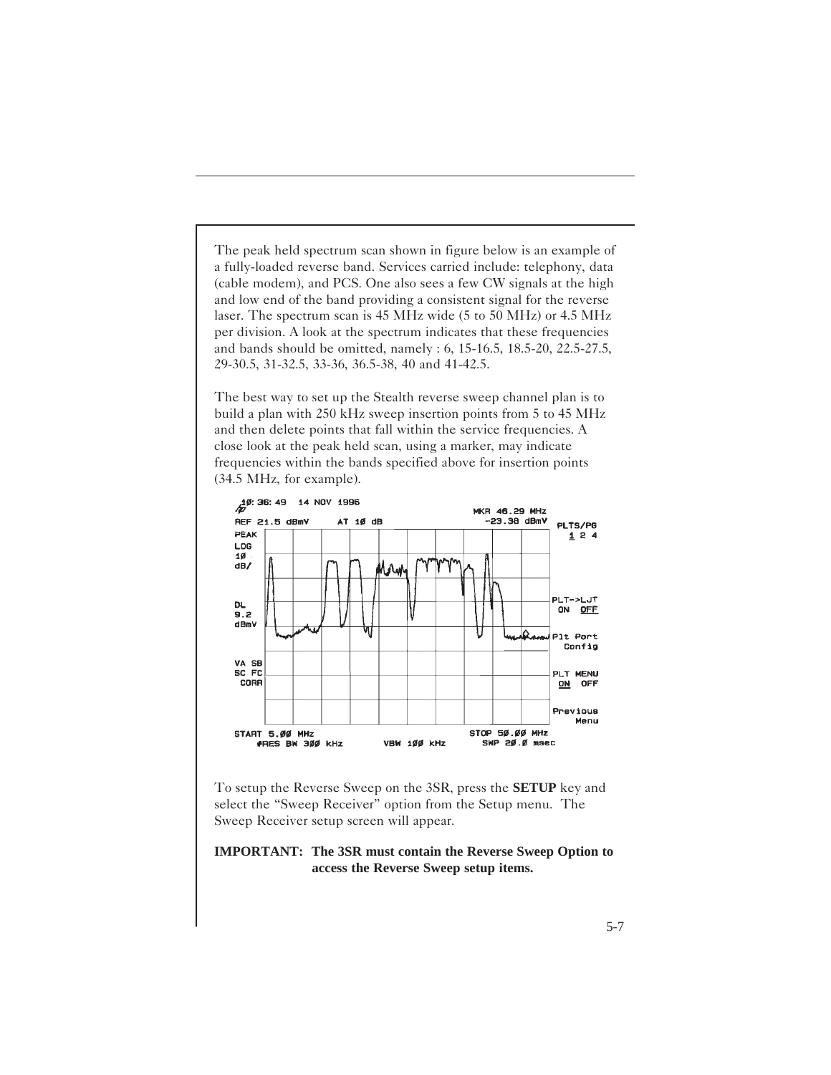The peak held spectrum scan shown in figure below is an example of a fully-loaded reverse band. Services carried include: telephony, data (cable modem), and PCS. One also sees a few CW signals at the high and low end of the band providing a consistent signal for the reverse laser. The spectrum scan is 45 MHz wide (5 to 50 MHz) or 4.5 MHz per division. A look at the spectrum indicates that these frequencies and bands should be omitted, namely : 6, 15-16.5, 18.5-20, 22.5-27.5, 29-30.5, 31-32.5, 33-36, 36.5-38, 40 and 41-42.5.

The best way to set up the Stealth reverse sweep channel plan is to build a plan with 250 kHz sweep insertion points from 5 to 45 MHz and then delete points that fall within the service frequencies. A close look at the peak held scan, using a marker, may indicate frequencies within the bands specified above for insertion points (34.5 MHz, for example).



To setup the Reverse Sweep on the 3SR, press the **SETUP** key and select the "Sweep Receiver" option from the Setup menu. The Sweep Receiver setup screen will appear.

#### **IMPORTANT: The 3SR must contain the Reverse Sweep Option to access the Reverse Sweep setup items.**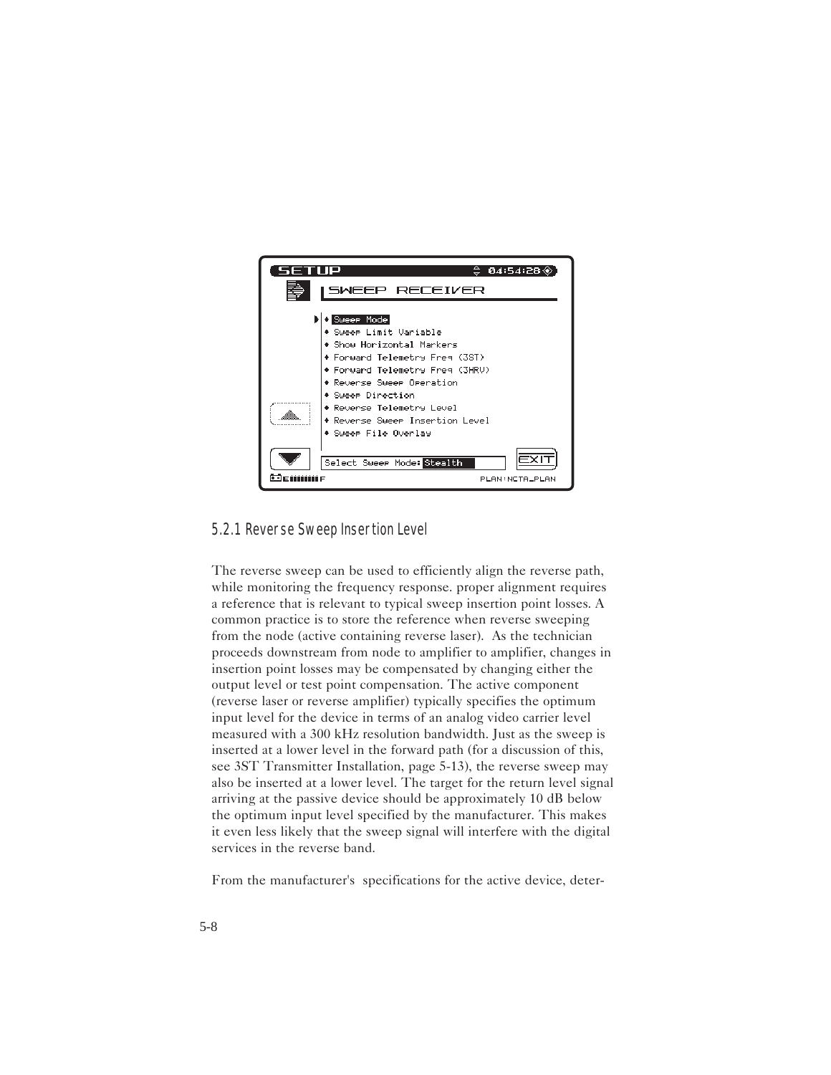

# 5.2.1 Reverse Sweep Insertion Level

The reverse sweep can be used to efficiently align the reverse path, while monitoring the frequency response. proper alignment requires a reference that is relevant to typical sweep insertion point losses. A common practice is to store the reference when reverse sweeping from the node (active containing reverse laser). As the technician proceeds downstream from node to amplifier to amplifier, changes in insertion point losses may be compensated by changing either the output level or test point compensation. The active component (reverse laser or reverse amplifier) typically specifies the optimum input level for the device in terms of an analog video carrier level measured with a 300 kHz resolution bandwidth. Just as the sweep is inserted at a lower level in the forward path (for a discussion of this, see 3ST Transmitter Installation, page 5-13), the reverse sweep may also be inserted at a lower level. The target for the return level signal arriving at the passive device should be approximately 10 dB below the optimum input level specified by the manufacturer. This makes it even less likely that the sweep signal will interfere with the digital services in the reverse band.

From the manufacturer's specifications for the active device, deter-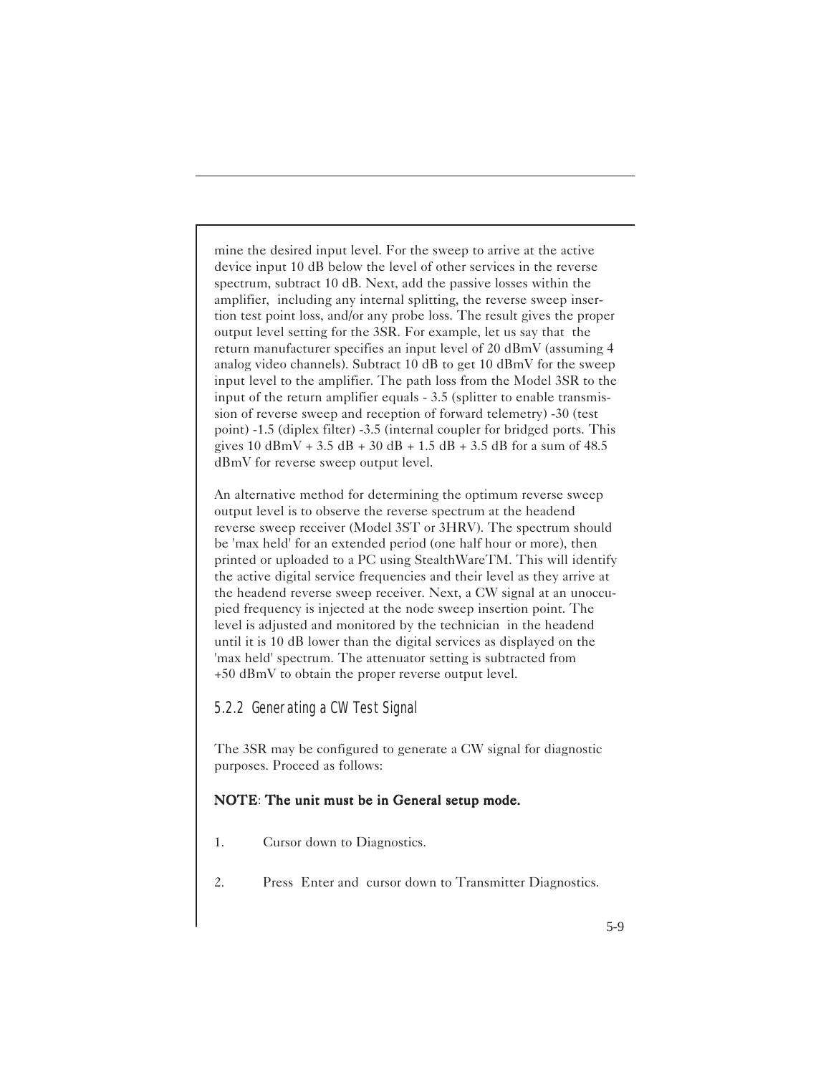mine the desired input level. For the sweep to arrive at the active device input 10 dB below the level of other services in the reverse spectrum, subtract 10 dB. Next, add the passive losses within the amplifier, including any internal splitting, the reverse sweep insertion test point loss, and/or any probe loss. The result gives the proper output level setting for the 3SR. For example, let us say that the return manufacturer specifies an input level of 20 dBmV (assuming 4 analog video channels). Subtract 10 dB to get 10 dBmV for the sweep input level to the amplifier. The path loss from the Model 3SR to the input of the return amplifier equals - 3.5 (splitter to enable transmission of reverse sweep and reception of forward telemetry) -30 (test point) -1.5 (diplex filter) -3.5 (internal coupler for bridged ports. This gives 10 dBmV + 3.5 dB + 30 dB + 1.5 dB + 3.5 dB for a sum of 48.5 dBmV for reverse sweep output level.

An alternative method for determining the optimum reverse sweep output level is to observe the reverse spectrum at the headend reverse sweep receiver (Model 3ST or 3HRV). The spectrum should be 'max held' for an extended period (one half hour or more), then printed or uploaded to a PC using StealthWareTM. This will identify the active digital service frequencies and their level as they arrive at the headend reverse sweep receiver. Next, a CW signal at an unoccupied frequency is injected at the node sweep insertion point. The level is adjusted and monitored by the technician in the headend until it is 10 dB lower than the digital services as displayed on the 'max held' spectrum. The attenuator setting is subtracted from +50 dBmV to obtain the proper reverse output level.

### 5.2.2 Generating a CW Test Signal

The 3SR may be configured to generate a CW signal for diagnostic purposes. Proceed as follows:

#### NOTE: The unit must be in General setup mode.

- 1. Cursor down to Diagnostics.
- 2. Press Enter and cursor down to Transmitter Diagnostics.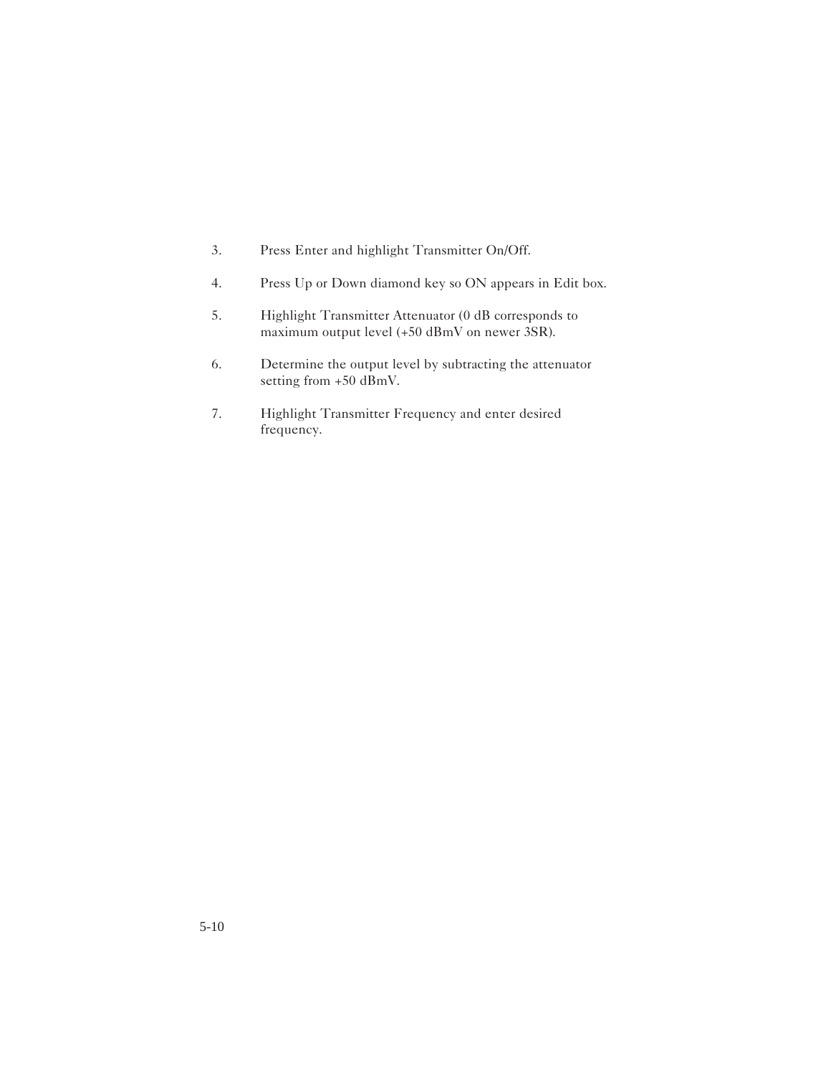- 3. Press Enter and highlight Transmitter On/Off.
- 4. Press Up or Down diamond key so ON appears in Edit box.
- 5. Highlight Transmitter Attenuator (0 dB corresponds to maximum output level (+50 dBmV on newer 3SR).
- 6. Determine the output level by subtracting the attenuator setting from +50 dBmV.
- 7. Highlight Transmitter Frequency and enter desired frequency.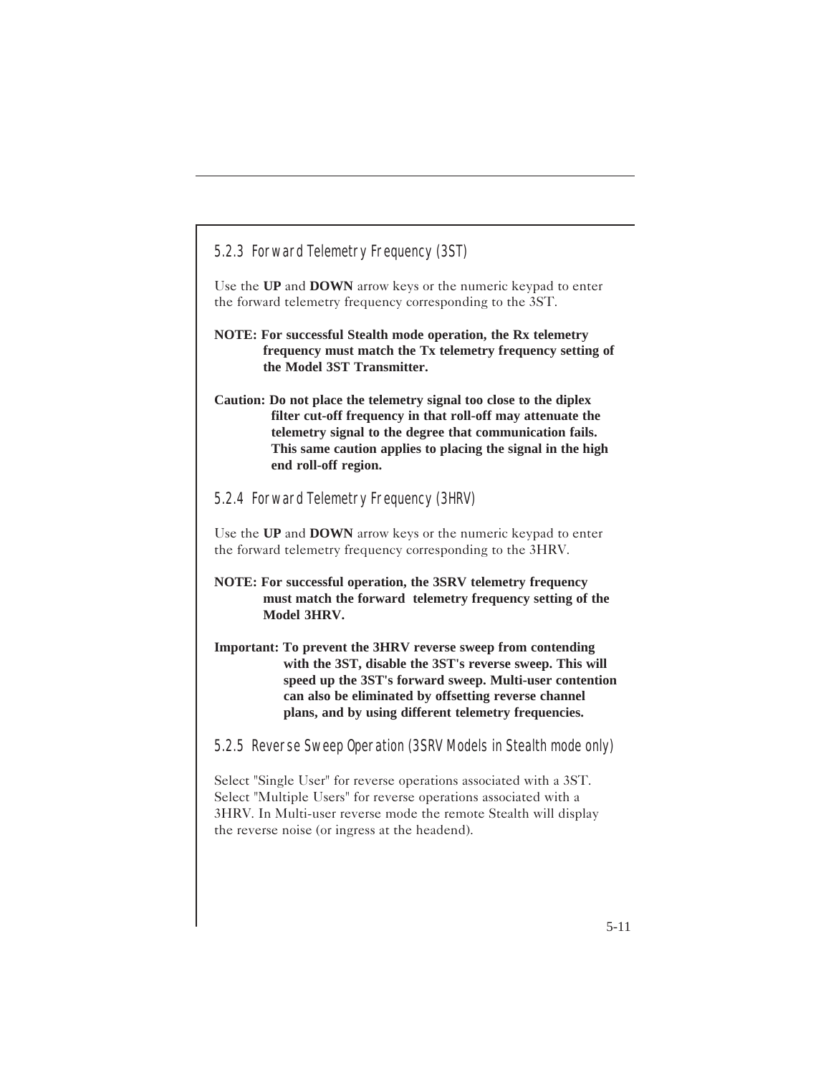# 5.2.3 Forward Telemetry Frequency (3ST)

Use the **UP** and **DOWN** arrow keys or the numeric keypad to enter the forward telemetry frequency corresponding to the 3ST.

- **NOTE: For successful Stealth mode operation, the Rx telemetry frequency must match the Tx telemetry frequency setting of the Model 3ST Transmitter.**
- **Caution: Do not place the telemetry signal too close to the diplex filter cut-off frequency in that roll-off may attenuate the telemetry signal to the degree that communication fails. This same caution applies to placing the signal in the high end roll-off region.**

# 5.2.4 Forward Telemetry Frequency (3HRV)

Use the **UP** and **DOWN** arrow keys or the numeric keypad to enter the forward telemetry frequency corresponding to the 3HRV.

- **NOTE: For successful operation, the 3SRV telemetry frequency must match the forward telemetry frequency setting of the Model 3HRV.**
- **Important: To prevent the 3HRV reverse sweep from contending with the 3ST, disable the 3ST's reverse sweep. This will speed up the 3ST's forward sweep. Multi-user contention can also be eliminated by offsetting reverse channel plans, and by using different telemetry frequencies.**

# 5.2.5 Reverse Sweep Operation (3SRV Models in Stealth mode only)

Select "Single User" for reverse operations associated with a 3ST. Select "Multiple Users" for reverse operations associated with a 3HRV. In Multi-user reverse mode the remote Stealth will display the reverse noise (or ingress at the headend).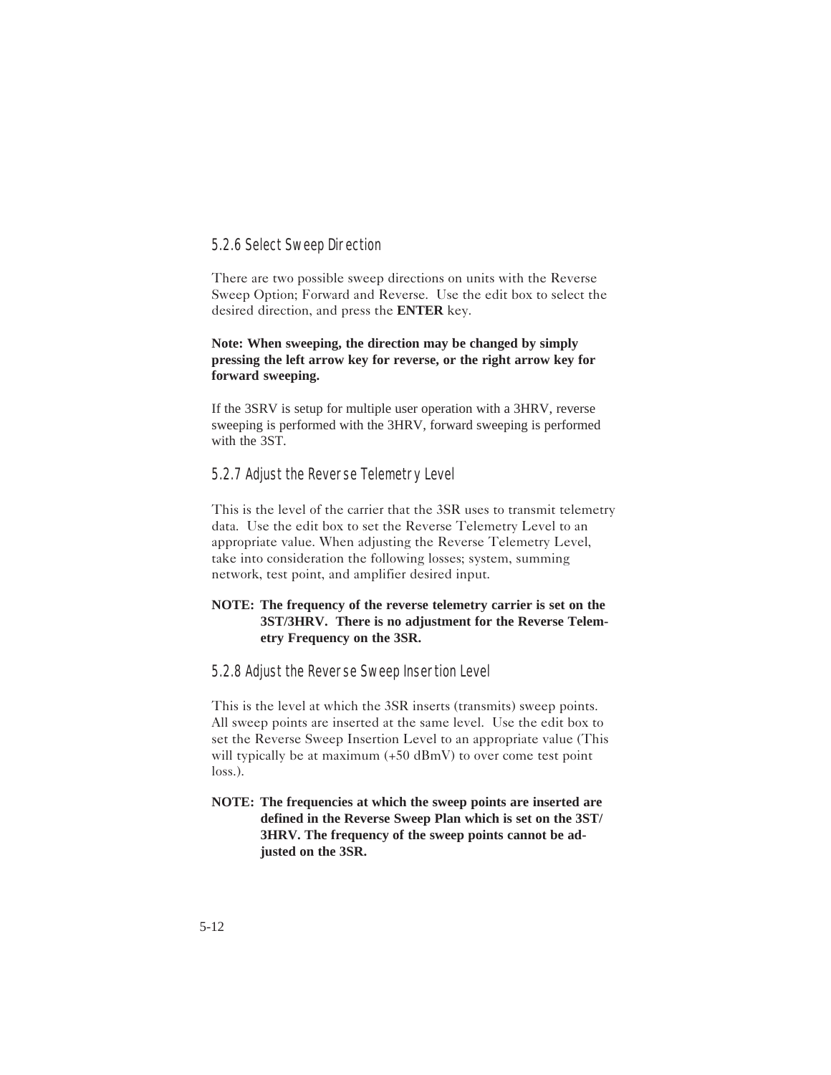### 5.2.6 Select Sweep Direction

There are two possible sweep directions on units with the Reverse Sweep Option; Forward and Reverse. Use the edit box to select the desired direction, and press the **ENTER** key.

### **Note: When sweeping, the direction may be changed by simply pressing the left arrow key for reverse, or the right arrow key for forward sweeping.**

If the 3SRV is setup for multiple user operation with a 3HRV, reverse sweeping is performed with the 3HRV, forward sweeping is performed with the 3ST.

## 5.2.7 Adjust the Reverse Telemetry Level

This is the level of the carrier that the 3SR uses to transmit telemetry data. Use the edit box to set the Reverse Telemetry Level to an appropriate value. When adjusting the Reverse Telemetry Level, take into consideration the following losses; system, summing network, test point, and amplifier desired input.

### **NOTE: The frequency of the reverse telemetry carrier is set on the 3ST/3HRV. There is no adjustment for the Reverse Telemetry Frequency on the 3SR.**

### 5.2.8 Adjust the Reverse Sweep Insertion Level

This is the level at which the 3SR inserts (transmits) sweep points. All sweep points are inserted at the same level. Use the edit box to set the Reverse Sweep Insertion Level to an appropriate value (This will typically be at maximum (+50 dBmV) to over come test point loss.).

**NOTE: The frequencies at which the sweep points are inserted are defined in the Reverse Sweep Plan which is set on the 3ST/ 3HRV. The frequency of the sweep points cannot be adjusted on the 3SR.**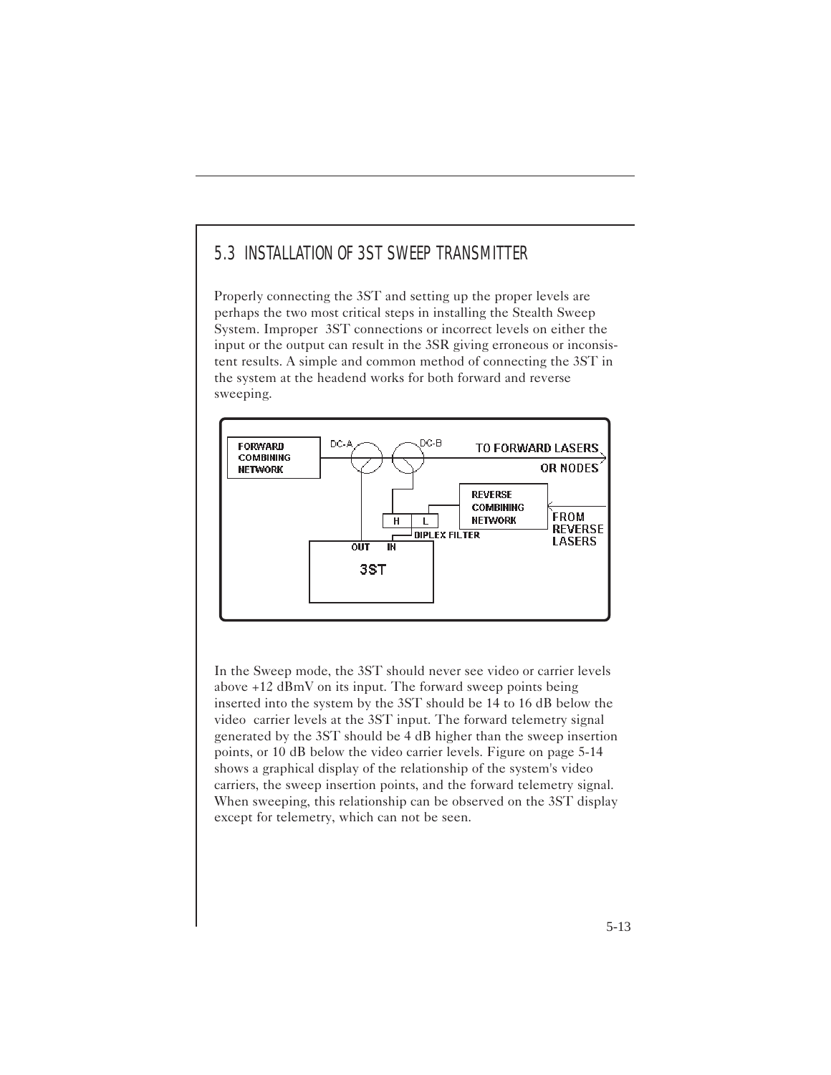# 5.3 INSTALLATION OF 3ST SWEEP TRANSMITTER

Properly connecting the 3ST and setting up the proper levels are perhaps the two most critical steps in installing the Stealth Sweep System. Improper 3ST connections or incorrect levels on either the input or the output can result in the 3SR giving erroneous or inconsistent results. A simple and common method of connecting the 3ST in the system at the headend works for both forward and reverse sweeping.



In the Sweep mode, the 3ST should never see video or carrier levels above +12 dBmV on its input. The forward sweep points being inserted into the system by the 3ST should be 14 to 16 dB below the video carrier levels at the 3ST input. The forward telemetry signal generated by the 3ST should be 4 dB higher than the sweep insertion points, or 10 dB below the video carrier levels. Figure on page 5-14 shows a graphical display of the relationship of the system's video carriers, the sweep insertion points, and the forward telemetry signal. When sweeping, this relationship can be observed on the 3ST display except for telemetry, which can not be seen.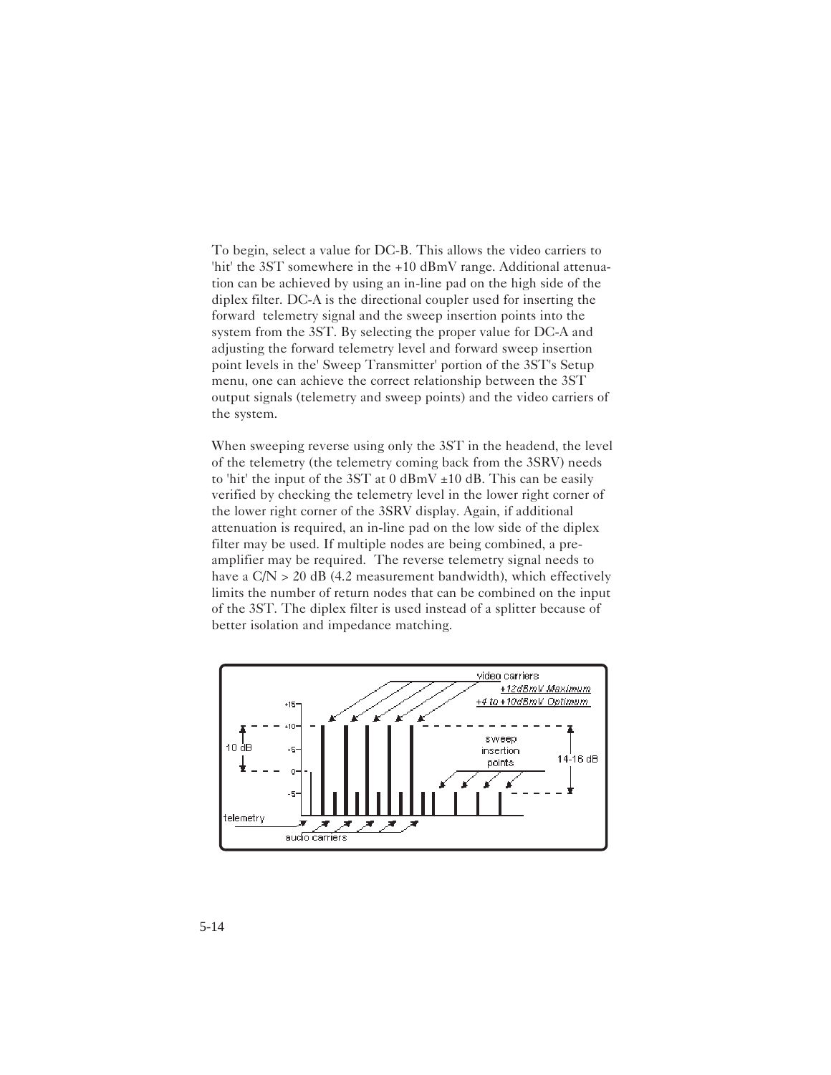To begin, select a value for DC-B. This allows the video carriers to 'hit' the 3ST somewhere in the +10 dBmV range. Additional attenuation can be achieved by using an in-line pad on the high side of the diplex filter. DC-A is the directional coupler used for inserting the forward telemetry signal and the sweep insertion points into the system from the 3ST. By selecting the proper value for DC-A and adjusting the forward telemetry level and forward sweep insertion point levels in the' Sweep Transmitter' portion of the 3ST's Setup menu, one can achieve the correct relationship between the 3ST output signals (telemetry and sweep points) and the video carriers of the system.

When sweeping reverse using only the 3ST in the headend, the level of the telemetry (the telemetry coming back from the 3SRV) needs to 'hit' the input of the 3ST at 0 dBmV  $\pm$ 10 dB. This can be easily verified by checking the telemetry level in the lower right corner of the lower right corner of the 3SRV display. Again, if additional attenuation is required, an in-line pad on the low side of the diplex filter may be used. If multiple nodes are being combined, a preamplifier may be required. The reverse telemetry signal needs to have a  $C/N > 20$  dB (4.2 measurement bandwidth), which effectively limits the number of return nodes that can be combined on the input of the 3ST. The diplex filter is used instead of a splitter because of better isolation and impedance matching.

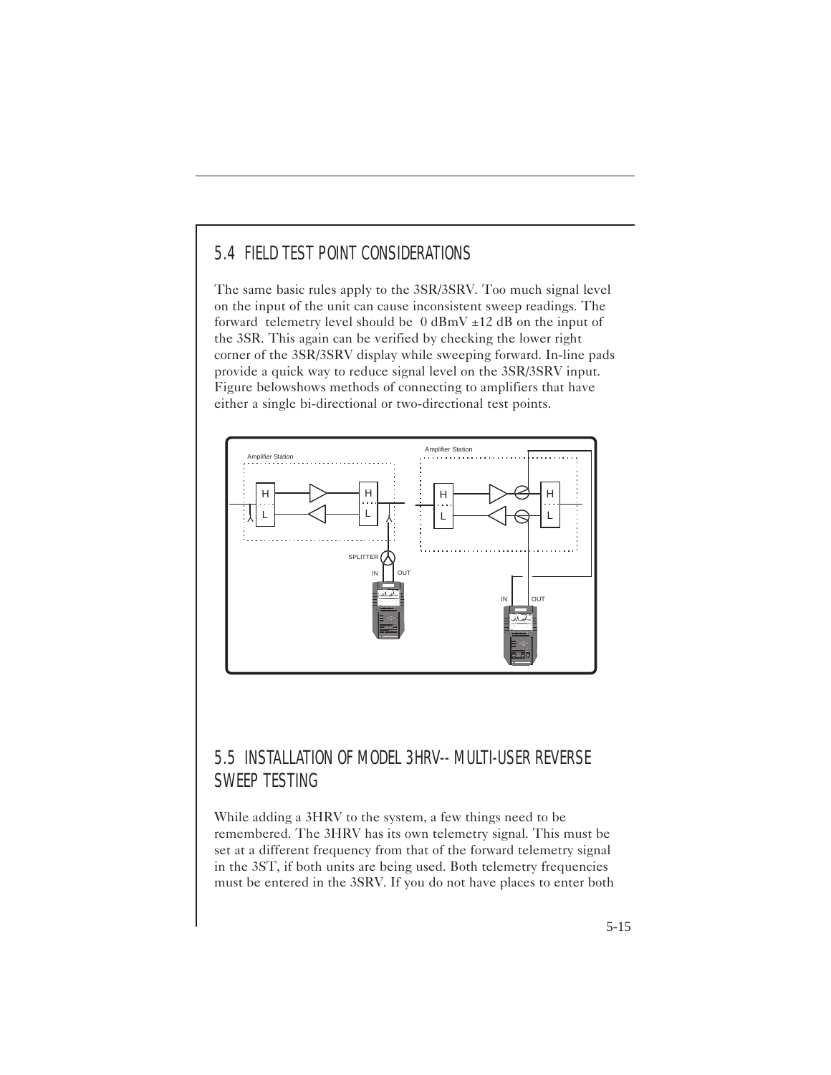# 5.4 FIELD TEST POINT CONSIDERATIONS

The same basic rules apply to the 3SR/3SRV. Too much signal level on the input of the unit can cause inconsistent sweep readings. The forward telemetry level should be  $0 \text{ dBmV} \pm 12 \text{ dB}$  on the input of the 3SR. This again can be verified by checking the lower right corner of the 3SR/3SRV display while sweeping forward. In-line pads provide a quick way to reduce signal level on the 3SR/3SRV input. Figure belowshows methods of connecting to amplifiers that have either a single bi-directional or two-directional test points.



# 5.5 INSTALLATION OF MODEL 3HRV-- MULTI-USER REVERSE SWEEP TESTING

While adding a 3HRV to the system, a few things need to be remembered. The 3HRV has its own telemetry signal. This must be set at a different frequency from that of the forward telemetry signal in the 3ST, if both units are being used. Both telemetry frequencies must be entered in the 3SRV. If you do not have places to enter both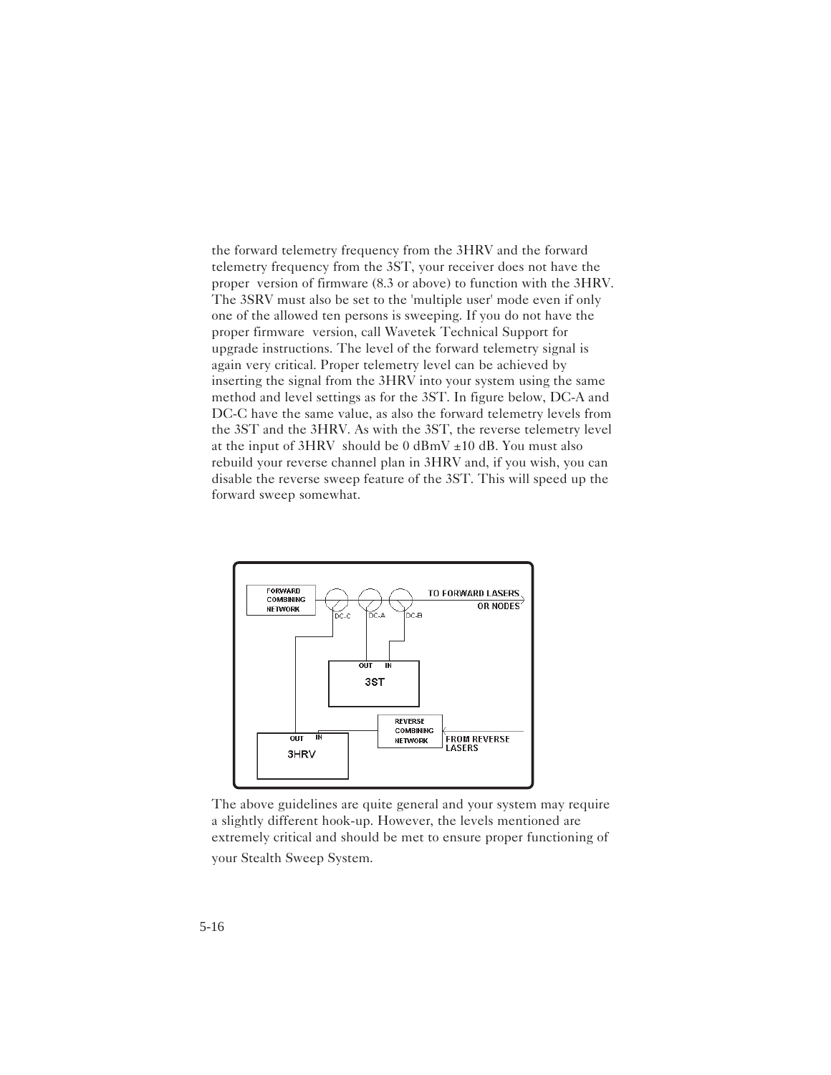the forward telemetry frequency from the 3HRV and the forward telemetry frequency from the 3ST, your receiver does not have the proper version of firmware (8.3 or above) to function with the 3HRV. The 3SRV must also be set to the 'multiple user' mode even if only one of the allowed ten persons is sweeping. If you do not have the proper firmware version, call Wavetek Technical Support for upgrade instructions. The level of the forward telemetry signal is again very critical. Proper telemetry level can be achieved by inserting the signal from the 3HRV into your system using the same method and level settings as for the 3ST. In figure below, DC-A and DC-C have the same value, as also the forward telemetry levels from the 3ST and the 3HRV. As with the 3ST, the reverse telemetry level at the input of 3HRV should be 0 dBmV ±10 dB. You must also rebuild your reverse channel plan in 3HRV and, if you wish, you can disable the reverse sweep feature of the 3ST. This will speed up the forward sweep somewhat.



The above guidelines are quite general and your system may require a slightly different hook-up. However, the levels mentioned are extremely critical and should be met to ensure proper functioning of your Stealth Sweep System.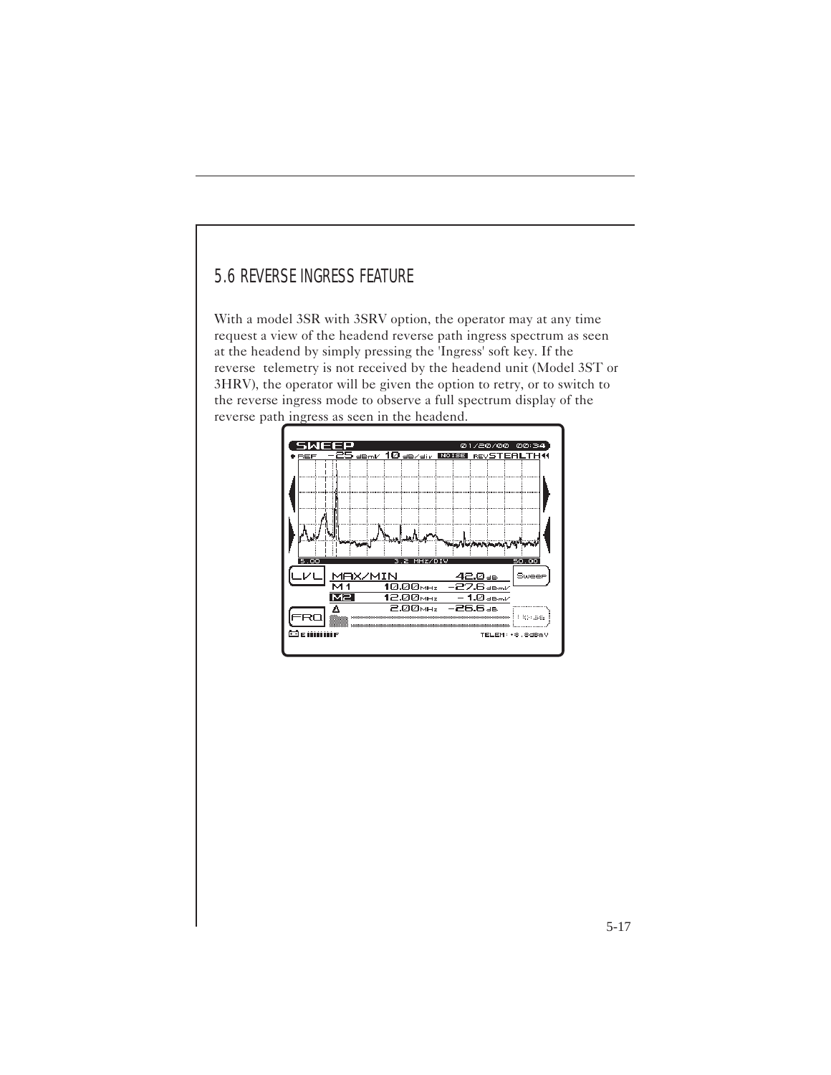## 5.6 REVERSE INGRESS FEATURE

With a model 3SR with 3SRV option, the operator may at any time request a view of the headend reverse path ingress spectrum as seen at the headend by simply pressing the 'Ingress' soft key. If the reverse telemetry is not received by the headend unit (Model 3ST or 3HRV), the operator will be given the option to retry, or to switch to the reverse ingress mode to observe a full spectrum display of the reverse path ingress as seen in the headend.

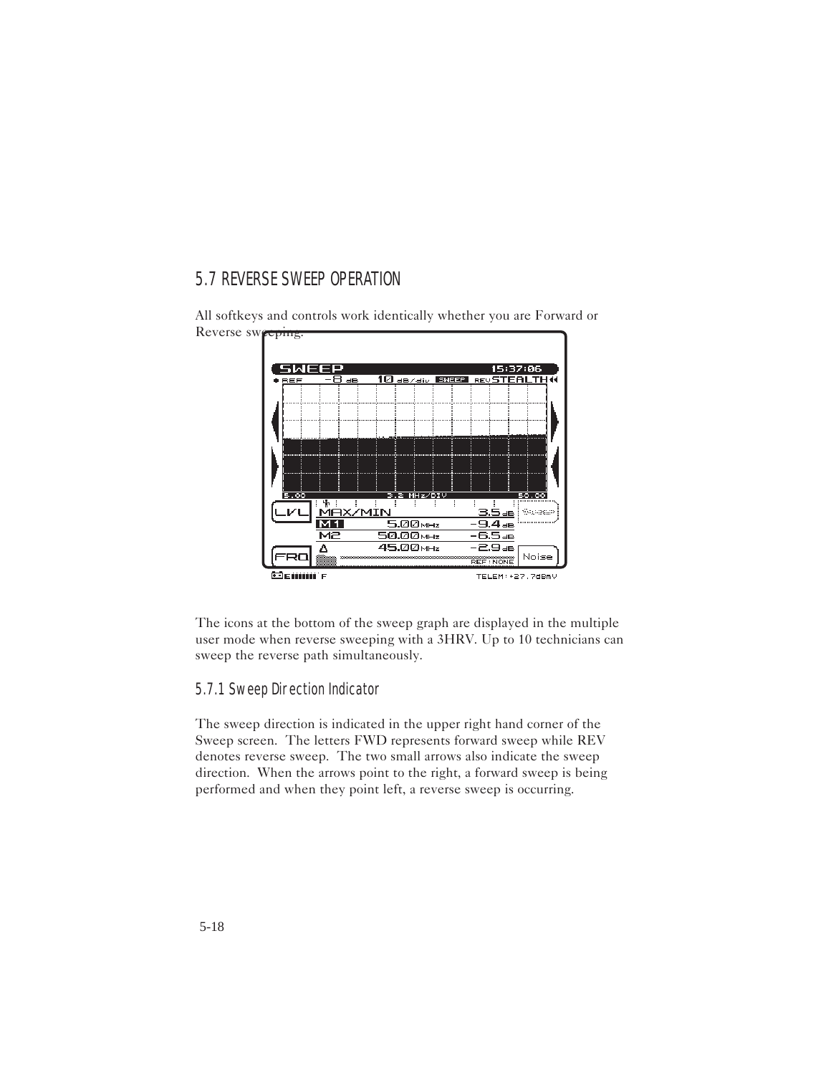## 5.7 REVERSE SWEEP OPERATION



All softkeys and controls work identically whether you are Forward or Reverse sweeping.

The icons at the bottom of the sweep graph are displayed in the multiple user mode when reverse sweeping with a 3HRV. Up to 10 technicians can sweep the reverse path simultaneously.

## 5.7.1 Sweep Direction Indicator

The sweep direction is indicated in the upper right hand corner of the Sweep screen. The letters FWD represents forward sweep while REV denotes reverse sweep. The two small arrows also indicate the sweep direction. When the arrows point to the right, a forward sweep is being performed and when they point left, a reverse sweep is occurring.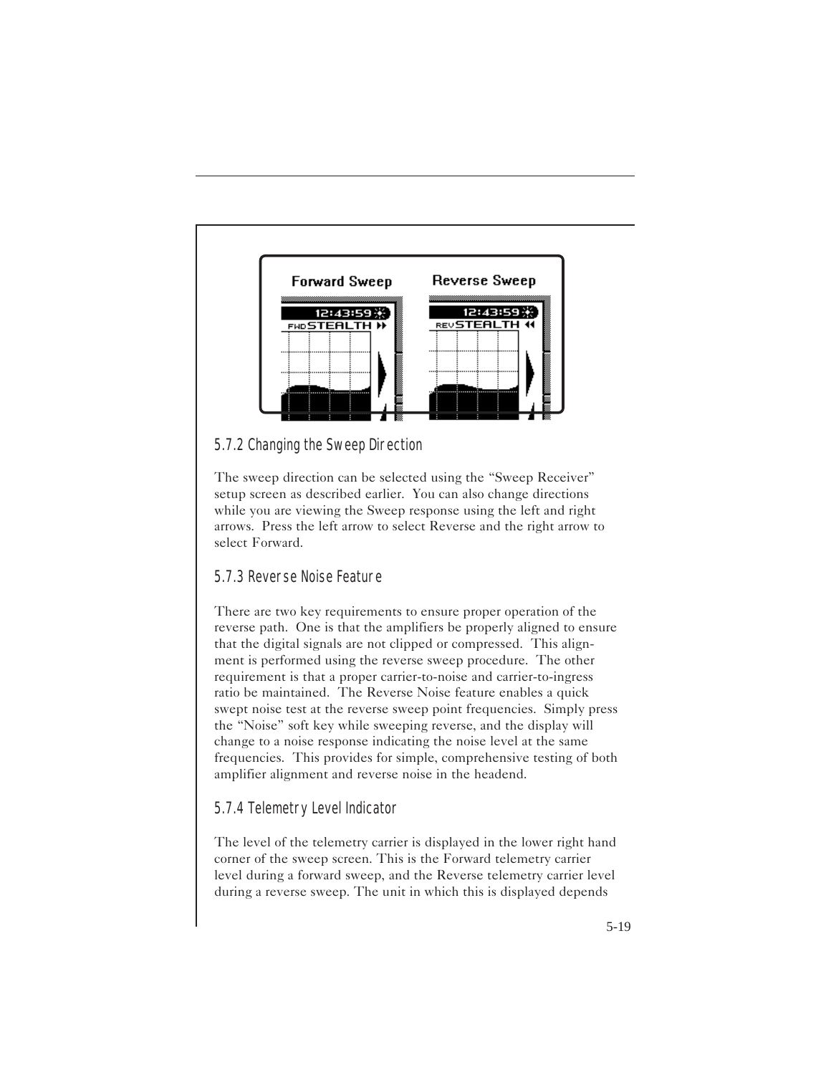

## 5.7.2 Changing the Sweep Direction

The sweep direction can be selected using the "Sweep Receiver" setup screen as described earlier. You can also change directions while you are viewing the Sweep response using the left and right arrows. Press the left arrow to select Reverse and the right arrow to select Forward.

## 5.7.3 Reverse Noise Feature

There are two key requirements to ensure proper operation of the reverse path. One is that the amplifiers be properly aligned to ensure that the digital signals are not clipped or compressed. This alignment is performed using the reverse sweep procedure. The other requirement is that a proper carrier-to-noise and carrier-to-ingress ratio be maintained. The Reverse Noise feature enables a quick swept noise test at the reverse sweep point frequencies. Simply press the "Noise" soft key while sweeping reverse, and the display will change to a noise response indicating the noise level at the same frequencies. This provides for simple, comprehensive testing of both amplifier alignment and reverse noise in the headend.

## 5.7.4 Telemetry Level Indicator

The level of the telemetry carrier is displayed in the lower right hand corner of the sweep screen. This is the Forward telemetry carrier level during a forward sweep, and the Reverse telemetry carrier level during a reverse sweep. The unit in which this is displayed depends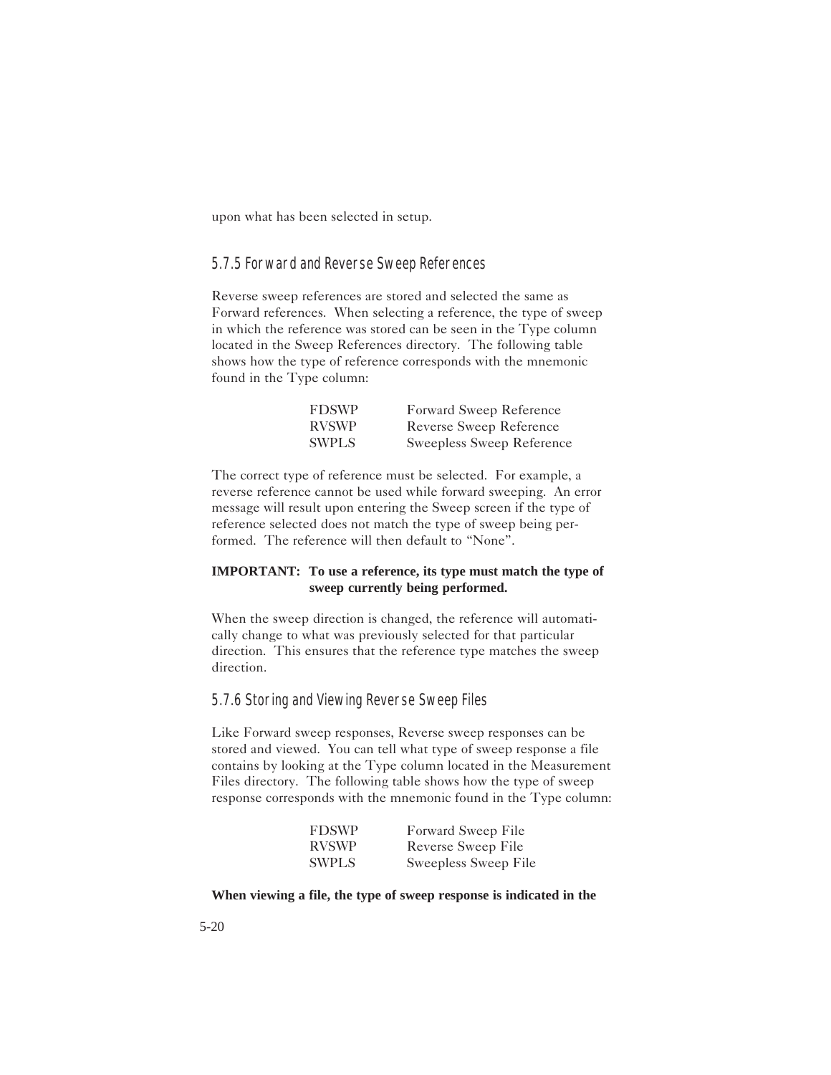upon what has been selected in setup.

#### 5.7.5 Forward and Reverse Sweep References

Reverse sweep references are stored and selected the same as Forward references. When selecting a reference, the type of sweep in which the reference was stored can be seen in the Type column located in the Sweep References directory. The following table shows how the type of reference corresponds with the mnemonic found in the Type column:

| <b>FDSWP</b> | Forward Sweep Reference          |
|--------------|----------------------------------|
| <b>RVSWP</b> | Reverse Sweep Reference          |
| <b>SWPLS</b> | <b>Sweepless Sweep Reference</b> |

The correct type of reference must be selected. For example, a reverse reference cannot be used while forward sweeping. An error message will result upon entering the Sweep screen if the type of reference selected does not match the type of sweep being performed. The reference will then default to "None".

#### **IMPORTANT: To use a reference, its type must match the type of sweep currently being performed.**

When the sweep direction is changed, the reference will automatically change to what was previously selected for that particular direction. This ensures that the reference type matches the sweep direction.

### 5.7.6 Storing and Viewing Reverse Sweep Files

Like Forward sweep responses, Reverse sweep responses can be stored and viewed. You can tell what type of sweep response a file contains by looking at the Type column located in the Measurement Files directory. The following table shows how the type of sweep response corresponds with the mnemonic found in the Type column:

| <b>FDSWP</b> | Forward Sweep File   |
|--------------|----------------------|
| <b>RVSWP</b> | Reverse Sweep File   |
| <b>SWPLS</b> | Sweepless Sweep File |

#### **When viewing a file, the type of sweep response is indicated in the**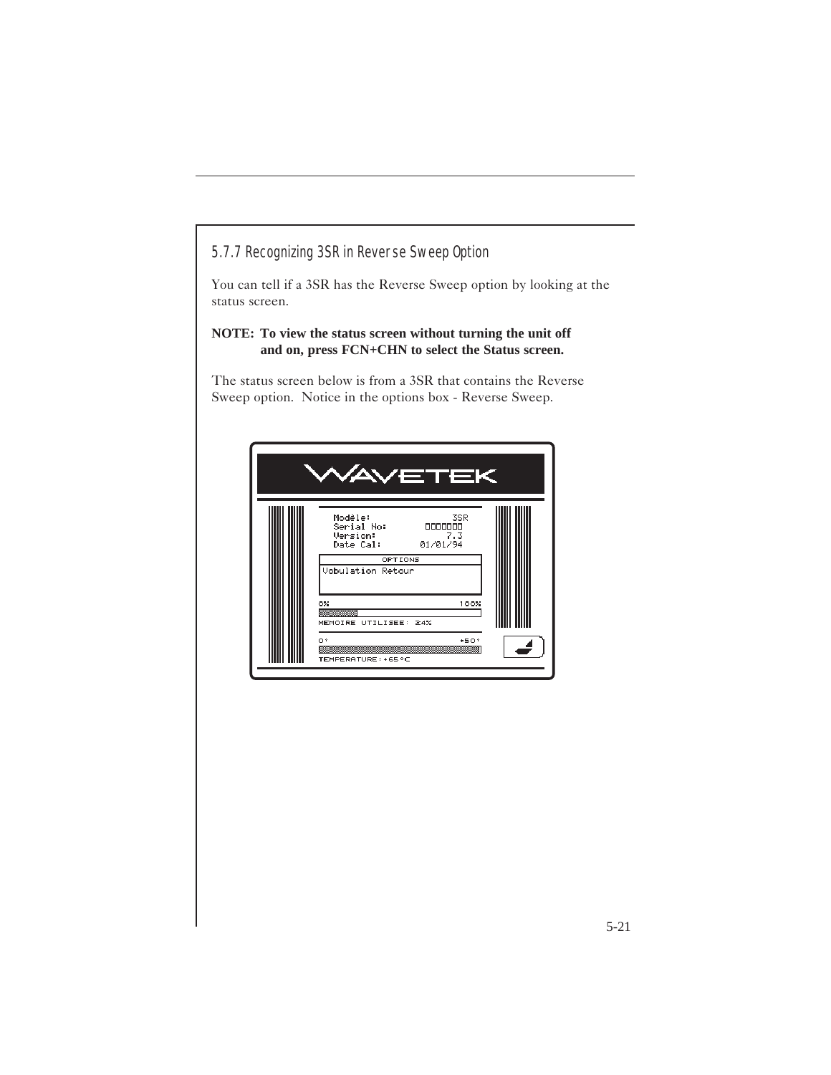## 5.7.7 Recognizing 3SR in Reverse Sweep Option

You can tell if a 3SR has the Reverse Sweep option by looking at the status screen.

### **NOTE: To view the status screen without turning the unit off and on, press FCN+CHN to select the Status screen.**

The status screen below is from a 3SR that contains the Reverse Sweep option. Notice in the options box - Reverse Sweep.

| <b>WAVETEK</b>                                 |                                   |  |
|------------------------------------------------|-----------------------------------|--|
| Modèle:<br>Serial No:<br>Version:<br>Date Cal: | 3SR<br>0000000<br>7.3<br>01/01/94 |  |
| OPTIONS<br><b>Vobulation Retour</b>            |                                   |  |
| O%<br>MEMOIRE UTILISEE: 24%                    | 100%                              |  |
| o٠<br>TEMPERATURE: +65 °C                      | $+50*$                            |  |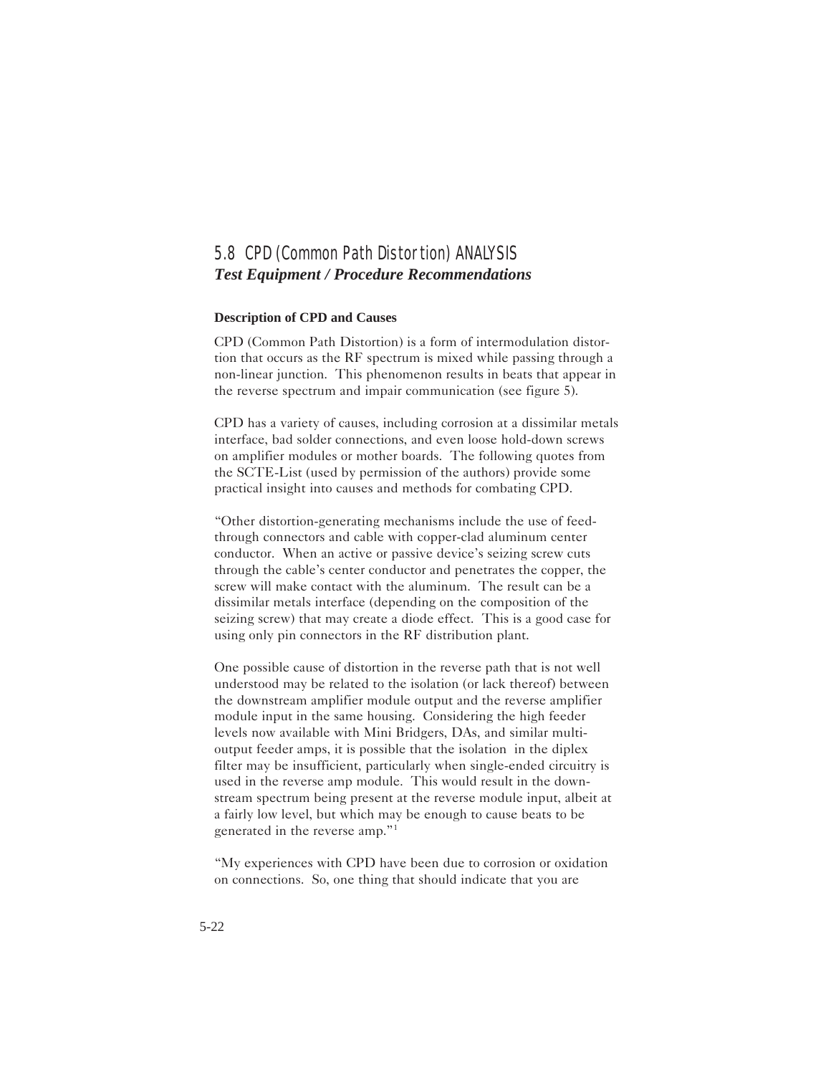## 5.8 CPD (Common Path Distortion) ANALYSIS *Test Equipment / Procedure Recommendations*

#### **Description of CPD and Causes**

CPD (Common Path Distortion) is a form of intermodulation distortion that occurs as the RF spectrum is mixed while passing through a non-linear junction. This phenomenon results in beats that appear in the reverse spectrum and impair communication (see figure 5).

CPD has a variety of causes, including corrosion at a dissimilar metals interface, bad solder connections, and even loose hold-down screws on amplifier modules or mother boards. The following quotes from the SCTE-List (used by permission of the authors) provide some practical insight into causes and methods for combating CPD.

"Other distortion-generating mechanisms include the use of feedthrough connectors and cable with copper-clad aluminum center conductor. When an active or passive device's seizing screw cuts through the cable's center conductor and penetrates the copper, the screw will make contact with the aluminum. The result can be a dissimilar metals interface (depending on the composition of the seizing screw) that may create a diode effect. This is a good case for using only pin connectors in the RF distribution plant.

One possible cause of distortion in the reverse path that is not well understood may be related to the isolation (or lack thereof) between the downstream amplifier module output and the reverse amplifier module input in the same housing. Considering the high feeder levels now available with Mini Bridgers, DAs, and similar multioutput feeder amps, it is possible that the isolation in the diplex filter may be insufficient, particularly when single-ended circuitry is used in the reverse amp module. This would result in the downstream spectrum being present at the reverse module input, albeit at a fairly low level, but which may be enough to cause beats to be generated in the reverse amp."1

"My experiences with CPD have been due to corrosion or oxidation on connections. So, one thing that should indicate that you are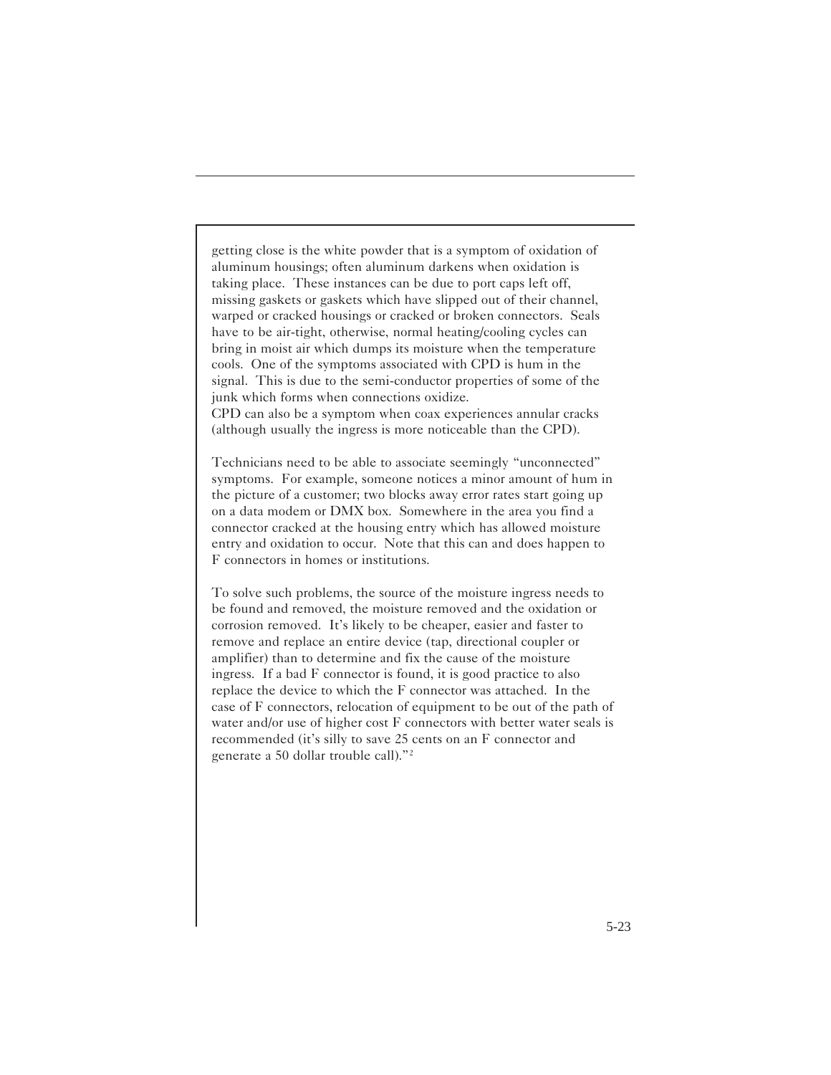getting close is the white powder that is a symptom of oxidation of aluminum housings; often aluminum darkens when oxidation is taking place. These instances can be due to port caps left off, missing gaskets or gaskets which have slipped out of their channel, warped or cracked housings or cracked or broken connectors. Seals have to be air-tight, otherwise, normal heating/cooling cycles can bring in moist air which dumps its moisture when the temperature cools. One of the symptoms associated with CPD is hum in the signal. This is due to the semi-conductor properties of some of the junk which forms when connections oxidize. CPD can also be a symptom when coax experiences annular cracks

(although usually the ingress is more noticeable than the CPD).

Technicians need to be able to associate seemingly "unconnected" symptoms. For example, someone notices a minor amount of hum in the picture of a customer; two blocks away error rates start going up on a data modem or DMX box. Somewhere in the area you find a connector cracked at the housing entry which has allowed moisture entry and oxidation to occur. Note that this can and does happen to F connectors in homes or institutions.

To solve such problems, the source of the moisture ingress needs to be found and removed, the moisture removed and the oxidation or corrosion removed. It's likely to be cheaper, easier and faster to remove and replace an entire device (tap, directional coupler or amplifier) than to determine and fix the cause of the moisture ingress. If a bad F connector is found, it is good practice to also replace the device to which the F connector was attached. In the case of F connectors, relocation of equipment to be out of the path of water and/or use of higher cost F connectors with better water seals is recommended (it's silly to save 25 cents on an F connector and generate a 50 dollar trouble call)."2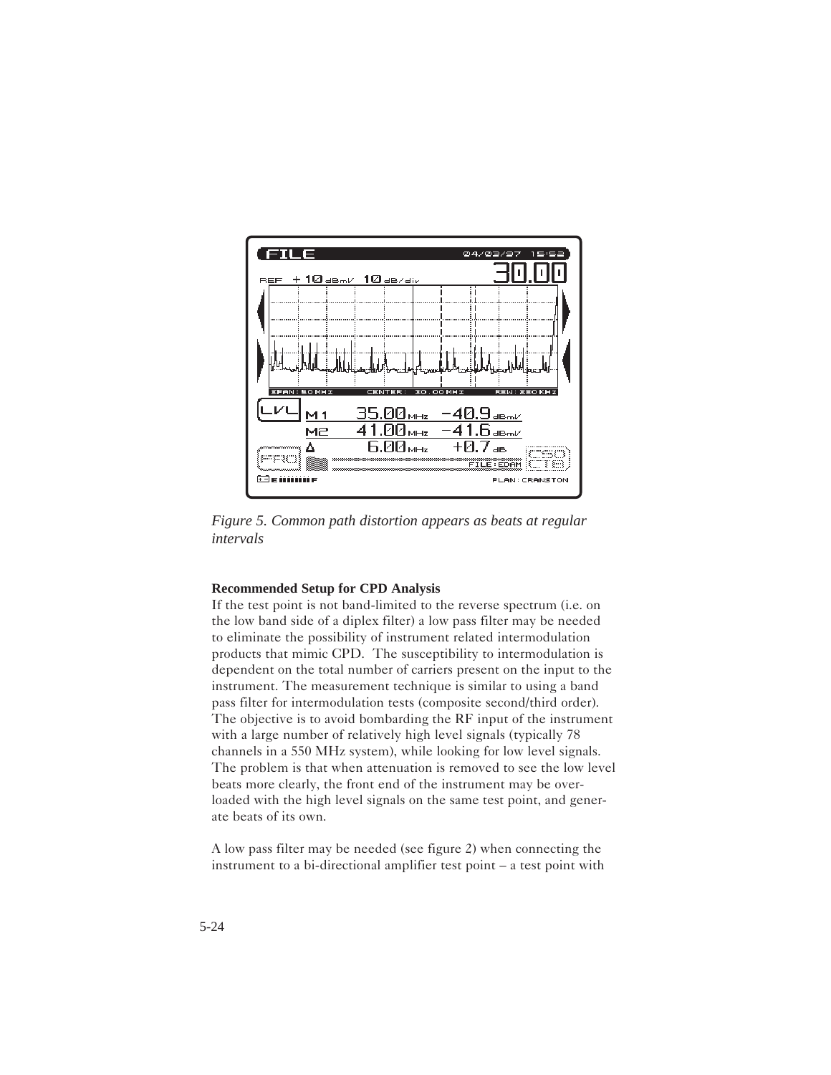

*Figure 5. Common path distortion appears as beats at regular intervals*

#### **Recommended Setup for CPD Analysis**

If the test point is not band-limited to the reverse spectrum (i.e. on the low band side of a diplex filter) a low pass filter may be needed to eliminate the possibility of instrument related intermodulation products that mimic CPD. The susceptibility to intermodulation is dependent on the total number of carriers present on the input to the instrument. The measurement technique is similar to using a band pass filter for intermodulation tests (composite second/third order). The objective is to avoid bombarding the RF input of the instrument with a large number of relatively high level signals (typically 78) channels in a 550 MHz system), while looking for low level signals. The problem is that when attenuation is removed to see the low level beats more clearly, the front end of the instrument may be overloaded with the high level signals on the same test point, and generate beats of its own.

A low pass filter may be needed (see figure 2) when connecting the instrument to a bi-directional amplifier test point – a test point with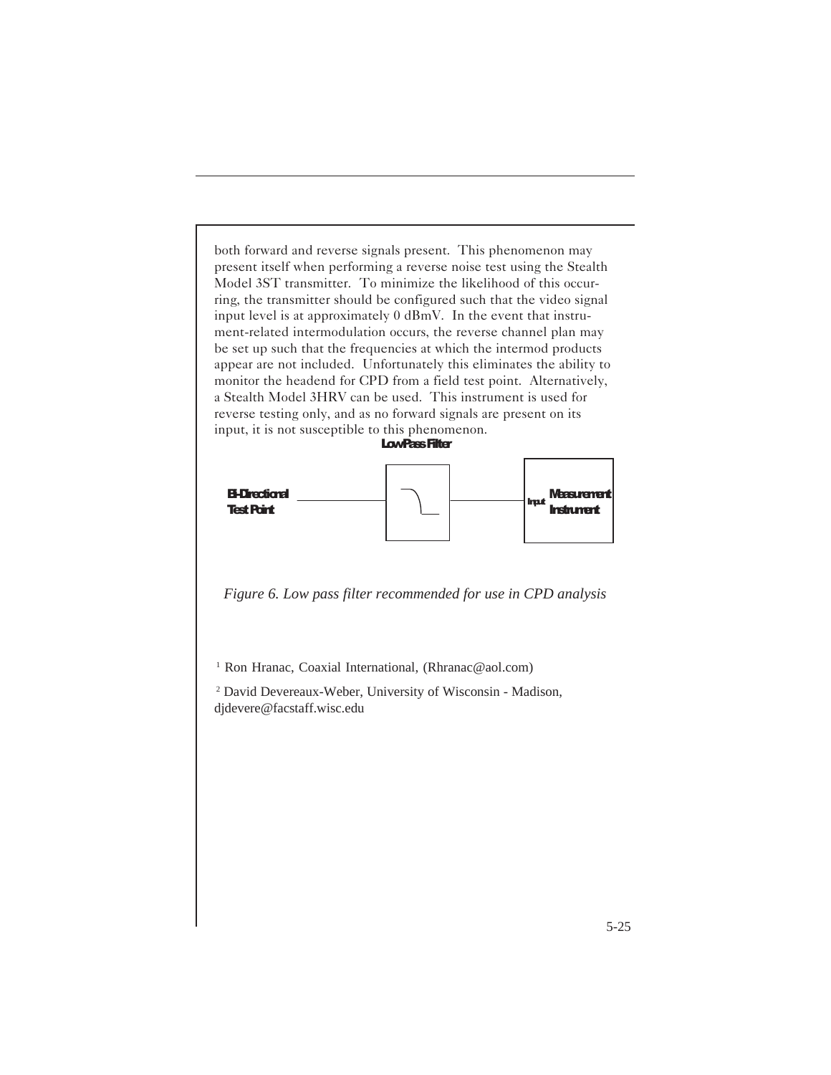both forward and reverse signals present. This phenomenon may present itself when performing a reverse noise test using the Stealth Model 3ST transmitter. To minimize the likelihood of this occurring, the transmitter should be configured such that the video signal input level is at approximately 0 dBmV. In the event that instrument-related intermodulation occurs, the reverse channel plan may be set up such that the frequencies at which the intermod products appear are not included. Unfortunately this eliminates the ability to monitor the headend for CPD from a field test point. Alternatively, a Stealth Model 3HRV can be used. This instrument is used for reverse testing only, and as no forward signals are present on its input, it is not susceptible to this phenomenon. Low Pass Filter



*Figure 6. Low pass filter recommended for use in CPD analysis*

<sup>1</sup> Ron Hranac, Coaxial International, (Rhranac@aol.com)

2 David Devereaux-Weber, University of Wisconsin - Madison, djdevere@facstaff.wisc.edu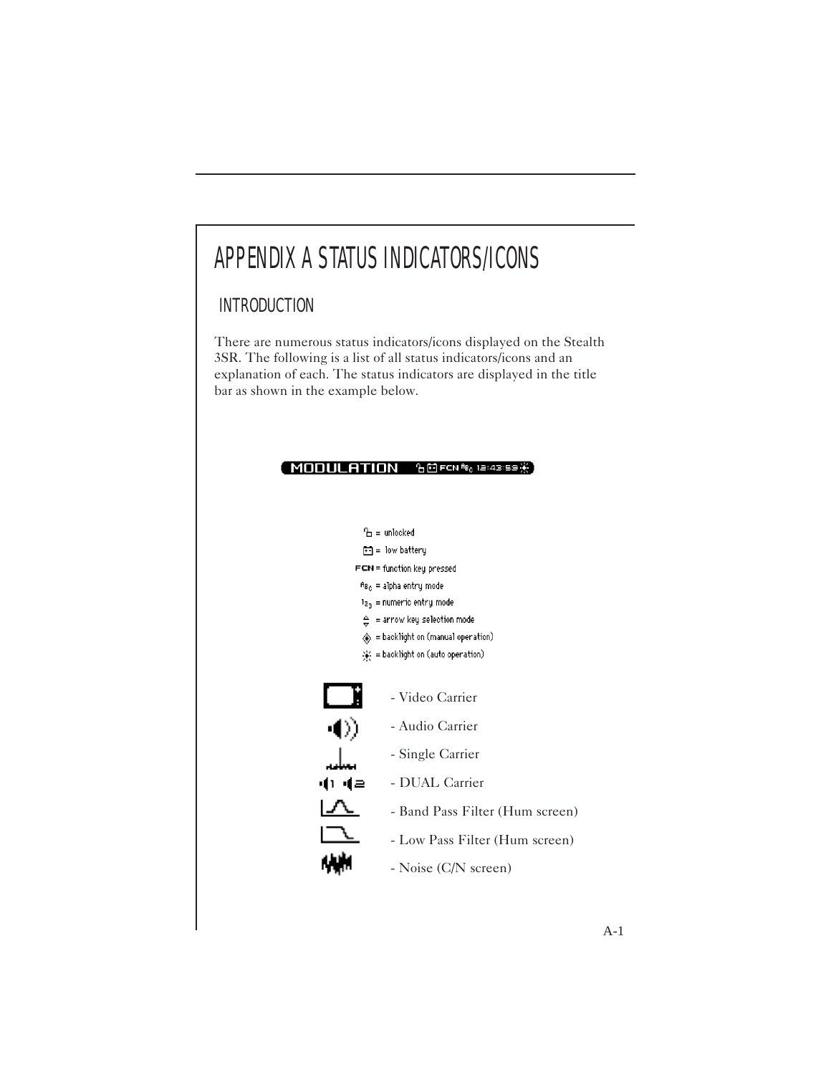# APPENDIX A STATUS INDICATORS/ICONS

## INTRODUCTION

There are numerous status indicators/icons displayed on the Stealth 3SR. The following is a list of all status indicators/icons and an explanation of each. The status indicators are displayed in the title bar as shown in the example below.

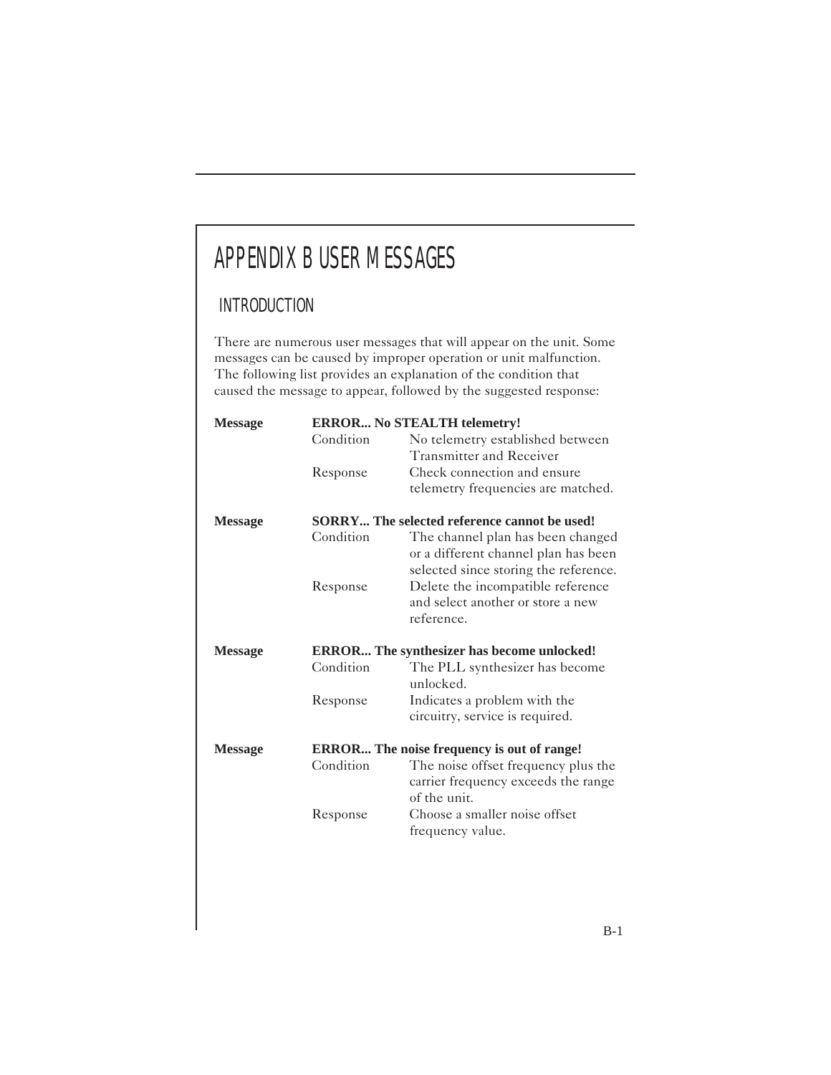# APPENDIX B USER MESSAGES

## INTRODUCTION

There are numerous user messages that will appear on the unit. Some messages can be caused by improper operation or unit malfunction. The following list provides an explanation of the condition that caused the message to appear, followed by the suggested response:

| <b>Message</b> |           | <b>ERROR No STEALTH telemetry!</b>                                                                                 |
|----------------|-----------|--------------------------------------------------------------------------------------------------------------------|
|                | Condition | No telemetry established between                                                                                   |
|                |           | <b>Transmitter and Receiver</b>                                                                                    |
|                | Response  | Check connection and ensure                                                                                        |
|                |           | telemetry frequencies are matched.                                                                                 |
| <b>Message</b> |           | SORRY The selected reference cannot be used!                                                                       |
|                | Condition | The channel plan has been changed<br>or a different channel plan has been<br>selected since storing the reference. |
|                | Response  | Delete the incompatible reference<br>and select another or store a new<br>reference.                               |
| <b>Message</b> |           | ERROR The synthesizer has become unlocked!                                                                         |
|                | Condition | The PLL synthesizer has become<br>unlocked.                                                                        |
|                | Response  | Indicates a problem with the<br>circuitry, service is required.                                                    |
| <b>Message</b> |           | <b>ERROR</b> The noise frequency is out of range!                                                                  |
|                | Condition | The noise offset frequency plus the<br>carrier frequency exceeds the range<br>of the unit.                         |
|                | Response  | Choose a smaller noise offset<br>frequency value.                                                                  |
|                |           |                                                                                                                    |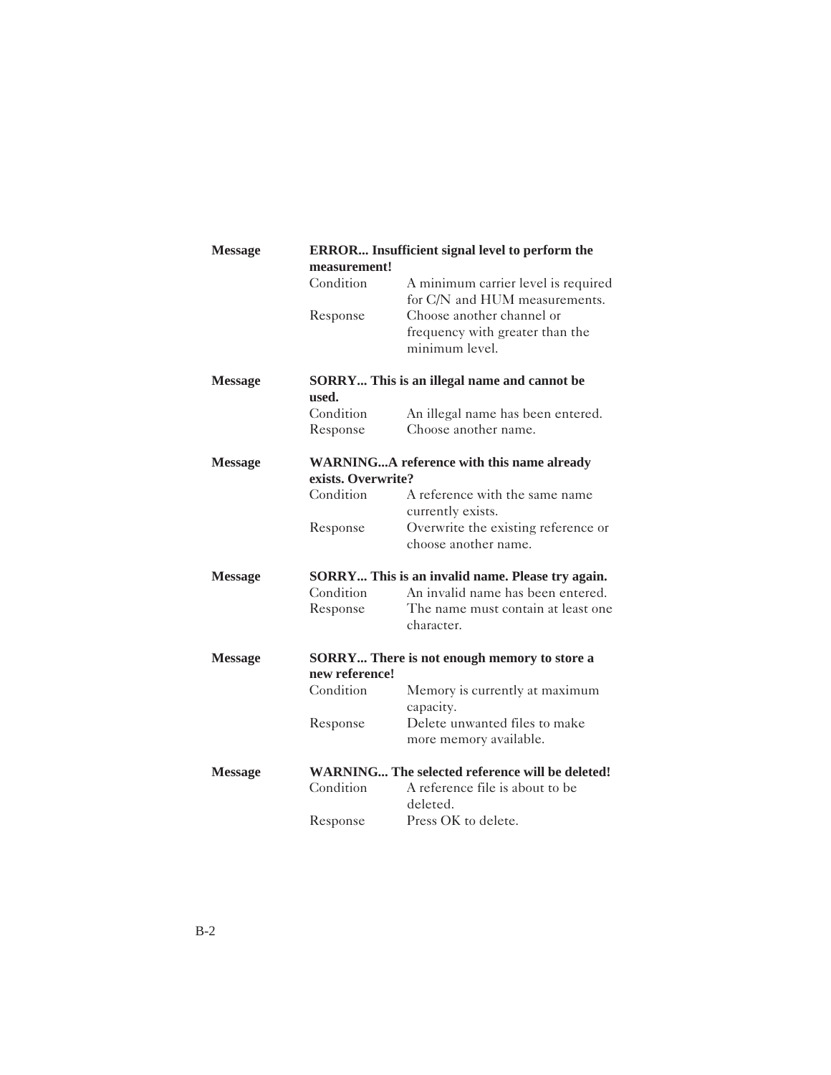| <b>Message</b> | <b>ERROR</b> Insufficient signal level to perform the |                                                                      |
|----------------|-------------------------------------------------------|----------------------------------------------------------------------|
|                | measurement!                                          |                                                                      |
|                | Condition                                             | A minimum carrier level is required<br>for C/N and HUM measurements. |
|                | Response                                              | Choose another channel or                                            |
|                |                                                       | frequency with greater than the                                      |
|                |                                                       | minimum level.                                                       |
| <b>Message</b> |                                                       | SORRY This is an illegal name and cannot be                          |
|                | used.                                                 |                                                                      |
|                | Condition                                             | An illegal name has been entered.                                    |
|                | Response                                              | Choose another name.                                                 |
| <b>Message</b> |                                                       | <b>WARNINGA</b> reference with this name already                     |
|                | exists. Overwrite?                                    |                                                                      |
|                | Condition                                             | A reference with the same name                                       |
|                |                                                       | currently exists.                                                    |
|                | Response                                              | Overwrite the existing reference or                                  |
|                |                                                       | choose another name.                                                 |
| <b>Message</b> |                                                       | SORRY This is an invalid name. Please try again.                     |
|                | Condition                                             | An invalid name has been entered.                                    |
|                | Response                                              | The name must contain at least one                                   |
|                |                                                       | character.                                                           |
| <b>Message</b> |                                                       | SORRY There is not enough memory to store a                          |
|                | new reference!                                        |                                                                      |
|                | Condition                                             | Memory is currently at maximum                                       |
|                |                                                       | capacity.                                                            |
|                | Response                                              | Delete unwanted files to make<br>more memory available.              |
|                |                                                       |                                                                      |
| <b>Message</b> |                                                       | <b>WARNING The selected reference will be deleted!</b>               |
|                | Condition                                             | A reference file is about to be                                      |
|                |                                                       | deleted.                                                             |
|                | Response                                              | Press OK to delete.                                                  |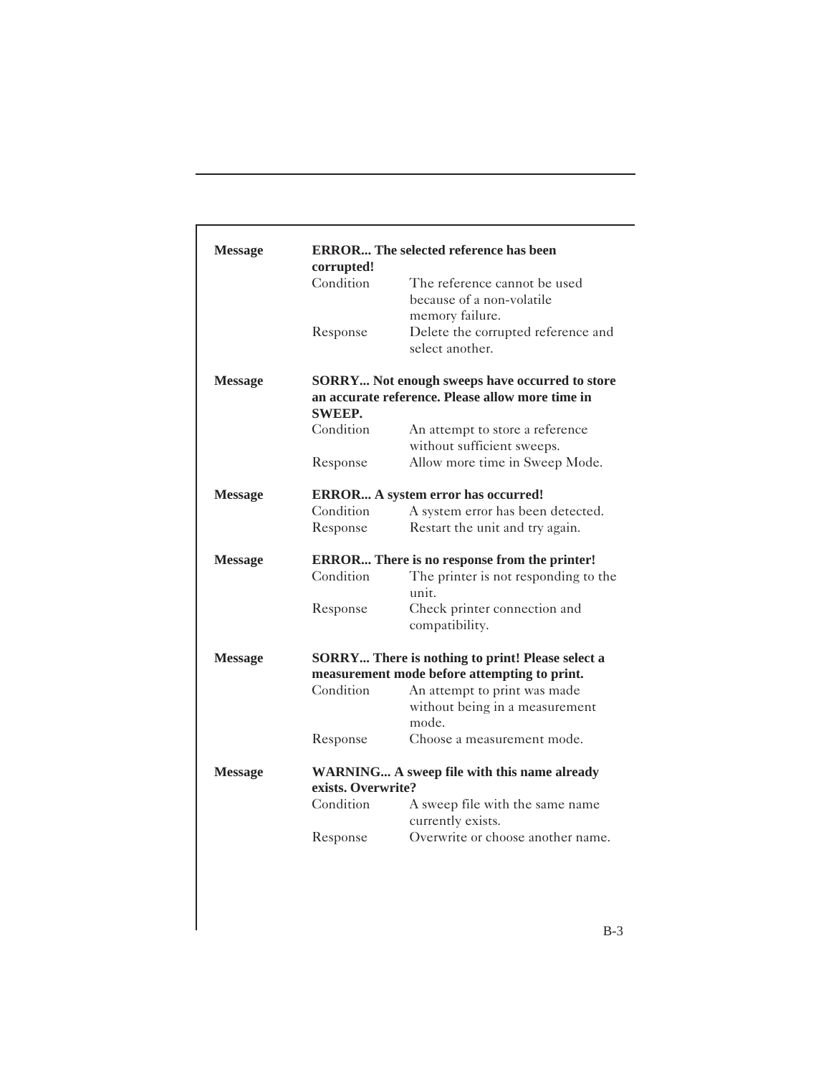| <b>Message</b> |                    | <b>ERROR</b> The selected reference has been              |
|----------------|--------------------|-----------------------------------------------------------|
|                | corrupted!         |                                                           |
|                | Condition          | The reference cannot be used<br>because of a non-volatile |
|                |                    | memory failure.                                           |
|                | Response           | Delete the corrupted reference and<br>select another.     |
| <b>Message</b> |                    | <b>SORRY</b> Not enough sweeps have occurred to store     |
|                | <b>SWEEP.</b>      | an accurate reference. Please allow more time in          |
|                | Condition          | An attempt to store a reference                           |
|                |                    | without sufficient sweeps.                                |
|                | Response           | Allow more time in Sweep Mode.                            |
| <b>Message</b> |                    | ERROR A system error has occurred!                        |
|                | Condition          | A system error has been detected.                         |
|                | Response           | Restart the unit and try again.                           |
| <b>Message</b> |                    | <b>ERROR</b> There is no response from the printer!       |
|                | Condition          | The printer is not responding to the<br>unit.             |
|                |                    |                                                           |
|                | Response           | Check printer connection and<br>compatibility.            |
| <b>Message</b> |                    | SORRY There is nothing to print! Please select a          |
|                |                    | measurement mode before attempting to print.              |
|                | Condition          | An attempt to print was made                              |
|                |                    | without being in a measurement                            |
|                |                    | mode.                                                     |
|                | Response           | Choose a measurement mode.                                |
| <b>Message</b> |                    | <b>WARNING A sweep file with this name already</b>        |
|                | exists. Overwrite? |                                                           |
|                | Condition          | A sweep file with the same name<br>currently exists.      |
|                | Response           | Overwrite or choose another name.                         |
|                |                    |                                                           |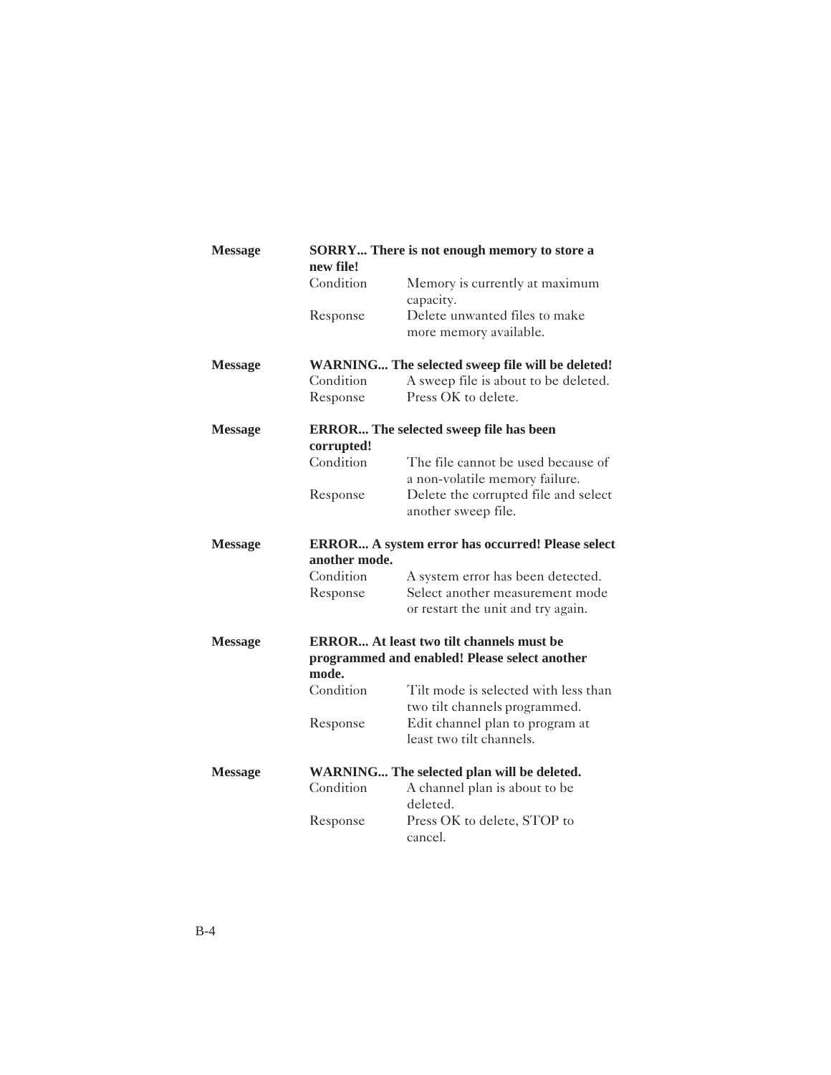| <b>Message</b> | SORRY There is not enough memory to store a<br>new file! |                                                                                                  |  |
|----------------|----------------------------------------------------------|--------------------------------------------------------------------------------------------------|--|
|                | Condition                                                | Memory is currently at maximum<br>capacity.                                                      |  |
|                | Response                                                 | Delete unwanted files to make<br>more memory available.                                          |  |
| <b>Message</b> |                                                          | WARNING The selected sweep file will be deleted!                                                 |  |
|                | Condition                                                | A sweep file is about to be deleted.                                                             |  |
|                | Response                                                 | Press OK to delete.                                                                              |  |
| <b>Message</b> |                                                          | <b>ERROR</b> The selected sweep file has been                                                    |  |
|                | corrupted!                                               |                                                                                                  |  |
|                | Condition                                                | The file cannot be used because of                                                               |  |
|                |                                                          | a non-volatile memory failure.                                                                   |  |
|                | Response                                                 | Delete the corrupted file and select<br>another sweep file.                                      |  |
| <b>Message</b> | another mode.                                            | <b>ERROR</b> A system error has occurred! Please select                                          |  |
|                | Condition                                                | A system error has been detected.                                                                |  |
|                |                                                          | Select another measurement mode                                                                  |  |
|                | Response                                                 | or restart the unit and try again.                                                               |  |
| <b>Message</b> |                                                          | <b>ERROR</b> At least two tilt channels must be<br>programmed and enabled! Please select another |  |
|                | mode.                                                    |                                                                                                  |  |
|                | Condition                                                | Tilt mode is selected with less than                                                             |  |
|                |                                                          | two tilt channels programmed.                                                                    |  |
|                | Response                                                 | Edit channel plan to program at                                                                  |  |
|                |                                                          | least two tilt channels.                                                                         |  |
| <b>Message</b> |                                                          | WARNING The selected plan will be deleted.                                                       |  |
|                | Condition                                                | A channel plan is about to be<br>deleted.                                                        |  |
|                | Response                                                 | Press OK to delete, STOP to<br>cancel.                                                           |  |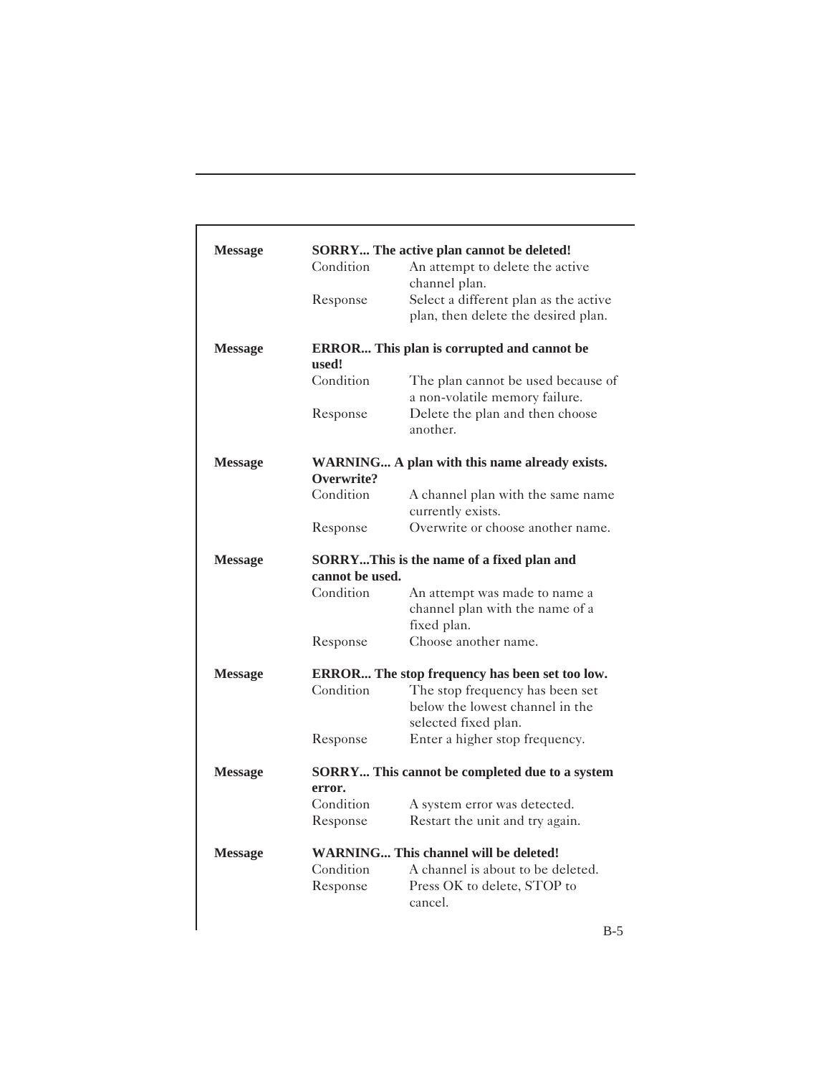| <b>Message</b> |                 | SORRY The active plan cannot be deleted!                             |
|----------------|-----------------|----------------------------------------------------------------------|
|                | Condition       | An attempt to delete the active                                      |
|                |                 | channel plan.                                                        |
|                | Response        | Select a different plan as the active                                |
|                |                 | plan, then delete the desired plan.                                  |
| <b>Message</b> | used!           | ERROR This plan is corrupted and cannot be                           |
|                | Condition       |                                                                      |
|                |                 | The plan cannot be used because of<br>a non-volatile memory failure. |
|                | Response        | Delete the plan and then choose                                      |
|                |                 | another.                                                             |
| <b>Message</b> |                 | WARNING A plan with this name already exists.                        |
|                | Overwrite?      |                                                                      |
|                | Condition       | A channel plan with the same name                                    |
|                |                 | currently exists.                                                    |
|                | Response        | Overwrite or choose another name.                                    |
| <b>Message</b> |                 | SORRYThis is the name of a fixed plan and                            |
|                | cannot be used. |                                                                      |
|                | Condition       | An attempt was made to name a                                        |
|                |                 | channel plan with the name of a                                      |
|                |                 | fixed plan.                                                          |
|                | Response        | Choose another name.                                                 |
| <b>Message</b> |                 | ERROR The stop frequency has been set too low.                       |
|                | Condition       | The stop frequency has been set                                      |
|                |                 | below the lowest channel in the                                      |
|                |                 | selected fixed plan.                                                 |
|                | Response        | Enter a higher stop frequency.                                       |
| <b>Message</b> |                 | SORRY This cannot be completed due to a system                       |
|                | error.          |                                                                      |
|                | Condition       | A system error was detected.                                         |
|                | Response        | Restart the unit and try again.                                      |
| <b>Message</b> |                 | <b>WARNING This channel will be deleted!</b>                         |
|                | Condition       | A channel is about to be deleted.                                    |
|                | Response        | Press OK to delete, STOP to                                          |
|                |                 | cancel.                                                              |
|                |                 |                                                                      |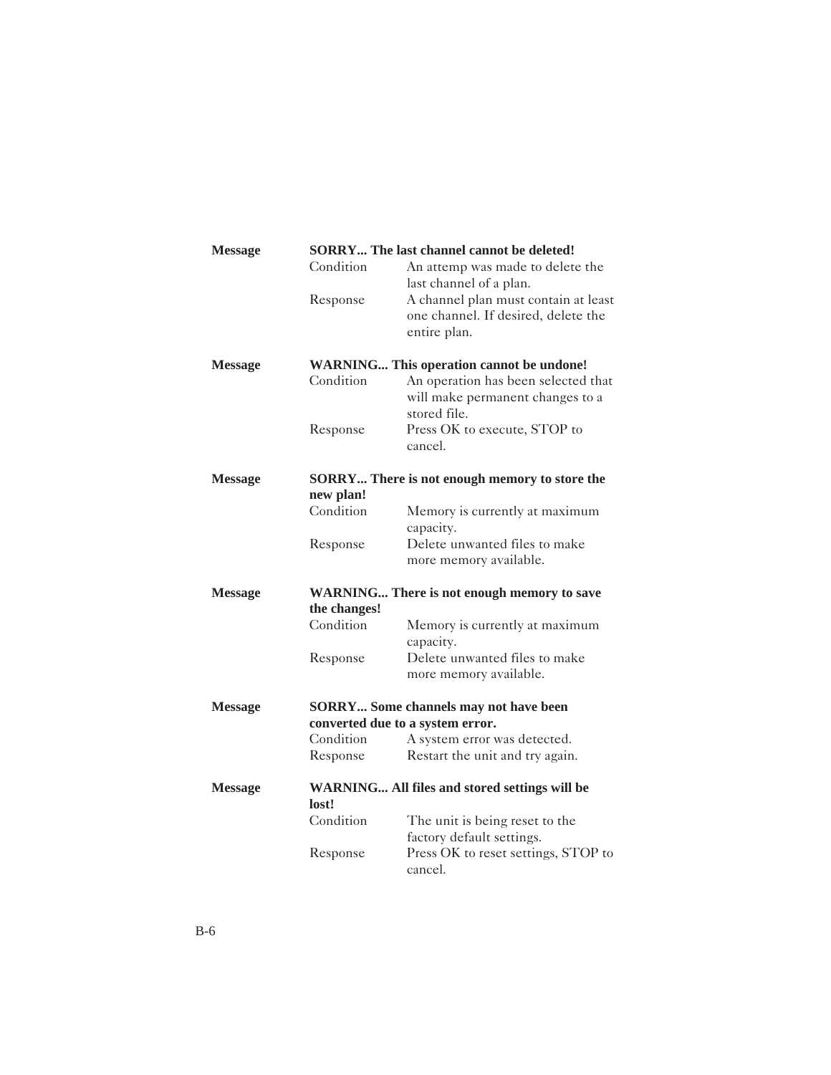| <b>Message</b> |              | <b>SORRY</b> The last channel cannot be deleted!                            |
|----------------|--------------|-----------------------------------------------------------------------------|
|                | Condition    | An attemp was made to delete the                                            |
|                |              | last channel of a plan.                                                     |
|                | Response     | A channel plan must contain at least<br>one channel. If desired, delete the |
|                |              | entire plan.                                                                |
|                |              |                                                                             |
| <b>Message</b> |              | <b>WARNING This operation cannot be undone!</b>                             |
|                | Condition    | An operation has been selected that<br>will make permanent changes to a     |
|                |              | stored file.                                                                |
|                | Response     | Press OK to execute, STOP to                                                |
|                |              | cancel.                                                                     |
| <b>Message</b> |              | <b>SORRY</b> There is not enough memory to store the                        |
|                | new plan!    |                                                                             |
|                | Condition    | Memory is currently at maximum                                              |
|                |              | capacity.                                                                   |
|                | Response     | Delete unwanted files to make<br>more memory available.                     |
|                |              |                                                                             |
| <b>Message</b> |              | <b>WARNING There is not enough memory to save</b>                           |
|                | the changes! |                                                                             |
|                | Condition    | Memory is currently at maximum<br>capacity.                                 |
|                | Response     | Delete unwanted files to make                                               |
|                |              | more memory available.                                                      |
| <b>Message</b> |              | <b>SORRY</b> Some channels may not have been                                |
|                |              | converted due to a system error.                                            |
|                | Condition    | A system error was detected.                                                |
|                | Response     | Restart the unit and try again.                                             |
| <b>Message</b> |              | WARNING All files and stored settings will be                               |
|                | lost!        |                                                                             |
|                | Condition    | The unit is being reset to the                                              |
|                |              | factory default settings.                                                   |
|                | Response     | Press OK to reset settings, STOP to                                         |
|                |              | cancel.                                                                     |